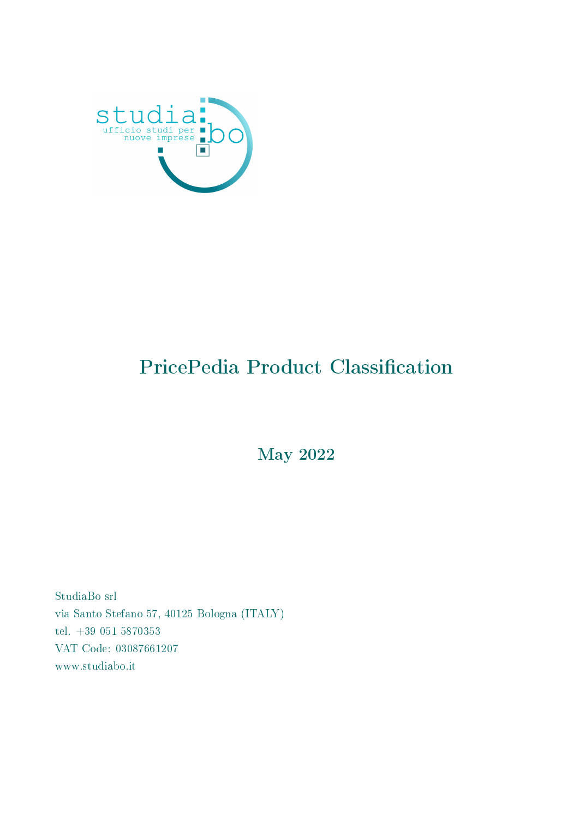

### PricePedia Product Classification

May 2022

StudiaBo srl via Santo Stefano 57, 40125 Bologna (ITALY) tel. +39 051 5870353 VAT Code: 03087661207 www.studiabo.it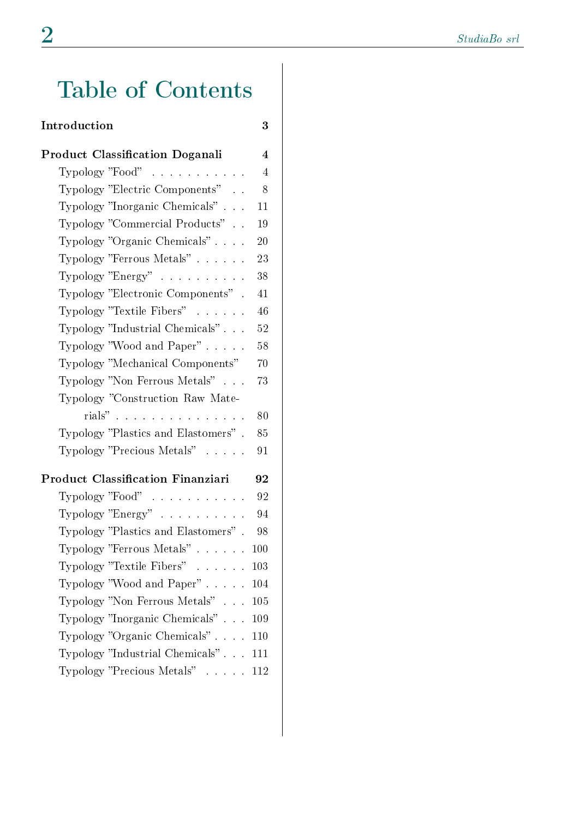## Table of Contents

#### Introduction 3

| Product Classification Doganali          | $\overline{\mathbf{4}}$ |
|------------------------------------------|-------------------------|
| Typology "Food" $\ldots \ldots \ldots$   | 4                       |
| Typology "Electric Components"           | 8                       |
| Typology "Inorganic Chemicals"           | 11                      |
| Typology "Commercial Products"           | 19                      |
| Typology "Organic Chemicals"             | 20                      |
| Typology "Ferrous Metals"                | 23                      |
| Typology "Energy" $\ldots \ldots \ldots$ | 38                      |
| Typology "Electronic Components".        | 41                      |
| Typology "Textile Fibers"                | 46                      |
| Typology "Industrial Chemicals"          | 52                      |
| Typology "Wood and Paper" $\ldots$ .     | 58                      |
| Typology "Mechanical Components"         | 70                      |
| Typology "Non Ferrous Metals"            | 73                      |
| Typology "Construction Raw Mate-         |                         |
| rials"                                   | 80                      |
| Typology "Plastics and Elastomers".      | 85                      |
| Typology "Precious Metals"               | 91                      |
| Product Classification Finanziari        | 92                      |
| Typology "Food" $\ldots \ldots \ldots$   | 92                      |
| Typology "Energy"                        | 94                      |
| Typology "Plastics and Elastomers".      | 98                      |
| Typology "Ferrous Metals"                | 100                     |
| Typology "Textile Fibers"                | 103                     |
| Typology "Wood and Paper" $104$          |                         |
| Typology "Non Ferrous Metals" 105        |                         |
| Typology "Inorganic Chemicals" 109       |                         |
| Typology "Organic Chemicals" 110         |                         |
| Typology "Industrial Chemicals" 111      |                         |
| Typology "Precious Metals" 112           |                         |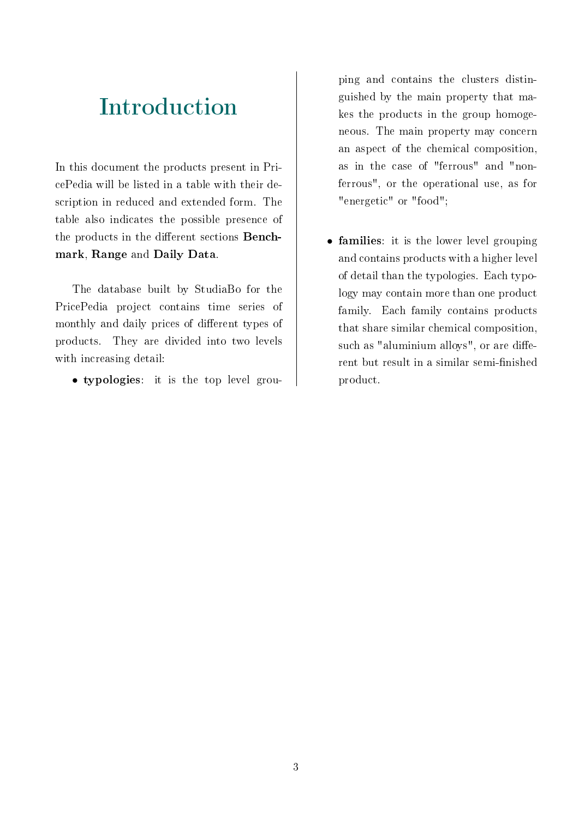#### Introduction

In this document the products present in PricePedia will be listed in a table with their description in reduced and extended form. The table also indicates the possible presence of the products in the different sections **Bench**mark, Range and Daily Data.

The database built by StudiaBo for the PricePedia project contains time series of monthly and daily prices of different types of products. They are divided into two levels with increasing detail:

• typologies: it is the top level grou-

ping and contains the clusters distinguished by the main property that makes the products in the group homogeneous. The main property may concern an aspect of the chemical composition, as in the case of "ferrous" and "nonferrous", or the operational use, as for "energetic" or "food";

• families: it is the lower level grouping and contains products with a higher level of detail than the typologies. Each typology may contain more than one product family. Each family contains products that share similar chemical composition, such as "aluminium alloys", or are different but result in a similar semi-finished product.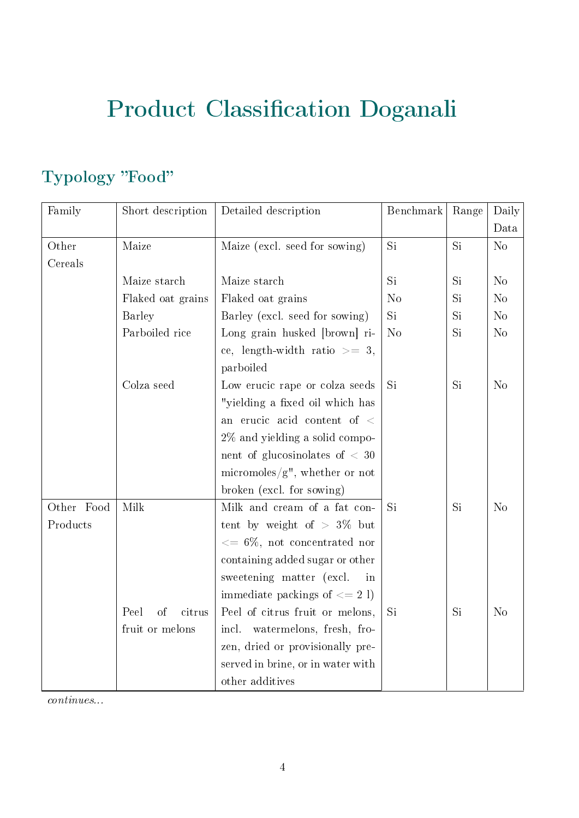# Product Classification Doganali

#### Typology "Food"

| Family     | Short description    | Detailed description                    | Benchmark      | Range | Daily          |
|------------|----------------------|-----------------------------------------|----------------|-------|----------------|
|            |                      |                                         |                |       | Data           |
| Other      | Maize                | Maize (excl. seed for sowing)           | Si             | Si    | N <sub>o</sub> |
| Cereals    |                      |                                         |                |       |                |
|            | Maize starch         | Maize starch                            | Si             | Si    | N <sub>o</sub> |
|            | Flaked oat grains    | Flaked oat grains                       | N <sub>o</sub> | Si    | $\rm No$       |
|            | <b>Barley</b>        | Barley (excl. seed for sowing)          | Si             | Si    | N <sub>o</sub> |
|            | Parboiled rice       | Long grain husked [brown] ri-           | N <sub>o</sub> | Si    | N <sub>o</sub> |
|            |                      | ce, length-width ratio $\geq$ 3,        |                |       |                |
|            |                      | parboiled                               |                |       |                |
|            | Colza seed           | Low erucic rape or colza seeds          | Si             | Si    | N <sub>o</sub> |
|            |                      | "yielding a fixed oil which has         |                |       |                |
|            |                      | an erucic acid content of $\,<\,$       |                |       |                |
|            |                      | $2\%$ and yielding a solid compo-       |                |       |                |
|            |                      | nent of glucosinolates of $<$ 30        |                |       |                |
|            |                      | micromoles/ $g''$ , whether or not      |                |       |                |
|            |                      | broken (excl. for sowing)               |                |       |                |
| Other Food | Milk                 | Milk and cream of a fat con-            | Si             | Si    | N <sub>o</sub> |
| Products   |                      | tent by weight of $> 3\%$ but           |                |       |                |
|            |                      | $\epsilon = 6\%$ , not concentrated nor |                |       |                |
|            |                      | containing added sugar or other         |                |       |                |
|            |                      | sweetening matter (excl.<br>in          |                |       |                |
|            |                      | immediate packings of $<= 2$ l)         |                |       |                |
|            | Peel<br>citrus<br>of | Peel of citrus fruit or melons,         | Si             | Si    | N <sub>o</sub> |
|            | fruit or melons      | watermelons, fresh, fro-<br>incl.       |                |       |                |
|            |                      | zen, dried or provisionally pre-        |                |       |                |
|            |                      | served in brine, or in water with       |                |       |                |
|            |                      | other additives                         |                |       |                |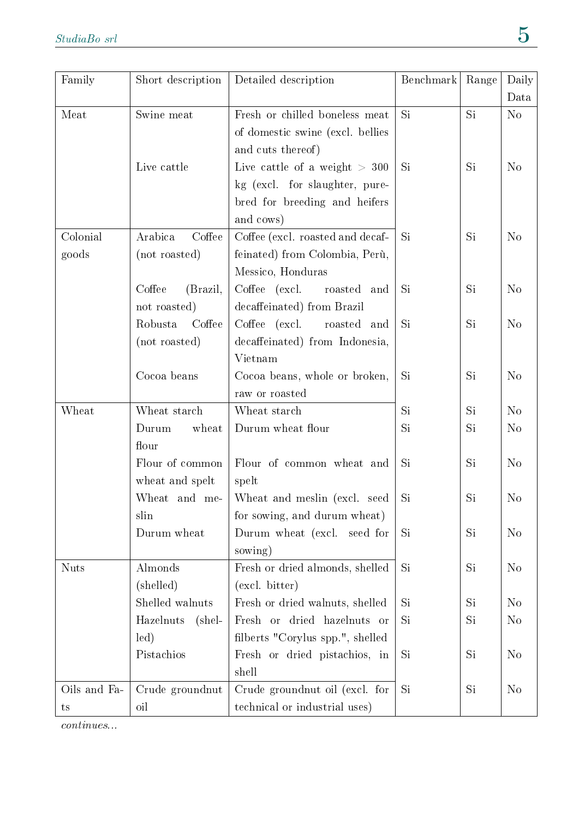| Family       | Short description   | Detailed description             | Benchmark | Range | Daily          |
|--------------|---------------------|----------------------------------|-----------|-------|----------------|
|              |                     |                                  |           |       | Data           |
| Meat         | Swine meat          | Fresh or chilled boneless meat   | <b>Si</b> | Si    | N <sub>o</sub> |
|              |                     | of domestic swine (excl. bellies |           |       |                |
|              |                     | and cuts thereof)                |           |       |                |
|              | Live cattle         | Live cattle of a weight $> 300$  | Si        | Si    | N <sub>o</sub> |
|              |                     | kg (excl. for slaughter, pure-   |           |       |                |
|              |                     | bred for breeding and heifers    |           |       |                |
|              |                     | and cows)                        |           |       |                |
| Colonial     | Arabica<br>Coffee   | Coffee (excl. roasted and decaf- | Si        | Si    | N <sub>o</sub> |
| goods        | (not roasted)       | feinated) from Colombia, Perù,   |           |       |                |
|              |                     | Messico, Honduras                |           |       |                |
|              | Coffee<br>(Brazil,  | Coffee (excl.<br>roasted<br>and  | Si        | Si    | N <sub>o</sub> |
|              | not roasted)        | decaffeinated) from Brazil       |           |       |                |
|              | Coffee<br>Robusta   | Coffee (excl.<br>roasted and     | Si        | Si    | N <sub>o</sub> |
|              | (not roasted)       | decaffeinated) from Indonesia,   |           |       |                |
|              |                     | Vietnam                          |           |       |                |
|              | Cocoa beans         | Cocoa beans, whole or broken,    | Si        | Si    | N <sub>o</sub> |
|              |                     | raw or roasted                   |           |       |                |
| Wheat        | Wheat starch        | Wheat starch                     | Si        | Si    | N <sub>o</sub> |
|              | Durum<br>wheat      | Durum wheat flour                | Si        | Si    | N <sub>o</sub> |
|              | flour               |                                  |           |       |                |
|              | Flour of common     | Flour of common wheat and        | Si        | Si    | N <sub>o</sub> |
|              | wheat and spelt     | spelt                            |           |       |                |
|              | Wheat and me-       | Wheat and meslin (excl. seed     | Si        | Si    | $\rm No$       |
|              | slin                | for sowing, and durum wheat)     |           |       |                |
|              | Durum wheat         | Durum wheat (excl. seed for      | Si        | Si    | N <sub>o</sub> |
|              |                     | sowing)                          |           |       |                |
| <b>Nuts</b>  | Almonds             | Fresh or dried almonds, shelled  | Si        | Si    | N <sub>o</sub> |
|              | (shelled)           | (excl. bitter)                   |           |       |                |
|              | Shelled walnuts     | Fresh or dried walnuts, shelled  | Si        | Si    | N <sub>o</sub> |
|              | Hazelnuts<br>(shel- | Fresh or dried hazelnuts or      | <b>Si</b> | Si    | N <sub>0</sub> |
|              | led)                | filberts "Corylus spp.", shelled |           |       |                |
|              | Pistachios          | Fresh or dried pistachios, in    | Si        | Si    | N <sub>o</sub> |
|              |                     | shell                            |           |       |                |
| Oils and Fa- | Crude groundnut     | Crude ground nut oil (excl. for  | <b>Si</b> | Si    | N <sub>o</sub> |
| $t_{\rm S}$  | oil                 | technical or industrial uses)    |           |       |                |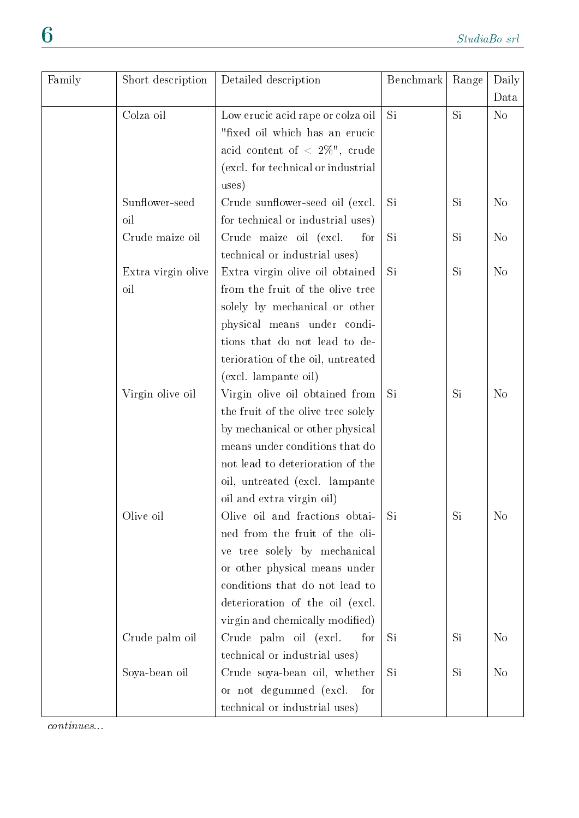| Family | Short description  | Detailed description                   | Benchmark | Range | Daily          |
|--------|--------------------|----------------------------------------|-----------|-------|----------------|
|        |                    |                                        |           |       | Data           |
|        | Colza oil          | Low erucic acid rape or colza oil      | Si        | Si    | N <sub>o</sub> |
|        |                    | "fixed oil which has an erucic         |           |       |                |
|        |                    | acid content of $\langle 2\%$ ", crude |           |       |                |
|        |                    | (excl. for technical or industrial     |           |       |                |
|        |                    | uses)                                  |           |       |                |
|        | Sunflower-seed     | Crude sunflower-seed oil (excl.        | Si        | Si    | N <sub>o</sub> |
|        | oil                | for technical or industrial uses)      |           |       |                |
|        | Crude maize oil    | Crude maize oil (excl.<br>for          | <b>Si</b> | Si    | $\rm No$       |
|        |                    | technical or industrial uses)          |           |       |                |
|        | Extra virgin olive | Extra virgin olive oil obtained        | Si        | Si    | N <sub>o</sub> |
|        | oil                | from the fruit of the olive tree       |           |       |                |
|        |                    | solely by mechanical or other          |           |       |                |
|        |                    | physical means under condi-            |           |       |                |
|        |                    | tions that do not lead to de-          |           |       |                |
|        |                    | terioration of the oil, untreated      |           |       |                |
|        |                    | (excl. lampante oil)                   |           |       |                |
|        | Virgin olive oil   | Virgin olive oil obtained from         | Si        | Si    | N <sub>o</sub> |
|        |                    | the fruit of the olive tree solely     |           |       |                |
|        |                    | by mechanical or other physical        |           |       |                |
|        |                    | means under conditions that do         |           |       |                |
|        |                    | not lead to deterioration of the       |           |       |                |
|        |                    | oil, untreated (excl. lampante         |           |       |                |
|        |                    | oil and extra virgin oil)              |           |       |                |
|        | Olive oil          | Olive oil and fractions obtai-         | Si        | Si    | N <sub>o</sub> |
|        |                    | ned from the fruit of the oli-         |           |       |                |
|        |                    | tree solely by mechanical<br>ve        |           |       |                |
|        |                    | or other physical means under          |           |       |                |
|        |                    | conditions that do not lead to         |           |       |                |
|        |                    | deterioration of the oil (excl.        |           |       |                |
|        |                    | virgin and chemically modified)        |           |       |                |
|        | Crude palm oil     | Crude palm oil (excl.<br>for           | Si        | Si    | N <sub>o</sub> |
|        |                    | technical or industrial uses)          |           |       |                |
|        | Soya-bean oil      | Crude soya-bean oil, whether           | Si        | Si    | N <sub>o</sub> |
|        |                    | or not degummed (excl.<br>for          |           |       |                |
|        |                    | technical or industrial uses)          |           |       |                |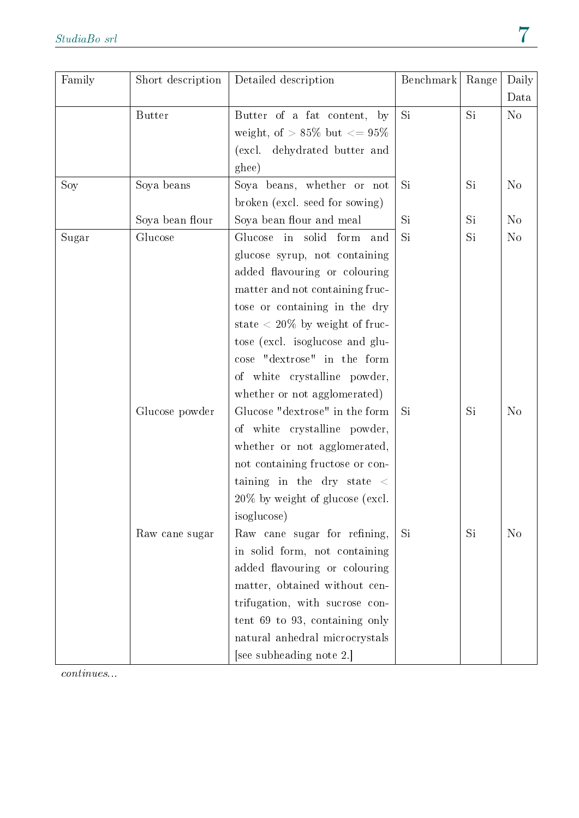| Family | Short description | Detailed description                    | Benchmark | Range | Daily          |
|--------|-------------------|-----------------------------------------|-----------|-------|----------------|
|        |                   |                                         |           |       | Data           |
|        | <b>Butter</b>     | Butter of a fat content, by             | <b>Si</b> | Si    | N <sub>o</sub> |
|        |                   | weight, of $> 85\%$ but $\leq 95\%$     |           |       |                |
|        |                   | (excl. dehydrated butter and            |           |       |                |
|        |                   | ghee)                                   |           |       |                |
| Soy    | Soya beans        | Soya beans, whether or not              | Si        | Si    | N <sub>o</sub> |
|        |                   | broken (excl. seed for sowing)          |           |       |                |
|        | Soya bean flour   | Soya bean flour and meal                | Si        | Si    | N <sub>o</sub> |
| Sugar  | Glucose           | Glucose in solid form<br>and            | Si        | Si    | N <sub>o</sub> |
|        |                   | glucose syrup, not containing           |           |       |                |
|        |                   | added flavouring or colouring           |           |       |                |
|        |                   | matter and not containing fruc-         |           |       |                |
|        |                   | tose or containing in the dry           |           |       |                |
|        |                   | state $\langle 20\%$ by weight of fruc- |           |       |                |
|        |                   | tose (excl. isoglucose and glu-         |           |       |                |
|        |                   | cose "dextrose" in the form             |           |       |                |
|        |                   | of white crystalline powder,            |           |       |                |
|        |                   | whether or not agglomerated)            |           |       |                |
|        | Glucose powder    | Glucose "dextrose" in the form          | Si        | Si    | N <sub>o</sub> |
|        |                   | of white crystalline powder,            |           |       |                |
|        |                   | whether or not agglomerated,            |           |       |                |
|        |                   | not containing fructose or con-         |           |       |                |
|        |                   | taining in the dry state $\langle$      |           |       |                |
|        |                   | $20\%$ by weight of glucose (excl.      |           |       |                |
|        |                   | isoglucose)                             |           |       |                |
|        | Raw cane sugar    | Raw cane sugar for refining,            | Si        | Si    | N <sub>o</sub> |
|        |                   | in solid form, not containing           |           |       |                |
|        |                   | added flavouring or colouring           |           |       |                |
|        |                   | matter, obtained without cen-           |           |       |                |
|        |                   | trifugation, with sucrose con-          |           |       |                |
|        |                   | tent 69 to 93, containing only          |           |       |                |
|        |                   | natural anhedral microcrystals          |           |       |                |
|        |                   | [see subheading note 2.]                |           |       |                |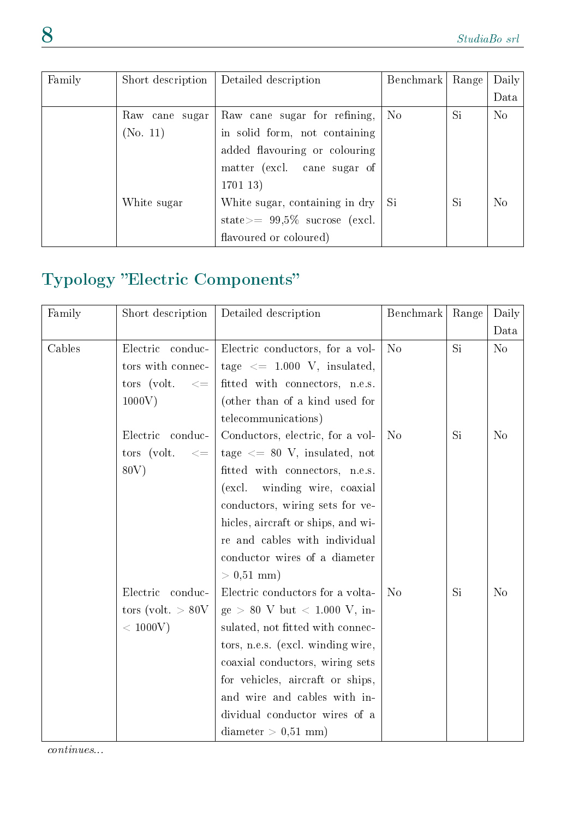| Family | Short description | Detailed description                                   | Benchmark      | Range | Daily          |
|--------|-------------------|--------------------------------------------------------|----------------|-------|----------------|
|        |                   |                                                        |                |       | Data           |
|        | Raw cane sugar    | Raw cane sugar for refining,                           | N <sub>o</sub> | Si.   | N <sub>o</sub> |
|        | (No. 11)          | in solid form, not containing                          |                |       |                |
|        |                   | added flavouring or colouring                          |                |       |                |
|        |                   | matter (excl. cane sugar of                            |                |       |                |
|        |                   | 170113)                                                |                |       |                |
|        | White sugar       | White sugar, containing in $\text{dry} \mid \text{Si}$ |                | Si    | N <sub>o</sub> |
|        |                   | state $>= 99.5\%$ sucrose (excl.                       |                |       |                |
|        |                   | flavoured or coloured)                                 |                |       |                |

#### Typology "Electric Components"

| Family | Short description         | Detailed description                                 | Benchmark      | Range | Daily          |
|--------|---------------------------|------------------------------------------------------|----------------|-------|----------------|
|        |                           |                                                      |                |       | Data           |
| Cables | Electric<br>conduc-       | Electric conductors, for a vol-                      | N <sub>o</sub> | Si    | N <sub>o</sub> |
|        | tors with connec-         | tage $\leq$ 1.000 V, insulated,                      |                |       |                |
|        | tors (volt.<br>$< =$      | fitted with connectors, n.e.s.                       |                |       |                |
|        | 1000V                     | (other than of a kind used for                       |                |       |                |
|        |                           | telecommunications)                                  |                |       |                |
|        | Electric<br>conduc-       | Conductors, electric, for a vol-                     | N <sub>o</sub> | Si    | N <sub>o</sub> |
|        | tors (volt.<br>$< \equiv$ | tage $\leq$ 80 V, insulated, not                     |                |       |                |
|        | 80V)                      | fitted with connectors, n.e.s.                       |                |       |                |
|        |                           | $\left(\text{excl.}\right)$<br>winding wire, coaxial |                |       |                |
|        |                           | conductors, wiring sets for ve-                      |                |       |                |
|        |                           | hicles, aircraft or ships, and wi-                   |                |       |                |
|        |                           | re and cables with individual                        |                |       |                |
|        |                           | conductor wires of a diameter                        |                |       |                |
|        |                           | $> 0.51$ mm)                                         |                |       |                |
|        | Electric<br>conduc-       | Electric conductors for a volta-                     | N <sub>o</sub> | Si    | N <sub>o</sub> |
|        | tors (volt. $> 80V$       | $ge > 80$ V but $< 1.000$ V, in-                     |                |       |                |
|        | $<$ 1000V)                | sulated, not fitted with connec-                     |                |       |                |
|        |                           | tors, n.e.s. (excl. winding wire,                    |                |       |                |
|        |                           | coaxial conductors, wiring sets                      |                |       |                |
|        |                           | for vehicles, aircraft or ships,                     |                |       |                |
|        |                           | and wire and cables with in-                         |                |       |                |
|        |                           | dividual conductor wires of a                        |                |       |                |
|        |                           | $diameter > 0.51$ mm)                                |                |       |                |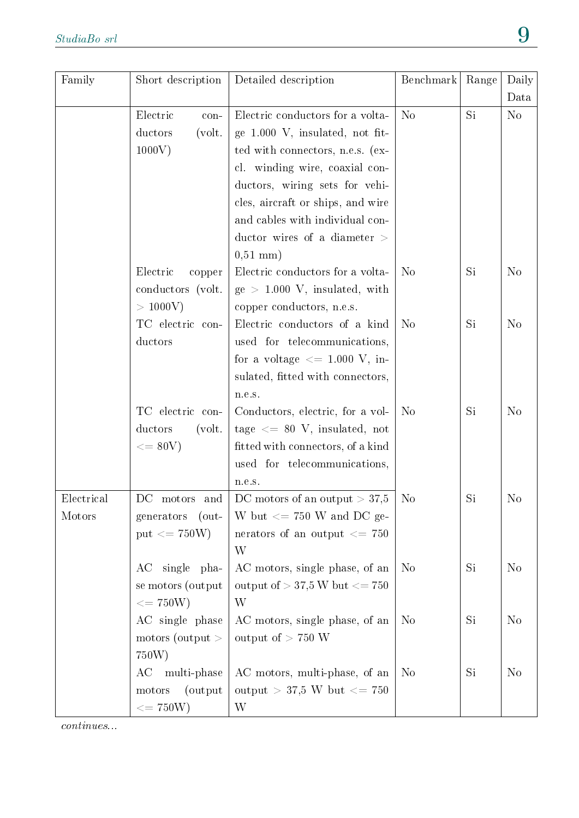| Family     | Short description                | Detailed description                 | Benchmark      | Range | Daily<br>Data  |
|------------|----------------------------------|--------------------------------------|----------------|-------|----------------|
|            | Electric<br>con-                 | Electric conductors for a volta-     | N <sub>o</sub> | Si    | N <sub>o</sub> |
|            | ductors<br>$\text{(volt. }$      | ge 1.000 V, insulated, not fit-      |                |       |                |
|            | 1000V)                           | ted with connectors, n.e.s. (ex-     |                |       |                |
|            |                                  | cl. winding wire, coaxial con-       |                |       |                |
|            |                                  | ductors, wiring sets for vehi-       |                |       |                |
|            |                                  | cles, aircraft or ships, and wire    |                |       |                |
|            |                                  | and cables with individual con-      |                |       |                |
|            |                                  | ductor wires of a diameter $>$       |                |       |                |
|            |                                  | $0,51 \text{ mm}$ )                  |                |       |                |
|            | Electric<br>copper               | Electric conductors for a volta-     | N <sub>o</sub> | Si    | N <sub>o</sub> |
|            | conductors (volt.                | $ge > 1.000$ V, insulated, with      |                |       |                |
|            | $> 1000V$ )                      | copper conductors, n.e.s.            |                |       |                |
|            | TC electric con-                 | Electric conductors of a kind        | N <sub>o</sub> | Si    | N <sub>o</sub> |
|            | ductors                          | used for telecommunications,         |                |       |                |
|            |                                  | for a voltage $\leq$ 1.000 V, in-    |                |       |                |
|            |                                  | sulated, fitted with connectors,     |                |       |                |
|            |                                  | n.e.s.                               |                |       |                |
|            | TC electric con-                 | Conductors, electric, for a vol-     | N <sub>o</sub> | Si    | N <sub>o</sub> |
|            | ductors<br>$\text{(volt. }$      | tage $\leq$ 80 V, insulated, not     |                |       |                |
|            | $\epsilon = 80V$                 | fitted with connectors, of a kind    |                |       |                |
|            |                                  | used for telecommunications,         |                |       |                |
|            |                                  | n.e.s.                               |                |       |                |
| Electrical | DC motors and                    | DC motors of an output $> 37.5$      | N <sub>o</sub> | Si    | N <sub>o</sub> |
| Motors     | generators (out-                 | W but $\epsilon$ = 750 W and DC ge-  |                |       |                |
|            | put $\langle 1 750W \rangle$     | nerators of an output $<=\,750$      |                |       |                |
|            |                                  | W                                    |                |       |                |
|            | AC single pha-                   | AC motors, single phase, of an       | N <sub>o</sub> | Si    | N <sub>o</sub> |
|            | se motors (output                | output of $> 37.5$ W but $\lt = 750$ |                |       |                |
|            | $\epsilon = 750W$                | W                                    |                |       |                |
|            | AC single phase                  | AC motors, single phase, of an       | N <sub>o</sub> | Si    | N <sub>o</sub> |
|            | $\frac{1}{2}$ motors (output $>$ | output of $> 750$ W                  |                |       |                |
|            | 750W)                            |                                      |                |       |                |
|            | multi-phase<br>AC                | AC motors, multi-phase, of an        | N <sub>o</sub> | Si    | N <sub>o</sub> |
|            | (output)<br>motors               | output > 37,5 W but $\leq$ 750       |                |       |                |
|            | $\epsilon = 750W$                | W                                    |                |       |                |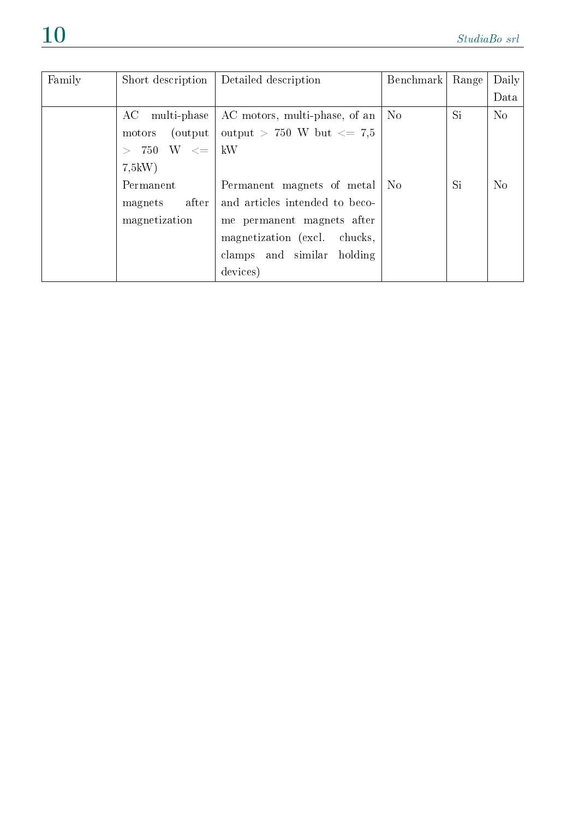| Family | Short description             | Detailed description           | Benchmark      | Range | Daily          |
|--------|-------------------------------|--------------------------------|----------------|-------|----------------|
|        |                               |                                |                |       | Data           |
|        | AC<br>multi-phase             | AC motors, multi-phase, of an  | N <sub>o</sub> | Si    | N <sub>o</sub> |
|        | (output)<br>motors            | output > 750 W but $\leq$ 7.5  |                |       |                |
|        | $750 \quad W \quad \leq \, 0$ | kW                             |                |       |                |
|        | 7,5kW                         |                                |                |       |                |
|        | Permanent                     | Permanent magnets of metal     | N <sub>o</sub> | Si    | N <sub>o</sub> |
|        | after<br>magnets              | and articles intended to beco- |                |       |                |
|        | magnetization                 | me permanent magnets after     |                |       |                |
|        |                               | magnetization (excl. chucks,   |                |       |                |
|        |                               | clamps and similar holding     |                |       |                |
|        |                               | devices)                       |                |       |                |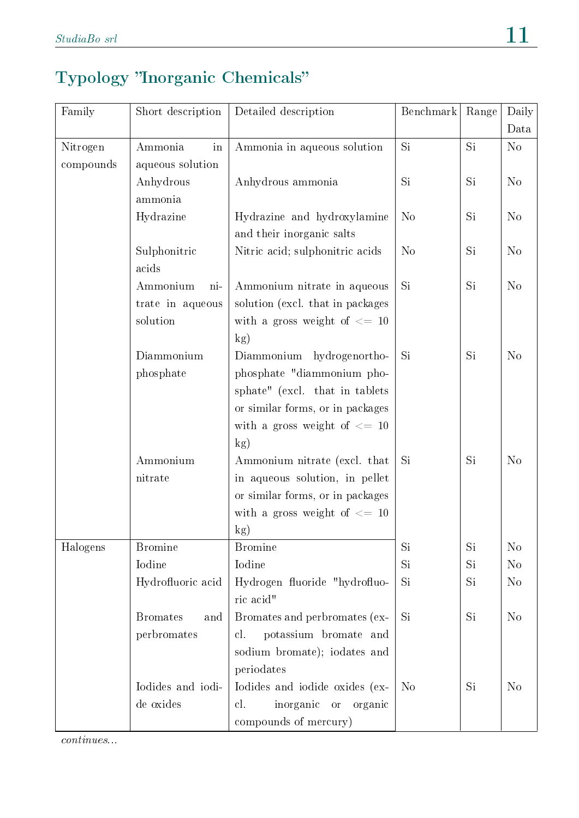#### Typology "Inorganic Chemicals"

| Family    | Short description      | Detailed description                     | Benchmark      | Range | Daily<br>Data  |
|-----------|------------------------|------------------------------------------|----------------|-------|----------------|
| Nitrogen  | Ammonia<br>in          | Ammonia in aqueous solution              | Si             | Si    | No             |
| compounds | aqueous solution       |                                          |                |       |                |
|           | Anhydrous              | Anhydrous ammonia                        | Si             | Si    | $\rm No$       |
|           | ammonia                |                                          |                |       |                |
|           | Hydrazine              | Hydrazine and hydroxylamine              | N <sub>o</sub> | Si    | $\rm No$       |
|           |                        | and their inorganic salts                |                |       |                |
|           | Sulphonitric           | Nitric acid; sulphonitric acids          | N <sub>o</sub> | Si    | N <sub>o</sub> |
|           | acids                  |                                          |                |       |                |
|           | Ammonium<br>ni-        | Ammonium nitrate in aqueous              | Si             | Si    | N <sub>o</sub> |
|           | trate in aqueous       | solution (excl. that in packages         |                |       |                |
|           | solution               | with a gross weight of $\leq$ 10         |                |       |                |
|           |                        | kg)                                      |                |       |                |
|           | Diammonium             | Diammonium hydrogenortho-                | Si             | Si    | N <sub>o</sub> |
|           | phosphate              | phosphate "diammonium pho-               |                |       |                |
|           |                        | sphate" (excl. that in tablets           |                |       |                |
|           |                        | or similar forms, or in packages         |                |       |                |
|           |                        | with a gross weight of $\leq$ 10         |                |       |                |
|           |                        | kg)                                      |                |       |                |
|           | Ammonium               | Ammonium nitrate (excl. that             | Si             | Si    | N <sub>o</sub> |
|           | nitrate                | in aqueous solution, in pellet           |                |       |                |
|           |                        | or similar forms, or in packages         |                |       |                |
|           |                        | with a gross weight of $\leq$ 10         |                |       |                |
|           |                        | $\mathbf{kg}$                            |                |       |                |
| Halogens  | <b>Bromine</b>         | <b>Bromine</b>                           | Si             | Si    | N <sub>o</sub> |
|           | Iodine                 | Iodine                                   | Si             | Si    | N <sub>o</sub> |
|           | Hydrofluoric acid      | Hydrogen fluoride "hydrofluo-            | Si             | Si    | N <sub>o</sub> |
|           |                        | ric acid"                                |                |       |                |
|           | <b>Bromates</b><br>and | Bromates and perbromates (ex-            | Si             | Si    | N <sub>o</sub> |
|           | perbromates            | potassium bromate and<br>cl.             |                |       |                |
|           |                        | sodium bromate); iodates and             |                |       |                |
|           |                        | periodates                               |                |       |                |
|           | Iodides and iodi-      | Iodides and iodide oxides (ex-           | N <sub>o</sub> | Si    | N <sub>o</sub> |
|           | de oxides              | cl.<br>inorganic<br>organic<br><b>or</b> |                |       |                |
|           |                        | compounds of mercury)                    |                |       |                |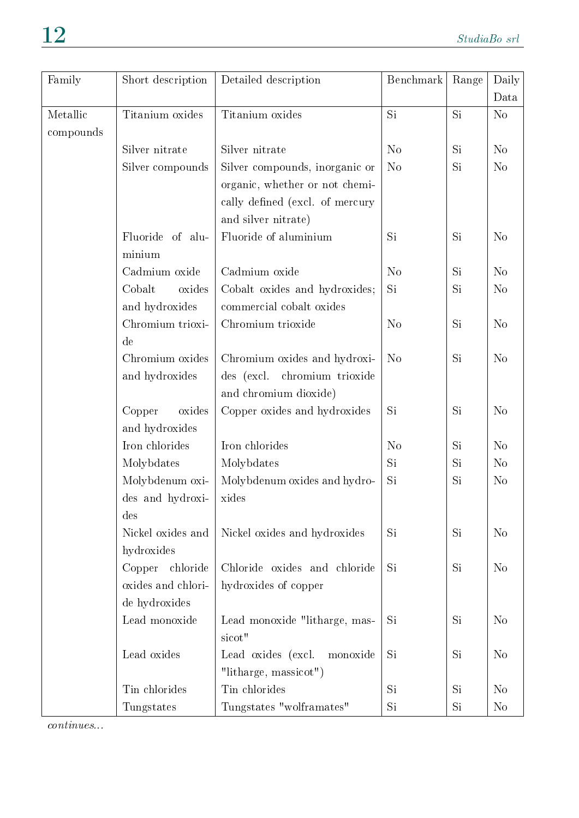| Family    | Short description  | Detailed description            | Benchmark      | Range | Daily          |
|-----------|--------------------|---------------------------------|----------------|-------|----------------|
|           |                    |                                 |                |       | Data           |
| Metallic  | Titanium oxides    | Titanium oxides                 | Si             | Si    | N <sub>o</sub> |
| compounds |                    |                                 |                |       |                |
|           | Silver nitrate     | Silver nitrate                  | N <sub>o</sub> | Si.   | N <sub>o</sub> |
|           | Silver compounds   | Silver compounds, inorganic or  | N <sub>o</sub> | Si    | N <sub>o</sub> |
|           |                    | organic, whether or not chemi-  |                |       |                |
|           |                    | cally defined (excl. of mercury |                |       |                |
|           |                    | and silver nitrate)             |                |       |                |
|           | Fluoride of alu-   | Fluoride of aluminium           | Si             | Si    | N <sub>o</sub> |
|           | minium             |                                 |                |       |                |
|           | Cadmium oxide      | Cadmium oxide                   | N <sub>o</sub> | Si.   | N <sub>o</sub> |
|           | Cobalt<br>oxides   | Cobalt oxides and hydroxides;   | Si             | Si    | N <sub>o</sub> |
|           | and hydroxides     | commercial cobalt oxides        |                |       |                |
|           | Chromium trioxi-   | Chromium trioxide               | N <sub>o</sub> | Si    | N <sub>o</sub> |
|           | de                 |                                 |                |       |                |
|           | Chromium oxides    | Chromium oxides and hydroxi-    | N <sub>o</sub> | Si    | N <sub>o</sub> |
|           | and hydroxides     | des (excl. chromium trioxide    |                |       |                |
|           |                    | and chromium dioxide)           |                |       |                |
|           | oxides<br>Copper   | Copper oxides and hydroxides    | Si.            | Si    | N <sub>o</sub> |
|           | and hydroxides     |                                 |                |       |                |
|           | Iron chlorides     | Iron chlorides                  | N <sub>o</sub> | Si.   | N <sub>o</sub> |
|           | Molybdates         | Molybdates                      | Si             | Si    | N <sub>o</sub> |
|           | Molybdenum oxi-    | Molybdenum oxides and hydro-    | Si             | Si    | N <sub>o</sub> |
|           | des and hydroxi-   | xides                           |                |       |                |
|           | des                |                                 |                |       |                |
|           | Nickel oxides and  | Nickel oxides and hydroxides    | Si.            | Si.   | N <sub>o</sub> |
|           | hydroxides         |                                 |                |       |                |
|           | chloride<br>Copper | Chloride oxides and chloride    | Si.            | Si.   | N <sub>o</sub> |
|           | oxides and chlori- | hydroxides of copper            |                |       |                |
|           | de hydroxides      |                                 |                |       |                |
|           | Lead monoxide      | Lead monoxide "litharge, mas-   | Si.            | Si.   | N <sub>o</sub> |
|           |                    | sicot"                          |                |       |                |
|           | Lead oxides        | Lead oxides (excl.<br>monoxide  | Si.            | Si.   | N <sub>o</sub> |
|           |                    | "litharge, massicot")           |                |       |                |
|           | Tin chlorides      | Tin chlorides                   | Si.            | Si.   | N <sub>o</sub> |
|           | Tungstates         | Tungstates "wolframates"        | Si             | Si.   | N <sub>o</sub> |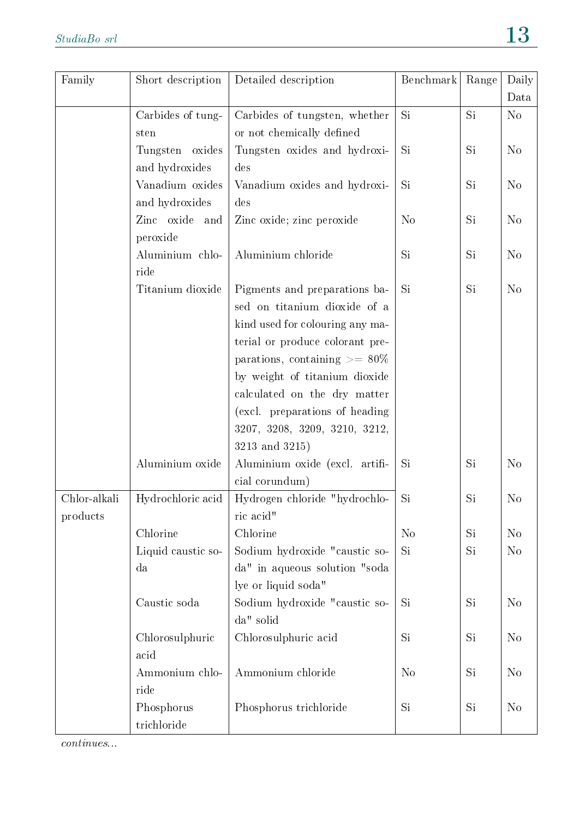| Family       | Short description  | Detailed description               | Benchmark      | Range | Daily          |
|--------------|--------------------|------------------------------------|----------------|-------|----------------|
|              |                    |                                    |                |       | Data           |
|              | Carbides of tung-  | Carbides of tungsten, whether      | Si             | Si    | N <sub>o</sub> |
|              | sten               | or not chemically defined          |                |       |                |
|              | Tungsten oxides    | Tungsten oxides and hydroxi-       | <b>Si</b>      | Si    | N <sub>o</sub> |
|              | and hydroxides     | des                                |                |       |                |
|              | Vanadium oxides    | Vanadium oxides and hydroxi-       | Si             | Si    | N <sub>o</sub> |
|              | and hydroxides     | des                                |                |       |                |
|              | Zinc oxide<br>and  | Zinc oxide; zinc peroxide          | N <sub>o</sub> | Si    | N <sub>o</sub> |
|              | peroxide           |                                    |                |       |                |
|              | Aluminium chlo-    | Aluminium chloride                 | Si             | Si    | N <sub>o</sub> |
|              | ride               |                                    |                |       |                |
|              | Titanium dioxide   | Pigments and preparations ba-      | Si             | Si    | N <sub>o</sub> |
|              |                    | sed on titanium dioxide of a       |                |       |                |
|              |                    | kind used for colouring any ma-    |                |       |                |
|              |                    | terial or produce colorant pre-    |                |       |                |
|              |                    | parations, containing $\geq$ = 80% |                |       |                |
|              |                    | by weight of titanium dioxide      |                |       |                |
|              |                    | calculated on the dry matter       |                |       |                |
|              |                    | (excl. preparations of heading     |                |       |                |
|              |                    | 3207, 3208, 3209, 3210, 3212,      |                |       |                |
|              |                    | 3213 and 3215)                     |                |       |                |
|              | Aluminium oxide    | Aluminium oxide (excl. artifi-     | Si             | Si    | N <sub>o</sub> |
|              |                    | cial corundum)                     |                |       |                |
| Chlor-alkali | Hydrochloric acid  | Hydrogen chloride "hydrochlo-      | Si             | Si    | N <sub>o</sub> |
| products     |                    | ric acid"                          |                |       |                |
|              | Chlorine           | Chlorine                           | N <sub>o</sub> | Si    | N <sub>o</sub> |
|              | Liquid caustic so- | Sodium hydroxide "caustic so-      | Si             | Si    | N <sub>o</sub> |
|              | da                 | da" in aqueous solution "soda      |                |       |                |
|              |                    | lye or liquid soda"                |                |       |                |
|              | Caustic soda       | Sodium hydroxide "caustic so-      | Si             | Si    | N <sub>o</sub> |
|              |                    | da" solid                          |                |       |                |
|              | Chlorosulphuric    | Chlorosulphuric acid               | Si             | Si    | N <sub>o</sub> |
|              | acid               |                                    |                |       |                |
|              | Ammonium chlo-     | Ammonium chloride                  | N <sub>o</sub> | Si    | N <sub>o</sub> |
|              | ride               |                                    |                |       |                |
|              | Phosphorus         | Phosphorus trichloride             | Si             | Si    | N <sub>o</sub> |
|              | trichloride        |                                    |                |       |                |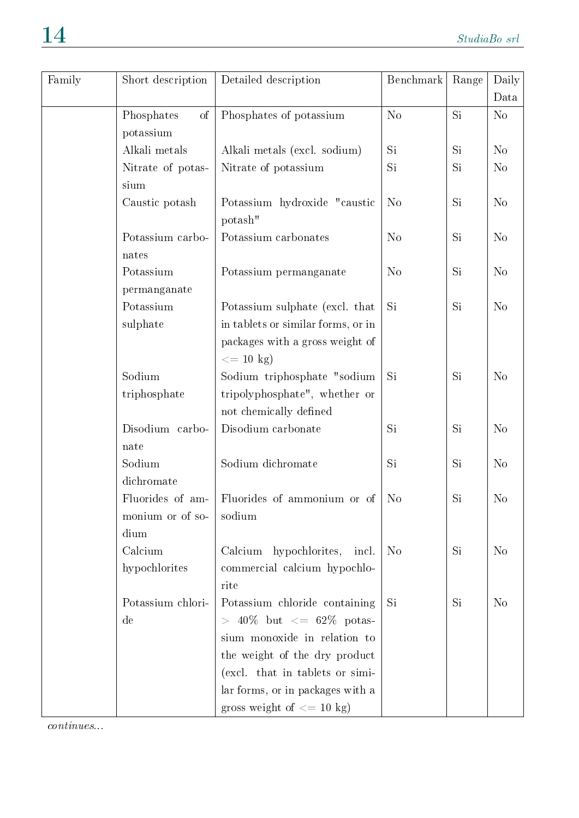| Family | Short description         | Detailed description                             | Benchmark      | Range | Daily          |
|--------|---------------------------|--------------------------------------------------|----------------|-------|----------------|
|        |                           |                                                  |                |       | Data           |
|        | Phosphates<br>of          | Phosphates of potassium                          | N <sub>o</sub> | Si    | N <sub>o</sub> |
|        | potassium                 |                                                  |                |       |                |
|        | Alkali metals             | Alkali metals (excl. sodium)                     | Si             | Si.   | N <sub>o</sub> |
|        | Nitrate of potas-         | Nitrate of potassium                             | Si             | Si.   | N <sub>o</sub> |
|        | sium                      |                                                  |                |       |                |
|        | Caustic potash            | Potassium hydroxide "caustic<br>potash"          | N <sub>o</sub> | Si    | N <sub>o</sub> |
|        | Potassium carbo-<br>nates | Potassium carbonates                             | N <sub>o</sub> | Si.   | N <sub>o</sub> |
|        | Potassium                 | Potassium permanganate                           | N <sub>o</sub> | Si.   | N <sub>o</sub> |
|        | permanganate              |                                                  |                |       |                |
|        | Potassium                 | Potassium sulphate (excl. that                   | Si             | Si.   | N <sub>o</sub> |
|        | sulphate                  | in tablets or similar forms, or in               |                |       |                |
|        |                           | packages with a gross weight of<br>$\leq$ 10 kg) |                |       |                |
|        | Sodium                    | Sodium triphosphate "sodium                      | Si             | Si    | N <sub>o</sub> |
|        | triphosphate              | tripolyphosphate", whether or                    |                |       |                |
|        |                           | not chemically defined                           |                |       |                |
|        | Disodium carbo-           | Disodium carbonate                               | Si             | Si    | N <sub>o</sub> |
|        | nate                      |                                                  |                |       |                |
|        | Sodium                    | Sodium dichromate                                | Si             | Si.   | N <sub>o</sub> |
|        | dichromate                |                                                  |                |       |                |
|        | Fluorides of am-          | Fluorides of ammonium or of                      | N <sub>o</sub> | Si    | N <sub>o</sub> |
|        | monium or of so-          | sodium                                           |                |       |                |
|        | dium                      |                                                  |                |       |                |
|        | Calcium                   | Calcium hypochlorites, incl.                     | N <sub>o</sub> | Si    | N <sub>o</sub> |
|        | hypochlorites             | commercial calcium hypochlo-<br>rite             |                |       |                |
|        | Potassium chlori-         | Potassium chloride containing                    | Si             | Si    | N <sub>o</sub> |
|        | de                        | $> 40\%$ but $\leq 62\%$ potas-                  |                |       |                |
|        |                           | sium monoxide in relation to                     |                |       |                |
|        |                           | the weight of the dry product                    |                |       |                |
|        |                           | (excl. that in tablets or simi-                  |                |       |                |
|        |                           | lar forms, or in packages with a                 |                |       |                |
|        |                           | gross weight of $\leq$ = 10 kg)                  |                |       |                |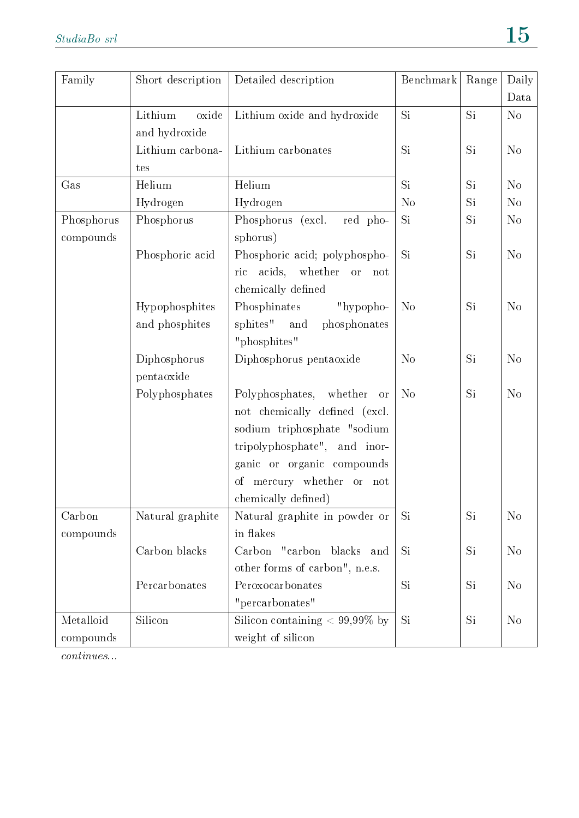| Family     | Short description | Detailed description                         | Benchmark      | Range | Daily          |
|------------|-------------------|----------------------------------------------|----------------|-------|----------------|
|            |                   |                                              |                |       | Data           |
|            | Lithium<br>oxide  | Lithium oxide and hydroxide                  | Si             | Si    | No             |
|            | and hydroxide     |                                              |                |       |                |
|            | Lithium carbona-  | Lithium carbonates                           | Si             | Si    | N <sub>o</sub> |
|            | tes               |                                              |                |       |                |
| Gas        | Helium            | Helium                                       | Si             | Si    | N <sub>o</sub> |
|            | Hydrogen          | Hydrogen                                     | N <sub>o</sub> | Si    | N <sub>o</sub> |
| Phosphorus | Phosphorus        | (excl.<br>red pho-<br>Phosphorus             | Si             | Si    | N <sub>o</sub> |
| compounds  |                   | sphorus)                                     |                |       |                |
|            | Phosphoric acid   | Phosphoric acid; polyphospho-                | Si             | Si    | N <sub>o</sub> |
|            |                   | acids,<br>whether<br>ric<br><b>or</b><br>not |                |       |                |
|            |                   | chemically defined                           |                |       |                |
|            | Hypophosphites    | Phosphinates<br>"hypopho-                    | N <sub>o</sub> | Si    | N <sub>o</sub> |
|            | and phosphites    | sphites"<br>and<br>phosphonates              |                |       |                |
|            |                   | "phosphites"                                 |                |       |                |
|            | Diphosphorus      | Diphosphorus pentaoxide                      | N <sub>o</sub> | Si    | N <sub>o</sub> |
|            | pentaoxide        |                                              |                |       |                |
|            | Polyphosphates    | Polyphosphates,<br>whether<br>or             | N <sub>o</sub> | Si    | No             |
|            |                   | not chemically defined (excl.                |                |       |                |
|            |                   | sodium triphosphate "sodium                  |                |       |                |
|            |                   | tripolyphosphate", and inor-                 |                |       |                |
|            |                   | ganic or organic compounds                   |                |       |                |
|            |                   | mercury whether<br>οf<br>or not              |                |       |                |
|            |                   | chemically defined)                          |                |       |                |
| Carbon     | Natural graphite  | Natural graphite in powder or                | Si             | Si    | N <sub>o</sub> |
| compounds  |                   | in flakes                                    |                |       |                |
|            | Carbon blacks     | Carbon<br>"carbon<br>blacks<br>and           | Si             | Si    | $\rm No$       |
|            |                   | other forms of carbon", n.e.s.               |                |       |                |
|            | Percarbonates     | Peroxocarbonates                             | Si             | Si    | N <sub>0</sub> |
|            |                   | "percarbonates"                              |                |       |                |
| Metalloid  | Silicon           | Silicon containing $< 99,99\%$ by            | Si             | Si    | N <sub>o</sub> |
| compounds  |                   | weight of silicon                            |                |       |                |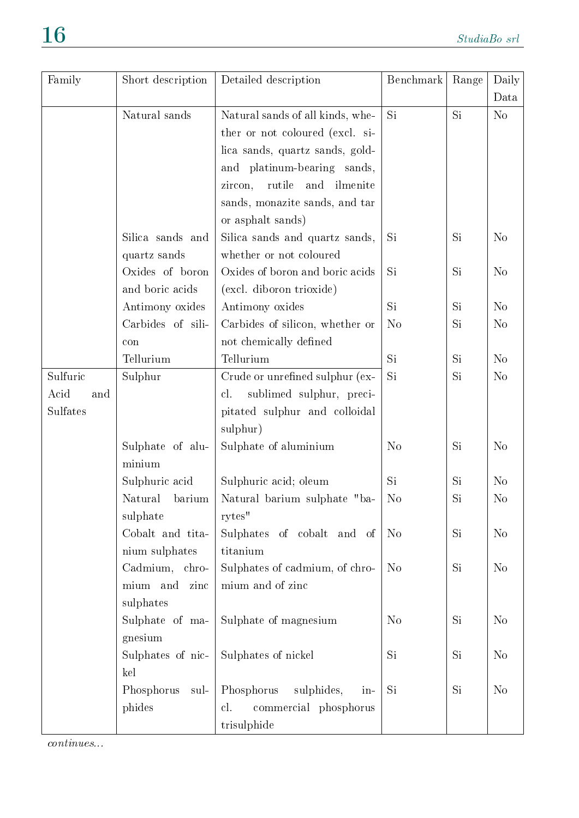| Family      | Short description  | Detailed description              | Benchmark      | Range     | Daily          |
|-------------|--------------------|-----------------------------------|----------------|-----------|----------------|
|             |                    |                                   |                |           | Data           |
|             | Natural sands      | Natural sands of all kinds, whe-  | <b>Si</b>      | Si        | N <sub>o</sub> |
|             |                    | ther or not coloured (excl. si-   |                |           |                |
|             |                    | lica sands, quartz sands, gold-   |                |           |                |
|             |                    | and platinum-bearing sands,       |                |           |                |
|             |                    | rutile<br>and ilmenite<br>zircon, |                |           |                |
|             |                    | sands, monazite sands, and tar    |                |           |                |
|             |                    | or asphalt sands)                 |                |           |                |
|             | Silica sands and   | Silica sands and quartz sands,    | Si             | Si        | N <sub>o</sub> |
|             | quartz sands       | whether or not coloured           |                |           |                |
|             | Oxides of boron    | Oxides of boron and boric acids   | Si             | Si        | N <sub>o</sub> |
|             | and boric acids    | (excl. diboron trioxide)          |                |           |                |
|             | Antimony oxides    | Antimony oxides                   | Si             | Si        | N <sub>o</sub> |
|             | Carbides of sili-  | Carbides of silicon, whether or   | N <sub>o</sub> | Si        | N <sub>o</sub> |
|             | con                | not chemically defined            |                |           |                |
|             | Tellurium          | Tellurium                         | Si             | Si        | N <sub>o</sub> |
| Sulfuric    | Sulphur            | Crude or unrefined sulphur (ex-   | Si             | <b>Si</b> | N <sub>o</sub> |
| Acid<br>and |                    | sublimed sulphur, preci-<br>cl.   |                |           |                |
| Sulfates    |                    | pitated sulphur and colloidal     |                |           |                |
|             |                    | sulphur)                          |                |           |                |
|             | Sulphate of alu-   | Sulphate of aluminium             | N <sub>o</sub> | Si        | N <sub>o</sub> |
|             | minium             |                                   |                |           |                |
|             | Sulphuric acid     | Sulphuric acid; oleum             | Si             | <b>Si</b> | N <sub>o</sub> |
|             | Natural<br>barium  | Natural barium sulphate "ba-      | N <sub>o</sub> | Si        | N <sub>o</sub> |
|             | sulphate           | rytes"                            |                |           |                |
|             | Cobalt and tita-   | Sulphates of cobalt and of        | N <sub>o</sub> | Si        | N <sub>o</sub> |
|             | nium sulphates     | titanium                          |                |           |                |
|             | Cadmium, chro-     | Sulphates of cadmium, of chro-    | N <sub>o</sub> | Si        | N <sub>o</sub> |
|             | mium and<br>zinc   | mium and of zinc                  |                |           |                |
|             | sulphates          |                                   |                |           |                |
|             | Sulphate of ma-    | Sulphate of magnesium             | N <sub>o</sub> | Si        | N <sub>o</sub> |
|             | gnesium            |                                   |                |           |                |
|             | Sulphates of nic-  | Sulphates of nickel               | Si             | <b>Si</b> | N <sub>o</sub> |
|             | kel                |                                   |                |           |                |
|             | Phosphorus<br>sul- | Phosphorus<br>sulphides,<br>$in-$ | Si             | Si        | N <sub>o</sub> |
|             | phides             | cl.<br>commercial phosphorus      |                |           |                |
|             |                    | trisulphide                       |                |           |                |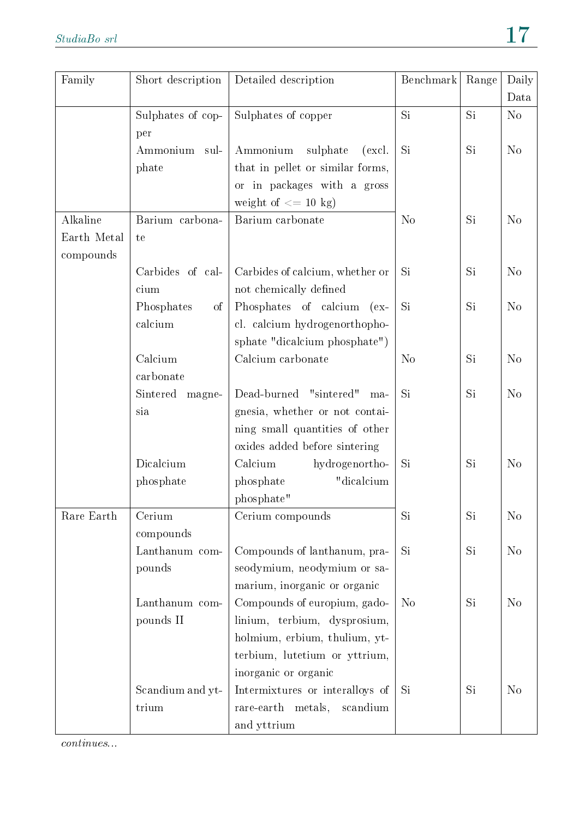| Family      | Short description        | Detailed description             | Benchmark      | Range | Daily          |
|-------------|--------------------------|----------------------------------|----------------|-------|----------------|
|             |                          |                                  |                |       | Data           |
|             | Sulphates of cop-<br>per | Sulphates of copper              | Si             | Si    | N <sub>o</sub> |
|             | Ammonium<br>sul-         | sulphate<br>Ammonium<br>(excl.   | <b>Si</b>      | Si    | $\rm No$       |
|             | phate                    | that in pellet or similar forms, |                |       |                |
|             |                          | or in packages with a gross      |                |       |                |
|             |                          | weight of $\leq$ 10 kg)          |                |       |                |
| Alkaline    | Barium carbona-          | Barium carbonate                 | N <sub>o</sub> | Si    | $\rm No$       |
| Earth Metal | te                       |                                  |                |       |                |
| compounds   |                          |                                  |                |       |                |
|             | Carbides of cal-         | Carbides of calcium, whether or  | Si             | Si    | N <sub>o</sub> |
|             | cium                     | not chemically defined           |                |       |                |
|             | Phosphates<br>οf         | Phosphates of calcium<br>$(ex-$  | Si             | Si    | $\rm No$       |
|             | calcium                  | cl. calcium hydrogenorthopho-    |                |       |                |
|             |                          | sphate "dicalcium phosphate")    |                |       |                |
|             | Calcium                  | Calcium carbonate                | N <sub>o</sub> | Si    | $\rm No$       |
|             | carbonate                |                                  |                |       |                |
|             | Sintered<br>magne-       | Dead-burned "sintered"<br>ma-    | Si             | Si    | $\rm No$       |
|             | sia                      | gnesia, whether or not contai-   |                |       |                |
|             |                          | ning small quantities of other   |                |       |                |
|             |                          | oxides added before sintering    |                |       |                |
|             | Dicalcium                | Calcium<br>hydrogenortho-        | <b>Si</b>      | Si    | N <sub>o</sub> |
|             | phosphate                | "dicalcium<br>phosphate          |                |       |                |
|             |                          | phosphate"                       |                |       |                |
| Rare Earth  | Cerium                   | Cerium compounds                 | Si             | Si    | $\rm No$       |
|             | compounds                |                                  |                |       |                |
|             | Lanthanum com-           | Compounds of lanthanum, pra-     | Si             | Si    | N <sub>o</sub> |
|             | pounds                   | seodymium, neodymium or sa-      |                |       |                |
|             |                          | marium, inorganic or organic     |                |       |                |
|             | Lanthanum com-           | Compounds of europium, gado-     | N <sub>o</sub> | Si    | N <sub>o</sub> |
|             | pounds II                | linium, terbium, dysprosium,     |                |       |                |
|             |                          | holmium, erbium, thulium, yt-    |                |       |                |
|             |                          | terbium, lutetium or yttrium,    |                |       |                |
|             |                          | inorganic or organic             |                |       |                |
|             | Scandium and yt-         | Intermixtures or interalloys of  | Si             | Si    | $\rm No$       |
|             | trium                    | rare-earth metals,<br>scandium   |                |       |                |
|             |                          | and yttrium                      |                |       |                |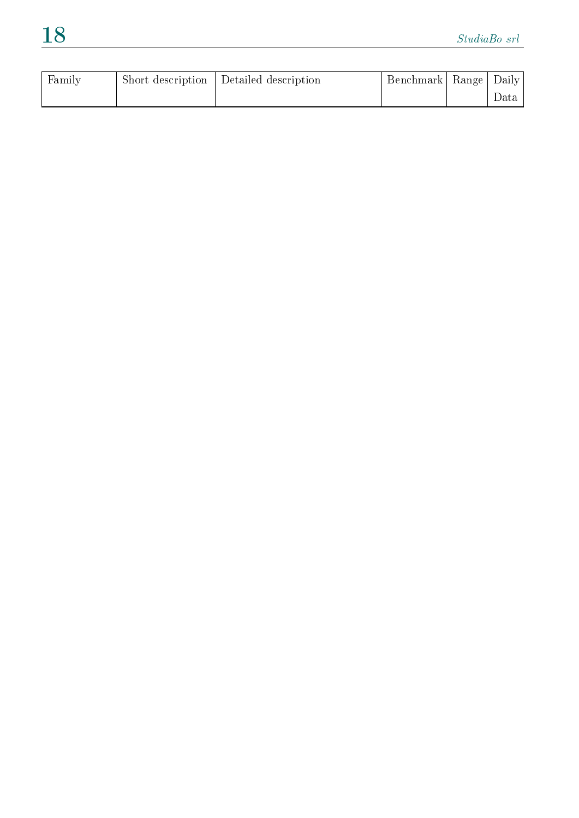| Family | Short description | Detailed description | Benchmark   Range   ' | Daily |
|--------|-------------------|----------------------|-----------------------|-------|
|        |                   |                      |                       | Data  |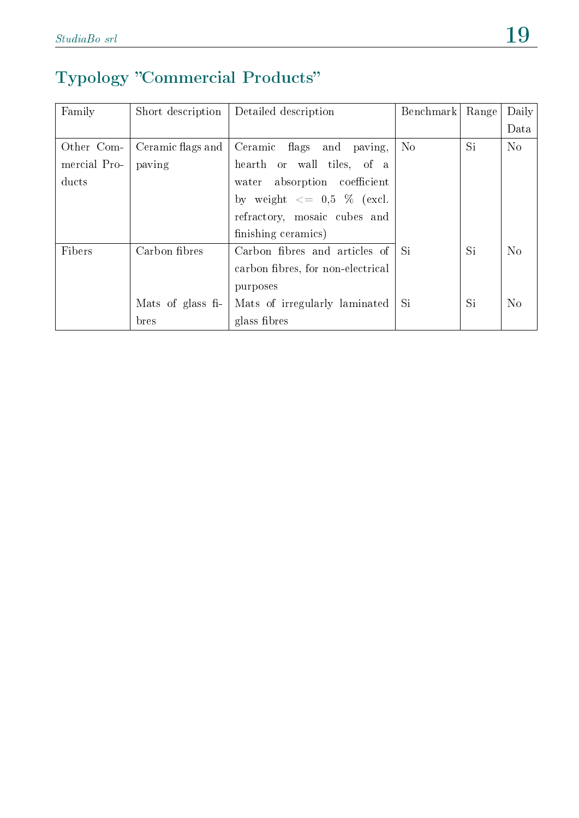#### Typology "Commercial Products"

| Family       | Short description | Detailed description                     | Benchmark      | Range | Daily          |
|--------------|-------------------|------------------------------------------|----------------|-------|----------------|
|              |                   |                                          |                |       | Data           |
| Other Com-   | Ceramic flags and | Ceramic flags and<br>paving,             | N <sub>o</sub> | Si    | No             |
| mercial Pro- | paving            | hearth or wall tiles, of a               |                |       |                |
| ducts        |                   | water absorption coefficient             |                |       |                |
|              |                   | by weight $\langle 0.5 \rangle$ % (excl. |                |       |                |
|              |                   | refractory, mosaic cubes and             |                |       |                |
|              |                   | finishing ceramics)                      |                |       |                |
| Fibers       | Carbon fibres     | Carbon fibres and articles of            | Si             | Si    | No             |
|              |                   | carbon fibres, for non-electrical        |                |       |                |
|              |                   | purposes                                 |                |       |                |
|              | Mats of glass fi- | Mats of irregularly laminated            | Si             | Si    | N <sub>o</sub> |
|              | bres              | glass fibres                             |                |       |                |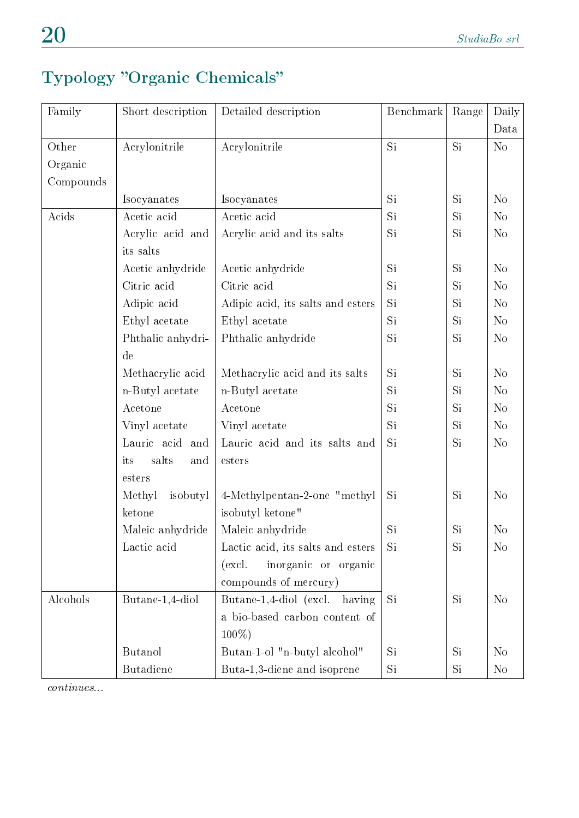#### Typology "Organic Chemicals"

| Family    | Short description   | Detailed description              | Benchmark | Range     | Daily          |
|-----------|---------------------|-----------------------------------|-----------|-----------|----------------|
|           |                     |                                   |           |           | Data           |
| Other     | Acrylonitrile       | Acrylonitrile                     | Si        | <b>Si</b> | N <sub>o</sub> |
| Organic   |                     |                                   |           |           |                |
| Compounds |                     |                                   |           |           |                |
|           | Isocyanates         | Isocyanates                       | Si        | Si        | N <sub>o</sub> |
| Acids     | Acetic acid         | Acetic acid                       | Si        | Si        | N <sub>o</sub> |
|           | Acrylic acid and    | Acrylic acid and its salts        | Si        | Si        | N <sub>o</sub> |
|           | its salts           |                                   |           |           |                |
|           | Acetic anhydride    | Acetic anhydride                  | Si        | Si        | N <sub>o</sub> |
|           | Citric acid         | Citric acid                       | Si        | Si        | N <sub>o</sub> |
|           | Adipic acid         | Adipic acid, its salts and esters | Si        | Si        | N <sub>o</sub> |
|           | Ethyl acetate       | Ethyl acetate                     | Si        | <b>Si</b> | N <sub>o</sub> |
|           | Phthalic anhydri-   | Phthalic anhydride                | Si        | <b>Si</b> | N <sub>o</sub> |
|           | de                  |                                   |           |           |                |
|           | Methacrylic acid    | Methacrylic acid and its salts    | Si        | Si        | N <sub>o</sub> |
|           | n-Butyl acetate     | n-Butyl acetate                   | Si        | <b>Si</b> | N <sub>o</sub> |
|           | Acetone             | Acetone                           | Si        | Si        | N <sub>o</sub> |
|           | Vinyl acetate       | Vinyl acetate                     | Si        | Si        | N <sub>o</sub> |
|           | Lauric acid and     | Lauric acid and its salts and     | Si        | Si        | N <sub>o</sub> |
|           | salts<br>its<br>and | esters                            |           |           |                |
|           | esters              |                                   |           |           |                |
|           | Methyl<br>isobutyl  | 4-Methylpentan-2-one "methyl"     | Si        | Si        | N <sub>o</sub> |
|           | ketone              | isobutyl ketone"                  |           |           |                |
|           | Maleic anhydride    | Maleic anhydride                  | Si        | Si        | N <sub>o</sub> |
|           | Lactic acid         | Lactic acid, its salts and esters | Si.       | Si        | N <sub>o</sub> |
|           |                     | inorganic or organic<br>(excl.    |           |           |                |
|           |                     | compounds of mercury)             |           |           |                |
| Alcohols  | Butane-1,4-diol     | Butane-1,4-diol (excl.<br>having  | Si        | <b>Si</b> | N <sub>o</sub> |
|           |                     | a bio-based carbon content of     |           |           |                |
|           |                     | $100\%$ )                         |           |           |                |
|           | <b>Butanol</b>      | Butan-1-ol "n-butyl alcohol"      | Si        | Si        | N <sub>o</sub> |
|           | <b>Butadiene</b>    | Buta-1,3-diene and isoprene       | Si        | Si.       | N <sub>o</sub> |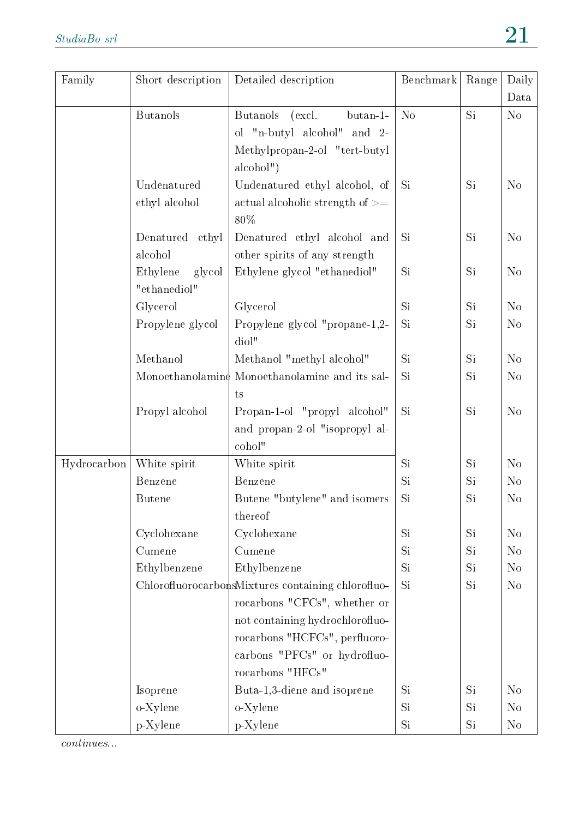| Family      | Short description  | Detailed description                               | Benchmark      | Range | Daily          |
|-------------|--------------------|----------------------------------------------------|----------------|-------|----------------|
|             |                    |                                                    |                |       | Data           |
|             | <b>Butanols</b>    | butan-1-<br><b>Butanols</b><br>(excl.              | N <sub>o</sub> | Si    | No             |
|             |                    | ol "n-butyl alcohol"<br>and $2$ -                  |                |       |                |
|             |                    | Methylpropan-2-ol "tert-butyl                      |                |       |                |
|             |                    | alcbol")                                           |                |       |                |
|             | Undenatured        | Undenatured ethyl alcohol, of                      | <b>Si</b>      | Si    | N <sub>o</sub> |
|             | ethyl alcohol      | actual alcoholic strength of $>=$                  |                |       |                |
|             |                    | 80%                                                |                |       |                |
|             | Denatured<br>ethyl | Denatured ethyl alcohol and                        | Si             | Si    | N <sub>o</sub> |
|             | alcohol            | other spirits of any strength                      |                |       |                |
|             | Ethylene<br>glycol | Ethylene glycol "ethanediol"                       | Si             | Si    | No             |
|             | "ethanediol"       |                                                    |                |       |                |
|             | Glycerol           | Glycerol                                           | Si             | Si    | No             |
|             | Propylene glycol   | Propylene glycol "propane-1,2-                     | Si             | Si    | N <sub>o</sub> |
|             |                    | diol"                                              |                |       |                |
|             | Methanol           | Methanol "methyl alcohol"                          | Si             | Si    | No             |
|             |                    | Monoethanolamine Monoethanolamine and its sal-     | Si             | Si    | No             |
|             |                    | ts                                                 |                |       |                |
|             | Propyl alcohol     | Propan-1-ol "propyl alcohol"                       | Si             | Si    | N <sub>o</sub> |
|             |                    | and propan-2-ol "isopropyl al-                     |                |       |                |
|             |                    | cohol"                                             |                |       |                |
| Hydrocarbon | White spirit       | White spirit                                       | Si             | Si    | No             |
|             | Benzene            | Benzene                                            | Si             | Si    | N <sub>o</sub> |
|             | <b>Butene</b>      | Butene "butylene" and isomers                      | Si             | Si    | N <sub>o</sub> |
|             |                    | thereof                                            |                |       |                |
|             | Cyclohexane        | Cyclohexane                                        | Si             | Si    | N <sub>o</sub> |
|             | Cumene             | Cumene                                             | Si             | Si    | N <sub>o</sub> |
|             | Ethylbenzene       | Ethylbenzene                                       | Si             | Si    | N <sub>o</sub> |
|             |                    | ChlorofluorocarbonsMixtures containing chlorofluo- | Si             | Si    | N <sub>o</sub> |
|             |                    | rocarbons "CFCs", whether or                       |                |       |                |
|             |                    | not containing hydrochlorofluo-                    |                |       |                |
|             |                    | rocarbons "HCFCs", perfluoro-                      |                |       |                |
|             |                    | carbons "PFCs" or hydrofluo-                       |                |       |                |
|             |                    | rocarbons "HFCs"                                   |                |       |                |
|             | Isoprene           | Buta-1,3-diene and isoprene                        | Si             | Si    | $\rm No$       |
|             | o-Xylene           | o-Xylene                                           | Si             | Si    | N <sub>0</sub> |
|             | p-Xylene           | p-Xylene                                           | Si             | Si    | $\rm No$       |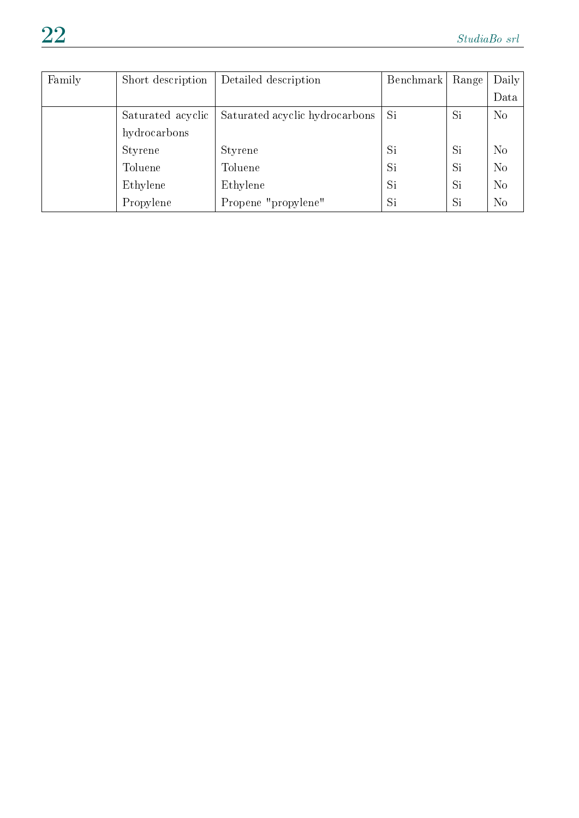| Family | Short description | Detailed description           | Benchmark | Range | Daily          |
|--------|-------------------|--------------------------------|-----------|-------|----------------|
|        |                   |                                |           |       | Data           |
|        | Saturated acyclic | Saturated acyclic hydrocarbons | Si        | Si    | N <sub>o</sub> |
|        | hydrocarbons      |                                |           |       |                |
|        | Styrene           | Styrene                        | Si        | Si    | No             |
|        | Toluene           | Toluene                        | Si        | Si    | N <sub>o</sub> |
|        | Ethylene          | Ethylene                       | Si        | Si    | N <sub>o</sub> |
|        | Propylene         | Propene "propylene"            | Si        | Si    | N <sub>o</sub> |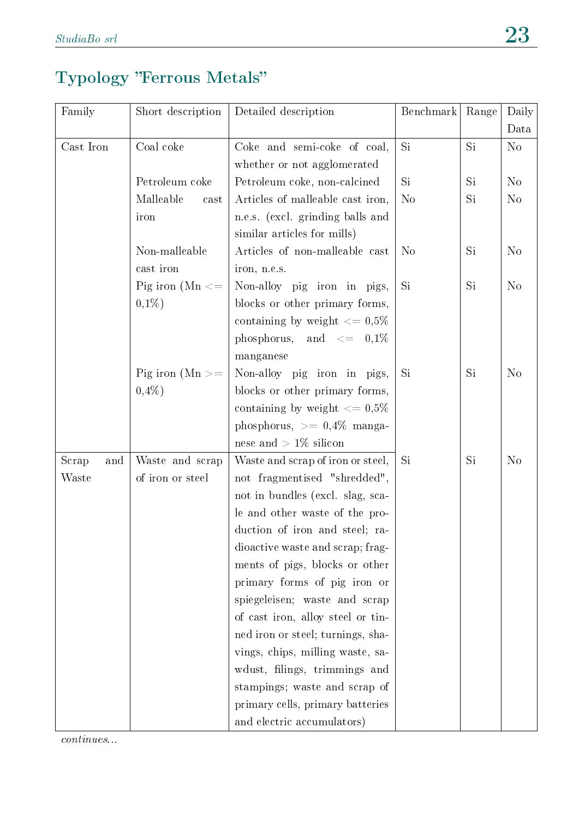#### Typology "Ferrous Metals"

| Family       | Short description     | Detailed description                    | Benchmark      | Range | Daily          |
|--------------|-----------------------|-----------------------------------------|----------------|-------|----------------|
|              |                       |                                         |                |       | Data           |
| Cast Iron    | Coal coke             | Coke and semi-coke of coal,             | Si             | Si    | N <sub>o</sub> |
|              |                       | whether or not agglomerated             |                |       |                |
|              | Petroleum coke        | Petroleum coke, non-calcined            | Si.            | Si    | N <sub>o</sub> |
|              | Malleable<br>cast     | Articles of malleable cast iron,        | N <sub>o</sub> | Si    | N <sub>o</sub> |
|              | iron                  | n.e.s. (excl. grinding balls and        |                |       |                |
|              |                       | similar articles for mills)             |                |       |                |
|              | Non-malleable         | Articles of non-malleable cast          | N <sub>o</sub> | Si    | N <sub>o</sub> |
|              | cast iron             | iron, n.e.s.                            |                |       |                |
|              | Pig iron ( $Mn \leq$  | Non-alloy pig iron in pigs,             | Si             | Si    | N <sub>o</sub> |
|              | $0,1\%)$              | blocks or other primary forms,          |                |       |                |
|              |                       | containing by weight $\epsilon = 0.5\%$ |                |       |                |
|              |                       | phosphorus, and $\langle = 0, 1\%$      |                |       |                |
|              |                       | manganese                               |                |       |                |
|              | Pig iron ( $Mn \ge$ = | Non-alloy pig iron in pigs,             | Si             | Si    | N <sub>o</sub> |
|              | $0,4\%)$              | blocks or other primary forms,          |                |       |                |
|              |                       | containing by weight $<= 0.5\%$         |                |       |                |
|              |                       | phosphorus, $>= 0.4\%$ manga-           |                |       |                |
|              |                       | nese and $> 1\%$ silicon                |                |       |                |
| Scrap<br>and | Waste and scrap       | Waste and scrap of iron or steel,       | Si             | Si    | N <sub>o</sub> |
| Waste        | of iron or steel      | not fragmentised "shredded",            |                |       |                |
|              |                       | not in bundles (excl. slag, sca-        |                |       |                |
|              |                       | le and other waste of the pro-          |                |       |                |
|              |                       | duction of iron and steel; ra-          |                |       |                |
|              |                       | dioactive waste and scrap; frag-        |                |       |                |
|              |                       | ments of pigs, blocks or other          |                |       |                |
|              |                       | primary forms of pig iron or            |                |       |                |
|              |                       | spiegeleisen; waste and scrap           |                |       |                |
|              |                       | of cast iron, alloy steel or tin-       |                |       |                |
|              |                       | ned iron or steel; turnings, sha-       |                |       |                |
|              |                       | vings, chips, milling waste, sa-        |                |       |                |
|              |                       | wdust, filings, trimmings and           |                |       |                |
|              |                       | stampings; waste and scrap of           |                |       |                |
|              |                       | primary cells, primary batteries        |                |       |                |
|              |                       | and electric accumulators)              |                |       |                |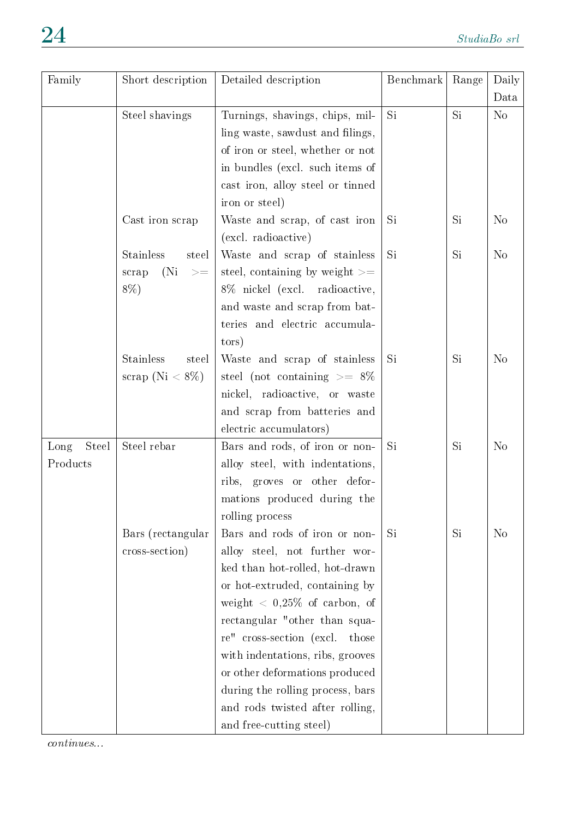| Family        | Short description         | Detailed description                           | Benchmark | Range | Daily          |
|---------------|---------------------------|------------------------------------------------|-----------|-------|----------------|
|               |                           |                                                |           |       | Data           |
|               | Steel shavings            | Turnings, shavings, chips, mil-                | <b>Si</b> | Si    | N <sub>o</sub> |
|               |                           | ling waste, sawdust and filings,               |           |       |                |
|               |                           | of iron or steel, whether or not               |           |       |                |
|               |                           | in bundles (excl. such items of                |           |       |                |
|               |                           | cast iron, alloy steel or tinned               |           |       |                |
|               |                           | iron or steel)                                 |           |       |                |
|               | Cast iron scrap           | Waste and scrap, of cast iron                  | Si        | Si    | N <sub>o</sub> |
|               |                           | (excl. radioactive)                            |           |       |                |
|               | <b>Stainless</b><br>steel | Waste and scrap of stainless                   | Si        | Si    | No             |
|               | (Ni)<br>scrap<br>$> =$    | steel, containing by weight $\geq$             |           |       |                |
|               | $8\%$ )                   | 8% nickel (excl. radioactive,                  |           |       |                |
|               |                           | and waste and scrap from bat-                  |           |       |                |
|               |                           | teries and electric accumula-                  |           |       |                |
|               |                           | tors)                                          |           |       |                |
|               | <b>Stainless</b><br>steel | Waste and scrap of stainless                   | Si        | Si    | N <sub>o</sub> |
|               | scrap (Ni $< 8\%$ )       | steel (not containing $\geq$ = 8%              |           |       |                |
|               |                           | nickel, radioactive, or waste                  |           |       |                |
|               |                           | and scrap from batteries and                   |           |       |                |
|               |                           | electric accumulators)                         |           |       |                |
| Steel<br>Long | Steel rebar               | Bars and rods, of iron or non-                 | Si        | Si    | N <sub>o</sub> |
| Products      |                           | alloy steel, with indentations,                |           |       |                |
|               |                           | ribs, groves or other defor-                   |           |       |                |
|               |                           | mations produced during the                    |           |       |                |
|               |                           | rolling process                                |           |       |                |
|               | Bars (rectangular         | Bars and rods of iron or non-                  | Si        | Si    | No             |
|               | cross-section)            | alloy steel, not further wor-                  |           |       |                |
|               |                           | ked than hot-rolled, hot-drawn                 |           |       |                |
|               |                           | or hot-extruded, containing by                 |           |       |                |
|               |                           | weight $\langle 0, 25\% \rangle$ of carbon, of |           |       |                |
|               |                           | rectangular "other than squa-                  |           |       |                |
|               |                           | re" cross-section (excl. those                 |           |       |                |
|               |                           | with indentations, ribs, grooves               |           |       |                |
|               |                           | or other deformations produced                 |           |       |                |
|               |                           | during the rolling process, bars               |           |       |                |
|               |                           | and rods twisted after rolling,                |           |       |                |
|               |                           | and free-cutting steel)                        |           |       |                |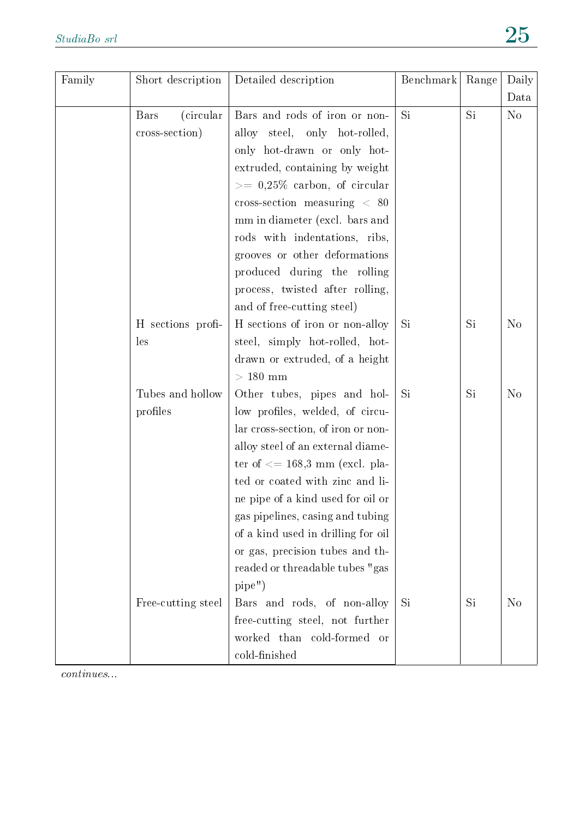| Family | Short description  | Detailed description                     | Benchmark | Range | Daily          |
|--------|--------------------|------------------------------------------|-----------|-------|----------------|
|        |                    |                                          |           |       | Data           |
|        | (circular)<br>Bars | Bars and rods of iron or non-            | Si        | Si    | N <sub>o</sub> |
|        | cross-section)     | alloy steel, only hot-rolled,            |           |       |                |
|        |                    | only hot-drawn or only hot-              |           |       |                |
|        |                    | extruded, containing by weight           |           |       |                |
|        |                    | $\geq$ 0,25% carbon, of circular         |           |       |                |
|        |                    | cross-section measuring $< 80$           |           |       |                |
|        |                    | mm in diameter (excl. bars and           |           |       |                |
|        |                    | rods with indentations, ribs,            |           |       |                |
|        |                    | grooves or other deformations            |           |       |                |
|        |                    | produced during the rolling              |           |       |                |
|        |                    | process, twisted after rolling,          |           |       |                |
|        |                    | and of free-cutting steel)               |           |       |                |
|        | H sections profi-  | H sections of iron or non-alloy          | Si        | Si    | N <sub>o</sub> |
|        | les                | steel, simply hot-rolled, hot-           |           |       |                |
|        |                    | drawn or extruded, of a height           |           |       |                |
|        |                    | $>180$ mm                                |           |       |                |
|        | Tubes and hollow   | Other tubes, pipes and hol-              | Si        | Si    | N <sub>o</sub> |
|        | profiles           | low profiles, welded, of circu-          |           |       |                |
|        |                    | lar cross-section, of iron or non-       |           |       |                |
|        |                    | alloy steel of an external diame-        |           |       |                |
|        |                    | ter of $\epsilon$ = 168,3 mm (excl. pla- |           |       |                |
|        |                    | ted or coated with zinc and li-          |           |       |                |
|        |                    | ne pipe of a kind used for oil or        |           |       |                |
|        |                    | gas pipelines, casing and tubing         |           |       |                |
|        |                    | of a kind used in drilling for oil       |           |       |                |
|        |                    | or gas, precision tubes and th-          |           |       |                |
|        |                    | readed or threadable tubes "gas          |           |       |                |
|        |                    | pipe")                                   |           |       |                |
|        | Free-cutting steel | Bars and rods, of non-alloy              | Si        | Si    | N <sub>o</sub> |
|        |                    | free-cutting steel, not further          |           |       |                |
|        |                    | worked than cold-formed or               |           |       |                |
|        |                    | cold-finished                            |           |       |                |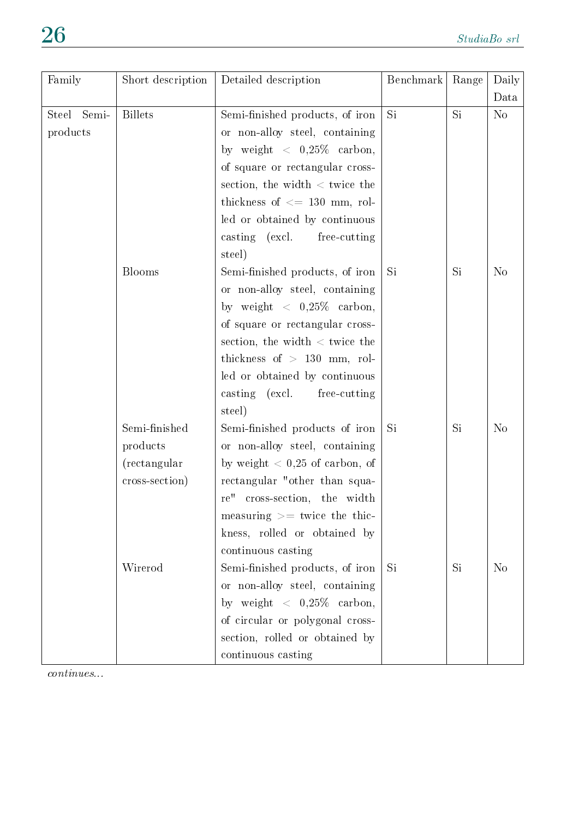| Family                | Short description | Detailed description                                | Benchmark | Range | Daily          |
|-----------------------|-------------------|-----------------------------------------------------|-----------|-------|----------------|
|                       |                   |                                                     |           |       | Data           |
| Semi-<br><b>Steel</b> | <b>Billets</b>    | Semi-finished products, of iron                     | Si        | Si    | N <sub>o</sub> |
| products              |                   | or non-alloy steel, containing                      |           |       |                |
|                       |                   | by weight $\langle 0, 25\% \text{ carbon},$         |           |       |                |
|                       |                   | of square or rectangular cross-                     |           |       |                |
|                       |                   | section, the width $\langle$ twice the              |           |       |                |
|                       |                   | thickness of $\leq$ 130 mm, rol-                    |           |       |                |
|                       |                   | led or obtained by continuous                       |           |       |                |
|                       |                   | casting (excl.<br>free-cutting                      |           |       |                |
|                       |                   | steel)                                              |           |       |                |
|                       | Blooms            | Semi-finished products, of iron                     | Si        | Si    | N <sub>o</sub> |
|                       |                   | or non-alloy steel, containing                      |           |       |                |
|                       |                   | by weight $\langle 0, 25\% \text{ carbon}, \rangle$ |           |       |                |
|                       |                   | of square or rectangular cross-                     |           |       |                |
|                       |                   | section, the width $\langle$ twice the              |           |       |                |
|                       |                   | thickness of $> 130$ mm, rol-                       |           |       |                |
|                       |                   | led or obtained by continuous                       |           |       |                |
|                       |                   | casting (excl.<br>free-cutting                      |           |       |                |
|                       |                   | steel)                                              |           |       |                |
|                       | Semi-finished     | Semi-finished products of iron                      | Si        | Si    | N <sub>o</sub> |
|                       | products          | or non-alloy steel, containing                      |           |       |                |
|                       | (rectangular)     | by weight $< 0.25$ of carbon, of                    |           |       |                |
|                       | cross-section)    | rectangular "other than squa-                       |           |       |                |
|                       |                   | re" cross-section, the width                        |           |       |                |
|                       |                   | measuring $\geq$ twice the thic-                    |           |       |                |
|                       |                   | kness, rolled or obtained by                        |           |       |                |
|                       |                   | continuous casting                                  |           |       |                |
|                       | Wirerod           | Semi-finished products, of iron                     | Si        | Si    | N <sub>o</sub> |
|                       |                   | or non-alloy steel, containing                      |           |       |                |
|                       |                   | by weight $\langle 0, 25\% \text{ carbon},$         |           |       |                |
|                       |                   | of circular or polygonal cross-                     |           |       |                |
|                       |                   | section, rolled or obtained by                      |           |       |                |
|                       |                   | continuous casting                                  |           |       |                |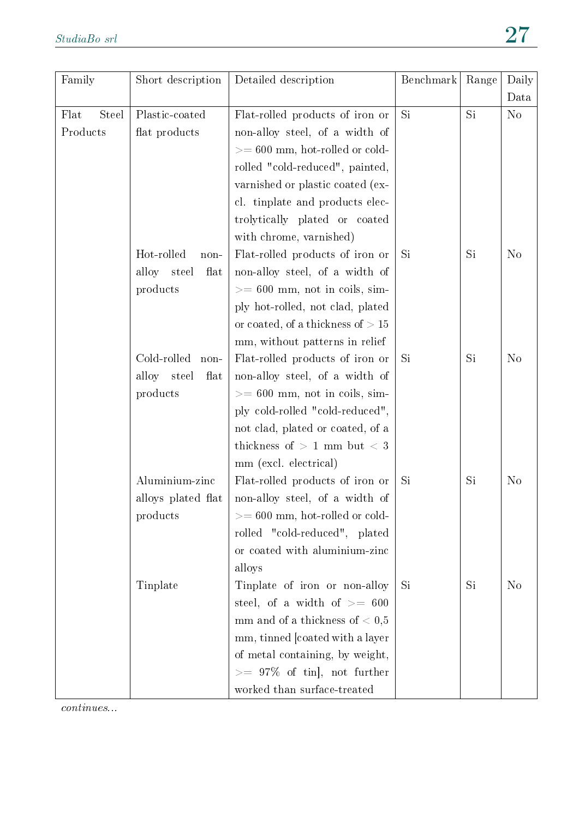| Family               | Short description     | Detailed description                | Benchmark | Range | Daily                  |
|----------------------|-----------------------|-------------------------------------|-----------|-------|------------------------|
| Flat<br><b>Steel</b> | Plastic-coated        |                                     | Si        | Si    | Data<br>N <sub>o</sub> |
|                      |                       | Flat-rolled products of iron or     |           |       |                        |
| Products             | flat products         | non-alloy steel, of a width of      |           |       |                        |
|                      |                       | $>= 600$ mm, hot-rolled or cold-    |           |       |                        |
|                      |                       | rolled "cold-reduced", painted,     |           |       |                        |
|                      |                       | varnished or plastic coated (ex-    |           |       |                        |
|                      |                       | cl. tinplate and products elec-     |           |       |                        |
|                      |                       | trolytically plated or coated       |           |       |                        |
|                      |                       | with chrome, varnished)             |           |       |                        |
|                      | Hot-rolled<br>non-    | Flat-rolled products of iron or     | Si        | Si    | N <sub>o</sub>         |
|                      | alloy steel<br>flat   | non-alloy steel, of a width of      |           |       |                        |
|                      | products              | $>= 600$ mm, not in coils, sim-     |           |       |                        |
|                      |                       | ply hot-rolled, not clad, plated    |           |       |                        |
|                      |                       | or coated, of a thickness of $> 15$ |           |       |                        |
|                      |                       | mm, without patterns in relief      |           |       |                        |
|                      | Cold-rolled<br>$non-$ | Flat-rolled products of iron or     | <b>Si</b> | Si    | N <sub>o</sub>         |
|                      | alloy steel<br>flat   | non-alloy steel, of a width of      |           |       |                        |
|                      | products              | $>= 600$ mm, not in coils, sim-     |           |       |                        |
|                      |                       | ply cold-rolled "cold-reduced",     |           |       |                        |
|                      |                       | not clad, plated or coated, of a    |           |       |                        |
|                      |                       | thickness of $> 1$ mm but $< 3$     |           |       |                        |
|                      |                       | mm (excl. electrical)               |           |       |                        |
|                      | Aluminium-zinc        | Flat-rolled products of iron or     | Si        | Si    | N <sub>o</sub>         |
|                      | alloys plated flat    | non-alloy steel, of a width of      |           |       |                        |
|                      | products              | $>= 600$ mm, hot-rolled or cold-    |           |       |                        |
|                      |                       | rolled "cold-reduced", plated       |           |       |                        |
|                      |                       | or coated with aluminium-zinc       |           |       |                        |
|                      |                       | alloys                              |           |       |                        |
|                      | Tinplate              | Tinplate of iron or non-alloy       | Si        | Si    | N <sub>o</sub>         |
|                      |                       | steel, of a width of $\geq$ 600     |           |       |                        |
|                      |                       | mm and of a thickness of $< 0.5$    |           |       |                        |
|                      |                       | mm, tinned [coated with a layer     |           |       |                        |
|                      |                       | of metal containing, by weight,     |           |       |                        |
|                      |                       | $\geq$ 97% of tin , not further     |           |       |                        |
|                      |                       | worked than surface-treated         |           |       |                        |
|                      |                       |                                     |           |       |                        |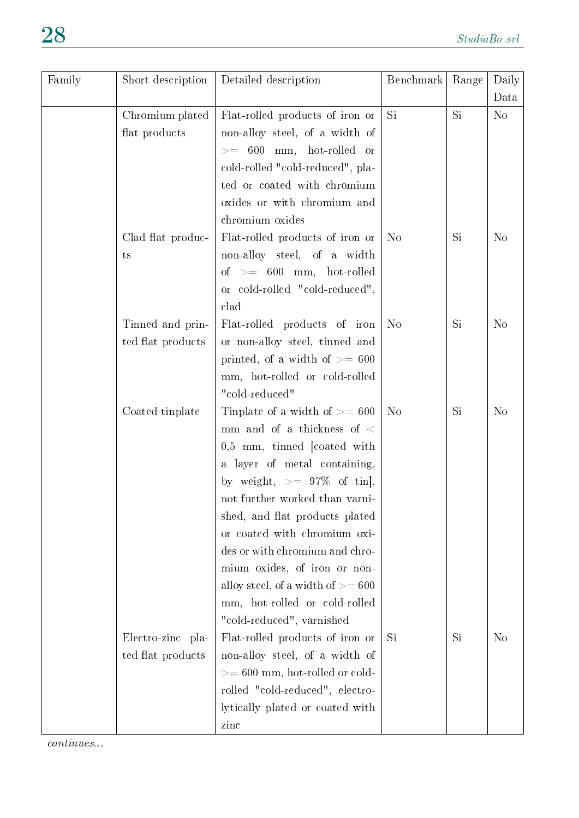| Family | Short description | Detailed description                | Benchmark      | Range     | Daily<br>Data  |
|--------|-------------------|-------------------------------------|----------------|-----------|----------------|
|        | Chromium plated   | Flat-rolled products of iron or     | <b>Si</b>      | Si.       | N <sub>o</sub> |
|        | flat products     | non-alloy steel, of a width of      |                |           |                |
|        |                   | $>= 600$ mm, hot-rolled or          |                |           |                |
|        |                   | cold-rolled "cold-reduced", pla-    |                |           |                |
|        |                   | ted or coated with chromium         |                |           |                |
|        |                   | oxides or with chromium and         |                |           |                |
|        |                   | chromium oxides                     |                |           |                |
|        | Clad flat produc- | Flat-rolled products of iron or     | N <sub>o</sub> | Si        | N <sub>o</sub> |
|        | ts                | non-alloy steel, of a width         |                |           |                |
|        |                   | of $\,>=\,$ 600 mm, $\,$ hot-rolled |                |           |                |
|        |                   | or cold-rolled "cold-reduced",      |                |           |                |
|        |                   | clad                                |                |           |                |
|        | Tinned and prin-  | Flat-rolled products of iron        | N <sub>o</sub> | Si        | N <sub>o</sub> |
|        | ted flat products | or non-alloy steel, tinned and      |                |           |                |
|        |                   | printed, of a width of $\geq$ 600   |                |           |                |
|        |                   | mm, hot-rolled or cold-rolled       |                |           |                |
|        |                   | "cold-reduced"                      |                |           |                |
|        | Coated tinplate   | Tinplate of a width of $\geq$ = 600 | N <sub>o</sub> | <b>Si</b> | N <sub>o</sub> |
|        |                   | mm and of a thickness of $\lt$      |                |           |                |
|        |                   | $0.5$ mm, tinned [coated with       |                |           |                |
|        |                   | a layer of metal containing,        |                |           |                |
|        |                   | by weight, $>= 97\%$ of tin],       |                |           |                |
|        |                   | not further worked than varni-      |                |           |                |
|        |                   | shed, and flat products plated      |                |           |                |
|        |                   | or coated with chromium oxi-        |                |           |                |
|        |                   | des or with chromium and chro-      |                |           |                |
|        |                   | mium oxides, of iron or non-        |                |           |                |
|        |                   | alloy steel, of a width of $>= 600$ |                |           |                |
|        |                   | mm, hot-rolled or cold-rolled       |                |           |                |
|        |                   | "cold-reduced", varnished           |                |           |                |
|        | Electro-zinc pla- | Flat-rolled products of iron or     | Si             | Si        | No             |
|        | ted flat products | non-alloy steel, of a width of      |                |           |                |
|        |                   | $>= 600$ mm, hot-rolled or cold-    |                |           |                |
|        |                   | rolled "cold-reduced", electro-     |                |           |                |
|        |                   | lytically plated or coated with     |                |           |                |
|        |                   | zinc                                |                |           |                |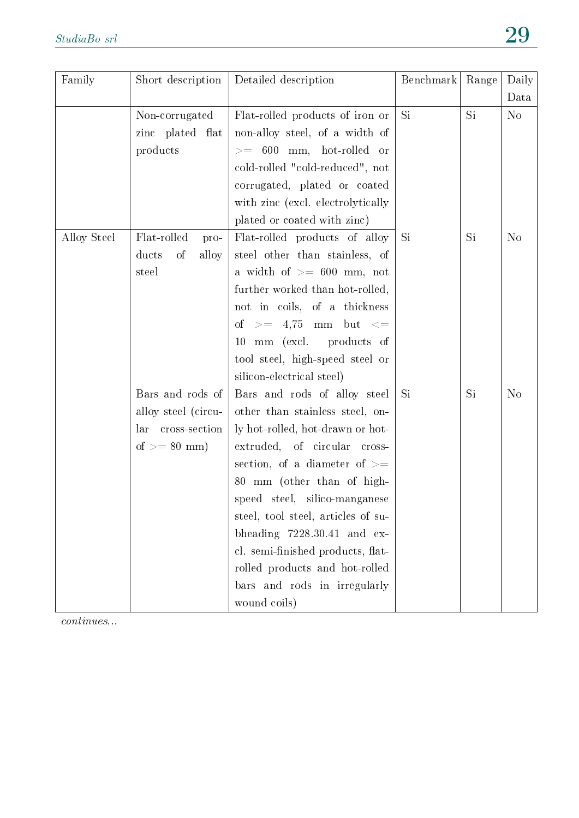| Family      | Short description    | Detailed description               | Benchmark | Range | Daily          |
|-------------|----------------------|------------------------------------|-----------|-------|----------------|
|             |                      |                                    |           |       | Data           |
|             | Non-corrugated       | Flat-rolled products of iron or    | Si        | Si    | N <sub>o</sub> |
|             | zinc plated flat     | non-alloy steel, of a width of     |           |       |                |
|             | products             | $>= 600$ mm, hot-rolled or         |           |       |                |
|             |                      | cold-rolled "cold-reduced", not    |           |       |                |
|             |                      | corrugated, plated or coated       |           |       |                |
|             |                      | with zinc (excl. electrolytically  |           |       |                |
|             |                      | plated or coated with zinc)        |           |       |                |
| Alloy Steel | Flat-rolled<br>pro-  | Flat-rolled products of alloy      | Si        | Si    | N <sub>o</sub> |
|             | ducts<br>of<br>alloy | steel other than stainless, of     |           |       |                |
|             | steel                | a width of $>= 600$ mm, not        |           |       |                |
|             |                      | further worked than hot-rolled,    |           |       |                |
|             |                      | not in coils, of a thickness       |           |       |                |
|             |                      | of $>=$ 4,75 mm but $<=$           |           |       |                |
|             |                      | mm (excl. products of<br>10        |           |       |                |
|             |                      | tool steel, high-speed steel or    |           |       |                |
|             |                      | silicon-electrical steel)          |           |       |                |
|             | Bars and rods of     | Bars and rods of alloy steel       | Si        | Si    | N <sub>o</sub> |
|             | alloy steel (circu-  | other than stainless steel, on-    |           |       |                |
|             | cross-section<br>lar | ly hot-rolled, hot-drawn or hot-   |           |       |                |
|             | of $>= 80$ mm)       | extruded, of circular cross-       |           |       |                |
|             |                      | section, of a diameter of $>=$     |           |       |                |
|             |                      | 80 mm (other than of high-         |           |       |                |
|             |                      | speed steel, silico-manganese      |           |       |                |
|             |                      | steel, tool steel, articles of su- |           |       |                |
|             |                      | bheading $7228.30.41$ and ex-      |           |       |                |
|             |                      | cl. semi-finished products, flat-  |           |       |                |
|             |                      | rolled products and hot-rolled     |           |       |                |
|             |                      | bars and rods in irregularly       |           |       |                |
|             |                      | wound coils)                       |           |       |                |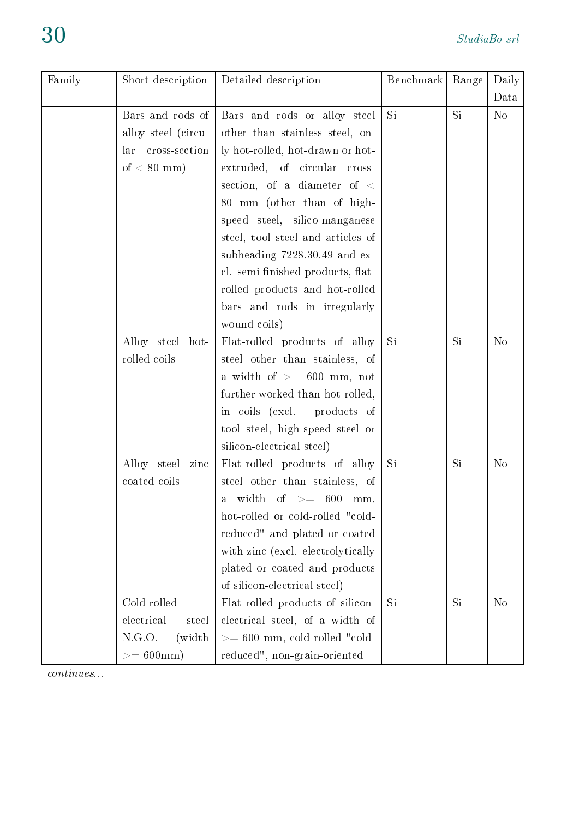| Family | Short description    | Detailed description                | Benchmark | Range | Daily          |
|--------|----------------------|-------------------------------------|-----------|-------|----------------|
|        |                      |                                     |           |       | Data           |
|        | Bars and rods of     | Bars and rods or alloy steel        | Si        | Si    | N <sub>o</sub> |
|        | alloy steel (circu-  | other than stainless steel, on-     |           |       |                |
|        | cross-section<br>lar | ly hot-rolled, hot-drawn or hot-    |           |       |                |
|        | of $< 80$ mm)        | extruded, of circular cross-        |           |       |                |
|        |                      | section, of a diameter of $\langle$ |           |       |                |
|        |                      | 80 mm (other than of high-          |           |       |                |
|        |                      | speed steel, silico-manganese       |           |       |                |
|        |                      | steel, tool steel and articles of   |           |       |                |
|        |                      | subheading $7228.30.49$ and ex-     |           |       |                |
|        |                      | cl. semi-finished products, flat-   |           |       |                |
|        |                      | rolled products and hot-rolled      |           |       |                |
|        |                      | bars and rods in irregularly        |           |       |                |
|        |                      | wound coils)                        |           |       |                |
|        | Alloy steel hot-     | Flat-rolled products of alloy       | Si        | Si    | N <sub>o</sub> |
|        | rolled coils         | steel other than stainless, of      |           |       |                |
|        |                      | a width of $\geq$ 600 mm, not       |           |       |                |
|        |                      | further worked than hot-rolled,     |           |       |                |
|        |                      | in coils (excl.<br>products of      |           |       |                |
|        |                      | tool steel, high-speed steel or     |           |       |                |
|        |                      | silicon-electrical steel)           |           |       |                |
|        | Alloy steel<br>zinc  | Flat-rolled products of alloy       | <b>Si</b> | Si    | $\rm No$       |
|        | coated coils         | steel other than stainless, of      |           |       |                |
|        |                      | width of $>=$ 600 mm,<br>a          |           |       |                |
|        |                      | hot-rolled or cold-rolled "cold-    |           |       |                |
|        |                      | reduced" and plated or coated       |           |       |                |
|        |                      | with zinc (excl. electrolytically   |           |       |                |
|        |                      | plated or coated and products       |           |       |                |
|        |                      | of silicon-electrical steel)        |           |       |                |
|        | Cold-rolled          | Flat-rolled products of silicon-    | Si        | Si    | N <sub>o</sub> |
|        | electrical<br>steel  | electrical steel, of a width of     |           |       |                |
|        | N.G.O.<br>(width)    | $>= 600$ mm, cold-rolled "cold-     |           |       |                |
|        | $>= 600$ mm          | reduced", non-grain-oriented        |           |       |                |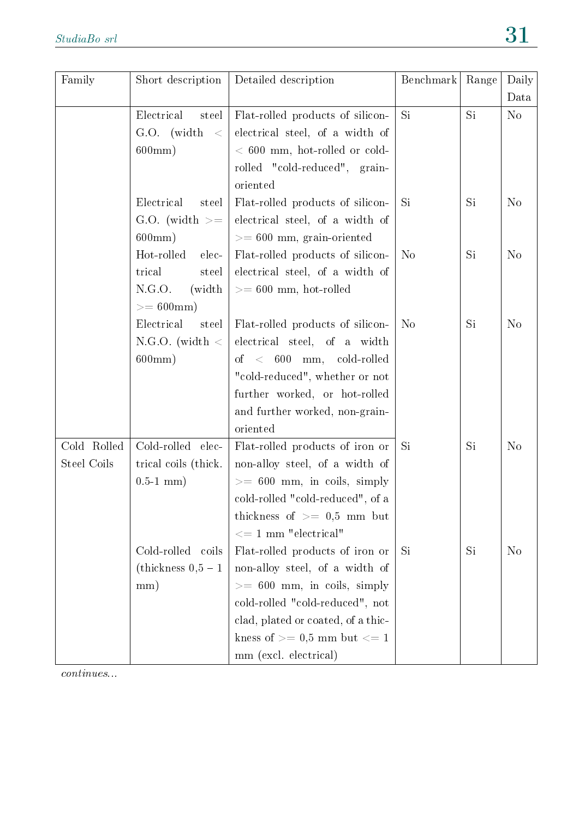| Family      | Short description       | Detailed description               | Benchmark      | Range | Daily          |
|-------------|-------------------------|------------------------------------|----------------|-------|----------------|
|             |                         |                                    |                |       | Data           |
|             | Electrical<br>steel     | Flat-rolled products of silicon-   | Si             | Si    | No             |
|             | $G.O.$ (width)<br>$\lt$ | electrical steel, of a width of    |                |       |                |
|             | $600 \text{mm}$ )       | $< 600$ mm, hot-rolled or cold-    |                |       |                |
|             |                         | rolled "cold-reduced", grain-      |                |       |                |
|             |                         | oriented                           |                |       |                |
|             | Electrical<br>steel     | Flat-rolled products of silicon-   | Si             | Si    | N <sub>o</sub> |
|             | G.O. (width $>=$        | electrical steel, of a width of    |                |       |                |
|             | 600mm)                  | $>= 600$ mm, grain-oriented        |                |       |                |
|             | Hot-rolled<br>elec-     | Flat-rolled products of silicon-   | N <sub>o</sub> | Si    | N <sub>o</sub> |
|             | trical<br>steel         | electrical steel, of a width of    |                |       |                |
|             | N.G.O.<br>(width)       | $>= 600$ mm, hot-rolled            |                |       |                |
|             | $>= 600$ mm             |                                    |                |       |                |
|             | Electrical<br>steel     | Flat-rolled products of silicon-   | N <sub>o</sub> | Si    | N <sub>o</sub> |
|             | N.G.O. (width $\langle$ | electrical steel, of a width       |                |       |                |
|             | $600 \text{mm}$ )       | of $< 600$ mm, cold-rolled         |                |       |                |
|             |                         | "cold-reduced", whether or not     |                |       |                |
|             |                         | further worked, or hot-rolled      |                |       |                |
|             |                         | and further worked, non-grain-     |                |       |                |
|             |                         | oriented                           |                |       |                |
| Cold Rolled | Cold-rolled elec-       | Flat-rolled products of iron or    | Si             | Si    | N <sub>o</sub> |
| Steel Coils | trical coils (thick.    | non-alloy steel, of a width of     |                |       |                |
|             | $0.5-1$ mm)             | $>= 600$ mm, in coils, simply      |                |       |                |
|             |                         | cold-rolled "cold-reduced", of a   |                |       |                |
|             |                         | thickness of $\geq$ 0.5 mm but     |                |       |                |
|             |                         | $\epsilon = 1$ mm "electrical"     |                |       |                |
|             | Cold-rolled coils       | Flat-rolled products of iron or    | Si             | Si    | N <sub>o</sub> |
|             | (thickness $0,5-1$ )    | non-alloy steel, of a width of     |                |       |                |
|             | mm)                     | $>= 600$ mm, in coils, simply      |                |       |                |
|             |                         | cold-rolled "cold-reduced", not    |                |       |                |
|             |                         | clad, plated or coated, of a thic- |                |       |                |
|             |                         | kness of $\geq$ 0.5 mm but $\lt$ 1 |                |       |                |
|             |                         | mm (excl. electrical)              |                |       |                |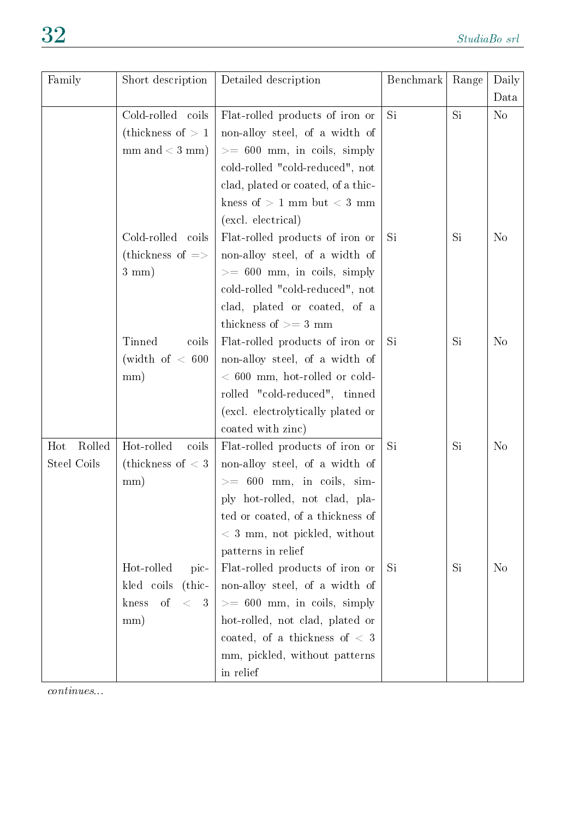| Family        | Short description              | Detailed description                          | Benchmark | Range | Daily          |
|---------------|--------------------------------|-----------------------------------------------|-----------|-------|----------------|
|               |                                |                                               |           |       | Data           |
|               | Cold-rolled coils              | Flat-rolled products of iron or               | Si        | Si    | N <sub>o</sub> |
|               | (thickness of $>1$ )           | non-alloy steel, of a width of                |           |       |                |
|               | $mm$ and $<$ 3 mm)             | $>= 600$ mm, in coils, simply                 |           |       |                |
|               |                                | cold-rolled "cold-reduced", not               |           |       |                |
|               |                                | clad, plated or coated, of a thic-            |           |       |                |
|               |                                | kness of $> 1$ mm but $< 3$ mm                |           |       |                |
|               |                                | (excl. electrical)                            |           |       |                |
|               | Cold-rolled coils              | Flat-rolled products of iron or               | Si        | Si    | N <sub>o</sub> |
|               | (thickness of $\Rightarrow$    | non-alloy steel, of a width of                |           |       |                |
|               | $3 \text{ mm}$ )               | $>= 600$ mm, in coils, simply                 |           |       |                |
|               |                                | cold-rolled "cold-reduced", not               |           |       |                |
|               |                                | clad, plated or coated, of a                  |           |       |                |
|               |                                | thickness of $>=$ 3 mm                        |           |       |                |
|               | Tinned<br>coils                | Flat-rolled products of iron or               | Si        | Si    | N <sub>o</sub> |
|               | (width of $< 600$              | non-alloy steel, of a width of                |           |       |                |
|               | mm)                            | $< 600$ mm, hot-rolled or cold-               |           |       |                |
|               |                                | rolled "cold-reduced", tinned                 |           |       |                |
|               |                                | (excl. electrolytically plated or             |           |       |                |
|               |                                | coated with zinc)                             |           |       |                |
| Rolled<br>Hot | Hot-rolled<br>coils            | Flat-rolled products of iron or               | Si        | Si    | N <sub>o</sub> |
| Steel Coils   | (thickness of $<$ 3            | non-alloy steel, of a width of                |           |       |                |
|               | mm)                            | $>= 600$ mm, in coils, sim-                   |           |       |                |
|               |                                | ply hot-rolled, not clad, pla-                |           |       |                |
|               |                                | ted or coated, of a thickness of              |           |       |                |
|               |                                | $<$ 3 mm, not pickled, without                |           |       |                |
|               |                                | patterns in relief                            |           |       |                |
|               | Hot-rolled<br>pic-             | Flat-rolled products of iron or               | Si        | Si    | N <sub>o</sub> |
|               | $_{\rm (thic-)}$<br>kled coils | non-alloy steel, of a width of                |           |       |                |
|               | of<br>$\,<$<br>kness<br>3      | $>= 600$ mm, in coils, simply                 |           |       |                |
|               | mm)                            | hot-rolled, not clad, plated or               |           |       |                |
|               |                                | coated, of a thickness of $\langle 3 \rangle$ |           |       |                |
|               |                                | mm, pickled, without patterns                 |           |       |                |
|               |                                | in relief                                     |           |       |                |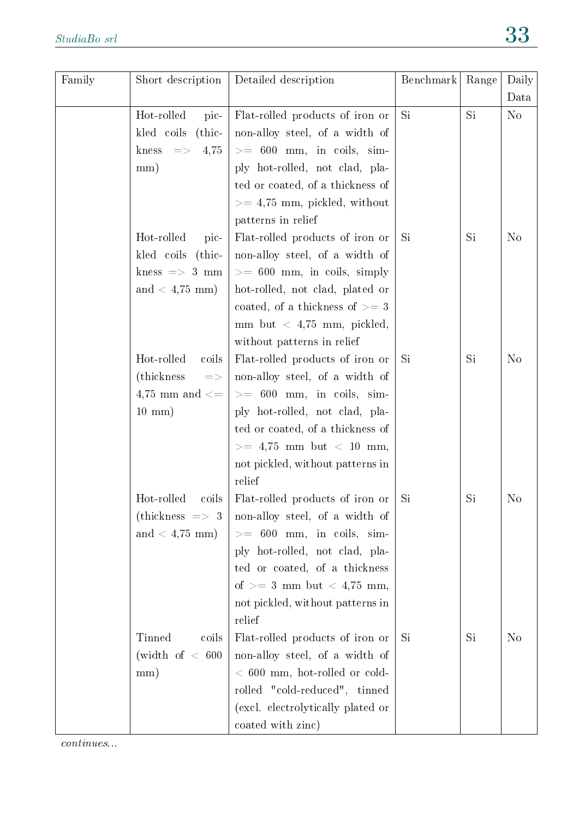| Family | Short description              | Detailed description                                                                           | Benchmark | Range | Daily          |
|--------|--------------------------------|------------------------------------------------------------------------------------------------|-----------|-------|----------------|
|        |                                |                                                                                                |           |       | Data           |
|        | Hot-rolled<br>pic-             | Flat-rolled products of iron or                                                                | Si        | Si    | $\rm No$       |
|        | kled coils<br>$_{\rm (thic-)}$ | non-alloy steel, of a width of                                                                 |           |       |                |
|        | kness $\Rightarrow$<br>4,75    | $>= 600$ mm, in coils, sim-                                                                    |           |       |                |
|        | mm)                            | ply hot-rolled, not clad, pla-                                                                 |           |       |                |
|        |                                | ted or coated, of a thickness of                                                               |           |       |                |
|        |                                | $>= 4,75$ mm, pickled, without                                                                 |           |       |                |
|        |                                | patterns in relief                                                                             |           |       |                |
|        | Hot-rolled<br>pic-             | Flat-rolled products of iron or                                                                | Si.       | Si    | N <sub>o</sub> |
|        | kled coils (thic-              | non-alloy steel, of a width of                                                                 |           |       |                |
|        | kness $\Rightarrow$ 3 mm       | $>= 600$ mm, in coils, simply                                                                  |           |       |                |
|        | and $< 4,75$ mm)               | hot-rolled, not clad, plated or                                                                |           |       |                |
|        |                                | coated, of a thickness of $\geq$ = 3                                                           |           |       |                |
|        |                                | mm but $\langle 4,75 \text{ mm}, \text{ pickled},$                                             |           |       |                |
|        |                                | without patterns in relief                                                                     |           |       |                |
|        | Hot-rolled<br>coils            | Flat-rolled products of iron or                                                                | Si.       | Si    | N <sub>o</sub> |
|        | (thickness)<br>$\equiv >$      | non-alloy steel, of a width of                                                                 |           |       |                |
|        | 4,75 mm and $\leq$             | $>= 600$ mm, in coils, sim-                                                                    |           |       |                |
|        | $10 \text{ mm}$ )              | ply hot-rolled, not clad, pla-                                                                 |           |       |                |
|        |                                | ted or coated, of a thickness of                                                               |           |       |                |
|        |                                | $>= 4,75$ mm but $< 10$ mm,                                                                    |           |       |                |
|        |                                | not pickled, without patterns in                                                               |           |       |                |
|        |                                | relief                                                                                         | Si        | Si    | N <sub>o</sub> |
|        | Hot-rolled<br>coils            | Flat-rolled products of iron or<br>(thickness $\Rightarrow$ 3   non-alloy steel, of a width of |           |       |                |
|        | and $< 4.75$ mm)               | $>= 600$ mm, in coils, sim-                                                                    |           |       |                |
|        |                                | ply hot-rolled, not clad, pla-                                                                 |           |       |                |
|        |                                | ted or coated, of a thickness                                                                  |           |       |                |
|        |                                | of $>= 3$ mm but $< 4.75$ mm,                                                                  |           |       |                |
|        |                                | not pickled, without patterns in                                                               |           |       |                |
|        |                                | relief                                                                                         |           |       |                |
|        | Tinned<br>coils                | Flat-rolled products of iron or                                                                | Si        | Si    | N <sub>o</sub> |
|        | (width of $< 600$              | non-alloy steel, of a width of                                                                 |           |       |                |
|        | mm)                            | $< 600$ mm, hot-rolled or cold-                                                                |           |       |                |
|        |                                | rolled "cold-reduced", tinned                                                                  |           |       |                |
|        |                                | (excl. electrolytically plated or                                                              |           |       |                |
|        |                                | coated with zinc)                                                                              |           |       |                |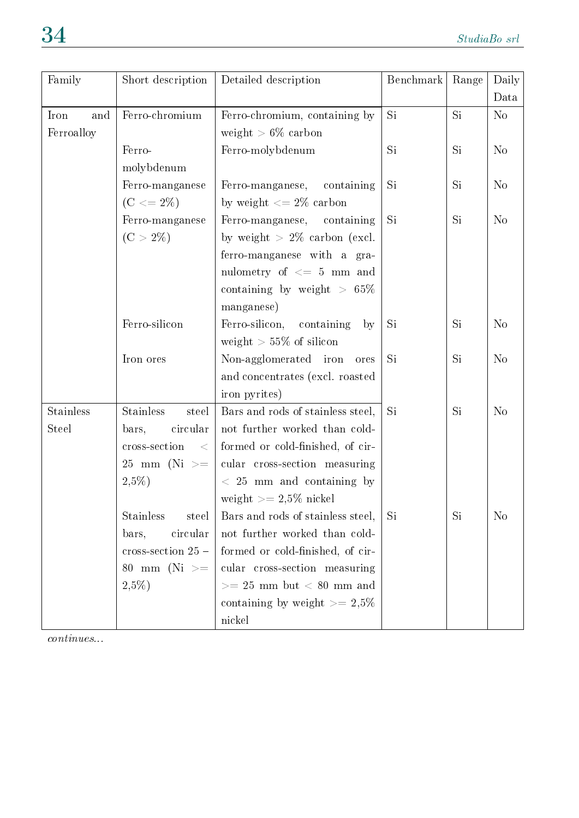| Family           | Short description          | Detailed description                 | Benchmark | Range     | Daily          |
|------------------|----------------------------|--------------------------------------|-----------|-----------|----------------|
|                  |                            |                                      |           |           | Data           |
| Iron<br>and      | Ferro-chromium             | Ferro-chromium, containing by        | Si        | <b>Si</b> | N <sub>o</sub> |
| Ferroalloy       |                            | weight $> 6\%$ carbon                |           |           |                |
|                  | Ferro-                     | Ferro-molybdenum                     | Si        | <b>Si</b> | N <sub>o</sub> |
|                  | molybdenum                 |                                      |           |           |                |
|                  | Ferro-manganese            | Ferro-manganese, containing          | Si.       | <b>Si</b> | N <sub>o</sub> |
|                  | $(C \le 2\%)$              | by weight $\langle 2 \rangle$ carbon |           |           |                |
|                  | Ferro-manganese            | Ferro-manganese, containing          | Si        | Si        | N <sub>o</sub> |
|                  | $(C > 2\%)$                | by weight $> 2\%$ carbon (excl.      |           |           |                |
|                  |                            | ferro-manganese with a gra-          |           |           |                |
|                  |                            | nulometry of $\leq$ 5 mm and         |           |           |                |
|                  |                            | containing by weight $> 65\%$        |           |           |                |
|                  |                            | manganese)                           |           |           |                |
|                  | Ferro-silicon              | Ferro-silicon, containing<br>by      | Si        | Si        | N <sub>o</sub> |
|                  |                            | weight $> 55\%$ of silicon           |           |           |                |
|                  | Iron ores                  | Non-agglomerated iron<br>ores        | Si.       | Si        | N <sub>o</sub> |
|                  |                            | and concentrates (excl. roasted      |           |           |                |
|                  |                            | iron pyrites)                        |           |           |                |
| <b>Stainless</b> | <b>Stainless</b><br>steel  | Bars and rods of stainless steel,    | Si        | Si        | N <sub>o</sub> |
| <b>Steel</b>     | circular<br>bars,          | not further worked than cold-        |           |           |                |
|                  | cross-section<br>$\lt$     | formed or cold-finished, of cir-     |           |           |                |
|                  | 25 mm (Ni $>=$             | cular cross-section measuring        |           |           |                |
|                  | $2,5\%)$                   | $\langle$ 25 mm and containing by    |           |           |                |
|                  |                            | weight $>= 2.5\%$ nickel             |           |           |                |
|                  | <b>Stainless</b><br>steel  | Bars and rods of stainless steel,    | Si        | Si        | N <sub>0</sub> |
|                  | circular<br>bars,          | not further worked than cold-        |           |           |                |
|                  | $\csc\text{-section}$ 25 – | formed or cold-finished, of cir-     |           |           |                |
|                  | 80 mm (Ni $>=$             | cular cross-section measuring        |           |           |                |
|                  | $2,5\%)$                   | $>= 25$ mm but $< 80$ mm and         |           |           |                |
|                  |                            | containing by weight $\geq$ 2.5%     |           |           |                |
|                  |                            | nickel                               |           |           |                |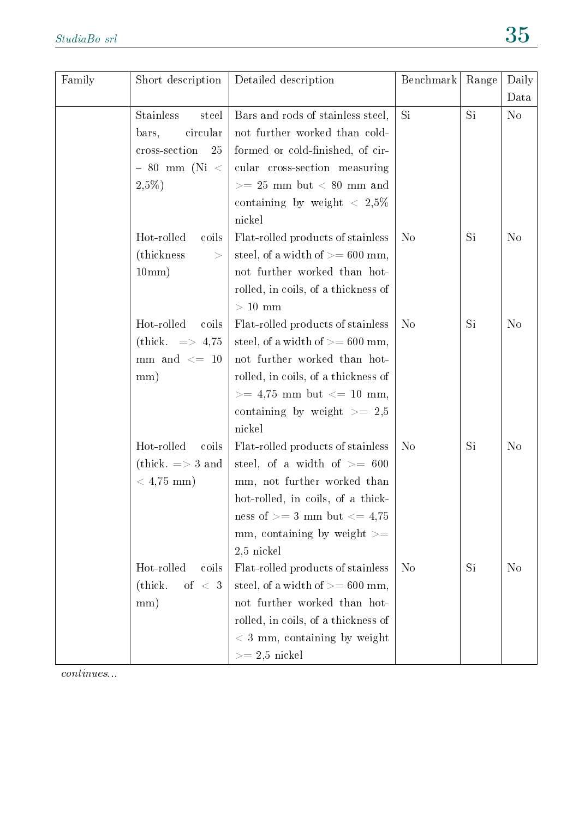| Family | Short description               | Detailed description                 | Benchmark      | Range | Daily          |
|--------|---------------------------------|--------------------------------------|----------------|-------|----------------|
|        |                                 |                                      |                |       | Data           |
|        | <b>Stainless</b><br>steel       | Bars and rods of stainless steel,    | Si             | Si    | N <sub>o</sub> |
|        | circular<br>bars,               | not further worked than cold-        |                |       |                |
|        | cross-section<br>25             | formed or cold-finished, of cir-     |                |       |                |
|        | $-80$ mm (Ni <                  | cular cross-section measuring        |                |       |                |
|        | $2,5\%$                         | $>= 25$ mm but $< 80$ mm and         |                |       |                |
|        |                                 | containing by weight $\langle 2.5\%$ |                |       |                |
|        |                                 | nickel                               |                |       |                |
|        | Hot-rolled<br>coils             | Flat-rolled products of stainless    | N <sub>o</sub> | Si.   | N <sub>o</sub> |
|        | (thickness)<br>$\,>$            | steel, of a width of $>= 600$ mm,    |                |       |                |
|        | 10mm)                           | not further worked than hot-         |                |       |                |
|        |                                 | rolled, in coils, of a thickness of  |                |       |                |
|        |                                 | $>10$ mm                             |                |       |                |
|        | Hot-rolled<br>coils             | Flat-rolled products of stainless    | N <sub>o</sub> | Si    | N <sub>o</sub> |
|        | (thick. $\Rightarrow$ 4,75      | steel, of a width of $\ge$ = 600 mm, |                |       |                |
|        | mm and $\leq$ 10                | not further worked than hot-         |                |       |                |
|        | mm)                             | rolled, in coils, of a thickness of  |                |       |                |
|        |                                 | $>= 4,75$ mm but $<= 10$ mm,         |                |       |                |
|        |                                 | containing by weight $\geq$ 2.5      |                |       |                |
|        |                                 | nickel                               |                |       |                |
|        | Hot-rolled<br>coils             | Flat-rolled products of stainless    | N <sub>o</sub> | Si    | N <sub>o</sub> |
|        | (thick. $\Rightarrow$ 3 and     | steel, of a width of $\geq$ 600      |                |       |                |
|        | $< 4,75 \text{ mm}$ )           | mm, not further worked than          |                |       |                |
|        |                                 | hot-rolled, in coils, of a thick-    |                |       |                |
|        |                                 | ness of $>=$ 3 mm but $<=$ 4,75      |                |       |                |
|        |                                 | mm, containing by weight $>=$        |                |       |                |
|        |                                 | $2,5$ nickel                         |                |       |                |
|        | Hot-rolled<br>coils             | Flat-rolled products of stainless    | N <sub>o</sub> | Si    | N <sub>o</sub> |
|        | $\rm (thick.$<br>of $\langle 3$ | steel, of a width of $>= 600$ mm,    |                |       |                |
|        | mm)                             | not further worked than hot-         |                |       |                |
|        |                                 | rolled, in coils, of a thickness of  |                |       |                |
|        |                                 | $< 3$ mm, containing by weight       |                |       |                |
|        |                                 | $>= 2.5$ nickel                      |                |       |                |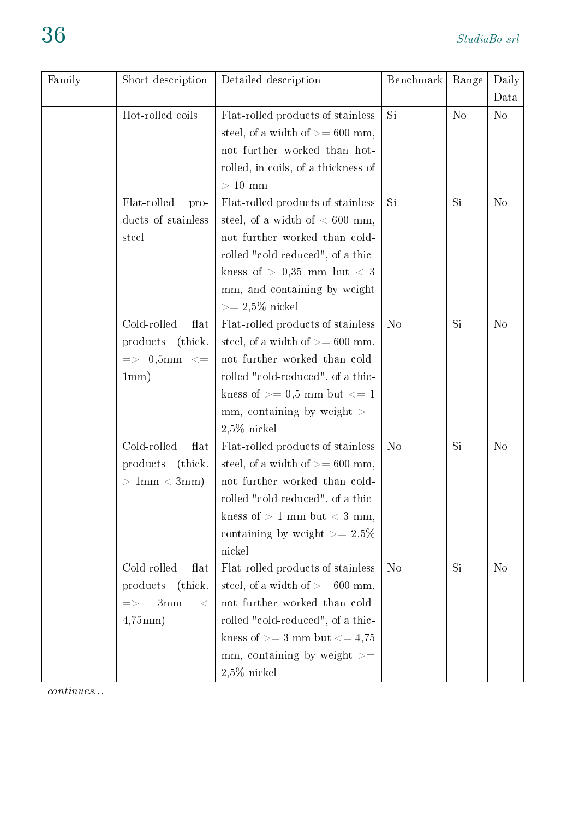| Family | Short description             | Detailed description                   | Benchmark      | Range          | Daily          |
|--------|-------------------------------|----------------------------------------|----------------|----------------|----------------|
|        |                               |                                        |                |                | Data           |
|        | Hot-rolled coils              | Flat-rolled products of stainless      | Si             | N <sub>o</sub> | N <sub>o</sub> |
|        |                               | steel, of a width of $>= 600$ mm,      |                |                |                |
|        |                               | not further worked than hot-           |                |                |                |
|        |                               | rolled, in coils, of a thickness of    |                |                |                |
|        |                               | $>10$ mm                               |                |                |                |
|        | Flat-rolled<br>pro-           | Flat-rolled products of stainless      | Si             | Si             | N <sub>o</sub> |
|        | ducts of stainless            | steel, of a width of $< 600$ mm,       |                |                |                |
|        | steel                         | not further worked than cold-          |                |                |                |
|        |                               | rolled "cold-reduced", of a thic-      |                |                |                |
|        |                               | kness of $> 0.35$ mm but $< 3$         |                |                |                |
|        |                               | mm, and containing by weight           |                |                |                |
|        |                               | $>= 2.5\%$ nickel                      |                |                |                |
|        | Cold-rolled<br>flat           | Flat-rolled products of stainless      | N <sub>o</sub> | Si             | N <sub>o</sub> |
|        | products (thick.              | steel, of a width of $>= 600$ mm,      |                |                |                |
|        | $\Rightarrow$ 0,5mm $\lt$ =   | not further worked than cold-          |                |                |                |
|        | 1mm)                          | rolled "cold-reduced", of a thic-      |                |                |                |
|        |                               | kness of $\geq$ = 0,5 mm but $\lt$ = 1 |                |                |                |
|        |                               | mm, containing by weight $>=$          |                |                |                |
|        |                               | $2,5\%$ nickel                         |                |                |                |
|        | Cold-rolled<br>flat           | Flat-rolled products of stainless      | N <sub>o</sub> | Si             | N <sub>o</sub> |
|        | products (thick.              | steel, of a width of $>= 600$ mm,      |                |                |                |
|        | $>1$ mm $< 3$ mm $)$          | not further worked than cold-          |                |                |                |
|        |                               | rolled "cold-reduced", of a thic-      |                |                |                |
|        |                               | kness of $> 1$ mm but $< 3$ mm,        |                |                |                |
|        |                               | containing by weight $\geq$ 2,5%       |                |                |                |
|        |                               | nickel                                 |                |                |                |
|        | Cold-rolled<br>flat           | Flat-rolled products of stainless      | N <sub>o</sub> | Si             | N <sub>o</sub> |
|        | (thick.<br>products           | steel, of a width of $>= 600$ mm,      |                |                |                |
|        | 3mm<br>$\lt$<br>$\Rightarrow$ | not further worked than cold-          |                |                |                |
|        | $4,75$ mm $)$                 | rolled "cold-reduced", of a thic-      |                |                |                |
|        |                               | kness of $>=$ 3 mm but $<=$ 4,75       |                |                |                |
|        |                               | mm, containing by weight $>=$          |                |                |                |
|        |                               | $2,5\%$ nickel                         |                |                |                |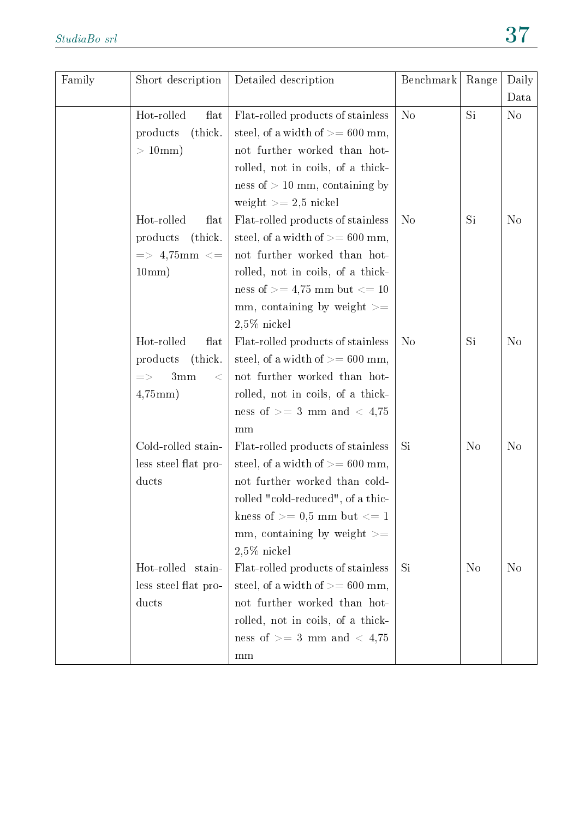| Family | Short description          | Detailed description               | Benchmark      | Range          | Daily          |
|--------|----------------------------|------------------------------------|----------------|----------------|----------------|
|        |                            |                                    |                |                | Data           |
|        | Hot-rolled<br>flat         | Flat-rolled products of stainless  | N <sub>o</sub> | Si             | N <sub>0</sub> |
|        | products<br>(thick.        | steel, of a width of $>= 600$ mm,  |                |                |                |
|        | $>10$ mm)                  | not further worked than hot-       |                |                |                |
|        |                            | rolled, not in coils, of a thick-  |                |                |                |
|        |                            | ness of $> 10$ mm, containing by   |                |                |                |
|        |                            | weight $>= 2.5$ nickel             |                |                |                |
|        | Hot-rolled<br>flat         | Flat-rolled products of stainless  | N <sub>o</sub> | Si             | N <sub>o</sub> |
|        | (thick.<br>products        | steel, of a width of $>= 600$ mm,  |                |                |                |
|        | $\Rightarrow$ 4,75mm $\lt$ | not further worked than hot-       |                |                |                |
|        | 10mm)                      | rolled, not in coils, of a thick-  |                |                |                |
|        |                            | ness of $>= 4.75$ mm but $<= 10$   |                |                |                |
|        |                            | mm, containing by weight $>=$      |                |                |                |
|        |                            | $2,5\%$ nickel                     |                |                |                |
|        | Hot-rolled<br>flat         | Flat-rolled products of stainless  | N <sub>o</sub> | Si             | N <sub>o</sub> |
|        | (thick.<br>products        | steel, of a width of $>= 600$ mm,  |                |                |                |
|        | 3mm<br>$\Rightarrow$<br><  | not further worked than hot-       |                |                |                |
|        | $4,75$ mm $)$              | rolled, not in coils, of a thick-  |                |                |                |
|        |                            | ness of $>=$ 3 mm and $<$ 4,75     |                |                |                |
|        |                            | mm                                 |                |                |                |
|        | Cold-rolled stain-         | Flat-rolled products of stainless  | Si             | N <sub>o</sub> | N <sub>o</sub> |
|        | less steel flat pro-       | steel, of a width of $>= 600$ mm,  |                |                |                |
|        | ducts                      | not further worked than cold-      |                |                |                |
|        |                            | rolled "cold-reduced", of a thic-  |                |                |                |
|        |                            | kness of $\geq$ 0.5 mm but $\lt$ 1 |                |                |                |
|        |                            | mm, containing by weight $>=$      |                |                |                |
|        |                            | $2,5\%$ nickel                     |                |                |                |
|        | Hot-rolled stain-          | Flat-rolled products of stainless  | Si             | N <sub>o</sub> | N <sub>o</sub> |
|        | less steel flat pro-       | steel, of a width of $>= 600$ mm,  |                |                |                |
|        | ducts                      | not further worked than hot-       |                |                |                |
|        |                            | rolled, not in coils, of a thick-  |                |                |                |
|        |                            | ness of $>=$ 3 mm and $<$ 4,75     |                |                |                |
|        |                            | mm                                 |                |                |                |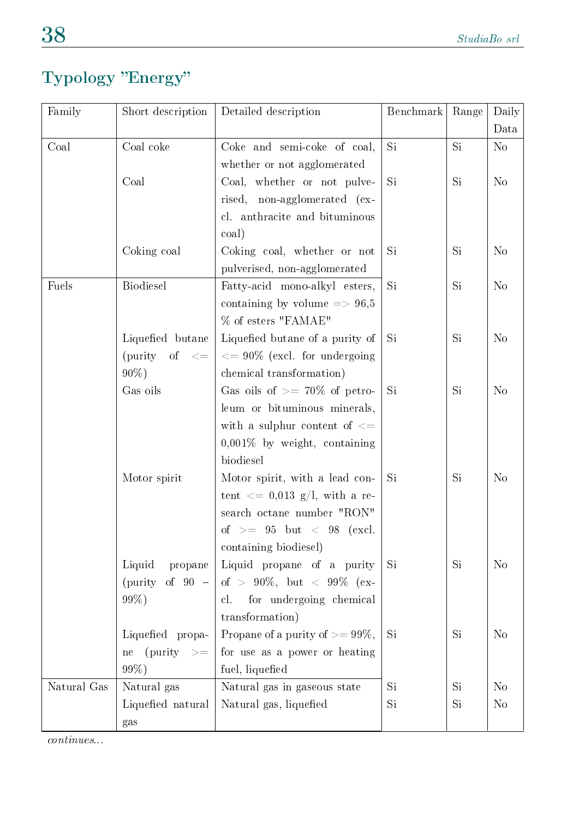### Typology "Energy"

| Family      | Short description    | Detailed description                                         | Benchmark | Range | Daily          |
|-------------|----------------------|--------------------------------------------------------------|-----------|-------|----------------|
|             |                      |                                                              |           |       | Data           |
| Coal        | Coal coke            | Coke and semi-coke of coal,                                  | Si        | Si    | N <sub>o</sub> |
|             |                      | whether or not agglomerated                                  |           |       |                |
|             | Coal                 | Coal, whether or not pulve-                                  | Si        | Si    | N <sub>o</sub> |
|             |                      | rised, non-agglomerated (ex-                                 |           |       |                |
|             |                      | cl. anthracite and bituminous                                |           |       |                |
|             |                      | coal)                                                        |           |       |                |
|             | Coking coal          | Coking coal, whether or not                                  | Si        | Si    | N <sub>o</sub> |
|             |                      | pulverised, non-agglomerated                                 |           |       |                |
| Fuels       | <b>Biodiesel</b>     | Fatty-acid mono-alkyl esters,                                | Si        | Si    | N <sub>o</sub> |
|             |                      | containing by volume $\approx 96,5$                          |           |       |                |
|             |                      | % of esters "FAMAE"                                          |           |       |                |
|             | Liquefied butane     | Liquefied butane of a purity of                              | Si        | Si    | N <sub>o</sub> |
|             | (purity of $\lt =$   | $\epsilon = 90\%$ (excl. for undergoing                      |           |       |                |
|             | $90\%$ )             | chemical transformation)                                     |           |       |                |
|             | Gas oils             | Gas oils of $\geq$ 70% of petro-                             | Si        | Si    | N <sub>o</sub> |
|             |                      | leum or bituminous minerals,                                 |           |       |                |
|             |                      | with a sulphur content of $\leq$                             |           |       |                |
|             |                      | $0,001\%$ by weight, containing                              |           |       |                |
|             |                      | biodiesel                                                    |           |       |                |
|             | Motor spirit         | Motor spirit, with a lead con-                               | Si        | Si    | N <sub>o</sub> |
|             |                      | tent $\langle 0.013 \text{ g/l}, \text{ with a re-} \rangle$ |           |       |                |
|             |                      | search octane number "RON"                                   |           |       |                |
|             |                      | of $>=$ 95 but $<$ 98 (excl.                                 |           |       |                |
|             |                      | containing biodiesel)                                        |           |       |                |
|             | Liquid<br>propane    | Liquid propane of a purity                                   | Si        | Si    | N <sub>o</sub> |
|             | (purity of $90 -$    | of > 90\%, but < 99\% (ex-                                   |           |       |                |
|             | 99%)                 | for undergoing chemical<br>cl.                               |           |       |                |
|             |                      | transformation)                                              |           |       |                |
|             | Liquefied propa-     | Propane of a purity of $>= 99\%,$                            | Si        | Si    | N <sub>o</sub> |
|             | $(purity \geq$<br>ne | for use as a power or heating                                |           |       |                |
|             | 99%)                 | fuel, liquefied                                              |           |       |                |
| Natural Gas | Natural gas          | Natural gas in gaseous state                                 | <b>Si</b> | Si    | N <sub>o</sub> |
|             | Liquefied natural    | Natural gas, liquefied                                       | Si.       | Si    | N <sub>o</sub> |
|             | gas                  |                                                              |           |       |                |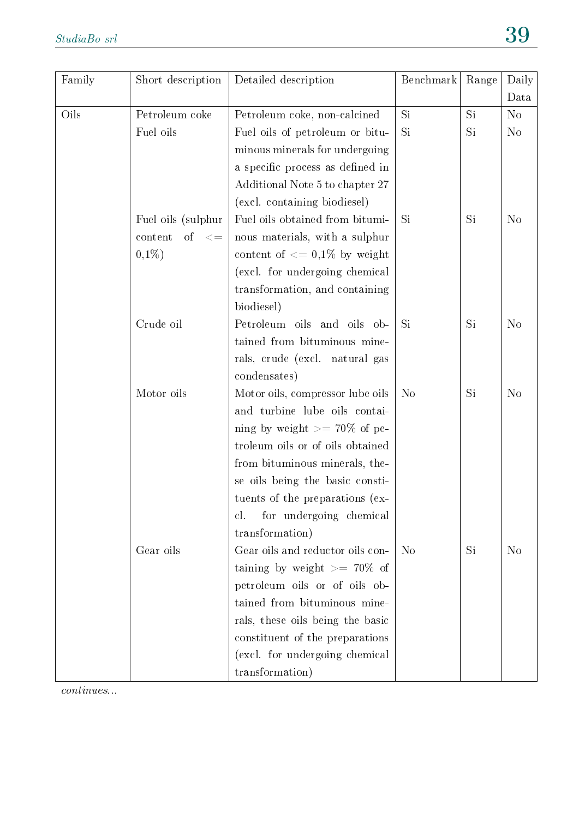| Family | Short description     | Detailed description             | Benchmark      | Range | Daily          |
|--------|-----------------------|----------------------------------|----------------|-------|----------------|
|        |                       |                                  |                |       | Data           |
| Oils   | Petroleum coke        | Petroleum coke, non-calcined     | Si             | Si    | N <sub>o</sub> |
|        | Fuel oils             | Fuel oils of petroleum or bitu-  | Si             | Si    | N <sub>o</sub> |
|        |                       | minous minerals for undergoing   |                |       |                |
|        |                       | a specific process as defined in |                |       |                |
|        |                       | Additional Note 5 to chapter 27  |                |       |                |
|        |                       | (excl. containing biodiesel)     |                |       |                |
|        | Fuel oils (sulphur    | Fuel oils obtained from bitumi-  | Si             | Si    | N <sub>o</sub> |
|        | content<br>of $\lt =$ | nous materials, with a sulphur   |                |       |                |
|        | $0,1\%)$              | content of $\leq$ 0.1% by weight |                |       |                |
|        |                       | (excl. for undergoing chemical   |                |       |                |
|        |                       | transformation, and containing   |                |       |                |
|        |                       | biodiesel)                       |                |       |                |
|        | Crude oil             | Petroleum oils and oils ob-      | Si             | Si    | N <sub>o</sub> |
|        |                       | tained from bituminous mine-     |                |       |                |
|        |                       | rals, crude (excl. natural gas   |                |       |                |
|        |                       | condensates)                     |                |       |                |
|        | Motor oils            | Motor oils, compressor lube oils | N <sub>o</sub> | Si    | N <sub>o</sub> |
|        |                       | and turbine lube oils contai-    |                |       |                |
|        |                       | ning by weight $\geq$ 70% of pe- |                |       |                |
|        |                       | troleum oils or of oils obtained |                |       |                |
|        |                       | from bituminous minerals, the-   |                |       |                |
|        |                       | se oils being the basic consti-  |                |       |                |
|        |                       | tuents of the preparations (ex-  |                |       |                |
|        |                       | for undergoing chemical<br>cl.   |                |       |                |
|        |                       | transformation)                  |                |       |                |
|        | Gear oils             | Gear oils and reductor oils con- | N <sub>o</sub> | Si    | N <sub>o</sub> |
|        |                       | taining by weight $\geq$ 70% of  |                |       |                |
|        |                       | petroleum oils or of oils ob-    |                |       |                |
|        |                       | tained from bituminous mine-     |                |       |                |
|        |                       | rals, these oils being the basic |                |       |                |
|        |                       | constituent of the preparations  |                |       |                |
|        |                       | (excl. for undergoing chemical   |                |       |                |
|        |                       | transformation)                  |                |       |                |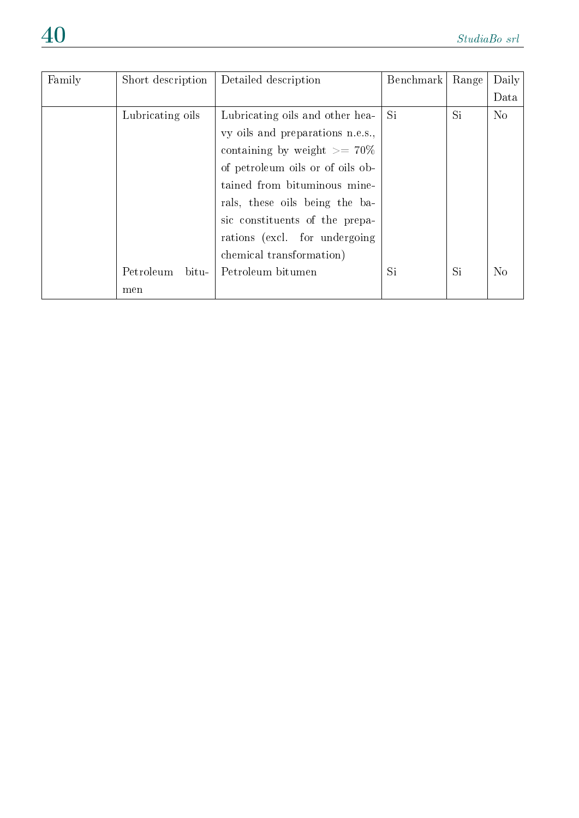| Family | Short description  | Detailed description             | Benchmark | Range | Daily          |
|--------|--------------------|----------------------------------|-----------|-------|----------------|
|        |                    |                                  |           |       | Data           |
|        | Lubricating oils   | Lubricating oils and other hea-  | Si        | Si    | N <sub>o</sub> |
|        |                    | vy oils and preparations n.e.s., |           |       |                |
|        |                    | containing by weight $\geq$ 70%  |           |       |                |
|        |                    | of petroleum oils or of oils ob- |           |       |                |
|        |                    | tained from bituminous mine-     |           |       |                |
|        |                    | rals, these oils being the ba-   |           |       |                |
|        |                    | sic constituents of the prepa-   |           |       |                |
|        |                    | rations (excl. for undergoing    |           |       |                |
|        |                    | chemical transformation)         |           |       |                |
|        | Petroleum<br>bitu- | Petroleum bitumen                | Si        | Si    | N <sub>o</sub> |
|        | men                |                                  |           |       |                |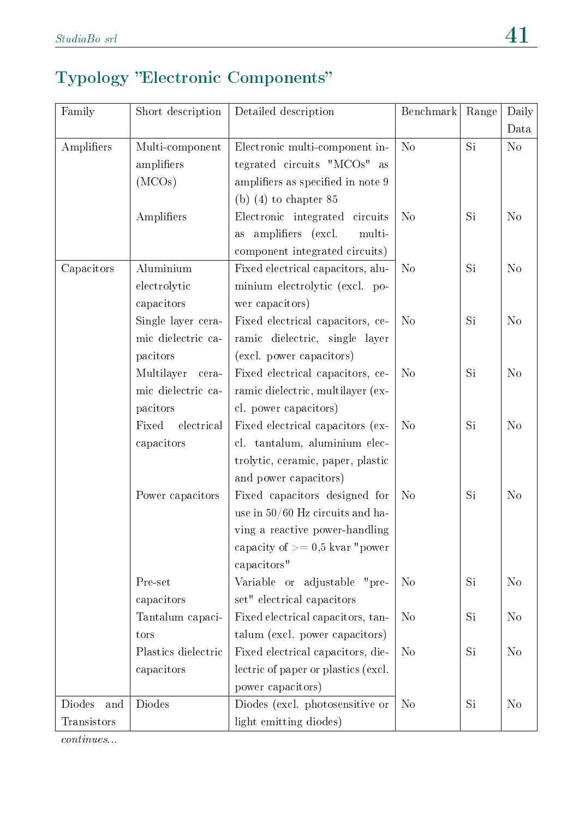### Typology "Electronic Components"

| Family        | Short description   | Detailed description                    | Benchmark      | Range     | Daily          |
|---------------|---------------------|-----------------------------------------|----------------|-----------|----------------|
|               |                     |                                         |                |           | Data           |
| Amplifiers    | Multi-component     | Electronic multi-component in-          | N <sub>o</sub> | Si        | No             |
|               | amplifiers          | tegrated circuits "MCOs" as             |                |           |                |
|               | (MCOs)              | amplifiers as specified in note 9       |                |           |                |
|               |                     | (b) $(4)$ to chapter 85                 |                |           |                |
|               | Amplifiers          | Electronic integrated circuits          | N <sub>o</sub> | Si        | N <sub>o</sub> |
|               |                     | amplifiers (excl.<br>multi-<br>$\rm as$ |                |           |                |
|               |                     | component integrated circuits)          |                |           |                |
| Capacitors    | Aluminium           | Fixed electrical capacitors, alu-       | N <sub>o</sub> | Si        | N <sub>o</sub> |
|               | electrolytic        | minium electrolytic (excl. po-          |                |           |                |
|               | capacitors          | wer capacitors)                         |                |           |                |
|               | Single layer cera-  | Fixed electrical capacitors, ce-        | N <sub>o</sub> | Si        | N <sub>o</sub> |
|               | mic dielectric ca-  | ramic dielectric, single layer          |                |           |                |
|               | pacitors            | (excl. power capacitors)                |                |           |                |
|               | Multilayer<br>cera- | Fixed electrical capacitors, ce-        | N <sub>o</sub> | <b>Si</b> | N <sub>o</sub> |
|               | mic dielectric ca-  | ramic dielectric, multilayer (ex-       |                |           |                |
|               | pacitors            | cl. power capacitors)                   |                |           |                |
|               | Fixed<br>electrical | Fixed electrical capacitors (ex-        | N <sub>o</sub> | Si        | N <sub>o</sub> |
|               | capacitors          | cl. tantalum, aluminium elec-           |                |           |                |
|               |                     | trolytic, ceramic, paper, plastic       |                |           |                |
|               |                     | and power capacitors)                   |                |           |                |
|               | Power capacitors    | Fixed capacitors designed for           | N <sub>o</sub> | Si        | N <sub>o</sub> |
|               |                     | use in $50/60$ Hz circuits and ha-      |                |           |                |
|               |                     | ving a reactive power-handling          |                |           |                |
|               |                     | capacity of $\geq$ = 0,5 kvar "power"   |                |           |                |
|               |                     | capacitors"                             |                |           |                |
|               | Pre-set             | Variable or adjustable<br>"pre-         | N <sub>o</sub> | Si        | N <sub>o</sub> |
|               | capacitors          | set" electrical capacitors              |                |           |                |
|               | Tantalum capaci-    | Fixed electrical capacitors, tan-       | N <sub>o</sub> | Si        | N <sub>o</sub> |
|               | tors                | talum (excl. power capacitors)          |                |           |                |
|               | Plastics dielectric | Fixed electrical capacitors, die-       | N <sub>o</sub> | Si        | N <sub>o</sub> |
|               | capacitors          | lectric of paper or plastics (excl.     |                |           |                |
|               |                     | power capacitors)                       |                |           |                |
| Diodes<br>and | Diodes              | Diodes (excl. photosensitive or         | N <sub>o</sub> | Si        | N <sub>o</sub> |
| Transistors   |                     | light emitting diodes)                  |                |           |                |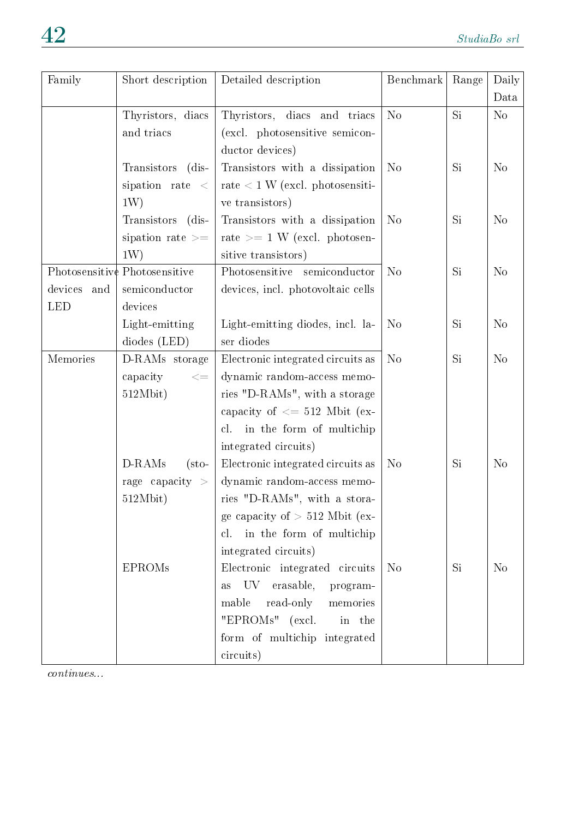| Family         | Short description             | Detailed description                      | Benchmark      | Range     | Daily          |
|----------------|-------------------------------|-------------------------------------------|----------------|-----------|----------------|
|                |                               |                                           |                |           | Data           |
|                | Thyristors, diacs             | Thyristors, diacs and triacs              | N <sub>o</sub> | <b>Si</b> | N <sub>o</sub> |
|                | and triacs                    | (excl. photosensitive semicon-            |                |           |                |
|                |                               | ductor devices)                           |                |           |                |
|                | Transistors<br>$(dis-$        | Transistors with a dissipation            | N <sub>o</sub> | Si.       | N <sub>o</sub> |
|                | sipation rate $\lt$           | rate $\leq 1$ W (excl. photosensiti-      |                |           |                |
|                | 1W)                           | ve transistors)                           |                |           |                |
|                | Transistors (dis-             | Transistors with a dissipation            | N <sub>o</sub> | Si.       | N <sub>o</sub> |
|                | sipation rate $>=$            | rate $>= 1$ W (excl. photosen-            |                |           |                |
|                | 1W)                           | sitive transistors)                       |                |           |                |
|                | Photosensitive Photosensitive | Photosensitive semiconductor              | N <sub>o</sub> | Si.       | N <sub>o</sub> |
| devices<br>and | semiconductor                 | devices, incl. photovoltaic cells         |                |           |                |
| <b>LED</b>     | devices                       |                                           |                |           |                |
|                | Light-emitting                | Light-emitting diodes, incl. la-          | N <sub>o</sub> | Si.       | N <sub>o</sub> |
|                | diodes (LED)                  | ser diodes                                |                |           |                |
| Memories       | D-RAMs storage                | Electronic integrated circuits as         | N <sub>o</sub> | Si        | N <sub>o</sub> |
|                | capacity<br>$< =$             | dynamic random-access memo-               |                |           |                |
|                | 512Mbit)                      | ries "D-RAMs", with a storage             |                |           |                |
|                |                               | capacity of $\leq$ 512 Mbit (ex-          |                |           |                |
|                |                               | cl. in the form of multichip              |                |           |                |
|                |                               | integrated circuits)                      |                |           |                |
|                | D-RAMs<br>$(\text{sto}$       | Electronic integrated circuits as         | N <sub>o</sub> | Si        | N <sub>o</sub> |
|                | rage capacity $>$             | dynamic random-access memo-               |                |           |                |
|                | 512Mbit)                      | ries "D-RAMs", with a stora-              |                |           |                |
|                |                               | ge capacity of $> 512$ Mbit (ex-          |                |           |                |
|                |                               | in the form of multichip<br>cl.           |                |           |                |
|                |                               | integrated circuits)                      |                |           |                |
|                | <b>EPROMs</b>                 | Electronic integrated circuits            | N <sub>o</sub> | Si        | N <sub>o</sub> |
|                |                               | UV.<br>erasable,<br>program-<br>$\rm{as}$ |                |           |                |
|                |                               | mable<br>read-only<br>memories            |                |           |                |
|                |                               | "EPROMs" (excl.<br>in the                 |                |           |                |
|                |                               | form of multichip integrated              |                |           |                |
|                |                               | circuits)                                 |                |           |                |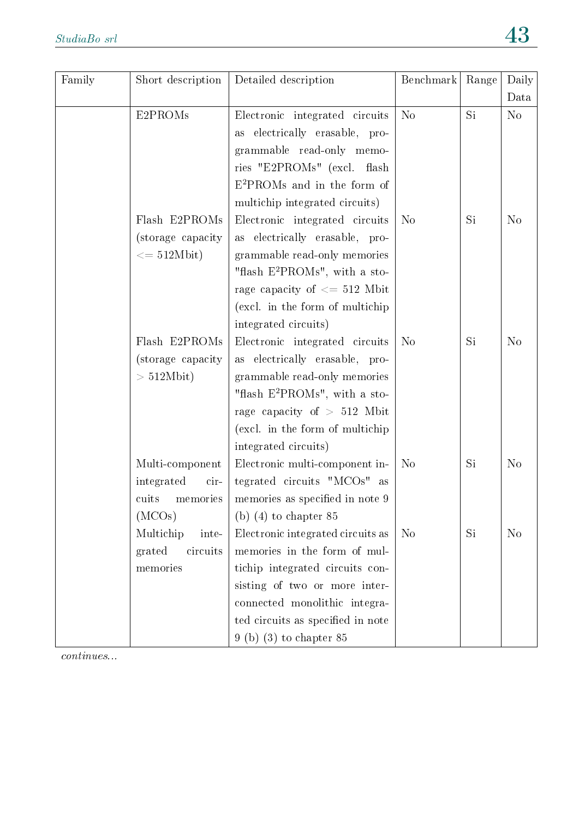| Family | Short description            | Detailed description                      | Benchmark      | Range | Daily          |
|--------|------------------------------|-------------------------------------------|----------------|-------|----------------|
|        |                              |                                           |                |       | Data           |
|        | E2PROMs                      | Electronic integrated circuits            | N <sub>o</sub> | Si    | N <sub>o</sub> |
|        |                              | as electrically erasable, pro-            |                |       |                |
|        |                              | grammable read-only memo-                 |                |       |                |
|        |                              | ries "E2PROMs" (excl. flash               |                |       |                |
|        |                              | $E^2$ PROMs and in the form of            |                |       |                |
|        |                              | multichip integrated circuits)            |                |       |                |
|        | Flash E2PROMs                | Electronic integrated circuits            | N <sub>o</sub> | Si    | N <sub>o</sub> |
|        | (storage capacity            | as electrically erasable, pro-            |                |       |                |
|        | $\epsilon = 512 \text{Mbit}$ | grammable read-only memories              |                |       |                |
|        |                              | "flash $E^2$ PROMs", with a sto-          |                |       |                |
|        |                              | rage capacity of $\leq$ 512 Mbit          |                |       |                |
|        |                              | (excl. in the form of multichip)          |                |       |                |
|        |                              | integrated circuits)                      |                |       |                |
|        | Flash E2PROMs                | Electronic integrated circuits            | N <sub>o</sub> | Si    | N <sub>o</sub> |
|        | (storage capacity)           | as electrically erasable, pro-            |                |       |                |
|        | $> 512Mbit$ )                | grammable read-only memories              |                |       |                |
|        |                              | "flash E <sup>2</sup> PROMs", with a sto- |                |       |                |
|        |                              | rage capacity of $> 512$ Mbit             |                |       |                |
|        |                              | (excl. in the form of multichip)          |                |       |                |
|        |                              | integrated circuits)                      |                |       |                |
|        | Multi-component              | Electronic multi-component in-            | N <sub>o</sub> | Si    | N <sub>o</sub> |
|        | integrated<br>cir-           | tegrated circuits "MCOs" as               |                |       |                |
|        | memories<br>cuits            | memories as specified in note 9           |                |       |                |
|        | (MCOs)                       | (b) $(4)$ to chapter 85                   |                |       |                |
|        | Multichip<br>inte-           | Electronic integrated circuits as         | N <sub>o</sub> | Si    | N <sub>o</sub> |
|        | circuits<br>grated           | memories in the form of mul-              |                |       |                |
|        | memories                     | tichip integrated circuits con-           |                |       |                |
|        |                              | sisting of two or more inter-             |                |       |                |
|        |                              | connected monolithic integra-             |                |       |                |
|        |                              | ted circuits as specified in note         |                |       |                |
|        |                              | $9$ (b) (3) to chapter 85                 |                |       |                |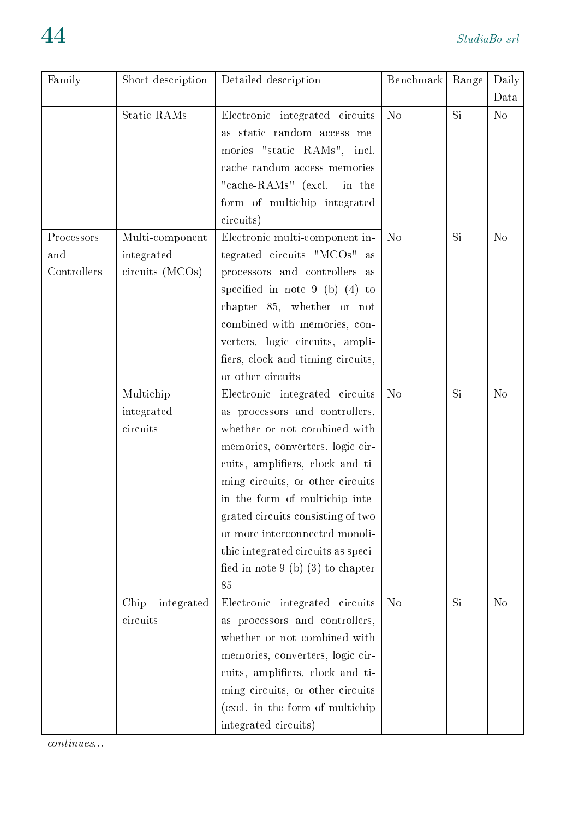| Family      | Short description  | Detailed description                | Benchmark      | Range     | Daily          |
|-------------|--------------------|-------------------------------------|----------------|-----------|----------------|
|             |                    |                                     |                |           | Data           |
|             | Static RAMs        | Electronic integrated circuits      | N <sub>o</sub> | Si        | No             |
|             |                    | as static random access me-         |                |           |                |
|             |                    | mories "static RAMs", incl.         |                |           |                |
|             |                    | cache random-access memories        |                |           |                |
|             |                    | "cache-RAMs" (excl. in the          |                |           |                |
|             |                    | form of multichip integrated        |                |           |                |
|             |                    | circuits)                           |                |           |                |
| Processors  | Multi-component    | Electronic multi-component in-      | N <sub>o</sub> | Si        | N <sub>o</sub> |
| and         | integrated         | tegrated circuits "MCOs" as         |                |           |                |
| Controllers | $circuits$ (MCOs)  | processors and controllers as       |                |           |                |
|             |                    | specified in note $9$ (b) (4) to    |                |           |                |
|             |                    | chapter 85, whether or not          |                |           |                |
|             |                    | combined with memories, con-        |                |           |                |
|             |                    | verters, logic circuits, ampli-     |                |           |                |
|             |                    | fiers, clock and timing circuits,   |                |           |                |
|             |                    | or other circuits                   |                |           |                |
|             | Multichip          | Electronic integrated circuits      | N <sub>o</sub> | <b>Si</b> | N <sub>o</sub> |
|             | integrated         | as processors and controllers,      |                |           |                |
|             | circuits           | whether or not combined with        |                |           |                |
|             |                    | memories, converters, logic cir-    |                |           |                |
|             |                    | cuits, amplifiers, clock and ti-    |                |           |                |
|             |                    | ming circuits, or other circuits    |                |           |                |
|             |                    | in the form of multichip inte-      |                |           |                |
|             |                    | grated circuits consisting of two   |                |           |                |
|             |                    | or more interconnected monoli-      |                |           |                |
|             |                    | thic integrated circuits as speci-  |                |           |                |
|             |                    | fied in note $9$ (b) (3) to chapter |                |           |                |
|             |                    | 85                                  |                |           |                |
|             | Chip<br>integrated | Electronic integrated circuits      | N <sub>o</sub> | Si        | N <sub>o</sub> |
|             | circuits           | as processors and controllers,      |                |           |                |
|             |                    | whether or not combined with        |                |           |                |
|             |                    | memories, converters, logic cir-    |                |           |                |
|             |                    | cuits, amplifiers, clock and ti-    |                |           |                |
|             |                    | ming circuits, or other circuits    |                |           |                |
|             |                    | (excl. in the form of multichip)    |                |           |                |
|             |                    | integrated circuits)                |                |           |                |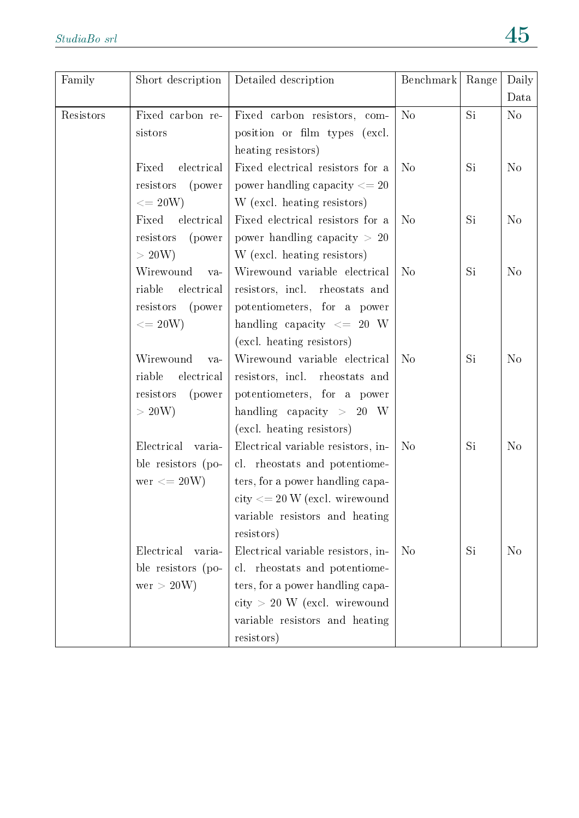| Family    | Short description                                                                     | Detailed description                                                                                                                                                                         | Benchmark      | Range     | Daily          |
|-----------|---------------------------------------------------------------------------------------|----------------------------------------------------------------------------------------------------------------------------------------------------------------------------------------------|----------------|-----------|----------------|
|           |                                                                                       |                                                                                                                                                                                              |                |           | Data           |
| Resistors | Fixed carbon re-<br>sistors                                                           | Fixed carbon resistors, com-<br>position or film types (excl.<br>heating resistors)                                                                                                          | N <sub>o</sub> | Si        | N <sub>o</sub> |
|           | electrical<br>Fixed<br>resistors<br>(power<br>$\epsilon = 20W$                        | Fixed electrical resistors for a<br>power handling capacity $\leq$ 20<br>W (excl. heating resistors)                                                                                         | N <sub>o</sub> | Si        | N <sub>o</sub> |
|           | electrical<br>Fixed<br>resistors<br>(power<br>>20W                                    | Fixed electrical resistors for a<br>power handling capacity $> 20$<br>W (excl. heating resistors)                                                                                            | N <sub>o</sub> | Si        | N <sub>o</sub> |
|           | Wirewound<br>$va-$<br>riable<br>electrical<br>resistors<br>(power<br>$\epsilon = 20W$ | Wirewound variable electrical<br>resistors, incl. rheostats and<br>potentiometers, for a power<br>handling capacity $\leq$ 20 W<br>(excl. heating resistors)                                 | N <sub>o</sub> | Si        | N <sub>o</sub> |
|           | Wirewound<br>va-<br>riable<br>electrical<br>resistors<br>(power<br>>20W               | Wirewound variable electrical<br>resistors, incl. rheostats and<br>potentiometers, for a power<br>handling capacity $> 20$ W<br>(excl. heating resistors)                                    | N <sub>o</sub> | Si        | N <sub>o</sub> |
|           | Electrical<br>varia-<br>ble resistors (po-<br>$\text{wer} \leq 20W$                   | Electrical variable resistors, in-<br>cl. rheostats and potentiome-<br>ters, for a power handling capa-<br>$city \leq 20$ W (excl. wirewound<br>variable resistors and heating<br>resistors) | N <sub>o</sub> | Si        | N <sub>o</sub> |
|           | Electrical<br>varia-<br>ble resistors (po-<br>wer > 20W)                              | Electrical variable resistors, in-<br>cl. rheostats and potentiome-<br>ters, for a power handling capa-<br>$city$ > 20 W (excl. wirewound<br>variable resistors and heating<br>resistors)    | N <sub>o</sub> | <b>Si</b> | N <sub>o</sub> |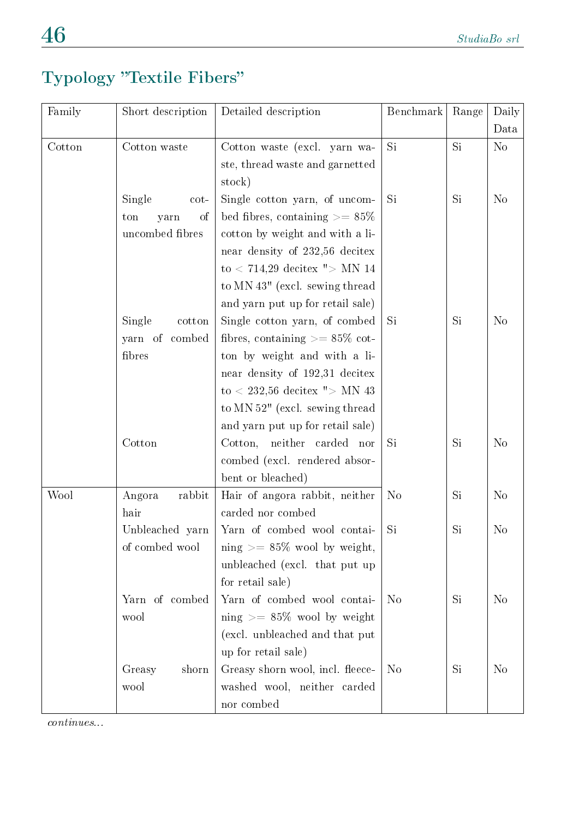# Typology "Textile Fibers"

| Family | Short description | Detailed description                  | Benchmark      | Range | Daily          |
|--------|-------------------|---------------------------------------|----------------|-------|----------------|
|        |                   |                                       |                |       | Data           |
| Cotton | Cotton waste      | Cotton waste (excl. yarn wa-          | Si             | Si    | N <sub>o</sub> |
|        |                   | ste, thread waste and garnetted       |                |       |                |
|        |                   | stock)                                |                |       |                |
|        | Single<br>cot-    | Single cotton yarn, of uncom-         | <b>Si</b>      | Si    | N <sub>o</sub> |
|        | οf<br>ton<br>yarn | bed fibres, containing $\geq$ = 85%   |                |       |                |
|        | uncombed fibres   | cotton by weight and with a li-       |                |       |                |
|        |                   | near density of 232,56 decitex        |                |       |                |
|        |                   | to $< 714,29$ decitex " $>$ MN 14     |                |       |                |
|        |                   | to MN 43" (excl. sewing thread        |                |       |                |
|        |                   | and yarn put up for retail sale)      |                |       |                |
|        | Single<br>cotton  | Single cotton yarn, of combed         | <b>Si</b>      | Si    | N <sub>o</sub> |
|        | yarn of combed    | fibres, containing $\geq$ = 85\% cot- |                |       |                |
|        | fibres            | ton by weight and with a li-          |                |       |                |
|        |                   | near density of 192,31 decitex        |                |       |                |
|        |                   | to $<$ 232,56 decitex " $>$ MN 43     |                |       |                |
|        |                   | to MN 52" (excl. sewing thread        |                |       |                |
|        |                   | and yarn put up for retail sale)      |                |       |                |
|        | Cotton            | Cotton, neither carded nor            | <b>Si</b>      | Si    | N <sub>o</sub> |
|        |                   | combed (excl. rendered absor-         |                |       |                |
|        |                   | bent or bleached)                     |                |       |                |
| Wool   | rabbit<br>Angora  | Hair of angora rabbit, neither        | N <sub>o</sub> | Si    | N <sub>o</sub> |
|        | hair              | carded nor combed                     |                |       |                |
|        | Unbleached yarn   | Yarn of combed wool contai-           | Si             | Si    | N <sub>o</sub> |
|        | of combed wool    | ning $\geq$ = 85% wool by weight,     |                |       |                |
|        |                   | unbleached (excl. that put up         |                |       |                |
|        |                   | for retail sale)                      |                |       |                |
|        | Yarn of combed    | Yarn of combed wool contai-           | N <sub>o</sub> | Si    | N <sub>o</sub> |
|        | wool              | ning $\geq$ 85% wool by weight        |                |       |                |
|        |                   | (excl. unbleached and that put        |                |       |                |
|        |                   | up for retail sale)                   |                |       |                |
|        | Greasy<br>shorn   | Greasy shorn wool, incl. fleece-      | N <sub>o</sub> | Si    | N <sub>o</sub> |
|        | wool              | washed wool, neither carded           |                |       |                |
|        |                   | nor combed                            |                |       |                |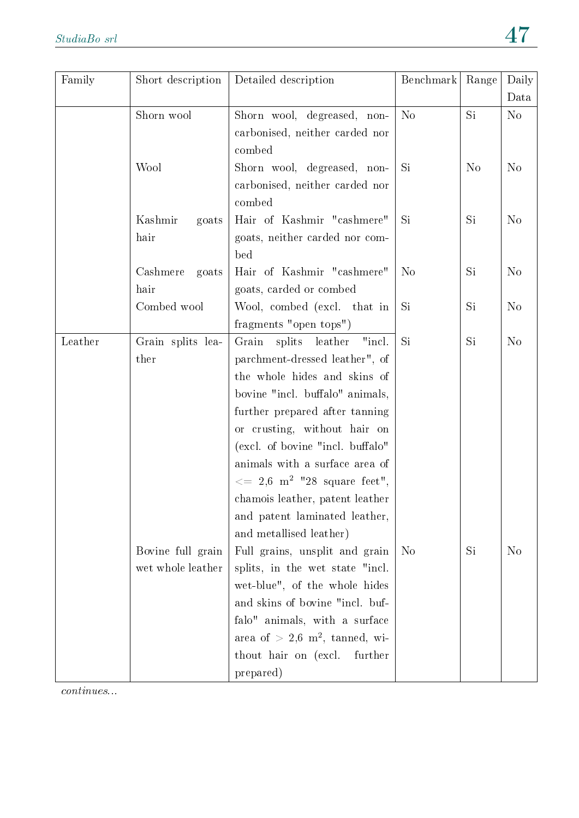| Family  | Short description | Detailed description                                                    | Benchmark      | Range          | Daily          |
|---------|-------------------|-------------------------------------------------------------------------|----------------|----------------|----------------|
|         |                   |                                                                         |                |                | Data           |
|         | Shorn wool        | Shorn wool, degreased, non-                                             | N <sub>o</sub> | Si             | No             |
|         |                   | carbonised, neither carded nor                                          |                |                |                |
|         |                   | combed                                                                  | Si             | N <sub>o</sub> | N <sub>o</sub> |
|         | Wool              | Shorn wool, degreased, non-<br>carbonised, neither carded nor           |                |                |                |
|         |                   | combed                                                                  |                |                |                |
|         | Kashmir<br>goats  | Hair of Kashmir "cashmere"                                              | Si             | Si             | N <sub>o</sub> |
|         | hair              | goats, neither carded nor com-                                          |                |                |                |
|         |                   | bed                                                                     |                |                |                |
|         | Cashmere<br>goats | Hair of Kashmir "cashmere"                                              | N <sub>o</sub> | Si             | N <sub>o</sub> |
|         | hair              | goats, carded or combed                                                 |                |                |                |
|         | Combed wool       | Wool, combed (excl. that in                                             | Si             | Si             | N <sub>o</sub> |
|         |                   | fragments "open tops")                                                  |                |                |                |
| Leather | Grain splits lea- | Grain<br>splits<br>leather<br>"incl.                                    | Si             | Si             | N <sub>o</sub> |
|         | ther              | parchment-dressed leather", of                                          |                |                |                |
|         |                   | the whole hides and skins of                                            |                |                |                |
|         |                   | bovine "incl. buffalo" animals,                                         |                |                |                |
|         |                   | further prepared after tanning                                          |                |                |                |
|         |                   | or crusting, without hair on                                            |                |                |                |
|         |                   | (excl. of bovine "incl. buffalo"                                        |                |                |                |
|         |                   | animals with a surface area of                                          |                |                |                |
|         |                   | $\, \text{m}^2 \, = \, 2.6 \, \text{ m}^2 \, \text{ "28 square feet",}$ |                |                |                |
|         |                   | chamois leather, patent leather                                         |                |                |                |
|         |                   | and patent laminated leather,                                           |                |                |                |
|         |                   | and metallised leather)                                                 |                |                |                |
|         | Bovine full grain | Full grains, unsplit and grain                                          | N <sub>o</sub> | Si             | N <sub>o</sub> |
|         | wet whole leather | splits, in the wet state "incl.                                         |                |                |                |
|         |                   | wet-blue", of the whole hides                                           |                |                |                |
|         |                   | and skins of bovine "incl. buf-                                         |                |                |                |
|         |                   | falo" animals, with a surface                                           |                |                |                |
|         |                   | area of $> 2.6$ m <sup>2</sup> , tanned, wi-                            |                |                |                |
|         |                   | thout hair on (excl.<br>further                                         |                |                |                |
|         |                   | prepared)                                                               |                |                |                |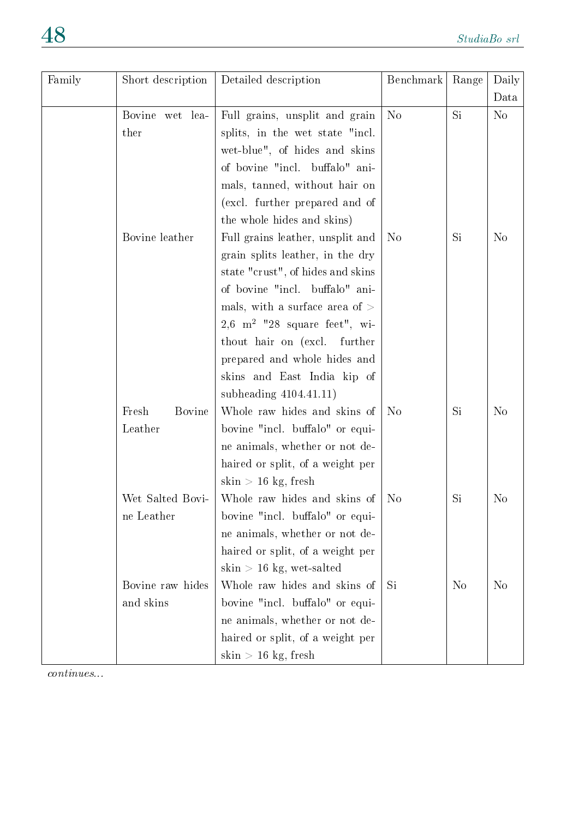| Family | Short description      | Detailed description                       | Benchmark      | Range          | Daily          |
|--------|------------------------|--------------------------------------------|----------------|----------------|----------------|
|        |                        |                                            |                |                | Data           |
|        | Bovine wet lea-        | Full grains, unsplit and grain             | N <sub>o</sub> | Si             | N <sub>o</sub> |
|        | ther                   | splits, in the wet state "incl.            |                |                |                |
|        |                        | wet-blue", of hides and skins              |                |                |                |
|        |                        | of bovine "incl. buffalo" ani-             |                |                |                |
|        |                        | mals, tanned, without hair on              |                |                |                |
|        |                        | (excl. further prepared and of             |                |                |                |
|        |                        | the whole hides and skins)                 |                |                |                |
|        | Bovine leather         | Full grains leather, unsplit and           | No             | Si             | N <sub>o</sub> |
|        |                        | grain splits leather, in the dry           |                |                |                |
|        |                        | state "crust", of hides and skins          |                |                |                |
|        |                        | of bovine "incl. buffalo" ani-             |                |                |                |
|        |                        | mals, with a surface area of $>$           |                |                |                |
|        |                        | 2,6 m <sup>2</sup> $"28$ square feet", wi- |                |                |                |
|        |                        | thout hair on (excl.<br>further            |                |                |                |
|        |                        | prepared and whole hides and               |                |                |                |
|        |                        | skins and East India kip of                |                |                |                |
|        |                        | subheading $4104.41.11$ )                  |                |                |                |
|        | Fresh<br><b>Bovine</b> | Whole raw hides and skins of               | No             | Si             | N <sub>o</sub> |
|        | Leather                | bovine "incl. buffalo" or equi-            |                |                |                |
|        |                        | ne animals, whether or not de-             |                |                |                |
|        |                        | haired or split, of a weight per           |                |                |                |
|        |                        | skin $> 16$ kg, fresh                      |                |                |                |
|        | Wet Salted Bovi-       | Whole raw hides and skins of               | N <sub>0</sub> | Si             | N <sub>o</sub> |
|        | ne Leather             | bovine "incl. buffalo" or equi-            |                |                |                |
|        |                        | ne animals, whether or not de-             |                |                |                |
|        |                        | haired or split, of a weight per           |                |                |                |
|        |                        | $\sin$ > 16 kg, wet-salted                 |                |                |                |
|        | Bovine raw hides       | Whole raw hides and skins of               | Si             | N <sub>o</sub> | No             |
|        | and skins              | bovine "incl. buffalo" or equi-            |                |                |                |
|        |                        | ne animals, whether or not de-             |                |                |                |
|        |                        | haired or split, of a weight per           |                |                |                |
|        |                        | $\sin$ > 16 kg, fresh                      |                |                |                |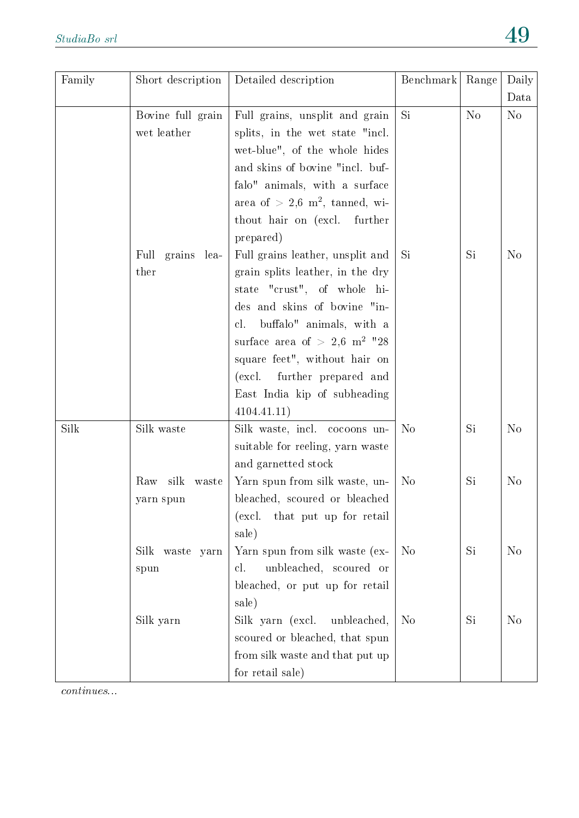| Family | Short description      | Detailed description                         | Benchmark      | Range          | Daily          |
|--------|------------------------|----------------------------------------------|----------------|----------------|----------------|
|        |                        |                                              |                |                | Data           |
|        | Bovine full grain      | Full grains, unsplit and grain               | <b>Si</b>      | N <sub>o</sub> | N <sub>o</sub> |
|        | wet leather            | splits, in the wet state "incl.              |                |                |                |
|        |                        | wet-blue", of the whole hides                |                |                |                |
|        |                        | and skins of bovine "incl. buf-              |                |                |                |
|        |                        | falo" animals, with a surface                |                |                |                |
|        |                        | area of $> 2.6$ m <sup>2</sup> , tanned, wi- |                |                |                |
|        |                        | thout hair on (excl. further                 |                |                |                |
|        |                        | prepared)                                    |                |                |                |
|        | Full<br>grains<br>lea- | Full grains leather, unsplit and             | Si             | Si             | N <sub>o</sub> |
|        | ther                   | grain splits leather, in the dry             |                |                |                |
|        |                        | state "crust", of whole hi-                  |                |                |                |
|        |                        | des and skins of bovine "in-                 |                |                |                |
|        |                        | buffalo" animals, with a<br>cl.              |                |                |                |
|        |                        | surface area of $> 2.6$ m <sup>2</sup> $"28$ |                |                |                |
|        |                        | square feet", without hair on                |                |                |                |
|        |                        | further prepared and<br>(excl.               |                |                |                |
|        |                        | East India kip of subheading                 |                |                |                |
|        |                        | 4104.41.11)                                  |                |                |                |
| Silk   | Silk waste             | Silk waste, incl. cocoons un-                | N <sub>o</sub> | Si             | N <sub>o</sub> |
|        |                        | suitable for reeling, yarn waste             |                |                |                |
|        |                        | and garnetted stock                          |                |                |                |
|        | silk<br>Raw<br>waste   | Yarn spun from silk waste, un-               | N <sub>o</sub> | Si             | N <sub>o</sub> |
|        | yarn spun              | bleached, scoured or bleached                |                |                |                |
|        |                        | that put up for retail<br>(excl.             |                |                |                |
|        |                        | sale)                                        |                |                |                |
|        | Silk<br>waste yarn     | Yarn spun from silk waste (ex-               | N <sub>o</sub> | Si             | N <sub>o</sub> |
|        | spun                   | unbleached, scoured or<br>cl.                |                |                |                |
|        |                        | bleached, or put up for retail               |                |                |                |
|        |                        | sale)                                        |                |                |                |
|        | Silk yarn              | Silk yarn (excl.<br>unbleached,              | N <sub>o</sub> | Si             | N <sub>o</sub> |
|        |                        | scoured or bleached, that spun               |                |                |                |
|        |                        | from silk waste and that put up              |                |                |                |
|        |                        | for retail sale)                             |                |                |                |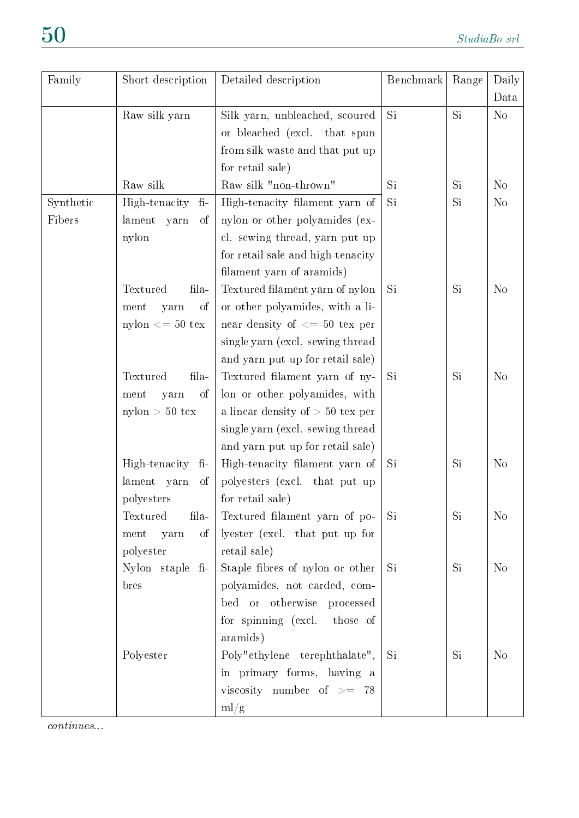| Family    | Short description             | Detailed description               | Benchmark | Range | Daily          |
|-----------|-------------------------------|------------------------------------|-----------|-------|----------------|
|           |                               |                                    |           |       | Data           |
|           | Raw silk yarn                 | Silk yarn, unbleached, scoured     | Si        | Si    | N <sub>o</sub> |
|           |                               | or bleached (excl. that spun       |           |       |                |
|           |                               | from silk waste and that put up    |           |       |                |
|           |                               | for retail sale)                   |           |       |                |
|           | Raw silk                      | Raw silk "non-thrown"              | Si        | Si    | $\rm No$       |
| Synthetic | High-tenacity<br>$fi-$        | High-tenacity filament yarn of     | Si        | Si    | N <sub>o</sub> |
| Fibers    | lament yarn<br>οf             | nylon or other polyamides (ex-     |           |       |                |
|           | nylon                         | cl. sewing thread, yarn put up     |           |       |                |
|           |                               | for retail sale and high-tenacity  |           |       |                |
|           |                               | filament yarn of aramids)          |           |       |                |
|           | fila-<br>Textured             | Textured filament yarn of nylon    | Si        | Si    | N <sub>o</sub> |
|           | ment<br>yarn<br>οf            | or other polyamides, with a li-    |           |       |                |
|           | $nylon \leq 50$ tex           | near density of $<= 50$ tex per    |           |       |                |
|           |                               | single yarn (excl. sewing thread   |           |       |                |
|           |                               | and yarn put up for retail sale)   |           |       |                |
|           | Textured<br>fila-             | Textured filament yarn of ny-      | Si        | Si    | N <sub>o</sub> |
|           | ment<br>οf<br>yarn            | lon or other polyamides, with      |           |       |                |
|           | $nylon > 50$ tex              | a linear density of $> 50$ tex per |           |       |                |
|           |                               | single yarn (excl. sewing thread   |           |       |                |
|           |                               | and yarn put up for retail sale)   |           |       |                |
|           | High-tenacity<br>$\mathbf{f}$ | High-tenacity filament yarn of     | Si        | Si    | N <sub>o</sub> |
|           | lament<br>yarn<br>οf          | polyesters (excl. that put up      |           |       |                |
|           | polyesters                    | for retail sale)                   |           |       |                |
|           | Textured<br>fila-             | Textured filament yarn of po-      | Si        | Si    | N <sub>o</sub> |
|           | ment<br>yarn<br>$\sigma$ f    | lyester (excl. that put up for     |           |       |                |
|           | polyester                     | retail sale)                       |           |       |                |
|           | Nylon staple fi-              | Staple fibres of nylon or other    | Si        | Si    | N <sub>o</sub> |
|           | bres                          | polyamides, not carded, com-       |           |       |                |
|           |                               | bed or otherwise processed         |           |       |                |
|           |                               | for spinning (excl.<br>those of    |           |       |                |
|           |                               | aramids)                           |           |       |                |
|           | Polyester                     | Poly"ethylene terephthalate",      | Si        | Si    | N <sub>o</sub> |
|           |                               | in primary forms, having a         |           |       |                |
|           |                               | viscosity number of $\geq$ 78      |           |       |                |
|           |                               | ml/g                               |           |       |                |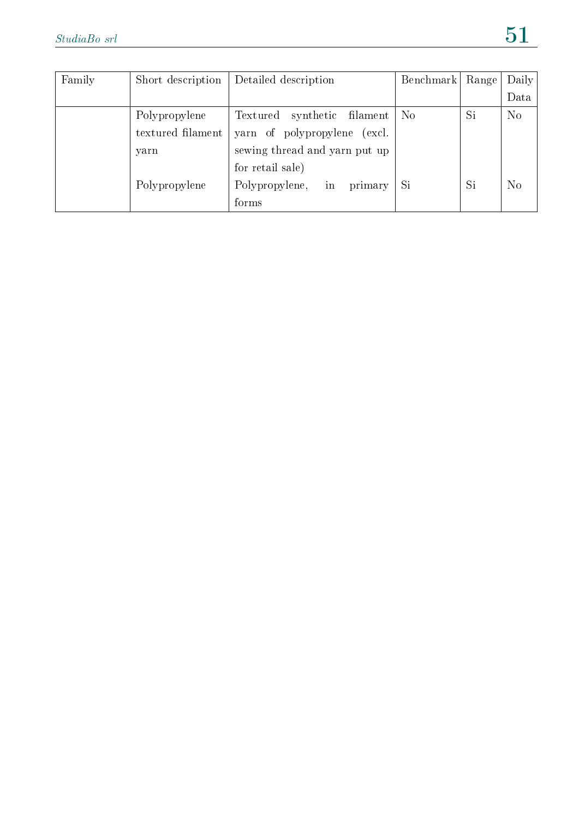| Family | Short description | Detailed description               | Benchmark      | Range | Daily          |
|--------|-------------------|------------------------------------|----------------|-------|----------------|
|        |                   |                                    |                |       | Data           |
|        | Polypropylene     | synthetic<br>filament<br>Textured  | N <sub>o</sub> | Si    | N <sub>o</sub> |
|        | textured filament | yarn of polypropylene<br>(excl.    |                |       |                |
|        | yarn              | sewing thread and yarn put up      |                |       |                |
|        |                   | for retail sale)                   |                |       |                |
|        | Polypropylene     | Polypropylene,<br>$\ln$<br>primary | Si             | Si    | N <sub>o</sub> |
|        |                   | forms                              |                |       |                |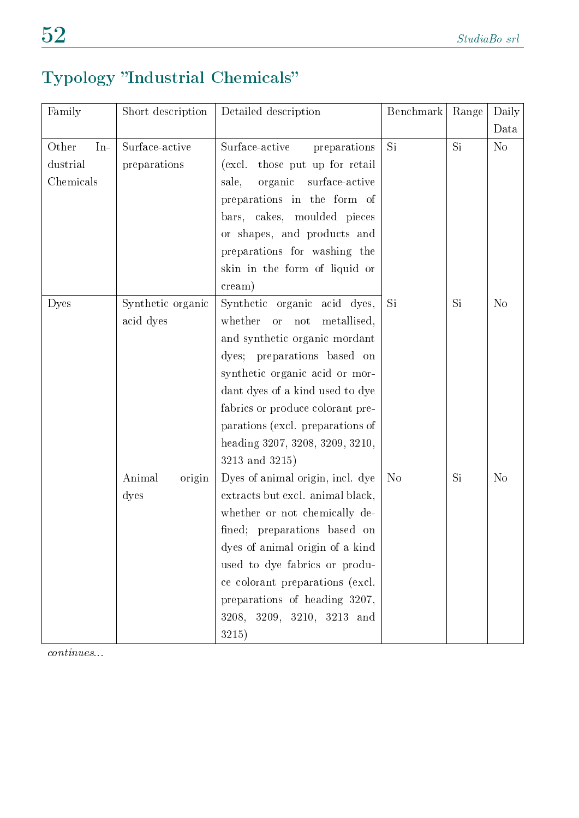# Typology "Industrial Chemicals"

| Family         | Short description | Detailed description               | Benchmark      | Range     | Daily          |
|----------------|-------------------|------------------------------------|----------------|-----------|----------------|
|                |                   |                                    |                |           | Data           |
| Other<br>$In-$ | Surface-active    | Surface-active<br>preparations     | Si             | Si        | No             |
| dustrial       | preparations      | (excl. those put up for retail     |                |           |                |
| Chemicals      |                   | organic<br>sale,<br>surface-active |                |           |                |
|                |                   | preparations in the form of        |                |           |                |
|                |                   | bars, cakes, moulded pieces        |                |           |                |
|                |                   | or shapes, and products and        |                |           |                |
|                |                   | preparations for washing the       |                |           |                |
|                |                   | skin in the form of liquid or      |                |           |                |
|                |                   | $c$ ream $)$                       |                |           |                |
| Dyes           | Synthetic organic | Synthetic organic acid dyes,       | Si             | Si        | N <sub>o</sub> |
|                | acid dyes         | whether<br>or not<br>metallised,   |                |           |                |
|                |                   | and synthetic organic mordant      |                |           |                |
|                |                   | dyes; preparations based on        |                |           |                |
|                |                   | synthetic organic acid or mor-     |                |           |                |
|                |                   | dant dyes of a kind used to dye    |                |           |                |
|                |                   | fabrics or produce colorant pre-   |                |           |                |
|                |                   | parations (excl. preparations of   |                |           |                |
|                |                   | heading 3207, 3208, 3209, 3210,    |                |           |                |
|                |                   | 3213 and 3215)                     |                |           |                |
|                | Animal<br>origin  | Dyes of animal origin, incl. dye   | N <sub>o</sub> | <b>Si</b> | N <sub>o</sub> |
|                | dyes              | extracts but excl. animal black,   |                |           |                |
|                |                   | whether or not chemically de-      |                |           |                |
|                |                   | fined; preparations based on       |                |           |                |
|                |                   | dyes of animal origin of a kind    |                |           |                |
|                |                   | used to dye fabrics or produ-      |                |           |                |
|                |                   | ce colorant preparations (excl.    |                |           |                |
|                |                   | preparations of heading 3207,      |                |           |                |
|                |                   | 3208, 3209, 3210, 3213 and         |                |           |                |
|                |                   | 3215)                              |                |           |                |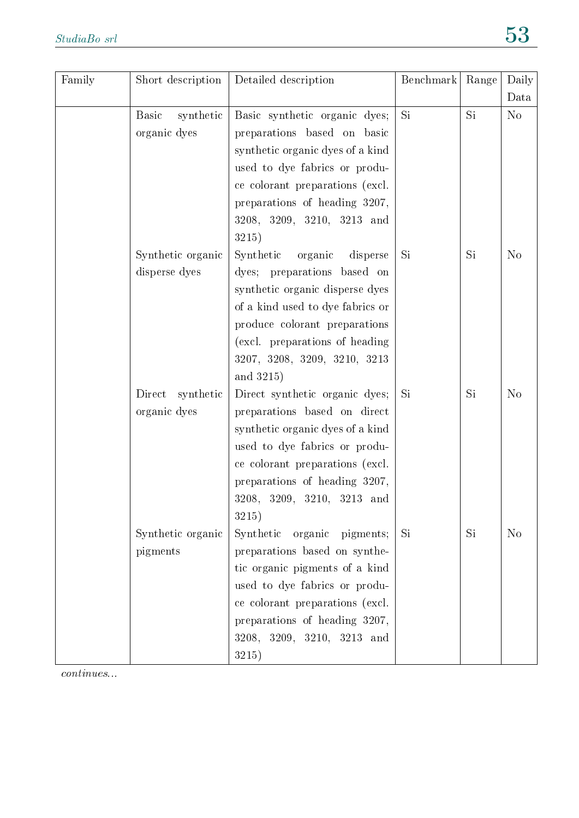| Family | Short description         | Detailed description              | Benchmark | Range | Daily          |
|--------|---------------------------|-----------------------------------|-----------|-------|----------------|
|        |                           |                                   |           |       | Data           |
|        | <b>Basic</b><br>synthetic | Basic synthetic organic dyes;     | Si        | Si    | N <sub>o</sub> |
|        | organic dyes              | preparations based on basic       |           |       |                |
|        |                           | synthetic organic dyes of a kind  |           |       |                |
|        |                           | used to dye fabrics or produ-     |           |       |                |
|        |                           | ce colorant preparations (excl.   |           |       |                |
|        |                           | preparations of heading 3207,     |           |       |                |
|        |                           | $3208, 3209, 3210, 3213$ and      |           |       |                |
|        |                           | 3215)                             |           |       |                |
|        | Synthetic organic         | Synthetic<br>organic<br>disperse  | Si        | Si    | N <sub>o</sub> |
|        | disperse dyes             | dyes; preparations based on       |           |       |                |
|        |                           | synthetic organic disperse dyes   |           |       |                |
|        |                           | of a kind used to dye fabrics or  |           |       |                |
|        |                           | produce colorant preparations     |           |       |                |
|        |                           | (excl. preparations of heading    |           |       |                |
|        |                           | 3207, 3208, 3209, 3210, 3213      |           |       |                |
|        |                           | and 3215)                         |           |       |                |
|        | Direct synthetic          | Direct synthetic organic dyes;    | Si        | Si    | N <sub>o</sub> |
|        | organic dyes              | preparations based on direct      |           |       |                |
|        |                           | synthetic organic dyes of a kind  |           |       |                |
|        |                           | used to dye fabrics or produ-     |           |       |                |
|        |                           | ce colorant preparations (excl.   |           |       |                |
|        |                           | preparations of heading 3207,     |           |       |                |
|        |                           | 3208, 3209, 3210, 3213 and        |           |       |                |
|        |                           | 3215)                             |           |       |                |
|        | Synthetic organic         | Synthetic<br>organic<br>pigments; | Si.       | Si    | N <sub>o</sub> |
|        | pigments                  | preparations based on synthe-     |           |       |                |
|        |                           | tic organic pigments of a kind    |           |       |                |
|        |                           | used to dye fabrics or produ-     |           |       |                |
|        |                           | ce colorant preparations (excl.   |           |       |                |
|        |                           | preparations of heading 3207,     |           |       |                |
|        |                           | 3208, 3209, 3210, 3213 and        |           |       |                |
|        |                           | 3215)                             |           |       |                |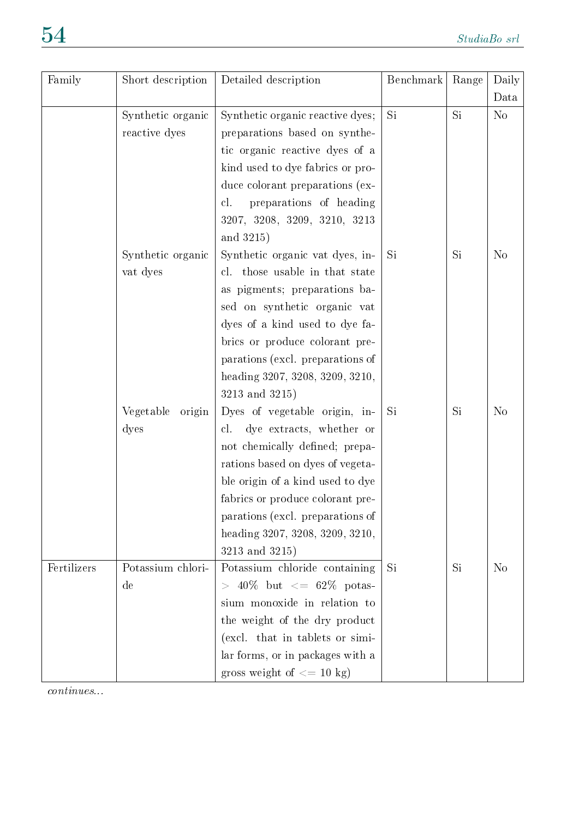| Family      | Short description   | Detailed description                         | Benchmark | Range | Daily          |
|-------------|---------------------|----------------------------------------------|-----------|-------|----------------|
|             |                     |                                              |           |       | Data           |
|             | Synthetic organic   | Synthetic organic reactive dyes;             | Si        | Si    | N <sub>o</sub> |
|             | reactive dyes       | preparations based on synthe-                |           |       |                |
|             |                     | tic organic reactive dyes of a               |           |       |                |
|             |                     | kind used to dye fabrics or pro-             |           |       |                |
|             |                     | duce colorant preparations (ex-              |           |       |                |
|             |                     | preparations of heading<br>cl.               |           |       |                |
|             |                     | 3207, 3208, 3209, 3210, 3213                 |           |       |                |
|             |                     | and 3215)                                    |           |       |                |
|             | Synthetic organic   | Synthetic organic vat dyes, in-              | <b>Si</b> | Si    | N <sub>o</sub> |
|             | vat dyes            | cl. those usable in that state               |           |       |                |
|             |                     | as pigments; preparations ba-                |           |       |                |
|             |                     | sed on synthetic organic vat                 |           |       |                |
|             |                     | dyes of a kind used to dye fa-               |           |       |                |
|             |                     | brics or produce colorant pre-               |           |       |                |
|             |                     | parations (excl. preparations of             |           |       |                |
|             |                     | heading 3207, 3208, 3209, 3210,              |           |       |                |
|             |                     | 3213 and 3215)                               |           |       |                |
|             | Vegetable<br>origin | Dyes of vegetable origin, in-                | Si        | Si    | N <sub>o</sub> |
|             | dyes                | dye extracts, whether or<br>cl.              |           |       |                |
|             |                     | not chemically defined; prepa-               |           |       |                |
|             |                     | rations based on dyes of vegeta-             |           |       |                |
|             |                     | ble origin of a kind used to dye             |           |       |                |
|             |                     | fabrics or produce colorant pre-             |           |       |                |
|             |                     | parations (excl. preparations of             |           |       |                |
|             |                     | heading 3207, 3208, 3209, 3210,              |           |       |                |
|             |                     | 3213 and 3215)                               |           |       |                |
| Fertilizers | Potassium chlori-   | Potassium chloride containing                | Si        | Si    | N <sub>o</sub> |
|             | $\rm{de}$           | $> 40\%$ but $\langle = 62\% \text{ potas-}$ |           |       |                |
|             |                     | sium monoxide in relation to                 |           |       |                |
|             |                     | the weight of the dry product                |           |       |                |
|             |                     | (excl. that in tablets or simi-              |           |       |                |
|             |                     | lar forms, or in packages with a             |           |       |                |
|             |                     | gross weight of $<= 10 \text{ kg}$ )         |           |       |                |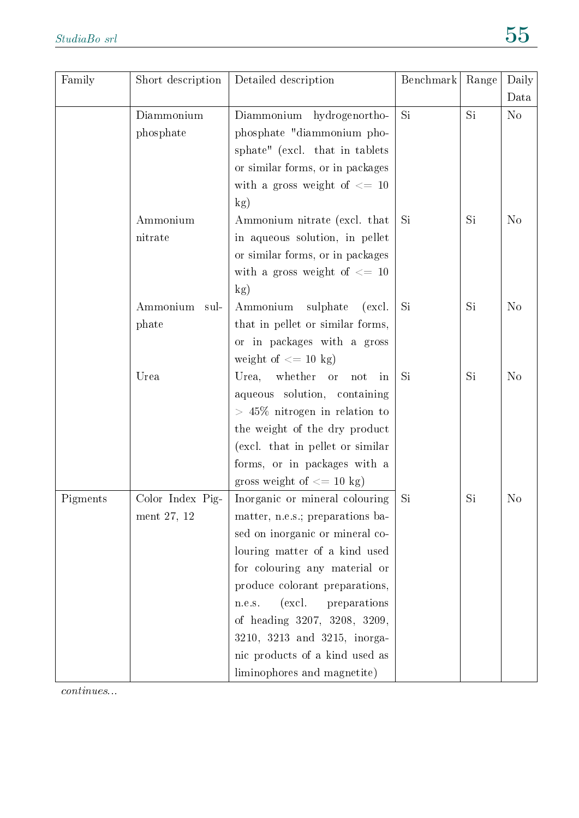| Family   | Short description | Detailed description                       | Benchmark | Range | Daily          |
|----------|-------------------|--------------------------------------------|-----------|-------|----------------|
|          |                   |                                            |           |       | Data           |
|          | Diammonium        | Diammonium hydrogenortho-                  | Si        | Si    | N <sub>o</sub> |
|          | phosphate         | phosphate "diammonium pho-                 |           |       |                |
|          |                   | sphate" (excl. that in tablets             |           |       |                |
|          |                   | or similar forms, or in packages           |           |       |                |
|          |                   | with a gross weight of $\leq$ 10           |           |       |                |
|          |                   | kg)                                        |           |       |                |
|          | Ammonium          | Ammonium nitrate (excl. that               | Si        | Si    | N <sub>o</sub> |
|          | nitrate           | in aqueous solution, in pellet             |           |       |                |
|          |                   | or similar forms, or in packages           |           |       |                |
|          |                   | with a gross weight of $\leq$ 10           |           |       |                |
|          |                   | kg)                                        |           |       |                |
|          | Ammonium<br>sul-  | sulphate<br>Ammonium<br>(excl.             | Si        | Si    | N <sub>o</sub> |
|          | phate             | that in pellet or similar forms,           |           |       |                |
|          |                   | or in packages with a gross                |           |       |                |
|          |                   | weight of $\leq$ 10 kg)                    |           |       |                |
|          | Urea              | whether<br>Urea,<br><b>or</b><br>not<br>in | Si        | Si    | N <sub>o</sub> |
|          |                   | aqueous solution, containing               |           |       |                |
|          |                   | $> 45\%$ nitrogen in relation to           |           |       |                |
|          |                   | the weight of the dry product              |           |       |                |
|          |                   | (excl. that in pellet or similar           |           |       |                |
|          |                   | forms, or in packages with a               |           |       |                |
|          |                   | gross weight of $\leq$ 10 kg)              |           |       |                |
| Pigments | Color Index Pig-  | Inorganic or mineral colouring             | Si        | Si    | N <sub>o</sub> |
|          | ment 27, 12       | matter, n.e.s.; preparations ba-           |           |       |                |
|          |                   | sed on inorganic or mineral co-            |           |       |                |
|          |                   | louring matter of a kind used              |           |       |                |
|          |                   | for colouring any material or              |           |       |                |
|          |                   | produce colorant preparations,             |           |       |                |
|          |                   | (excl.<br>preparations<br>n.e.s.           |           |       |                |
|          |                   | of heading 3207, 3208, 3209,               |           |       |                |
|          |                   | 3210, 3213 and 3215, inorga-               |           |       |                |
|          |                   | nic products of a kind used as             |           |       |                |
|          |                   | liminophores and magnetite)                |           |       |                |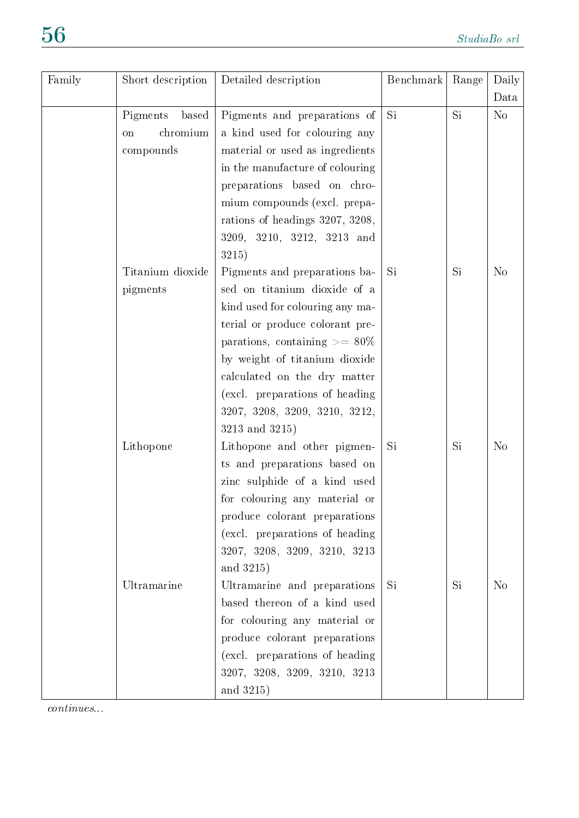| Family | Short description | Detailed description               | Benchmark | Range | Daily          |
|--------|-------------------|------------------------------------|-----------|-------|----------------|
|        |                   |                                    |           |       | Data           |
|        | Pigments<br>based | Pigments and preparations of       | Si        | Si    | $\rm No$       |
|        | chromium<br>on    | a kind used for colouring any      |           |       |                |
|        | compounds         | material or used as ingredients    |           |       |                |
|        |                   | in the manufacture of colouring    |           |       |                |
|        |                   | preparations based on chro-        |           |       |                |
|        |                   | mium compounds (excl. prepa-       |           |       |                |
|        |                   | rations of headings 3207, 3208,    |           |       |                |
|        |                   | 3209, 3210, 3212, 3213 and         |           |       |                |
|        |                   | 3215)                              |           |       |                |
|        | Titanium dioxide  | Pigments and preparations ba-      | Si        | Si    | N <sub>o</sub> |
|        | pigments          | sed on titanium dioxide of a       |           |       |                |
|        |                   | kind used for colouring any ma-    |           |       |                |
|        |                   | terial or produce colorant pre-    |           |       |                |
|        |                   | parations, containing $\geq$ = 80% |           |       |                |
|        |                   | by weight of titanium dioxide      |           |       |                |
|        |                   | calculated on the dry matter       |           |       |                |
|        |                   | (excl. preparations of heading     |           |       |                |
|        |                   | 3207, 3208, 3209, 3210, 3212,      |           |       |                |
|        |                   | 3213 and 3215)                     |           |       |                |
|        | Lithopone         | Lithopone and other pigmen-        | Si        | Si    | N <sub>o</sub> |
|        |                   | ts and preparations based on       |           |       |                |
|        |                   | zinc sulphide of a kind used       |           |       |                |
|        |                   | for colouring any material or      |           |       |                |
|        |                   | produce colorant preparations      |           |       |                |
|        |                   | (excl. preparations of heading     |           |       |                |
|        |                   | 3207, 3208, 3209, 3210, 3213       |           |       |                |
|        |                   | and 3215)                          |           |       |                |
|        | Ultramarine       | Ultramarine and preparations       | Si        | Si    | N <sub>o</sub> |
|        |                   | based thereon of a kind used       |           |       |                |
|        |                   | for colouring any material or      |           |       |                |
|        |                   | produce colorant preparations      |           |       |                |
|        |                   | (excl. preparations of heading     |           |       |                |
|        |                   | 3207, 3208, 3209, 3210, 3213       |           |       |                |
|        |                   | and 3215)                          |           |       |                |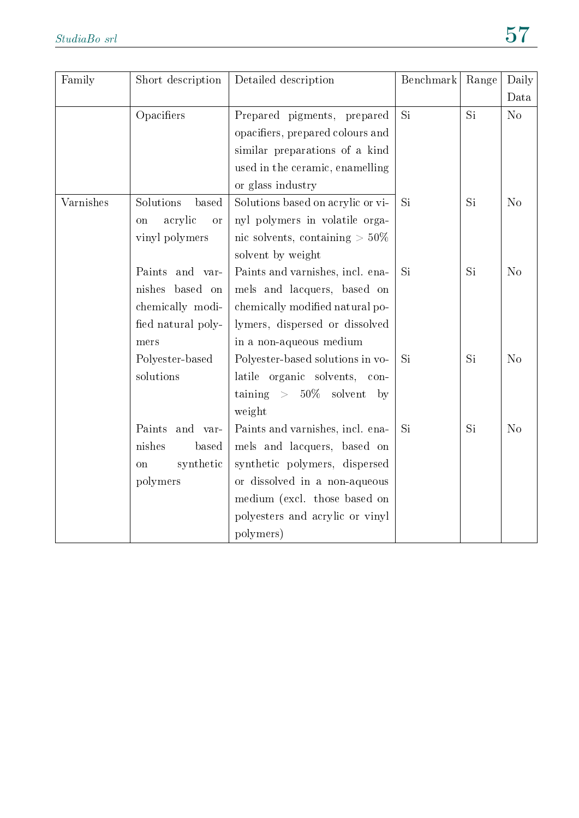| Family    | Short description          | Detailed description                             | Benchmark | Range | Daily          |
|-----------|----------------------------|--------------------------------------------------|-----------|-------|----------------|
|           |                            |                                                  |           |       | Data           |
|           | Opacifiers                 | Prepared pigments, prepared                      | Si        | Si    | No             |
|           |                            | opacifiers, prepared colours and                 |           |       |                |
|           |                            | similar preparations of a kind                   |           |       |                |
|           |                            | used in the ceramic, enamelling                  |           |       |                |
|           |                            | or glass industry                                |           |       |                |
| Varnishes | Solutions<br>based         | Solutions based on acrylic or vi-                | Si        | Si    | N <sub>o</sub> |
|           | acrylic<br>on<br><b>or</b> | nyl polymers in volatile orga-                   |           |       |                |
|           | vinyl polymers             | nic solvents, containing $>50\%$                 |           |       |                |
|           |                            | solvent by weight                                |           |       |                |
|           | Paints<br>and var-         | Paints and varnishes, incl. ena-                 | Si        | Si    | N <sub>o</sub> |
|           | nishes<br>based on         | mels and lacquers, based on                      |           |       |                |
|           | chemically modi-           | chemically modified natural po-                  |           |       |                |
|           | fied natural poly-         | lymers, dispersed or dissolved                   |           |       |                |
|           | mers                       | in a non-aqueous medium                          |           |       |                |
|           | Polyester-based            | Polyester-based solutions in vo-                 | Si        | Si    | N <sub>o</sub> |
|           | solutions                  | latile organic solvents,<br>$con-$               |           |       |                |
|           |                            | $\text{taining}$ > $50\%$ solvent<br>$-{\rm b}y$ |           |       |                |
|           |                            | weight                                           |           |       |                |
|           | Paints<br>and var-         | Paints and varnishes, incl. ena-                 | Si        | Si    | N <sub>o</sub> |
|           | nishes<br>based            | mels and lacquers, based on                      |           |       |                |
|           | synthetic<br>on            | synthetic polymers, dispersed                    |           |       |                |
|           | polymers                   | or dissolved in a non-aqueous                    |           |       |                |
|           |                            | medium (excl. those based on                     |           |       |                |
|           |                            | polyesters and acrylic or vinyl                  |           |       |                |
|           |                            | polymers)                                        |           |       |                |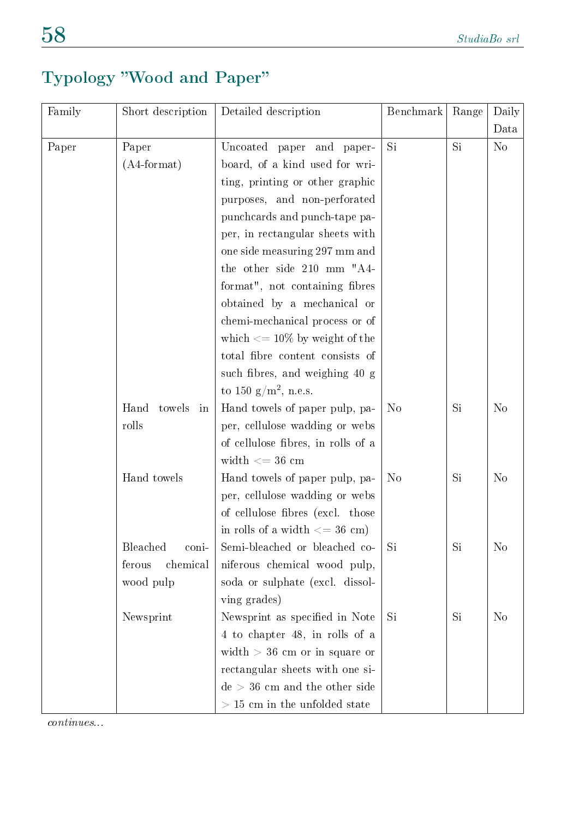# Typology Wood and Paper

| Family | Short description    | Detailed description                     | Benchmark      | Range | Daily          |
|--------|----------------------|------------------------------------------|----------------|-------|----------------|
|        |                      |                                          |                |       | Data           |
| Paper  | Paper                | Uncoated paper and paper-                | Si.            | Si.   | N <sub>o</sub> |
|        | $(A4$ -format)       | board, of a kind used for wri-           |                |       |                |
|        |                      | ting, printing or other graphic          |                |       |                |
|        |                      | purposes, and non-perforated             |                |       |                |
|        |                      | punchcards and punch-tape pa-            |                |       |                |
|        |                      | per, in rectangular sheets with          |                |       |                |
|        |                      | one side measuring 297 mm and            |                |       |                |
|        |                      | the other side 210 mm "A4-               |                |       |                |
|        |                      | format", not containing fibres           |                |       |                |
|        |                      | obtained by a mechanical or              |                |       |                |
|        |                      | chemi-mechanical process or of           |                |       |                |
|        |                      | which $\epsilon = 10\%$ by weight of the |                |       |                |
|        |                      | total fibre content consists of          |                |       |                |
|        |                      | such fibres, and weighing 40 g           |                |       |                |
|        |                      | to 150 $g/m^2$ , n.e.s.                  |                |       |                |
|        | Hand<br>towels<br>in | Hand towels of paper pulp, pa-           | N <sub>o</sub> | Si    | N <sub>o</sub> |
|        | rolls                | per, cellulose wadding or webs           |                |       |                |
|        |                      | of cellulose fibres, in rolls of a       |                |       |                |
|        |                      | width $<= 36$ cm                         |                |       |                |
|        | Hand towels          | Hand towels of paper pulp, pa-           | N <sub>o</sub> | Si    | N <sub>o</sub> |
|        |                      | per, cellulose wadding or webs           |                |       |                |
|        |                      | of cellulose fibres (excl. those         |                |       |                |
|        |                      | in rolls of a width $\leq$ 36 cm)        |                |       |                |
|        | Bleached<br>coni-    | Semi-bleached or bleached co-            | Si             | Si    | N <sub>o</sub> |
|        | ferous<br>chemical   | niferous chemical wood pulp,             |                |       |                |
|        | wood pulp            | soda or sulphate (excl. dissol-          |                |       |                |
|        |                      | ving grades)                             |                |       |                |
|        | Newsprint            | Newsprint as specified in Note           | Si             | Si    | N <sub>o</sub> |
|        |                      | 4 to chapter 48, in rolls of a           |                |       |                |
|        |                      | width $>$ 36 cm or in square or          |                |       |                |
|        |                      | rectangular sheets with one si-          |                |       |                |
|        |                      | $de > 36$ cm and the other side          |                |       |                |
|        |                      | $>$ 15 cm in the unfolded state          |                |       |                |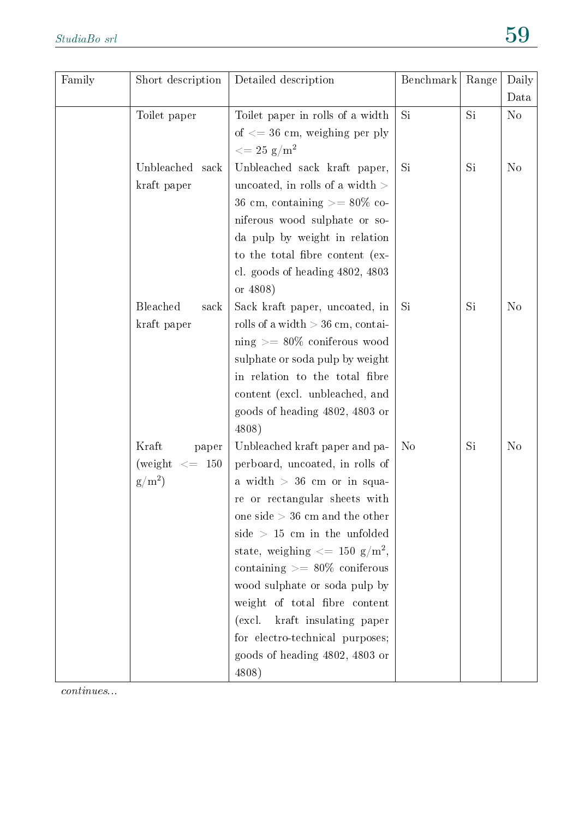| Family | Short description  | Detailed description                           | Benchmark      | Range | Daily          |
|--------|--------------------|------------------------------------------------|----------------|-------|----------------|
|        |                    |                                                |                |       | Data           |
|        | Toilet paper       | Toilet paper in rolls of a width               | Si             | Si    | N <sub>o</sub> |
|        |                    | of $\epsilon = 36$ cm, weighing per ply        |                |       |                |
|        |                    | $\epsilon = 25 \text{ g/m}^2$                  |                |       |                |
|        | Unbleached sack    | Unbleached sack kraft paper,                   | Si             | Si    | N <sub>o</sub> |
|        | kraft paper        | uncoated, in rolls of a width $>$              |                |       |                |
|        |                    | 36 cm, containing $>=80\%$ co-                 |                |       |                |
|        |                    | niferous wood sulphate or so-                  |                |       |                |
|        |                    | da pulp by weight in relation                  |                |       |                |
|        |                    | to the total fibre content (ex-                |                |       |                |
|        |                    | cl. goods of heading 4802, 4803                |                |       |                |
|        |                    | or 4808)                                       |                |       |                |
|        | Bleached<br>sack   | Sack kraft paper, uncoated, in                 | Si             | Si    | N <sub>o</sub> |
|        | kraft paper        | rolls of a width $> 36$ cm, contai-            |                |       |                |
|        |                    | $\text{ning} \geq 80\%$ coniferous wood        |                |       |                |
|        |                    | sulphate or soda pulp by weight                |                |       |                |
|        |                    | in relation to the total fibre                 |                |       |                |
|        |                    | content (excl. unbleached, and                 |                |       |                |
|        |                    | goods of heading 4802, 4803 or                 |                |       |                |
|        |                    | 4808)                                          |                |       |                |
|        | Kraft<br>paper     | Unbleached kraft paper and pa-                 | N <sub>o</sub> | Si    | N <sub>o</sub> |
|        | (weight $\leq$ 150 | perboard, uncoated, in rolls of                |                |       |                |
|        | $g/m^2$            | a width $> 36$ cm or in squa-                  |                |       |                |
|        |                    | re or rectangular sheets with                  |                |       |                |
|        |                    | one side $> 36$ cm and the other               |                |       |                |
|        |                    | $side$ > 15 cm in the unfolded                 |                |       |                |
|        |                    | state, weighing $\langle = 150 \text{ g/m}^2,$ |                |       |                |
|        |                    | containing $\geq$ = 80% coniferous             |                |       |                |
|        |                    | wood sulphate or soda pulp by                  |                |       |                |
|        |                    | weight of total fibre content                  |                |       |                |
|        |                    | kraft insulating paper<br>(excl.               |                |       |                |
|        |                    | for electro-technical purposes;                |                |       |                |
|        |                    | goods of heading 4802, 4803 or                 |                |       |                |
|        |                    | 4808)                                          |                |       |                |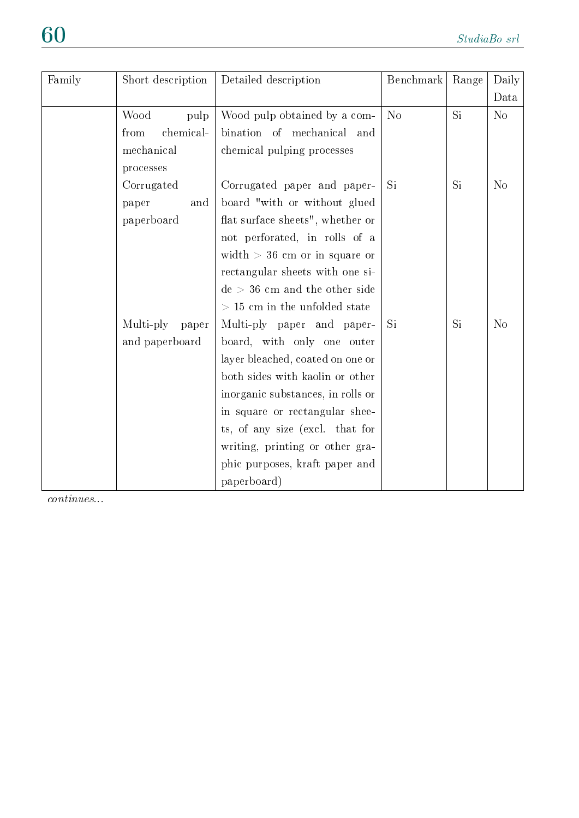| Family | Short description  | Detailed description              | Benchmark | Range | Daily          |
|--------|--------------------|-----------------------------------|-----------|-------|----------------|
|        |                    |                                   |           |       | Data           |
|        | Wood<br>pulp       | Wood pulp obtained by a com-      | No        | Si    | N <sub>o</sub> |
|        | chemical-<br>from  | bination of mechanical and        |           |       |                |
|        | mechanical         | chemical pulping processes        |           |       |                |
|        | processes          |                                   |           |       |                |
|        | Corrugated         | Corrugated paper and paper-       | Si        | Si    | N <sub>o</sub> |
|        | paper<br>and       | board "with or without glued      |           |       |                |
|        | paperboard         | flat surface sheets", whether or  |           |       |                |
|        |                    | not perforated, in rolls of a     |           |       |                |
|        |                    | width $>$ 36 cm or in square or   |           |       |                |
|        |                    | rectangular sheets with one si-   |           |       |                |
|        |                    | $de > 36$ cm and the other side   |           |       |                |
|        |                    | $>$ 15 cm in the unfolded state   |           |       |                |
|        | Multi-ply<br>paper | Multi-ply paper and paper-        | Si        | Si    | N <sub>o</sub> |
|        | and paperboard     | board, with only one outer        |           |       |                |
|        |                    | layer bleached, coated on one or  |           |       |                |
|        |                    | both sides with kaolin or other   |           |       |                |
|        |                    | inorganic substances, in rolls or |           |       |                |
|        |                    | in square or rectangular shee-    |           |       |                |
|        |                    | ts, of any size (excl. that for   |           |       |                |
|        |                    | writing, printing or other gra-   |           |       |                |
|        |                    | phic purposes, kraft paper and    |           |       |                |
|        |                    | paperboard)                       |           |       |                |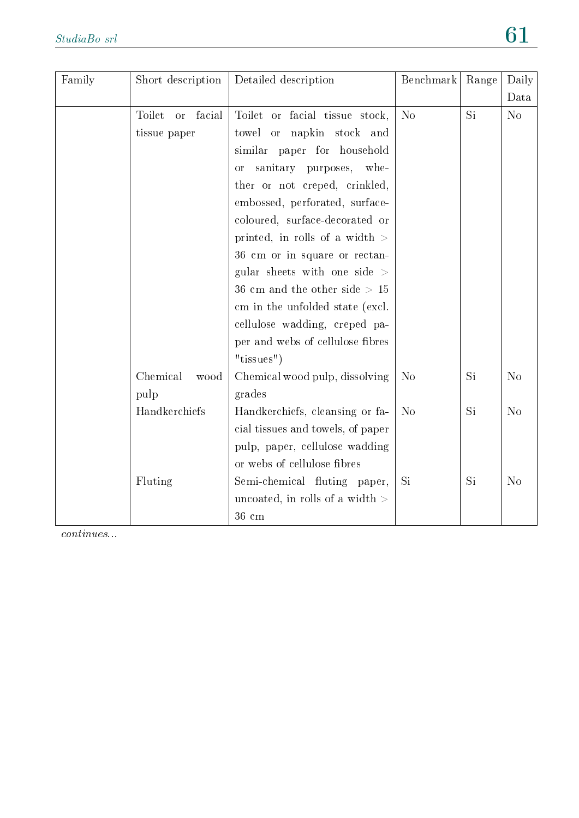| Family | Short description             | Detailed description                      | Benchmark      | Range | Daily          |
|--------|-------------------------------|-------------------------------------------|----------------|-------|----------------|
|        |                               |                                           |                |       | Data           |
|        | Toilet<br>facial<br><b>or</b> | Toilet or facial tissue stock,            | N <sub>o</sub> | Si    | No             |
|        | tissue paper                  | towel or napkin stock and                 |                |       |                |
|        |                               | similar paper for household               |                |       |                |
|        |                               | sanitary purposes,<br>whe-<br>or          |                |       |                |
|        |                               | ther or not creped, crinkled,             |                |       |                |
|        |                               | embossed, perforated, surface-            |                |       |                |
|        |                               | coloured, surface-decorated or            |                |       |                |
|        |                               | printed, in rolls of a width $>$          |                |       |                |
|        |                               | 36 cm or in square or rectan-             |                |       |                |
|        |                               | gular sheets with one side $>$            |                |       |                |
|        |                               | $36 \text{ cm}$ and the other side $> 15$ |                |       |                |
|        |                               | cm in the unfolded state (excl.           |                |       |                |
|        |                               | cellulose wadding, creped pa-             |                |       |                |
|        |                               | per and webs of cellulose fibres          |                |       |                |
|        |                               | "tissues")                                |                |       |                |
|        | Chemical<br>wood              | Chemical wood pulp, dissolving            | N <sub>o</sub> | Si    | N <sub>o</sub> |
|        | pulp                          | grades                                    |                |       |                |
|        | Handkerchiefs                 | Handkerchiefs, cleansing or fa-           | N <sub>o</sub> | Si    | N <sub>o</sub> |
|        |                               | cial tissues and towels, of paper         |                |       |                |
|        |                               | pulp, paper, cellulose wadding            |                |       |                |
|        |                               | or webs of cellulose fibres               |                |       |                |
|        | Fluting                       | Semi-chemical fluting paper,              | Si             | Si    | N <sub>o</sub> |
|        |                               | uncoated, in rolls of a width $>$         |                |       |                |
|        |                               | $36 \text{ cm}$                           |                |       |                |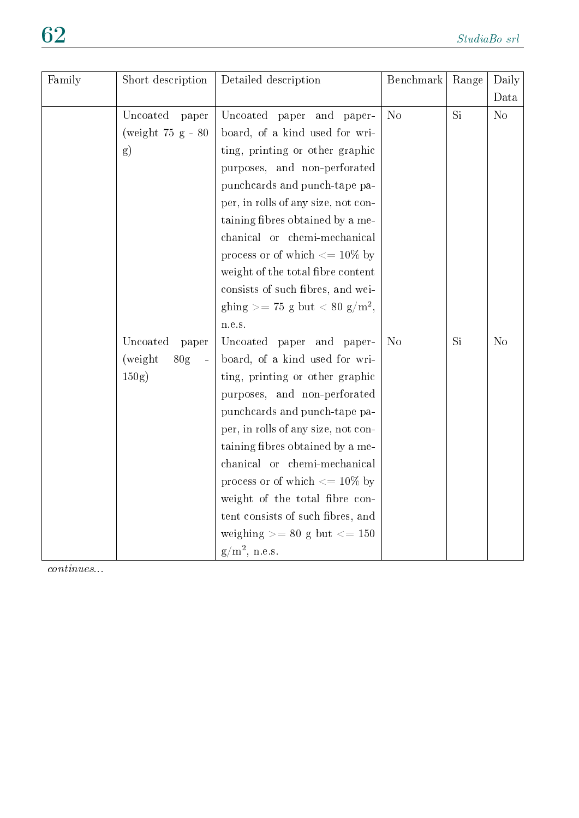| Family | Short description                                       | Detailed description                      | Benchmark      | Range | Daily          |
|--------|---------------------------------------------------------|-------------------------------------------|----------------|-------|----------------|
|        |                                                         |                                           |                |       | Data           |
|        | Uncoated<br>paper                                       | Uncoated paper and paper-                 | No             | Si    | No             |
|        | (weight $75$ g - $80$                                   | board, of a kind used for wri-            |                |       |                |
|        | g)                                                      | ting, printing or other graphic           |                |       |                |
|        |                                                         | purposes, and non-perforated              |                |       |                |
|        |                                                         | punchcards and punch-tape pa-             |                |       |                |
|        |                                                         | per, in rolls of any size, not con-       |                |       |                |
|        |                                                         | taining fibres obtained by a me-          |                |       |                |
|        |                                                         | chanical or chemi-mechanical              |                |       |                |
|        |                                                         | process or of which $<=10\%$ by           |                |       |                |
|        |                                                         | weight of the total fibre content         |                |       |                |
|        |                                                         | consists of such fibres, and wei-         |                |       |                |
|        |                                                         | ghing >= 75 g but < 80 g/m <sup>2</sup> , |                |       |                |
|        |                                                         | n.e.s.                                    |                |       |                |
|        | Uncoated<br>paper                                       | Uncoated paper and paper-                 | N <sub>o</sub> | Si    | N <sub>o</sub> |
|        | (weight)<br>80 <sub>g</sub><br>$\overline{\phantom{a}}$ | board, of a kind used for wri-            |                |       |                |
|        | $150g$ )                                                | ting, printing or other graphic           |                |       |                |
|        |                                                         | purposes, and non-perforated              |                |       |                |
|        |                                                         | punchcards and punch-tape pa-             |                |       |                |
|        |                                                         | per, in rolls of any size, not con-       |                |       |                |
|        |                                                         | taining fibres obtained by a me-          |                |       |                |
|        |                                                         | chanical or chemi-mechanical              |                |       |                |
|        |                                                         | process or of which $\epsilon = 10\%$ by  |                |       |                |
|        |                                                         | weight of the total fibre con-            |                |       |                |
|        |                                                         | tent consists of such fibres, and         |                |       |                |
|        |                                                         | weighing $>= 80$ g but $<= 150$           |                |       |                |
|        |                                                         | $g/m^2$ , n.e.s.                          |                |       |                |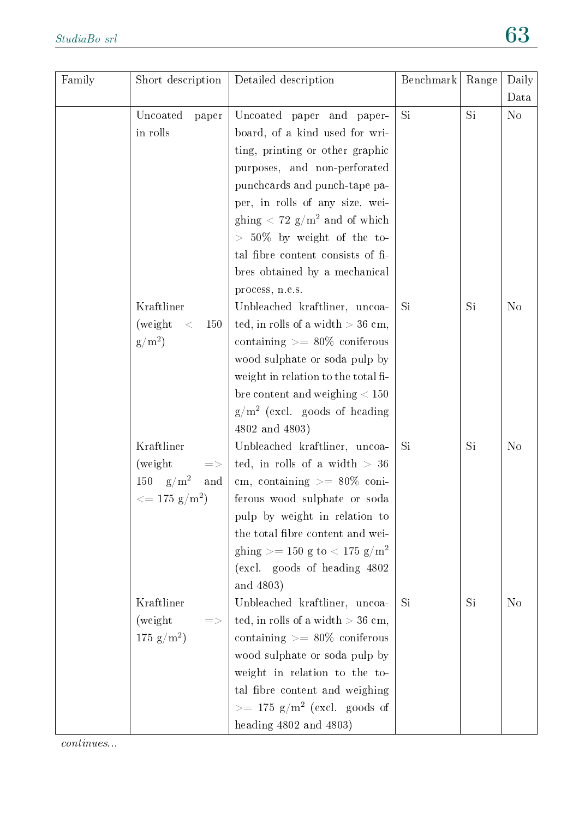| Family | Short description                                                                        | Detailed description                                                                                                                                                                                                                                                                                                                                    | Benchmark | Range | Daily<br>Data  |
|--------|------------------------------------------------------------------------------------------|---------------------------------------------------------------------------------------------------------------------------------------------------------------------------------------------------------------------------------------------------------------------------------------------------------------------------------------------------------|-----------|-------|----------------|
|        | Uncoated<br>paper<br>in rolls                                                            | Uncoated paper and paper-<br>board, of a kind used for wri-<br>ting, printing or other graphic<br>purposes, and non-perforated<br>punchcards and punch-tape pa-<br>per, in rolls of any size, wei-<br>ghing $< 72$ g/m <sup>2</sup> and of which<br>$> 50\%$ by weight of the to-<br>tal fibre content consists of fi-<br>bres obtained by a mechanical | Si        | Si    | $\rm No$       |
|        | Kraftliner<br>(weight)<br>$\,<$<br>150<br>$g/m^2$                                        | process, n.e.s.<br>Unbleached kraftliner, uncoa-<br>ted, in rolls of a width $>$ 36 cm,<br>containing $\geq$ 80% coniferous<br>wood sulphate or soda pulp by<br>weight in relation to the total fi-<br>bre content and weighing $< 150$<br>$g/m^2$ (excl. goods of heading<br>4802 and 4803)                                                            | Si        | Si    | N <sub>o</sub> |
|        | Kraftliner<br>(weight)<br>$\Rightarrow$<br>$g/m^2$<br>150<br>and<br>$<=175~{\rm g/m^2})$ | Unbleached kraftliner, uncoa-<br>ted, in rolls of a width $> 36$<br>cm, containing $\geq$ 80\% coni-<br>ferous wood sulphate or soda<br>pulp by weight in relation to<br>the total fibre content and wei-<br>ghing >= 150 g to < 175 g/m <sup>2</sup><br>(excl. goods of heading 4802                                                                   | Si        | Si    | N <sub>o</sub> |
|        | Kraftliner<br>(weight)<br>$\Rightarrow$<br>$175 \text{ g/m}^2$                           | and 4803)<br>Unbleached kraftliner, uncoa-<br>ted, in rolls of a width $>$ 36 cm,<br>containing $\geq$ = 80% coniferous<br>wood sulphate or soda pulp by<br>weight in relation to the to-<br>tal fibre content and weighing<br>$\gamma = 175$ g/m <sup>2</sup> (excl. goods of<br>heading $4802$ and $4803$ )                                           | Si        | Si    | N <sub>o</sub> |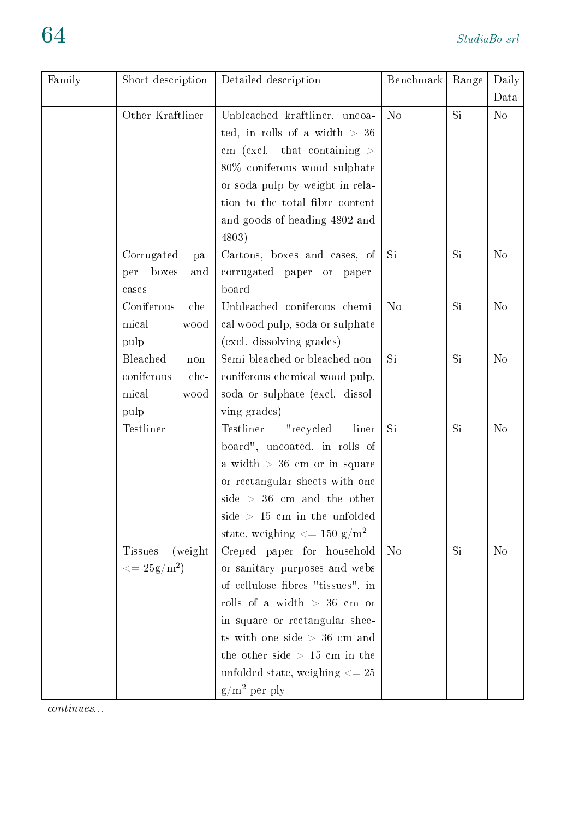| Family | Short description          | Detailed description                              | Benchmark      | Range     | Daily          |
|--------|----------------------------|---------------------------------------------------|----------------|-----------|----------------|
|        |                            |                                                   |                |           | Data           |
|        | Other Kraftliner           | Unbleached kraftliner, uncoa-                     | N <sub>o</sub> | Si        | N <sub>o</sub> |
|        |                            | ted, in rolls of a width $> 36$                   |                |           |                |
|        |                            | cm (excl. that containing $>$                     |                |           |                |
|        |                            | 80% coniferous wood sulphate                      |                |           |                |
|        |                            | or soda pulp by weight in rela-                   |                |           |                |
|        |                            | tion to the total fibre content                   |                |           |                |
|        |                            | and goods of heading 4802 and                     |                |           |                |
|        |                            | 4803)                                             |                |           |                |
|        | Corrugated<br>pa-          | Cartons, boxes and cases, of                      | Si             | Si        | N <sub>o</sub> |
|        | boxes<br>per<br>and        | corrugated paper or paper-                        |                |           |                |
|        | cases                      | board                                             |                |           |                |
|        | Coniferous<br>che-         | Unbleached coniferous chemi-                      | N <sub>o</sub> | <b>Si</b> | N <sub>o</sub> |
|        | mical<br>wood              | cal wood pulp, soda or sulphate                   |                |           |                |
|        | pulp                       | (excl. dissolving grades)                         |                |           |                |
|        | Bleached<br>non-           | Semi-bleached or bleached non-                    | Si             | Si        | N <sub>o</sub> |
|        | coniferous<br>che-         | coniferous chemical wood pulp,                    |                |           |                |
|        | mical<br>wood              | soda or sulphate (excl. dissol-                   |                |           |                |
|        | pulp                       | ving grades)                                      |                |           |                |
|        | Testliner                  | Testliner<br>"recycled<br>liner                   | Si             | Si        | N <sub>o</sub> |
|        |                            | board", uncoated, in rolls of                     |                |           |                |
|        |                            | a width $>$ 36 cm or in square                    |                |           |                |
|        |                            | or rectangular sheets with one                    |                |           |                |
|        |                            | side $> 36$ cm and the other                      |                |           |                |
|        |                            | side $> 15$ cm in the unfolded                    |                |           |                |
|        |                            | state, weighing $\epsilon = 150$ g/m <sup>2</sup> |                |           |                |
|        | (weight)<br><b>Tissues</b> | Creped paper for household                        | N <sub>o</sub> | Si        | N <sub>o</sub> |
|        | $\epsilon = 25 g/m^2$      | or sanitary purposes and webs                     |                |           |                |
|        |                            | of cellulose fibres "tissues", in                 |                |           |                |
|        |                            | rolls of a width $> 36$ cm or                     |                |           |                |
|        |                            | in square or rectangular shee-                    |                |           |                |
|        |                            | ts with one side $> 36$ cm and                    |                |           |                |
|        |                            | the other side $> 15$ cm in the                   |                |           |                |
|        |                            | unfolded state, weighing $\epsilon = 25$          |                |           |                |
|        |                            | $g/m^2$ per ply                                   |                |           |                |
|        |                            |                                                   |                |           |                |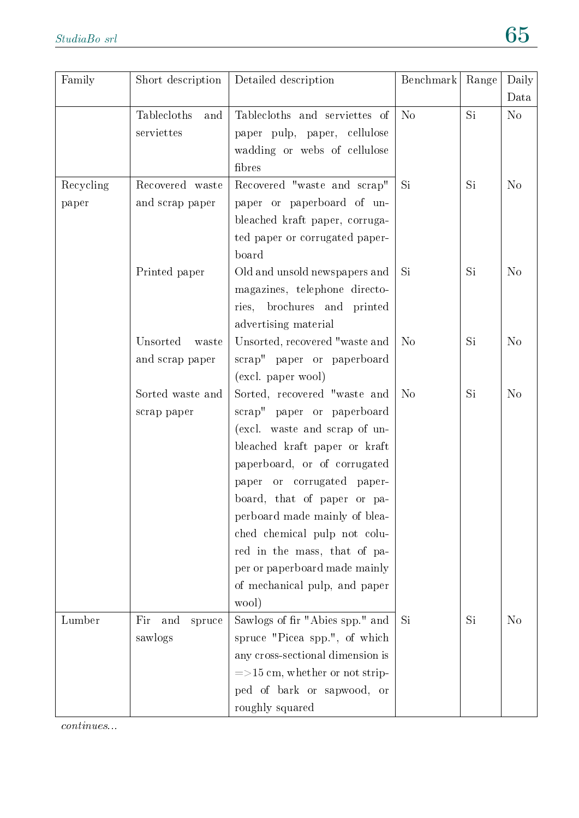| Family    | Short description    | Detailed description              | Benchmark      | Range | Daily<br>Data  |
|-----------|----------------------|-----------------------------------|----------------|-------|----------------|
|           | Tablecloths<br>and   | Tablecloths and serviettes of     | N <sub>o</sub> | Si    | N <sub>o</sub> |
|           | serviettes           | paper pulp, paper, cellulose      |                |       |                |
|           |                      | wadding or webs of cellulose      |                |       |                |
|           |                      | fibres                            |                |       |                |
| Recycling | Recovered waste      | Recovered "waste and scrap"       | Si             | Si    | N <sub>o</sub> |
| paper     | and scrap paper      | paper or paperboard of un-        |                |       |                |
|           |                      | bleached kraft paper, corruga-    |                |       |                |
|           |                      | ted paper or corrugated paper-    |                |       |                |
|           |                      | board                             |                |       |                |
|           | Printed paper        | Old and unsold newspapers and     | Si             | Si    | N <sub>o</sub> |
|           |                      | magazines, telephone directo-     |                |       |                |
|           |                      | brochures and printed<br>ries,    |                |       |                |
|           |                      | advertising material              |                |       |                |
|           | Unsorted<br>waste    | Unsorted, recovered "waste and    | N <sub>o</sub> | Si    | N <sub>o</sub> |
|           | and scrap paper      | scrap" paper or paperboard        |                |       |                |
|           |                      | (excl. paper wool)                |                |       |                |
|           | Sorted waste and     | Sorted, recovered "waste and      | N <sub>o</sub> | Si    | N <sub>o</sub> |
|           | scrap paper          | scrap" paper or paperboard        |                |       |                |
|           |                      | (excl. waste and scrap of un-     |                |       |                |
|           |                      | bleached kraft paper or kraft     |                |       |                |
|           |                      | paperboard, or of corrugated      |                |       |                |
|           |                      | paper or corrugated paper-        |                |       |                |
|           |                      | board, that of paper or pa-       |                |       |                |
|           |                      | perboard made mainly of blea-     |                |       |                |
|           |                      | ched chemical pulp not colu-      |                |       |                |
|           |                      | red in the mass, that of pa-      |                |       |                |
|           |                      | per or paperboard made mainly     |                |       |                |
|           |                      | of mechanical pulp, and paper     |                |       |                |
|           |                      | wool)                             |                |       |                |
| Lumber    | Fir<br>and<br>spruce | Sawlogs of fir "Abies spp." and   | Si             | Si    | N <sub>o</sub> |
|           | sawlogs              | spruce "Picea spp.", of which     |                |       |                |
|           |                      | any cross-sectional dimension is  |                |       |                |
|           |                      | $=$ >15 cm, whether or not strip- |                |       |                |
|           |                      | ped of bark or sapwood, or        |                |       |                |
|           |                      | roughly squared                   |                |       |                |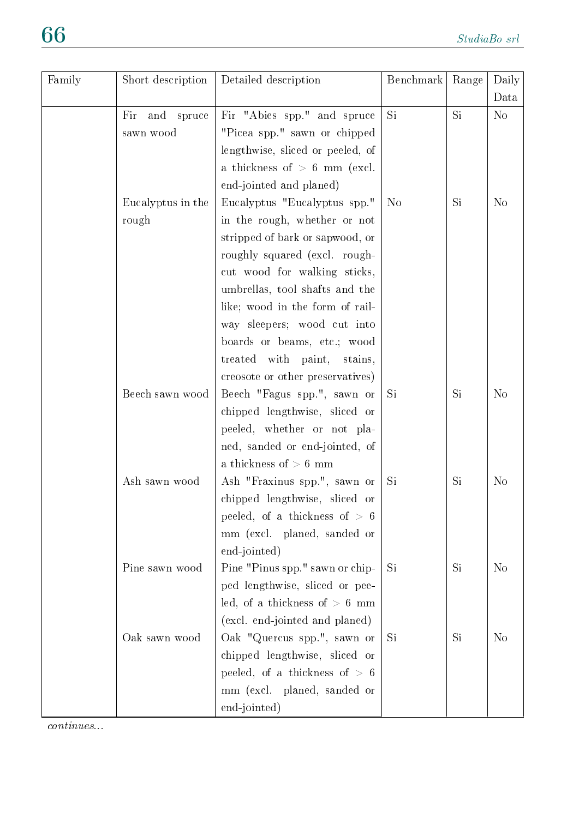| Family | Short description | Detailed description             | Benchmark      | Range     | Daily          |
|--------|-------------------|----------------------------------|----------------|-----------|----------------|
|        |                   |                                  |                |           | Data           |
|        | Fir<br>and spruce | Fir "Abies spp." and spruce      | Si             | Si        | N <sub>o</sub> |
|        | sawn wood         | "Picea spp." sawn or chipped     |                |           |                |
|        |                   | lengthwise, sliced or peeled, of |                |           |                |
|        |                   | a thickness of $> 6$ mm (excl.   |                |           |                |
|        |                   | end-jointed and planed)          |                |           |                |
|        | Eucalyptus in the | Eucalyptus "Eucalyptus spp."     | N <sub>o</sub> | Si        | N <sub>o</sub> |
|        | rough             | in the rough, whether or not     |                |           |                |
|        |                   | stripped of bark or sapwood, or  |                |           |                |
|        |                   | roughly squared (excl. rough-    |                |           |                |
|        |                   | cut wood for walking sticks,     |                |           |                |
|        |                   | umbrellas, tool shafts and the   |                |           |                |
|        |                   | like; wood in the form of rail-  |                |           |                |
|        |                   | way sleepers; wood cut into      |                |           |                |
|        |                   | boards or beams, etc.; wood      |                |           |                |
|        |                   | treated with paint, stains,      |                |           |                |
|        |                   | creosote or other preservatives) |                |           |                |
|        | Beech sawn wood   | Beech "Fagus spp.", sawn or      | Si             | <b>Si</b> | N <sub>o</sub> |
|        |                   | chipped lengthwise, sliced or    |                |           |                |
|        |                   | peeled, whether or not pla-      |                |           |                |
|        |                   | ned, sanded or end-jointed, of   |                |           |                |
|        |                   | a thickness of $> 6$ mm          |                |           |                |
|        | Ash sawn wood     | Ash "Fraxinus spp.", sawn or     | Si             | Si        | N <sub>o</sub> |
|        |                   | chipped lengthwise, sliced or    |                |           |                |
|        |                   | peeled, of a thickness of $> 6$  |                |           |                |
|        |                   | mm (excl. planed, sanded or      |                |           |                |
|        |                   | end-jointed)                     |                |           |                |
|        | Pine sawn wood    | Pine "Pinus spp." sawn or chip-  | Si             | Si        | N <sub>o</sub> |
|        |                   | ped lengthwise, sliced or pee-   |                |           |                |
|        |                   | led, of a thickness of $> 6$ mm  |                |           |                |
|        |                   | (excl. end-jointed and planed)   |                |           |                |
|        | Oak sawn wood     | Oak "Quercus spp.", sawn or      | Si             | Si        | N <sub>o</sub> |
|        |                   | chipped lengthwise, sliced or    |                |           |                |
|        |                   | peeled, of a thickness of $> 6$  |                |           |                |
|        |                   | mm (excl. planed, sanded or      |                |           |                |
|        |                   | end-jointed)                     |                |           |                |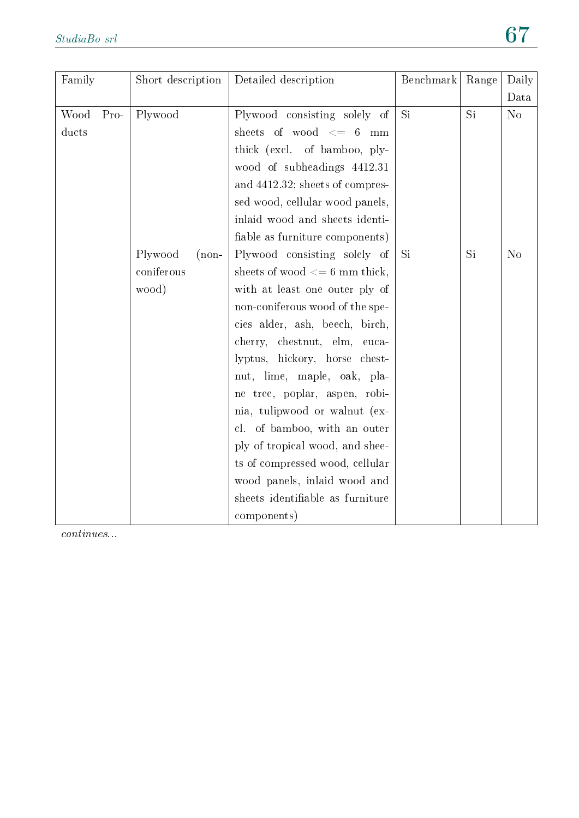| Family |        | Short description  | Detailed description             | Benchmark | Range | Daily          |
|--------|--------|--------------------|----------------------------------|-----------|-------|----------------|
|        |        |                    |                                  |           |       | Data           |
| Wood   | $Pro-$ | Plywood            | Plywood consisting solely of     | Si        | Si    | N <sub>o</sub> |
| ducts  |        |                    | sheets of wood $\leq$ 6 mm       |           |       |                |
|        |        |                    | thick (excl. of bamboo, ply-     |           |       |                |
|        |        |                    | wood of subheadings 4412.31      |           |       |                |
|        |        |                    | and 4412.32; sheets of compres-  |           |       |                |
|        |        |                    | sed wood, cellular wood panels,  |           |       |                |
|        |        |                    | inlaid wood and sheets identi-   |           |       |                |
|        |        |                    | fiable as furniture components)  |           |       |                |
|        |        | Plywood<br>$(non-$ | Plywood consisting solely of     | Si        | Si    | N <sub>o</sub> |
|        |        | coniferous         | sheets of wood $<= 6$ mm thick,  |           |       |                |
|        |        | wood)              | with at least one outer ply of   |           |       |                |
|        |        |                    | non-coniferous wood of the spe-  |           |       |                |
|        |        |                    | cies alder, ash, beech, birch,   |           |       |                |
|        |        |                    | cherry, chestnut, elm, euca-     |           |       |                |
|        |        |                    | lyptus, hickory, horse chest-    |           |       |                |
|        |        |                    | nut, lime, maple, oak, pla-      |           |       |                |
|        |        |                    | ne tree, poplar, aspen, robi-    |           |       |                |
|        |        |                    | nia, tulipwood or walnut (ex-    |           |       |                |
|        |        |                    | cl. of bamboo, with an outer     |           |       |                |
|        |        |                    | ply of tropical wood, and shee-  |           |       |                |
|        |        |                    | ts of compressed wood, cellular  |           |       |                |
|        |        |                    | wood panels, inlaid wood and     |           |       |                |
|        |        |                    | sheets identifiable as furniture |           |       |                |
|        |        |                    | components)                      |           |       |                |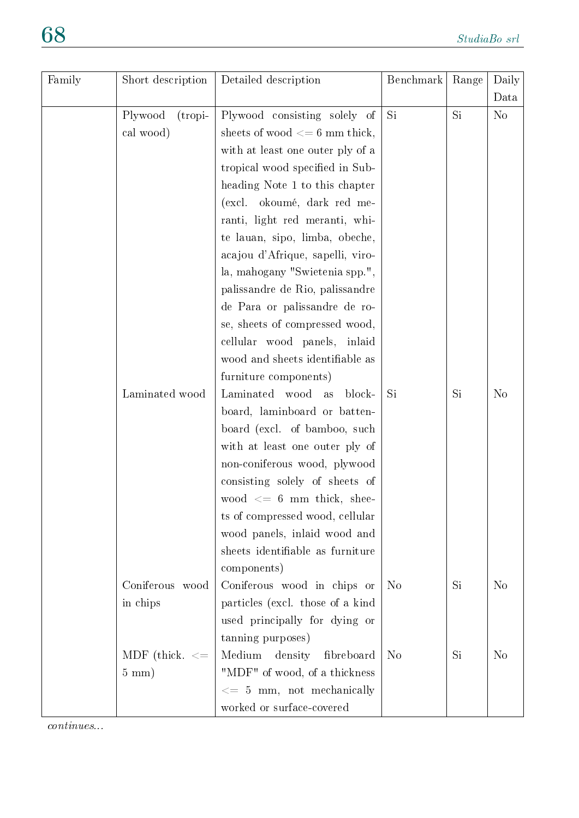| Family | Short description     | Detailed description             | Benchmark      | Range | Daily          |
|--------|-----------------------|----------------------------------|----------------|-------|----------------|
|        |                       |                                  |                |       | Data           |
|        | Plywood<br>$(tropi-)$ | Plywood consisting solely of     | Si.            | Si.   | N <sub>o</sub> |
|        | cal wood)             | sheets of wood $<= 6$ mm thick,  |                |       |                |
|        |                       | with at least one outer ply of a |                |       |                |
|        |                       | tropical wood specified in Sub-  |                |       |                |
|        |                       | heading Note 1 to this chapter   |                |       |                |
|        |                       | (excl. okoumé, dark red me-      |                |       |                |
|        |                       | ranti, light red meranti, whi-   |                |       |                |
|        |                       | te lauan, sipo, limba, obeche,   |                |       |                |
|        |                       | acajou d'Afrique, sapelli, viro- |                |       |                |
|        |                       | la, mahogany "Swietenia spp.",   |                |       |                |
|        |                       | palissandre de Rio, palissandre  |                |       |                |
|        |                       | de Para or palissandre de ro-    |                |       |                |
|        |                       | se, sheets of compressed wood,   |                |       |                |
|        |                       | cellular wood panels, inlaid     |                |       |                |
|        |                       | wood and sheets identifiable as  |                |       |                |
|        |                       | furniture components)            |                |       |                |
|        | Laminated wood        | Laminated wood<br>block-<br>as   | Si             | Si    | N <sub>o</sub> |
|        |                       | board, laminboard or batten-     |                |       |                |
|        |                       | board (excl. of bamboo, such     |                |       |                |
|        |                       | with at least one outer ply of   |                |       |                |
|        |                       | non-coniferous wood, plywood     |                |       |                |
|        |                       | consisting solely of sheets of   |                |       |                |
|        |                       | wood $\leq$ 6 mm thick, shee-    |                |       |                |
|        |                       | ts of compressed wood, cellular  |                |       |                |
|        |                       | wood panels, inlaid wood and     |                |       |                |
|        |                       | sheets identifiable as furniture |                |       |                |
|        |                       | components)                      |                |       |                |
|        | Coniferous wood       | Coniferous wood in chips or      | N <sub>o</sub> | Si    | N <sub>o</sub> |
|        | in chips              | particles (excl. those of a kind |                |       |                |
|        |                       | used principally for dying or    |                |       |                |
|        |                       | tanning purposes)                |                |       |                |
|        | MDF (thick. $\leq$    | Medium<br>density<br>fibreboard  | N <sub>o</sub> | Si    | N <sub>o</sub> |
|        | $5 \text{ mm}$ )      | "MDF" of wood, of a thickness    |                |       |                |
|        |                       | $<= 5$ mm, not mechanically      |                |       |                |
|        |                       | worked or surface-covered        |                |       |                |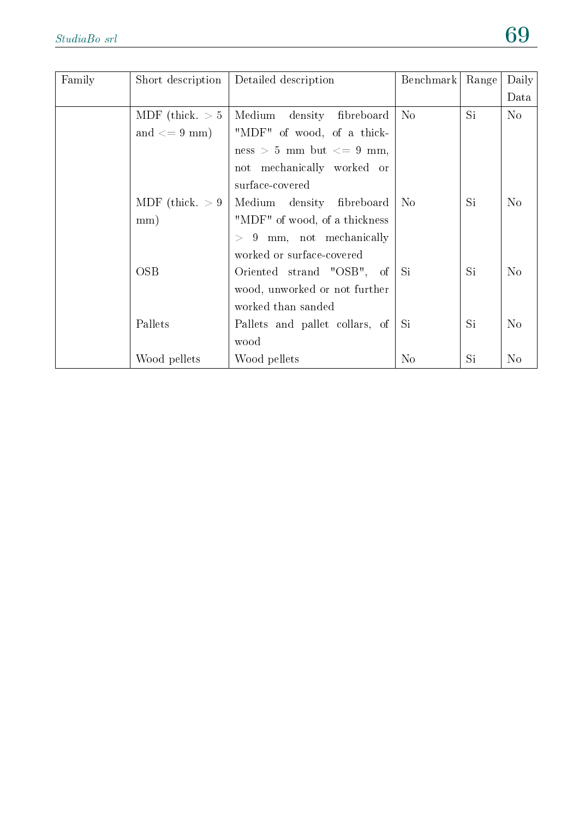| Family | Short description   | Detailed description            | Benchmark      | Range | Daily          |
|--------|---------------------|---------------------------------|----------------|-------|----------------|
|        |                     |                                 |                |       | Data           |
|        | MDF (thick. $> 5$ ) | Medium<br>density<br>fibreboard | N <sub>o</sub> | Si    | $\rm No$       |
|        | and $\leq$ 9 mm)    | "MDF" of wood, of a thick-      |                |       |                |
|        |                     | ness > 5 mm but $\lt$ = 9 mm,   |                |       |                |
|        |                     | not mechanically worked or      |                |       |                |
|        |                     | surface-covered                 |                |       |                |
|        | MDF (thick. $> 9$ ) | Medium density fibreboard       | N <sub>o</sub> | Si    | N <sub>o</sub> |
|        | mm)                 | "MDF" of wood, of a thickness   |                |       |                |
|        |                     | $> 9$ mm, not mechanically      |                |       |                |
|        |                     | worked or surface-covered       |                |       |                |
|        | <b>OSB</b>          | Oriented strand "OSB",<br>of    | Si             | Si    | N <sub>o</sub> |
|        |                     | wood, unworked or not further   |                |       |                |
|        |                     | worked than sanded              |                |       |                |
|        | Pallets             | Pallets and pallet collars, of  | Si             | Si    | N <sub>o</sub> |
|        |                     | wood                            |                |       |                |
|        | Wood pellets        | Wood pellets                    | $\rm No$       | Si    | N <sub>o</sub> |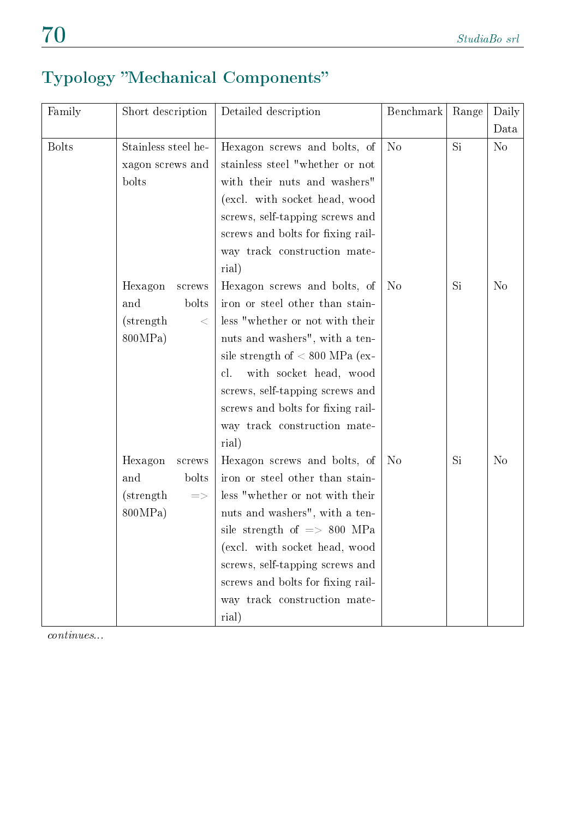# Typology "Mechanical Components"

| Family       | Short description        | Detailed description                   | Benchmark      | Range | Daily          |
|--------------|--------------------------|----------------------------------------|----------------|-------|----------------|
|              |                          |                                        |                |       | Data           |
| <b>Bolts</b> | Stainless steel he-      | Hexagon screws and bolts, of           | N <sub>o</sub> | Si    | $\rm No$       |
|              | xagon screws and         | stainless steel "whether or not        |                |       |                |
|              | bolts                    | with their nuts and washers"           |                |       |                |
|              |                          | (excl. with socket head, wood          |                |       |                |
|              |                          | screws, self-tapping screws and        |                |       |                |
|              |                          | screws and bolts for fixing rail-      |                |       |                |
|              |                          | way track construction mate-           |                |       |                |
|              |                          | rial)                                  |                |       |                |
|              | Hexagon<br>screws        | Hexagon screws and bolts, of           | N <sub>o</sub> | Si    | N <sub>o</sub> |
|              | and<br>bolts             | iron or steel other than stain-        |                |       |                |
|              | (strength)<br>$\leq$     | less "whether or not with their        |                |       |                |
|              | 800MPa)                  | nuts and washers", with a ten-         |                |       |                |
|              |                          | sile strength of $< 800$ MPa (ex-      |                |       |                |
|              |                          | with socket head, wood<br>cl.          |                |       |                |
|              |                          | screws, self-tapping screws and        |                |       |                |
|              |                          | screws and bolts for fixing rail-      |                |       |                |
|              |                          | way track construction mate-           |                |       |                |
|              |                          | rial)                                  |                |       |                |
|              | Hexagon<br>screws        | Hexagon screws and bolts, of           | N <sub>o</sub> | Si    | N <sub>o</sub> |
|              | and<br>bolts             | iron or steel other than stain-        |                |       |                |
|              | (strength)<br>$\equiv >$ | less "whether or not with their        |                |       |                |
|              | 800MPa)                  | nuts and washers", with a ten-         |                |       |                |
|              |                          | sile strength of $\Rightarrow$ 800 MPa |                |       |                |
|              |                          | (excl. with socket head, wood          |                |       |                |
|              |                          | screws, self-tapping screws and        |                |       |                |
|              |                          | screws and bolts for fixing rail-      |                |       |                |
|              |                          | way track construction mate-           |                |       |                |
|              |                          | rial)                                  |                |       |                |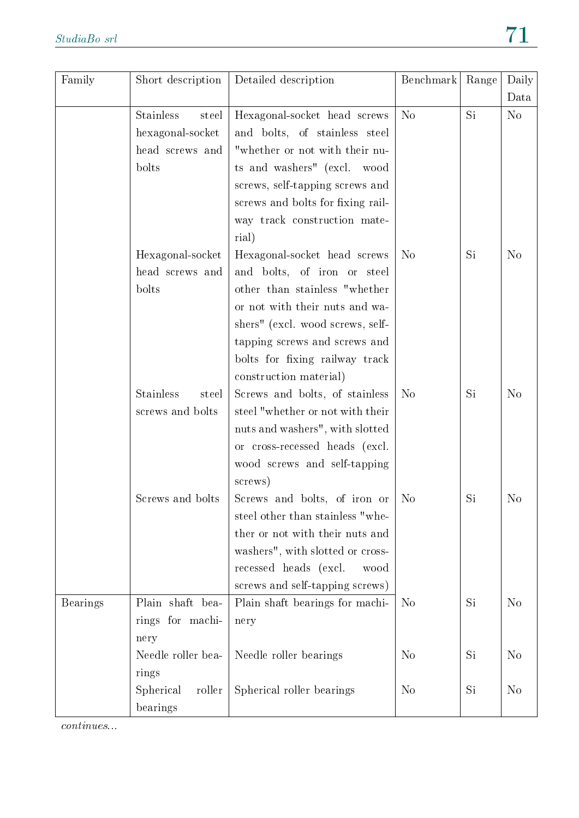| Family          | Short description         | Detailed description              | Benchmark      | Range | Daily<br>Data  |
|-----------------|---------------------------|-----------------------------------|----------------|-------|----------------|
|                 | <b>Stainless</b><br>steel | Hexagonal-socket head screws      | N <sub>o</sub> | Si    | N <sub>o</sub> |
|                 | hexagonal-socket          | and bolts, of stainless steel     |                |       |                |
|                 | head screws and           | "whether or not with their nu-    |                |       |                |
|                 | bolts                     |                                   |                |       |                |
|                 |                           | ts and washers" (excl. wood       |                |       |                |
|                 |                           | screws, self-tapping screws and   |                |       |                |
|                 |                           | screws and bolts for fixing rail- |                |       |                |
|                 |                           | way track construction mate-      |                |       |                |
|                 |                           | rial)                             |                |       |                |
|                 | Hexagonal-socket          | Hexagonal-socket head screws      | N <sub>o</sub> | Si    | N <sub>o</sub> |
|                 | head screws and           | and bolts, of iron or steel       |                |       |                |
|                 | bolts                     | other than stainless "whether     |                |       |                |
|                 |                           | or not with their nuts and wa-    |                |       |                |
|                 |                           | shers" (excl. wood screws, self-  |                |       |                |
|                 |                           | tapping screws and screws and     |                |       |                |
|                 |                           | bolts for fixing railway track    |                |       |                |
|                 |                           | construction material)            |                |       |                |
|                 | Stainless<br>steel        | Screws and bolts, of stainless    | N <sub>o</sub> | Si    | N <sub>o</sub> |
|                 | screws and bolts          | steel "whether or not with their  |                |       |                |
|                 |                           | nuts and washers", with slotted   |                |       |                |
|                 |                           | or cross-recessed heads (excl.    |                |       |                |
|                 |                           | wood screws and self-tapping      |                |       |                |
|                 |                           | screws)                           |                |       |                |
|                 | Screws and bolts          | Screws and bolts, of iron or      | N <sub>o</sub> | Si    | N <sub>o</sub> |
|                 |                           | steel other than stainless "whe-  |                |       |                |
|                 |                           | ther or not with their nuts and   |                |       |                |
|                 |                           | washers", with slotted or cross-  |                |       |                |
|                 |                           | recessed heads (excl.<br>wood     |                |       |                |
|                 |                           | screws and self-tapping screws)   |                |       |                |
| <b>Bearings</b> | Plain shaft bea-          | Plain shaft bearings for machi-   | N <sub>o</sub> | Si    | N <sub>o</sub> |
|                 | rings for machi-          | nery                              |                |       |                |
|                 | nery                      |                                   |                |       |                |
|                 | Needle roller bea-        | Needle roller bearings            | N <sub>o</sub> | Si    | N <sub>o</sub> |
|                 | rings                     |                                   |                |       |                |
|                 | Spherical<br>roller       | Spherical roller bearings         | N <sub>o</sub> | Si    | N <sub>o</sub> |
|                 | bearings                  |                                   |                |       |                |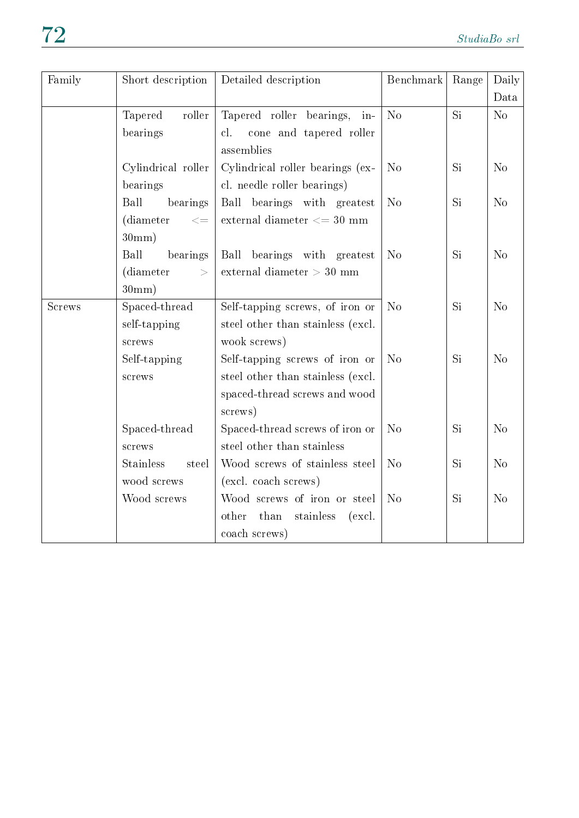| Family        | Short description                                           | Detailed description                                                                                            | Benchmark      | Range | Daily<br>Data  |
|---------------|-------------------------------------------------------------|-----------------------------------------------------------------------------------------------------------------|----------------|-------|----------------|
|               | Tapered<br>$_{\rm roller}$<br>bearings                      | Tapered roller bearings,<br>in-<br>cl.<br>cone and tapered roller<br>assemblies                                 | N <sub>o</sub> | Si    | No             |
|               | Cylindrical roller<br>bearings                              | Cylindrical roller bearings (ex-<br>cl. needle roller bearings)                                                 | N <sub>o</sub> | Si    | N <sub>o</sub> |
|               | Ball<br>bearings<br>(diameter<br>$< \equiv$<br>30mm)        | Ball bearings with greatest<br>external diameter $<= 30$ mm                                                     | N <sub>o</sub> | Si    | N <sub>o</sub> |
|               | Ball<br>bearings<br>(diameter<br>$\geq$<br>$30 \text{mm}$ ) | Ball bearings with greatest<br>external diameter $> 30$ mm                                                      | N <sub>o</sub> | Si    | N <sub>o</sub> |
| <b>Screws</b> | Spaced-thread<br>self-tapping<br>screws                     | Self-tapping screws, of iron or<br>steel other than stainless (excl.<br>wook screws)                            | N <sub>o</sub> | Si    | N <sub>o</sub> |
|               | Self-tapping<br>screws                                      | Self-tapping screws of iron or<br>steel other than stainless (excl.<br>spaced-thread screws and wood<br>screws) | N <sub>o</sub> | Si    | N <sub>o</sub> |
|               | Spaced-thread<br>screws                                     | Spaced-thread screws of iron or<br>steel other than stainless                                                   | N <sub>o</sub> | Si    | N <sub>o</sub> |
|               | <b>Stainless</b><br>steel<br>wood screws                    | Wood screws of stainless steel<br>(excl. coach screws)                                                          | N <sub>o</sub> | Si    | N <sub>o</sub> |
|               | Wood screws                                                 | Wood screws of iron or steel<br>other<br>$_{\rm than}$<br>stainless<br>(excl.                                   | N <sub>o</sub> | Si    | No             |

coach screws)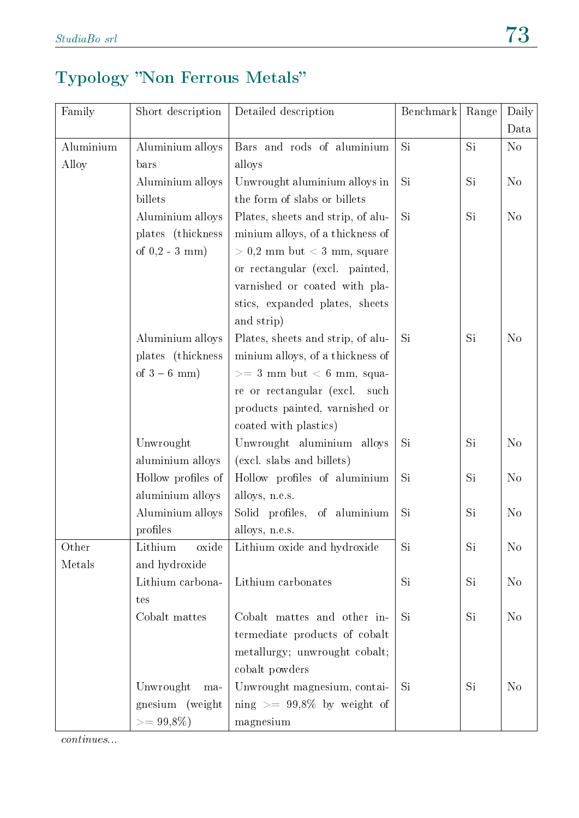### Typology "Non Ferrous Metals"

| Family    | Short description  | Detailed description              | Benchmark | Range | Daily          |
|-----------|--------------------|-----------------------------------|-----------|-------|----------------|
|           |                    |                                   |           |       | Data           |
| Aluminium | Aluminium alloys   | Bars and rods of aluminium        | Si        | Si    | N <sub>o</sub> |
| Alloy     | bars               | alloys                            |           |       |                |
|           | Aluminium alloys   | Unwrought aluminium alloys in     | Si        | Si.   | N <sub>o</sub> |
|           | billets            | the form of slabs or billets      |           |       |                |
|           | Aluminium alloys   | Plates, sheets and strip, of alu- | Si        | Si    | N <sub>o</sub> |
|           | plates (thickness  | minium alloys, of a thickness of  |           |       |                |
|           | of $0,2 - 3$ mm)   | $> 0.2$ mm but $< 3$ mm, square   |           |       |                |
|           |                    | or rectangular (excl. painted,    |           |       |                |
|           |                    | varnished or coated with pla-     |           |       |                |
|           |                    | stics, expanded plates, sheets    |           |       |                |
|           |                    | and strip)                        |           |       |                |
|           | Aluminium alloys   | Plates, sheets and strip, of alu- | Si        | Si    | N <sub>o</sub> |
|           | plates (thickness  | minium alloys, of a thickness of  |           |       |                |
|           | of $3-6$ mm)       | $>= 3$ mm but $< 6$ mm, squa-     |           |       |                |
|           |                    | re or rectangular (excl. such     |           |       |                |
|           |                    | products painted, varnished or    |           |       |                |
|           |                    | coated with plastics)             |           |       |                |
|           | Unwrought          | Unwrought aluminium alloys        | Si        | Si    | N <sub>o</sub> |
|           | aluminium alloys   | (excl. slabs and billets)         |           |       |                |
|           | Hollow profiles of | Hollow profiles of aluminium      | Si        | Si    | N <sub>o</sub> |
|           | aluminium alloys   | alloys, n.e.s.                    |           |       |                |
|           | Aluminium alloys   | Solid profiles, of aluminium      | Si        | Si    | N <sub>o</sub> |
|           | profiles           | alloys, n.e.s.                    |           |       |                |
| Other     | Lithium<br>oxide   | Lithium oxide and hydroxide       | Si        | Si    | N <sub>o</sub> |
| Metals    | and hydroxide      |                                   |           |       |                |
|           | Lithium carbona-   | Lithium carbonates                | <b>Si</b> | Si    | N <sub>o</sub> |
|           | tes                |                                   |           |       |                |
|           | Cobalt mattes      | Cobalt mattes and other in-       | Si        | Si    | N <sub>o</sub> |
|           |                    | termediate products of cobalt     |           |       |                |
|           |                    | metallurgy; unwrought cobalt;     |           |       |                |
|           |                    | cobalt powders                    |           |       |                |
|           | Unwrought<br>ma-   | Unwrought magnesium, contai-      | <b>Si</b> | Si    | N <sub>o</sub> |
|           | gnesium (weight    | ning $\geq$ 99,8% by weight of    |           |       |                |
|           | $>=99,8\%)$        | magnesium                         |           |       |                |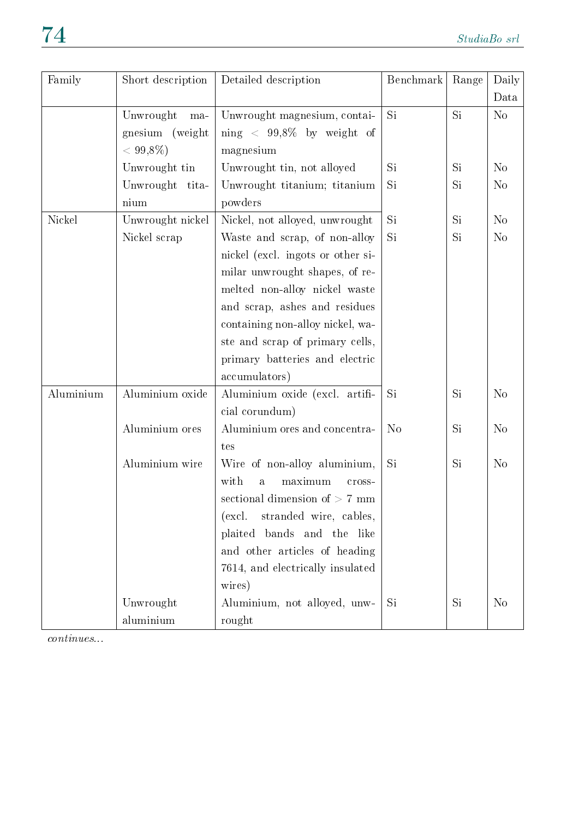| Family    | Short description  | Detailed description                         | Benchmark      | Range | Daily          |
|-----------|--------------------|----------------------------------------------|----------------|-------|----------------|
|           |                    |                                              |                |       | Data           |
|           | Unwrought<br>$ma-$ | Unwrought magnesium, contai-                 | Si             | Si    | N <sub>o</sub> |
|           | gnesium (weight    | ning $\langle 99,8\% 0 \rangle$ by weight of |                |       |                |
|           | $< 99,8\%$         | magnesium                                    |                |       |                |
|           | Unwrought tin      | Unwrought tin, not alloyed                   | Si             | Si    | N <sub>o</sub> |
|           | Unwrought<br>tita- | Unwrought titanium; titanium                 | Si             | Si    | N <sub>o</sub> |
|           | nium               | powders                                      |                |       |                |
| Nickel    | Unwrought nickel   | Nickel, not alloyed, unwrought               | Si             | Si    | N <sub>o</sub> |
|           | Nickel scrap       | Waste and scrap, of non-alloy                | Si             | Si    | N <sub>o</sub> |
|           |                    | nickel (excl. ingots or other si-            |                |       |                |
|           |                    | milar unwrought shapes, of re-               |                |       |                |
|           |                    | melted non-alloy nickel waste                |                |       |                |
|           |                    | and scrap, ashes and residues                |                |       |                |
|           |                    | containing non-alloy nickel, wa-             |                |       |                |
|           |                    | ste and scrap of primary cells,              |                |       |                |
|           |                    | primary batteries and electric               |                |       |                |
|           |                    | accumulators)                                |                |       |                |
| Aluminium | Aluminium oxide    | Aluminium oxide (excl. artifi-               | Si             | Si    | N <sub>o</sub> |
|           |                    | cial corundum)                               |                |       |                |
|           | Aluminium ores     | Aluminium ores and concentra-                | N <sub>o</sub> | Si    | N <sub>o</sub> |
|           |                    | tes                                          |                |       |                |
|           | Aluminium wire     | Wire of non-alloy aluminium,                 | <b>Si</b>      | Si    | N <sub>o</sub> |
|           |                    | with<br>maximum<br>$\mathbf{a}$<br>cross-    |                |       |                |
|           |                    | sectional dimension of $>$ 7 mm              |                |       |                |
|           |                    | stranded wire, cables,<br>(excl.             |                |       |                |
|           |                    | plaited bands and the like                   |                |       |                |
|           |                    | and other articles of heading                |                |       |                |
|           |                    | 7614, and electrically insulated             |                |       |                |
|           |                    | wires)                                       |                |       |                |
|           | Unwrought          | Aluminium, not alloyed, unw-                 | Si             | Si    | N <sub>o</sub> |
|           | aluminium          | rought                                       |                |       |                |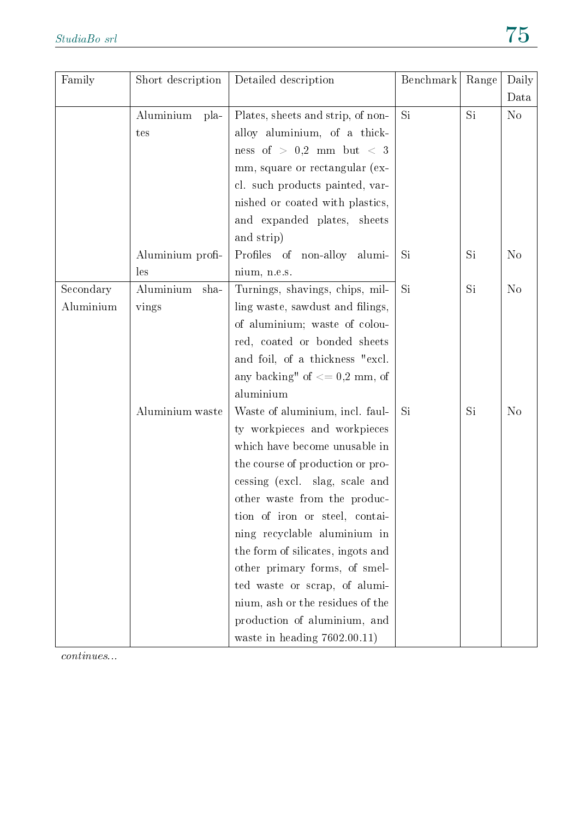| Family    | Short description | Detailed description              | Benchmark | Range | Daily          |
|-----------|-------------------|-----------------------------------|-----------|-------|----------------|
|           |                   |                                   |           |       | Data           |
|           | Aluminium<br>pla- | Plates, sheets and strip, of non- | Si        | Si    | N <sub>o</sub> |
|           | tes               | alloy aluminium, of a thick-      |           |       |                |
|           |                   | ness of $>$ 0,2 mm but $<$ 3      |           |       |                |
|           |                   | mm, square or rectangular (ex-    |           |       |                |
|           |                   | cl. such products painted, var-   |           |       |                |
|           |                   | nished or coated with plastics,   |           |       |                |
|           |                   | and expanded plates, sheets       |           |       |                |
|           |                   | and strip)                        |           |       |                |
|           | Aluminium profi-  | Profiles of non-alloy alumi-      | Si        | Si    | N <sub>o</sub> |
|           | les               | nium, n.e.s.                      |           |       |                |
| Secondary | Aluminium<br>sha- | Turnings, shavings, chips, mil-   | Si        | Si    | N <sub>o</sub> |
| Aluminium | vings             | ling waste, sawdust and filings,  |           |       |                |
|           |                   | of aluminium; waste of colou-     |           |       |                |
|           |                   | red, coated or bonded sheets      |           |       |                |
|           |                   | and foil, of a thickness "excl.   |           |       |                |
|           |                   | any backing" of $<= 0.2$ mm, of   |           |       |                |
|           |                   | aluminium                         |           |       |                |
|           | Aluminium waste   | Waste of aluminium, incl. faul-   | Si        | Si    | N <sub>o</sub> |
|           |                   | ty workpieces and workpieces      |           |       |                |
|           |                   | which have become unusable in     |           |       |                |
|           |                   | the course of production or pro-  |           |       |                |
|           |                   | cessing (excl. slag, scale and    |           |       |                |
|           |                   | other waste from the produc-      |           |       |                |
|           |                   | tion of iron or steel, contai-    |           |       |                |
|           |                   | ning recyclable aluminium in      |           |       |                |
|           |                   | the form of silicates, ingots and |           |       |                |
|           |                   | other primary forms, of smel-     |           |       |                |
|           |                   | ted waste or scrap, of alumi-     |           |       |                |
|           |                   | nium, ash or the residues of the  |           |       |                |
|           |                   | production of aluminium, and      |           |       |                |
|           |                   | waste in heading $7602.00.11$ )   |           |       |                |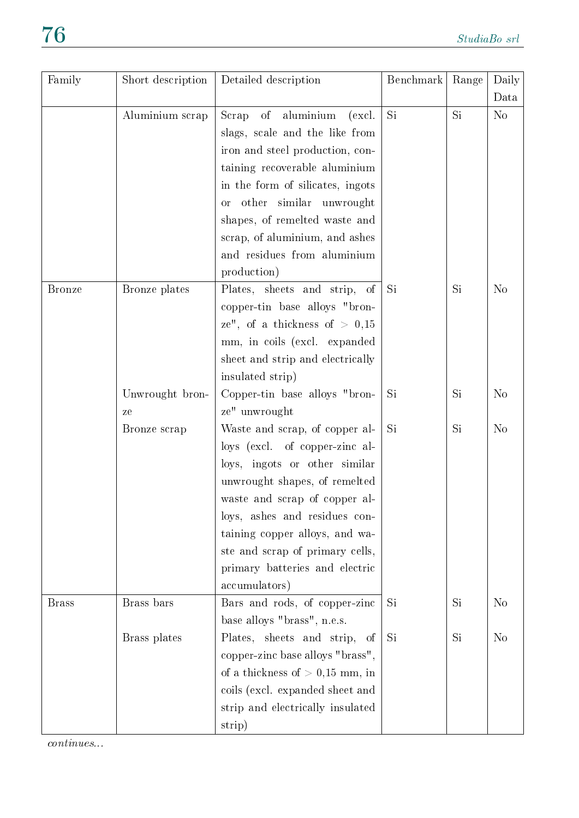| Family        | Short description | Detailed description                 | Benchmark | Range     | Daily          |
|---------------|-------------------|--------------------------------------|-----------|-----------|----------------|
|               |                   |                                      |           |           | Data           |
|               | Aluminium scrap   | aluminium<br>of<br>Scrap<br>(excl.   | Si        | Si.       | No             |
|               |                   | slags, scale and the like from       |           |           |                |
|               |                   | iron and steel production, con-      |           |           |                |
|               |                   | taining recoverable aluminium        |           |           |                |
|               |                   | in the form of silicates, ingots     |           |           |                |
|               |                   | other similar unwrought<br><b>or</b> |           |           |                |
|               |                   | shapes, of remelted waste and        |           |           |                |
|               |                   | scrap, of aluminium, and ashes       |           |           |                |
|               |                   | and residues from aluminium          |           |           |                |
|               |                   | production)                          |           |           |                |
| <b>Bronze</b> | Bronze plates     | Plates, sheets and strip, of         | Si        | Si        | N <sub>o</sub> |
|               |                   | copper-tin base alloys "bron-        |           |           |                |
|               |                   | ze", of a thickness of $> 0.15$      |           |           |                |
|               |                   | mm, in coils (excl. expanded         |           |           |                |
|               |                   | sheet and strip and electrically     |           |           |                |
|               |                   | insulated strip)                     |           |           |                |
|               | Unwrought bron-   | Copper-tin base alloys "bron-        | Si        | <b>Si</b> | N <sub>o</sub> |
|               | ze                | ze" unwrought                        |           |           |                |
|               | Bronze scrap      | Waste and scrap, of copper al-       | <b>Si</b> | Si        | N <sub>o</sub> |
|               |                   | loys (excl. of copper-zinc al-       |           |           |                |
|               |                   | loys, ingots or other similar        |           |           |                |
|               |                   | unwrought shapes, of remelted        |           |           |                |
|               |                   | waste and scrap of copper al-        |           |           |                |
|               |                   | loys, ashes and residues con-        |           |           |                |
|               |                   | taining copper alloys, and wa-       |           |           |                |
|               |                   | ste and scrap of primary cells,      |           |           |                |
|               |                   | primary batteries and electric       |           |           |                |
|               |                   | accumulators)                        |           |           |                |
| <b>Brass</b>  | Brass bars        | Bars and rods, of copper-zinc        | Si        | Si        | N <sub>o</sub> |
|               |                   | base alloys "brass", n.e.s.          |           |           |                |
|               | Brass plates      | Plates, sheets and strip, of         | Si        | Si        | N <sub>o</sub> |
|               |                   | copper-zinc base alloys "brass",     |           |           |                |
|               |                   | of a thickness of $> 0,15$ mm, in    |           |           |                |
|               |                   | coils (excl. expanded sheet and      |           |           |                |
|               |                   | strip and electrically insulated     |           |           |                |
|               |                   | strip)                               |           |           |                |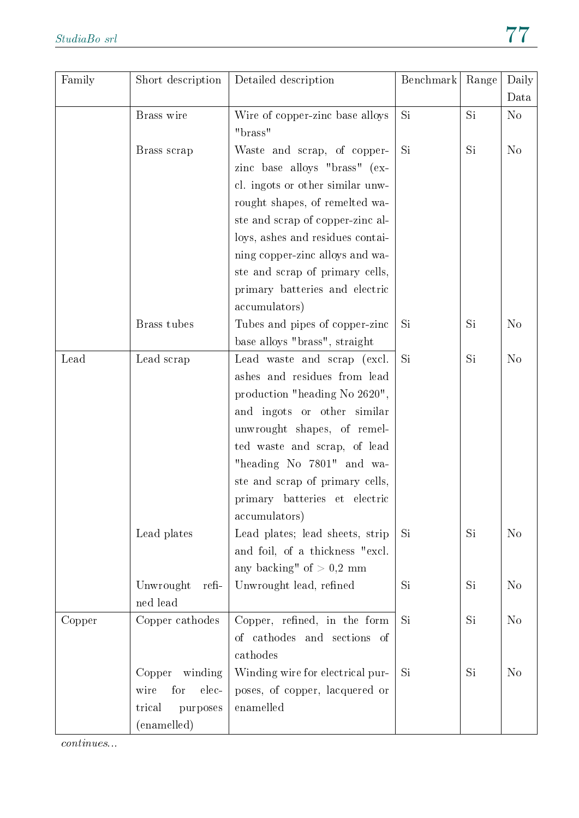| Family | Short description                                                              | Detailed description                                                                                                                                                                                                                                                                                                                | Benchmark | Range | Daily<br>Data  |
|--------|--------------------------------------------------------------------------------|-------------------------------------------------------------------------------------------------------------------------------------------------------------------------------------------------------------------------------------------------------------------------------------------------------------------------------------|-----------|-------|----------------|
|        | Brass wire                                                                     | Wire of copper-zinc base alloys<br>"brass"                                                                                                                                                                                                                                                                                          | Si        | Si    | N <sub>o</sub> |
|        | Brass scrap                                                                    | Waste and scrap, of copper-<br>zinc base alloys "brass" (ex-<br>cl. ingots or other similar unw-<br>rought shapes, of remelted wa-<br>ste and scrap of copper-zinc al-<br>loys, ashes and residues contai-<br>ning copper-zinc alloys and wa-<br>ste and scrap of primary cells,<br>primary batteries and electric<br>accumulators) | Si        | Si    | N <sub>o</sub> |
|        | Brass tubes                                                                    | Tubes and pipes of copper-zinc<br>base alloys "brass", straight                                                                                                                                                                                                                                                                     | Si        | Si    | N <sub>o</sub> |
| Lead   | Lead scrap                                                                     | Lead waste and scrap (excl.<br>ashes and residues from lead<br>production "heading No 2620",<br>and ingots or other similar<br>unwrought shapes, of remel-<br>ted waste and scrap, of lead<br>"heading No 7801" and wa-<br>ste and scrap of primary cells,<br>primary batteries et electric<br>accumulators)                        | <b>Si</b> | Si    | N <sub>o</sub> |
|        | Lead plates                                                                    | Lead plates; lead sheets, strip<br>and foil, of a thickness "excl.<br>any backing" of $> 0.2$ mm                                                                                                                                                                                                                                    | Si        | Si    | N <sub>o</sub> |
|        | Unwrought<br>refi-<br>ned lead                                                 | Unwrought lead, refined                                                                                                                                                                                                                                                                                                             | Si        | Si    | N <sub>o</sub> |
| Copper | Copper cathodes                                                                | Copper, refined, in the form<br>of cathodes and sections of<br>cathodes                                                                                                                                                                                                                                                             | Si        | Si    | N <sub>o</sub> |
|        | winding<br>Copper<br>for<br>elec-<br>wire<br>purposes<br>trical<br>(enamelled) | Winding wire for electrical pur-<br>poses, of copper, lacquered or<br>enamelled                                                                                                                                                                                                                                                     | Si        | Si    | N <sub>o</sub> |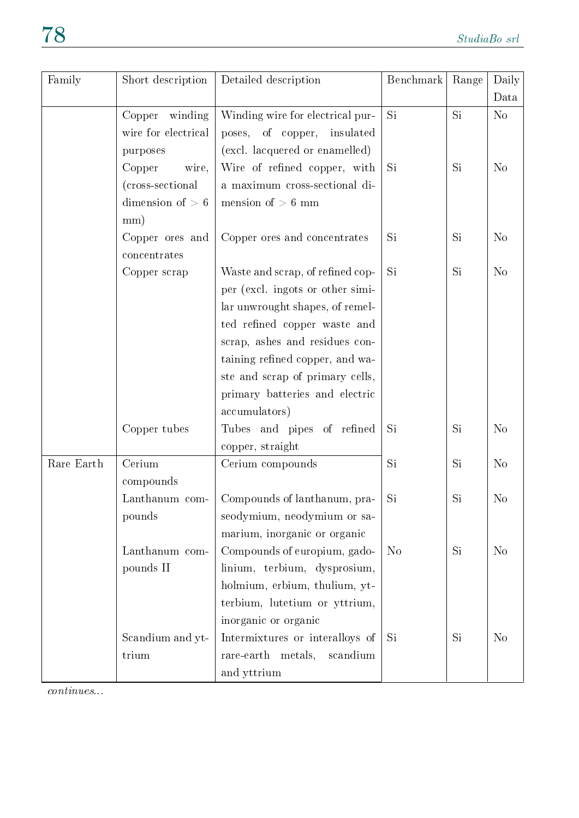| Family     | Short description               | Detailed description             | Benchmark      | Range | Daily<br>Data  |
|------------|---------------------------------|----------------------------------|----------------|-------|----------------|
|            | winding<br>Copper               | Winding wire for electrical pur- | Si             | Si    | No             |
|            | wire for electrical             | poses, of copper,<br>insulated   |                |       |                |
|            | purposes                        | (excl. lacquered or enamelled)   |                |       |                |
|            | Copper<br>wire,                 | Wire of refined copper, with     | Si             | Si    | N <sub>o</sub> |
|            | (cross-sectional)               | a maximum cross-sectional di-    |                |       |                |
|            | dimension of $> 6$              | mension of $> 6$ mm              |                |       |                |
|            | mm)                             |                                  |                |       |                |
|            | Copper ores and<br>concentrates | Copper ores and concentrates     | Si             | Si    | N <sub>o</sub> |
|            | Copper scrap                    | Waste and scrap, of refined cop- | Si.            | Si    | N <sub>o</sub> |
|            |                                 | per (excl. ingots or other simi- |                |       |                |
|            |                                 | lar unwrought shapes, of remel-  |                |       |                |
|            |                                 | ted refined copper waste and     |                |       |                |
|            |                                 | scrap, ashes and residues con-   |                |       |                |
|            |                                 | taining refined copper, and wa-  |                |       |                |
|            |                                 | ste and scrap of primary cells,  |                |       |                |
|            |                                 | primary batteries and electric   |                |       |                |
|            |                                 | accumulators)                    |                |       |                |
|            | Copper tubes                    | Tubes and pipes of refined       | Si             | Si    | N <sub>o</sub> |
|            |                                 | copper, straight                 |                |       |                |
| Rare Earth | Cerium                          | Cerium compounds                 | Si             | Si    | N <sub>o</sub> |
|            | compounds                       |                                  |                |       |                |
|            | Lanthanum com-                  | Compounds of lanthanum, pra-     | Si             | Si    | N <sub>o</sub> |
|            | pounds                          | seodymium, neodymium or sa-      |                |       |                |
|            |                                 | marium, inorganic or organic     |                |       |                |
|            | Lanthanum com-                  | Compounds of europium, gado-     | N <sub>o</sub> | Si.   | N <sub>o</sub> |
|            | pounds II                       | linium, terbium, dysprosium,     |                |       |                |
|            |                                 | holmium, erbium, thulium, yt-    |                |       |                |
|            |                                 | terbium, lutetium or yttrium,    |                |       |                |
|            |                                 | inorganic or organic             |                |       |                |
|            | Scandium and yt-                | Intermixtures or interalloys of  | Si             | Si.   | N <sub>o</sub> |
|            | trium                           | rare-earth metals,<br>scandium   |                |       |                |
|            |                                 | and yttrium                      |                |       |                |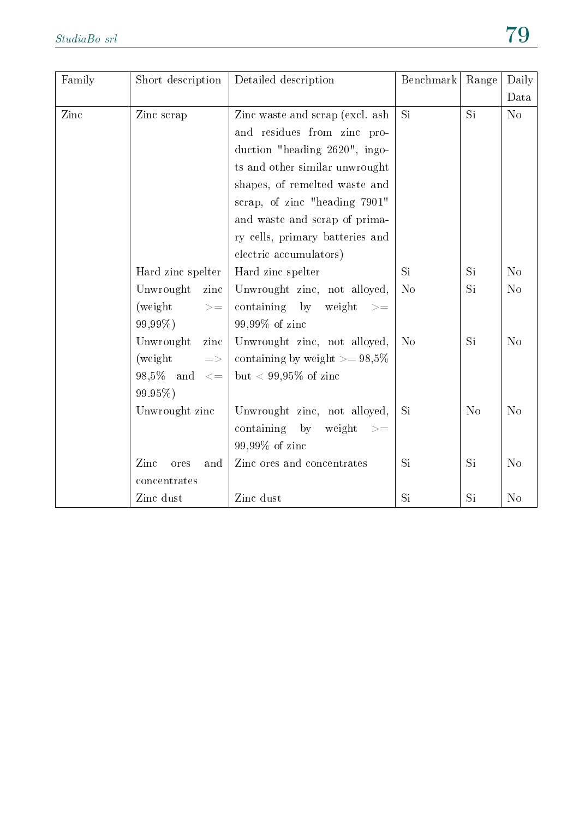| Family | Short description         | Detailed description                              | Benchmark      | Range          | Daily          |
|--------|---------------------------|---------------------------------------------------|----------------|----------------|----------------|
|        |                           |                                                   |                |                | Data           |
| Zinc   | Zinc scrap                | Zinc waste and scrap (excl. ash                   | Si.            | Si             | No             |
|        |                           | and residues from zinc pro-                       |                |                |                |
|        |                           | duction "heading 2620", ingo-                     |                |                |                |
|        |                           | ts and other similar unwrought                    |                |                |                |
|        |                           | shapes, of remelted waste and                     |                |                |                |
|        |                           | scrap, of zinc "heading 7901"                     |                |                |                |
|        |                           | and waste and scrap of prima-                     |                |                |                |
|        |                           | ry cells, primary batteries and                   |                |                |                |
|        |                           | electric accumulators)                            |                |                |                |
|        | Hard zinc spelter         | Hard zinc spelter                                 | Si             | Si             | No             |
|        | Unwrought<br>zinc         | Unwrought zinc, not alloyed,                      | N <sub>o</sub> | Si             | N <sub>o</sub> |
|        | (weight)<br>$> =$         | containing by<br>weight<br>$\Rightarrow$          |                |                |                |
|        | 99,99%)                   | 99,99% of zinc                                    |                |                |                |
|        | Unwrought<br>zinc         | Unwrought zinc, not alloyed,                      | N <sub>o</sub> | Si             | No             |
|        | (weight)<br>$\Rightarrow$ | containing by weight $>= 98.5\%$                  |                |                |                |
|        | $98.5\%$ and $\leq$       | but < 99,95% of zinc                              |                |                |                |
|        | 99.95%)                   |                                                   |                |                |                |
|        | Unwrought zinc            | Unwrought zinc, not alloyed,                      | <b>Si</b>      | N <sub>o</sub> | N <sub>o</sub> |
|        |                           | containing by<br>weight<br>$\Rightarrow$ $\equiv$ |                |                |                |
|        |                           | 99,99% of zinc                                    |                |                |                |
|        | Zinc<br>ores<br>and       | Zinc ores and concentrates                        | Si             | Si             | N <sub>o</sub> |
|        | concentrates              |                                                   |                |                |                |
|        | Zinc dust                 | Zinc dust                                         | Si             | Si             | N <sub>o</sub> |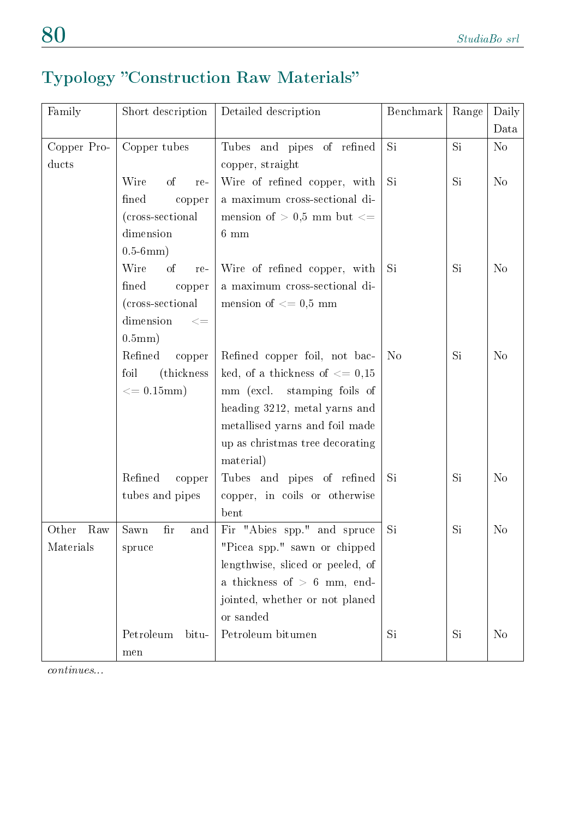### Typology "Construction Raw Materials"

| Family       | Short description                   | Detailed description               | Benchmark      | Range | Daily          |
|--------------|-------------------------------------|------------------------------------|----------------|-------|----------------|
|              |                                     |                                    |                |       | Data           |
| Copper Pro-  | Copper tubes                        | Tubes and pipes of refined         | Si.            | Si.   | No             |
| ducts        |                                     | copper, straight                   |                |       |                |
|              | Wire<br>of<br>re-                   | Wire of refined copper, with       | Si.            | Si    | N <sub>o</sub> |
|              | fined<br>copper                     | a maximum cross-sectional di-      |                |       |                |
|              | (cross-sectional)                   | mension of $> 0.5$ mm but $\lt =$  |                |       |                |
|              | dimension                           | $6 \text{ mm}$                     |                |       |                |
|              | $0.5-6mm)$                          |                                    |                |       |                |
|              | Wire<br>of<br>re-                   | Wire of refined copper, with       | Si             | Si    | N <sub>o</sub> |
|              | fined<br>copper                     | a maximum cross-sectional di-      |                |       |                |
|              | (cross-sectional                    | mension of $<= 0.5$ mm             |                |       |                |
|              | dimension<br>$< =$                  |                                    |                |       |                |
|              | 0.5mm)                              |                                    |                |       |                |
|              | Refined<br>copper                   | Refined copper foil, not bac-      | N <sub>o</sub> | Si    | N <sub>o</sub> |
|              | foil<br>(thickness)                 | ked, of a thickness of $\leq$ 0,15 |                |       |                |
|              | $\epsilon = 0.15$ mm)               | mm (excl. stamping foils of        |                |       |                |
|              |                                     | heading 3212, metal yarns and      |                |       |                |
|              |                                     | metallised yarns and foil made     |                |       |                |
|              |                                     | up as christmas tree decorating    |                |       |                |
|              |                                     | material)                          |                |       |                |
|              | Refined<br>copper                   | Tubes and pipes of refined         | Si             | Si    | N <sub>o</sub> |
|              | tubes and pipes                     | copper, in coils or otherwise      |                |       |                |
|              |                                     | bent                               |                |       |                |
| Raw<br>Other | Sawn<br>$\operatorname{fir}$<br>and | Fir "Abies spp." and spruce        | Si             | Si    | N <sub>o</sub> |
| Materials    | spruce                              | "Picea spp." sawn or chipped       |                |       |                |
|              |                                     | lengthwise, sliced or peeled, of   |                |       |                |
|              |                                     | a thickness of $> 6$ mm, end-      |                |       |                |
|              |                                     | jointed, whether or not planed     |                |       |                |
|              |                                     | or sanded                          |                |       |                |
|              | Petroleum<br>bitu-                  | Petroleum bitumen                  | Si             | Si.   | N <sub>o</sub> |
|              | men                                 |                                    |                |       |                |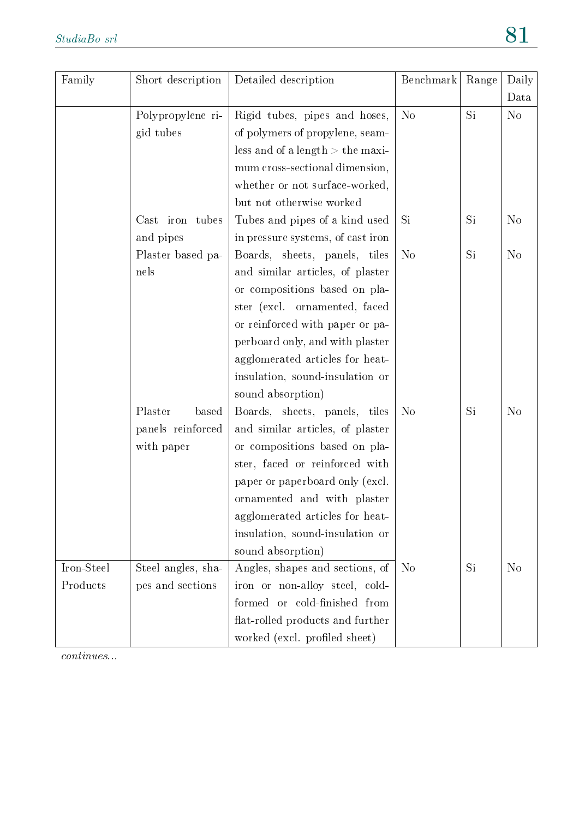| Family     | Short description                   | Detailed description                                             | Benchmark      | Range | Daily          |
|------------|-------------------------------------|------------------------------------------------------------------|----------------|-------|----------------|
|            |                                     |                                                                  |                |       | Data           |
|            | Polypropylene ri-<br>gid tubes      | Rigid tubes, pipes and hoses,<br>of polymers of propylene, seam- | N <sub>o</sub> | Si    | N <sub>o</sub> |
|            |                                     | less and of a length $>$ the maxi-                               |                |       |                |
|            |                                     | mum cross-sectional dimension,                                   |                |       |                |
|            |                                     | whether or not surface-worked,                                   |                |       |                |
|            |                                     | but not otherwise worked                                         |                |       |                |
|            | $\operatorname{Cast}$ iron<br>tubes | Tubes and pipes of a kind used                                   | <b>Si</b>      | Si    | N <sub>o</sub> |
|            | and pipes                           | in pressure systems, of cast iron                                |                |       |                |
|            | Plaster based pa-                   | Boards, sheets, panels, tiles                                    | N <sub>o</sub> | Si    | N <sub>o</sub> |
|            | nels                                | and similar articles, of plaster                                 |                |       |                |
|            |                                     | or compositions based on pla-                                    |                |       |                |
|            |                                     | ster (excl. ornamented, faced                                    |                |       |                |
|            |                                     | or reinforced with paper or pa-                                  |                |       |                |
|            |                                     | perboard only, and with plaster                                  |                |       |                |
|            |                                     | agglomerated articles for heat-                                  |                |       |                |
|            |                                     | insulation, sound-insulation or                                  |                |       |                |
|            |                                     | sound absorption)                                                |                |       |                |
|            | Plaster<br>based                    | Boards, sheets, panels, tiles                                    | N <sub>o</sub> | Si    | N <sub>o</sub> |
|            | panels reinforced                   | and similar articles, of plaster                                 |                |       |                |
|            | with paper                          | or compositions based on pla-                                    |                |       |                |
|            |                                     | ster, faced or reinforced with                                   |                |       |                |
|            |                                     | paper or paperboard only (excl.                                  |                |       |                |
|            |                                     | ornamented and with plaster                                      |                |       |                |
|            |                                     | agglomerated articles for heat-                                  |                |       |                |
|            |                                     | insulation, sound-insulation or                                  |                |       |                |
|            |                                     | sound absorption)                                                |                |       |                |
| Iron-Steel | Steel angles, sha-                  | Angles, shapes and sections, of                                  | N <sub>o</sub> | Si    | N <sub>o</sub> |
| Products   | pes and sections                    | iron or non-alloy steel, cold-                                   |                |       |                |
|            |                                     | formed or cold-finished from                                     |                |       |                |
|            |                                     | flat-rolled products and further                                 |                |       |                |
|            |                                     | worked (excl. profiled sheet)                                    |                |       |                |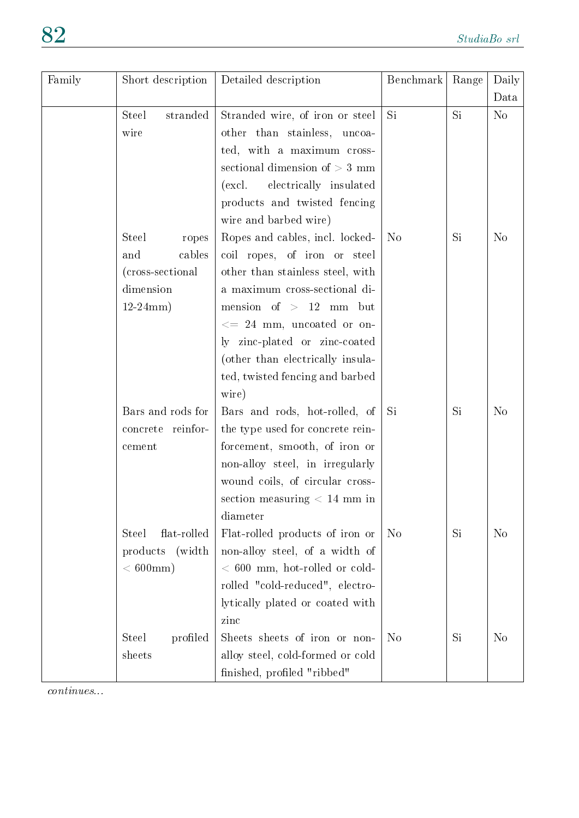| Family | Short description           | Detailed description                                  | Benchmark      | Range | Daily          |
|--------|-----------------------------|-------------------------------------------------------|----------------|-------|----------------|
|        |                             |                                                       |                |       | Data           |
|        | stranded<br><b>Steel</b>    | Stranded wire, of iron or steel                       | Si             | Si    | N <sub>o</sub> |
|        | wire                        | other than stainless, uncoa-                          |                |       |                |
|        |                             | ted, with a maximum cross-                            |                |       |                |
|        |                             | sectional dimension of $> 3$ mm                       |                |       |                |
|        |                             | electrically insulated<br>$\left(\text{excl.}\right)$ |                |       |                |
|        |                             | products and twisted fencing                          |                |       |                |
|        |                             | wire and barbed wire)                                 |                |       |                |
|        | <b>Steel</b><br>ropes       | Ropes and cables, incl. locked-                       | N <sub>o</sub> | Si    | N <sub>o</sub> |
|        | cables<br>and               | coil ropes, of iron or steel                          |                |       |                |
|        | (cross-sectional)           | other than stainless steel, with                      |                |       |                |
|        | dimension                   | a maximum cross-sectional di-                         |                |       |                |
|        | $12-24mm)$                  | mension of $> 12$ mm but                              |                |       |                |
|        |                             | $\epsilon = 24$ mm, uncoated or on-                   |                |       |                |
|        |                             | ly zinc-plated or zinc-coated                         |                |       |                |
|        |                             | (other than electrically insula-                      |                |       |                |
|        |                             | ted, twisted fencing and barbed                       |                |       |                |
|        |                             | wire)                                                 |                |       |                |
|        | Bars and rods for           | Bars and rods, hot-rolled, of                         | Si             | Si    | N <sub>o</sub> |
|        | concrete reinfor-           | the type used for concrete rein-                      |                |       |                |
|        | cement                      | forcement, smooth, of iron or                         |                |       |                |
|        |                             | non-alloy steel, in irregularly                       |                |       |                |
|        |                             | wound coils, of circular cross-                       |                |       |                |
|        |                             | section measuring $< 14$ mm in                        |                |       |                |
|        |                             | diameter                                              |                |       |                |
|        | flat-rolled<br><b>Steel</b> | Flat-rolled products of iron or                       | N <sub>o</sub> | Si    | N <sub>o</sub> |
|        | (width)<br>products         | non-alloy steel, of a width of                        |                |       |                |
|        | $< 600 \text{mm}$ )         | $< 600$ mm, hot-rolled or cold-                       |                |       |                |
|        |                             | rolled "cold-reduced", electro-                       |                |       |                |
|        |                             | lytically plated or coated with                       |                |       |                |
|        |                             | zinc                                                  |                |       |                |
|        | profiled<br><b>Steel</b>    | Sheets sheets of iron or non-                         | N <sub>o</sub> | Si    | N <sub>o</sub> |
|        | sheets                      | alloy steel, cold-formed or cold                      |                |       |                |
|        |                             | finished, profiled "ribbed"                           |                |       |                |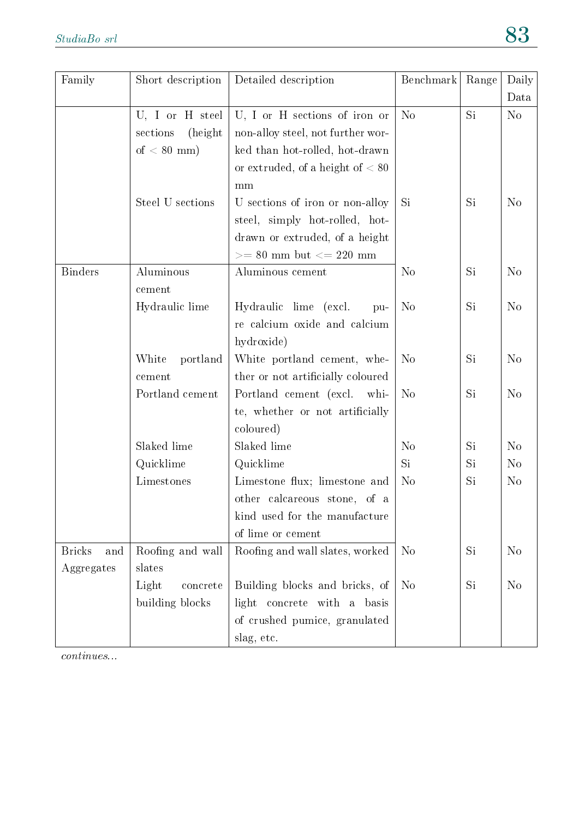| Family               | Short description    | Detailed description               | Benchmark      | Range | Daily          |
|----------------------|----------------------|------------------------------------|----------------|-------|----------------|
|                      |                      |                                    |                |       | Data           |
|                      | U, I or H steel      | U, I or H sections of iron or      | N <sub>o</sub> | Si    | N <sub>o</sub> |
|                      | sections<br>(height) | non-alloy steel, not further wor-  |                |       |                |
|                      | of $< 80$ mm)        | ked than hot-rolled, hot-drawn     |                |       |                |
|                      |                      | or extruded, of a height of $< 80$ |                |       |                |
|                      |                      | mm                                 |                |       |                |
|                      | Steel U sections     | U sections of iron or non-alloy    | Si             | Si    | N <sub>o</sub> |
|                      |                      | steel, simply hot-rolled, hot-     |                |       |                |
|                      |                      | drawn or extruded, of a height     |                |       |                |
|                      |                      | $>=80$ mm but $<=220$ mm           |                |       |                |
| <b>Binders</b>       | Aluminous            | Aluminous cement                   | N <sub>o</sub> | Si    | N <sub>o</sub> |
|                      | cement               |                                    |                |       |                |
|                      | Hydraulic lime       | Hydraulic lime (excl.<br>pu-       | N <sub>o</sub> | Si    | N <sub>o</sub> |
|                      |                      | re calcium oxide and calcium       |                |       |                |
|                      |                      | hydroxide)                         |                |       |                |
|                      | White<br>portland    | White portland cement, whe-        | N <sub>o</sub> | Si    | N <sub>o</sub> |
|                      | cement               | ther or not artificially coloured  |                |       |                |
|                      | Portland cement      | Portland cement (excl. whi-        | N <sub>o</sub> | Si    | N <sub>o</sub> |
|                      |                      | te, whether or not artificially    |                |       |                |
|                      |                      | coloured)                          |                |       |                |
|                      | Slaked lime          | Slaked lime                        | N <sub>o</sub> | Si    | N <sub>o</sub> |
|                      | Quicklime            | Quicklime                          | Si             | Si    | N <sub>o</sub> |
|                      | Limestones           | Limestone flux; limestone and      | N <sub>o</sub> | Si    | N <sub>o</sub> |
|                      |                      | other calcareous stone, of a       |                |       |                |
|                      |                      | kind used for the manufacture      |                |       |                |
|                      |                      | of lime or cement                  |                |       |                |
| <b>Bricks</b><br>and | Roofing and wall     | Roofing and wall slates, worked    | N <sub>o</sub> | Si    | N <sub>o</sub> |
| Aggregates           | slates               |                                    |                |       |                |
|                      | Light<br>concrete    | Building blocks and bricks, of     | N <sub>o</sub> | Si    | N <sub>o</sub> |
|                      | building blocks      | light concrete with a basis        |                |       |                |
|                      |                      | of crushed pumice, granulated      |                |       |                |
|                      |                      | slag, etc.                         |                |       |                |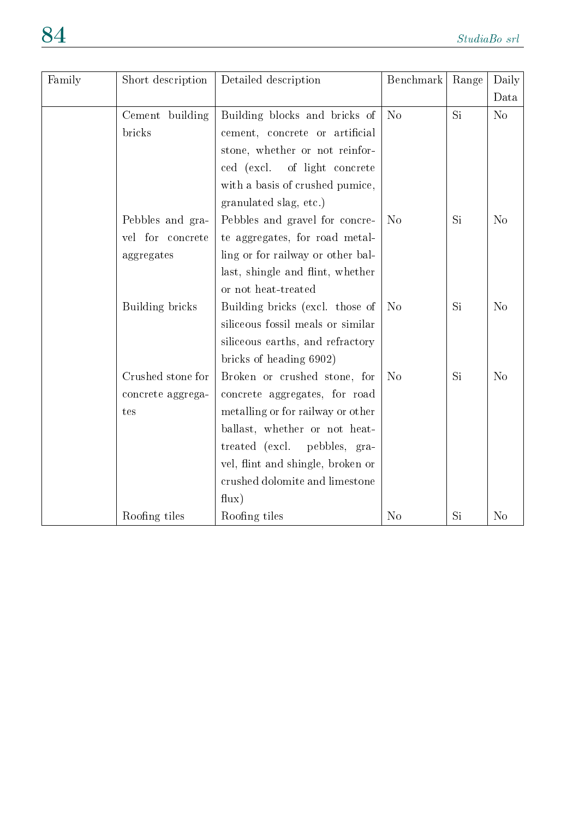| Family | Short description | Detailed description              | Benchmark      | Range     | Daily          |
|--------|-------------------|-----------------------------------|----------------|-----------|----------------|
|        |                   |                                   |                |           | Data           |
|        | Cement building   | Building blocks and bricks of     | N <sub>o</sub> | Si        | N <sub>o</sub> |
|        | bricks            | cement, concrete or artificial    |                |           |                |
|        |                   | stone, whether or not reinfor-    |                |           |                |
|        |                   | ced (excl.<br>of light concrete   |                |           |                |
|        |                   | with a basis of crushed pumice,   |                |           |                |
|        |                   | granulated slag, etc.)            |                |           |                |
|        | Pebbles and gra-  | Pebbles and gravel for concre-    | N <sub>o</sub> | Si        | N <sub>o</sub> |
|        | vel for concrete  | te aggregates, for road metal-    |                |           |                |
|        | aggregates        | ling or for railway or other bal- |                |           |                |
|        |                   | last, shingle and flint, whether  |                |           |                |
|        |                   | or not heat-treated               |                |           |                |
|        | Building bricks   | Building bricks (excl. those of   | N <sub>o</sub> | Si        | N <sub>o</sub> |
|        |                   | siliceous fossil meals or similar |                |           |                |
|        |                   | siliceous earths, and refractory  |                |           |                |
|        |                   | bricks of heading 6902)           |                |           |                |
|        | Crushed stone for | Broken or crushed stone, for      | N <sub>o</sub> | <b>Si</b> | N <sub>o</sub> |
|        | concrete aggrega- | concrete aggregates, for road     |                |           |                |
|        | tes               | metalling or for railway or other |                |           |                |
|        |                   | ballast, whether or not heat-     |                |           |                |
|        |                   | treated (excl.<br>pebbles, gra-   |                |           |                |
|        |                   | vel, flint and shingle, broken or |                |           |                |
|        |                   | crushed dolomite and limestone    |                |           |                |
|        |                   | flux)                             |                |           |                |
|        | Roofing tiles     | Roofing tiles                     | N <sub>o</sub> | Si        | N <sub>o</sub> |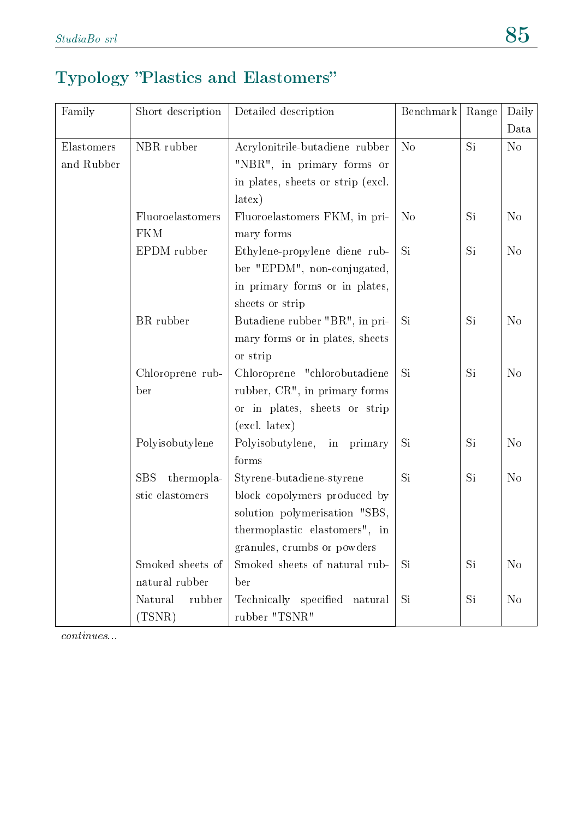#### Typology "Plastics and Elastomers"

| Family     | Short description        | Detailed description              | Benchmark      | Range | Daily          |
|------------|--------------------------|-----------------------------------|----------------|-------|----------------|
|            |                          |                                   |                |       | Data           |
| Elastomers | NBR rubber               | Acrylonitrile-butadiene rubber    | N <sub>o</sub> | Si    | N <sub>o</sub> |
| and Rubber |                          | "NBR", in primary forms or        |                |       |                |
|            |                          | in plates, sheets or strip (excl. |                |       |                |
|            |                          | latex)                            |                |       |                |
|            | Fluoroelastomers         | Fluoroelastomers FKM, in pri-     | N <sub>o</sub> | Si    | N <sub>o</sub> |
|            | <b>FKM</b>               | mary forms                        |                |       |                |
|            | EPDM rubber              | Ethylene-propylene diene rub-     | Si             | Si    | N <sub>o</sub> |
|            |                          | ber "EPDM", non-conjugated,       |                |       |                |
|            |                          | in primary forms or in plates,    |                |       |                |
|            |                          | sheets or strip                   |                |       |                |
|            | BR rubber                | Butadiene rubber "BR", in pri-    | Si             | Si    | N <sub>o</sub> |
|            |                          | mary forms or in plates, sheets   |                |       |                |
|            |                          | or strip                          |                |       |                |
|            | Chloroprene rub-         | Chloroprene "chlorobutadiene      | Si             | Si    | N <sub>o</sub> |
|            | ber                      | rubber, CR", in primary forms     |                |       |                |
|            |                          | or in plates, sheets or strip     |                |       |                |
|            |                          | $(excl. \text{ latex})$           |                |       |                |
|            | Polyisobutylene          | Polyisobutylene,<br>in primary    | Si             | Si    | N <sub>o</sub> |
|            |                          | forms                             |                |       |                |
|            | thermopla-<br><b>SBS</b> | Styrene-butadiene-styrene         | Si             | Si    | N <sub>o</sub> |
|            | stic elastomers          | block copolymers produced by      |                |       |                |
|            |                          | solution polymerisation "SBS,     |                |       |                |
|            |                          | thermoplastic elastomers", in     |                |       |                |
|            |                          | granules, crumbs or powders       |                |       |                |
|            | Smoked sheets of         | Smoked sheets of natural rub-     | Si             | Si    | N <sub>o</sub> |
|            | natural rubber           | ber                               |                |       |                |
|            | Natural<br>rubber        | Technically specified natural     | Si             | Si    | N <sub>o</sub> |
|            | (TSNR)                   | rubber "TSNR"                     |                |       |                |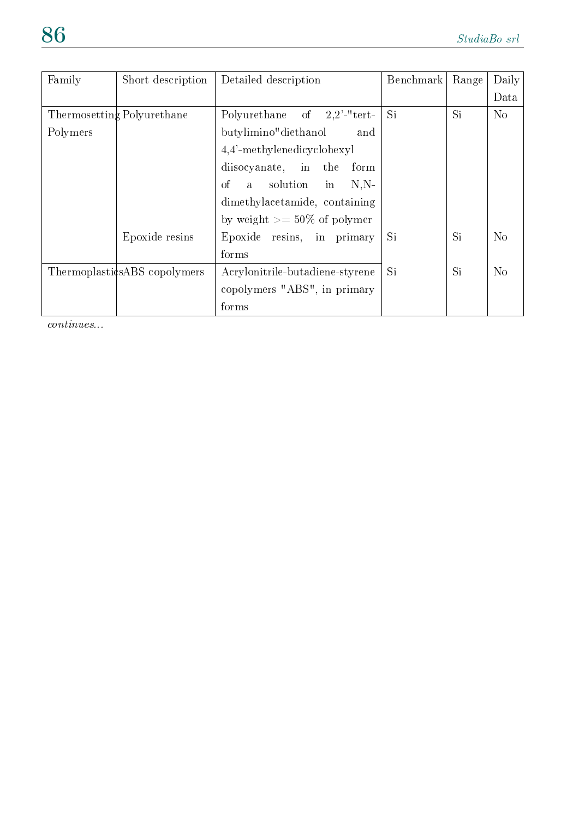| Family   | Short description            | Detailed description                     | Benchmark | Range           | Daily          |
|----------|------------------------------|------------------------------------------|-----------|-----------------|----------------|
|          |                              |                                          |           |                 | Data           |
|          | Thermosetting Polyurethane   | Polyurethane of $2,2'$ -"tert-           | Si        | Si <sup>-</sup> | N <sub>o</sub> |
| Polymers |                              | butylimino" diethanol<br>and             |           |                 |                |
|          |                              | $4,4'$ -methylenedicyclohexyl            |           |                 |                |
|          |                              | disocyanate, in the<br>form              |           |                 |                |
|          |                              | a solution in<br><sub>of</sub><br>$N.N-$ |           |                 |                |
|          |                              | dimethylacetamide, containing            |           |                 |                |
|          |                              | by weight $\geq$ 50% of polymer          |           |                 |                |
|          | Epoxide resins               | Epoxide resins, in primary               | Si        | Si              | N <sub>o</sub> |
|          |                              | forms                                    |           |                 |                |
|          | ThermoplasticsABS copolymers | Acrylonitrile-butadiene-styrene          | Si.       | Si              | N <sub>o</sub> |
|          |                              | copolymers "ABS", in primary             |           |                 |                |
|          |                              | forms                                    |           |                 |                |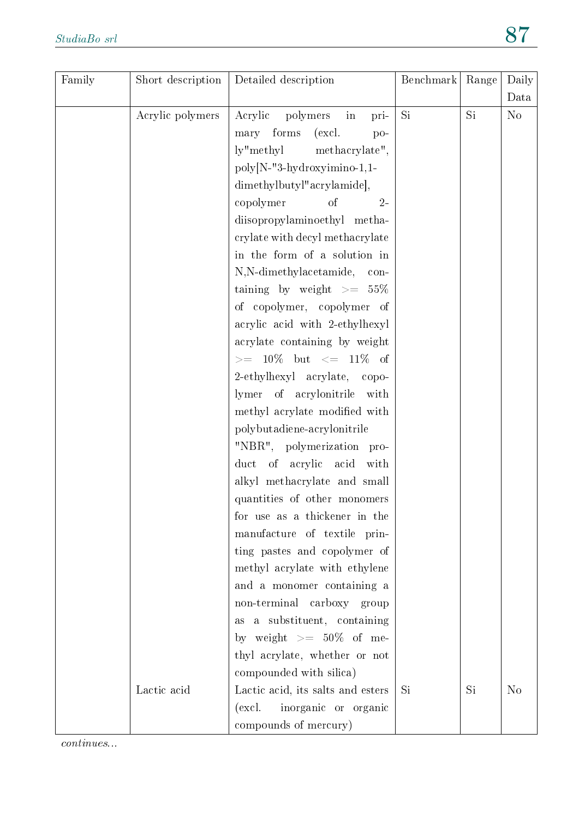| Family | Short description | Detailed description              | Benchmark | Range | Daily          |
|--------|-------------------|-----------------------------------|-----------|-------|----------------|
|        |                   |                                   |           |       | Data           |
|        | Acrylic polymers  | Acrylic<br>polymers<br>in<br>pri- | Si        | Si    | N <sub>o</sub> |
|        |                   | mary forms<br>(excl.<br>po-       |           |       |                |
|        |                   | ly"methyl methacrylate",          |           |       |                |
|        |                   | poly[N-"3-hydroxyimino-1,1-       |           |       |                |
|        |                   | dimethylbutyl"acrylamide],        |           |       |                |
|        |                   | copolymer<br>of<br>$2 -$          |           |       |                |
|        |                   | diisopropylaminoethyl metha-      |           |       |                |
|        |                   | crylate with decyl methacrylate   |           |       |                |
|        |                   | in the form of a solution in      |           |       |                |
|        |                   | N,N-dimethylacetamide, con-       |           |       |                |
|        |                   | taining by weight $>= 55\%$       |           |       |                |
|        |                   | of copolymer, copolymer of        |           |       |                |
|        |                   | acrylic acid with 2-ethylhexyl    |           |       |                |
|        |                   | acrylate containing by weight     |           |       |                |
|        |                   | $>= 10\%$ but $<= 11\%$ of        |           |       |                |
|        |                   | 2-ethylhexyl acrylate, copo-      |           |       |                |
|        |                   | lymer of acrylonitrile with       |           |       |                |
|        |                   | methyl acrylate modified with     |           |       |                |
|        |                   | polybutadiene-acrylonitrile       |           |       |                |
|        |                   | "NBR", polymerization pro-        |           |       |                |
|        |                   | duct of acrylic acid<br>with      |           |       |                |
|        |                   | alkyl methacrylate and small      |           |       |                |
|        |                   | quantities of other monomers      |           |       |                |
|        |                   | for use as a thickener in the     |           |       |                |
|        |                   | manufacture of textile prin-      |           |       |                |
|        |                   | ting pastes and copolymer of      |           |       |                |
|        |                   | methyl acrylate with ethylene     |           |       |                |
|        |                   | and a monomer containing a        |           |       |                |
|        |                   | non-terminal carboxy group        |           |       |                |
|        |                   | as a substituent, containing      |           |       |                |
|        |                   | by weight $\geq$ 50% of me-       |           |       |                |
|        |                   | thyl acrylate, whether or not     |           |       |                |
|        |                   | compounded with silica)           |           |       |                |
|        | Lactic acid       | Lactic acid, its salts and esters | Si        | Si    | N <sub>o</sub> |
|        |                   | inorganic or organic<br>(excl.    |           |       |                |
|        |                   | compounds of mercury)             |           |       |                |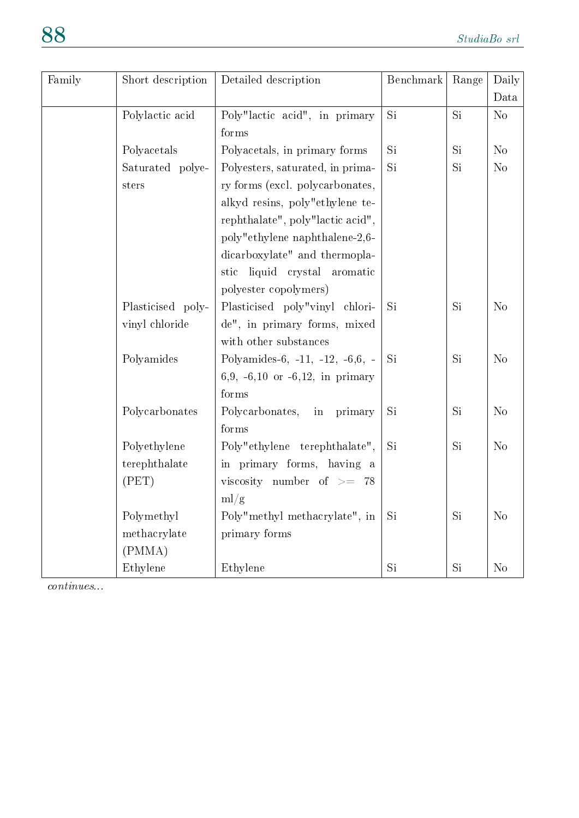| Family | Short description | Detailed description                 | Benchmark | Range | Daily          |
|--------|-------------------|--------------------------------------|-----------|-------|----------------|
|        |                   |                                      |           |       | Data           |
|        | Polylactic acid   | Poly"lactic acid", in primary        | <b>Si</b> | Si    | N <sub>o</sub> |
|        |                   | forms                                |           |       |                |
|        | Polyacetals       | Polyacetals, in primary forms        | Si        | Si    | No             |
|        | Saturated polye-  | Polyesters, saturated, in prima-     | Si        | Si    | N <sub>o</sub> |
|        | sters             | ry forms (excl. polycarbonates,      |           |       |                |
|        |                   | alkyd resins, poly"ethylene te-      |           |       |                |
|        |                   | rephthalate", poly"lactic acid",     |           |       |                |
|        |                   | poly"ethylene naphthalene-2,6-       |           |       |                |
|        |                   | dicarboxylate" and thermopla-        |           |       |                |
|        |                   | stic liquid crystal<br>aromatic      |           |       |                |
|        |                   | polyester copolymers)                |           |       |                |
|        | Plasticised poly- | Plasticised poly"vinyl chlori-       | Si        | Si    | N <sub>o</sub> |
|        | vinyl chloride    | de", in primary forms, mixed         |           |       |                |
|        |                   | with other substances                |           |       |                |
|        | Polyamides        | Polyamides-6, -11, -12, -6,6, -      | Si        | Si    | N <sub>o</sub> |
|        |                   | 6,9, $-6,10$ or $-6,12$ , in primary |           |       |                |
|        |                   | forms                                |           |       |                |
|        | Polycarbonates    | Polycarbonates,<br>primary<br>in     | <b>Si</b> | Si    | N <sub>o</sub> |
|        |                   | forms                                |           |       |                |
|        | Polyethylene      | Poly"ethylene terephthalate",        | Si        | Si    | N <sub>o</sub> |
|        | terephthalate     | in primary forms, having a           |           |       |                |
|        | (PET)             | viscosity number of $\geq$ 78        |           |       |                |
|        |                   | ml/g                                 |           |       |                |
|        | Polymethyl        | Poly"methyl methacrylate", in        | Si        | Si    | N <sub>o</sub> |
|        | methacrylate      | primary forms                        |           |       |                |
|        | (PMMA)            |                                      |           |       |                |
|        | Ethylene          | Ethylene                             | Si        | Si    | N <sub>o</sub> |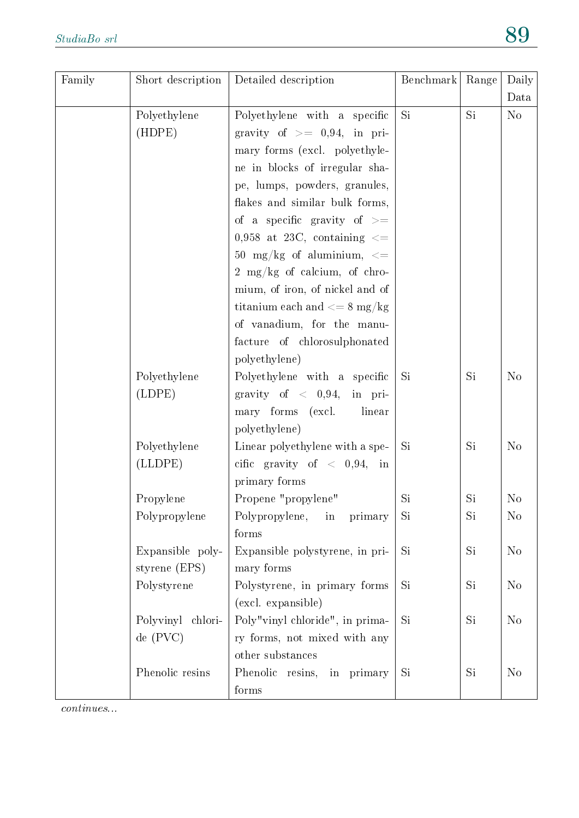| Family | Short description | Detailed description                                | Benchmark | Range | Daily          |
|--------|-------------------|-----------------------------------------------------|-----------|-------|----------------|
|        |                   |                                                     |           |       | Data           |
|        | Polyethylene      | Polyethylene with a specific                        | Si        | Si    | N <sub>o</sub> |
|        | (HDPE)            | gravity of $\geq$ 0,94, in pri-                     |           |       |                |
|        |                   | mary forms (excl. polyethyle-                       |           |       |                |
|        |                   | ne in blocks of irregular sha-                      |           |       |                |
|        |                   | pe, lumps, powders, granules,                       |           |       |                |
|        |                   | flakes and similar bulk forms,                      |           |       |                |
|        |                   | of a specific gravity of $\geq$                     |           |       |                |
|        |                   | 0,958 at 23C, containing $\leq$                     |           |       |                |
|        |                   | 50 mg/kg of aluminium, $\lt=$                       |           |       |                |
|        |                   | 2 mg/kg of calcium, of chro-                        |           |       |                |
|        |                   | mium, of iron, of nickel and of                     |           |       |                |
|        |                   | titanium each and $\langle 8 \text{ mg/kg} \rangle$ |           |       |                |
|        |                   | of vanadium, for the manu-                          |           |       |                |
|        |                   | facture of chlorosulphonated                        |           |       |                |
|        |                   | polyethylene)                                       |           |       |                |
|        | Polyethylene      | Polyethylene with a specific                        | Si        | Si    | N <sub>o</sub> |
|        | (LDPE)            | gravity of $\langle 0,94,$ in pri-                  |           |       |                |
|        |                   | mary forms (excl.<br>linear                         |           |       |                |
|        |                   | polyethylene)                                       |           |       |                |
|        | Polyethylene      | Linear polyethylene with a spe-                     | Si        | Si    | N <sub>o</sub> |
|        | (LIDPE)           | cific gravity of $\langle 0,94, \text{ in} \rangle$ |           |       |                |
|        |                   | primary forms                                       |           |       |                |
|        | Propylene         | Propene "propylene"                                 | Si        | Si    | No             |
|        | Polypropylene     | Polypropylene,<br>primary<br>in                     | Si        | Si    | N <sub>o</sub> |
|        |                   | forms                                               |           |       |                |
|        | Expansible poly-  | Expansible polystyrene, in pri-                     | Si        | Si    | $\rm No$       |
|        | styrene (EPS)     | mary forms                                          |           |       |                |
|        | Polystyrene       | Polystyrene, in primary forms                       | Si        | Si    | N <sub>o</sub> |
|        |                   | (excl. expansible)                                  |           |       |                |
|        | Polyvinyl chlori- | Poly"vinyl chloride", in prima-                     | Si        | Si    | N <sub>o</sub> |
|        | de(PVC)           | ry forms, not mixed with any                        |           |       |                |
|        |                   | other substances                                    |           |       |                |
|        | Phenolic resins   | Phenolic resins,<br>in primary                      | Si        | Si    | N <sub>o</sub> |
|        |                   | forms                                               |           |       |                |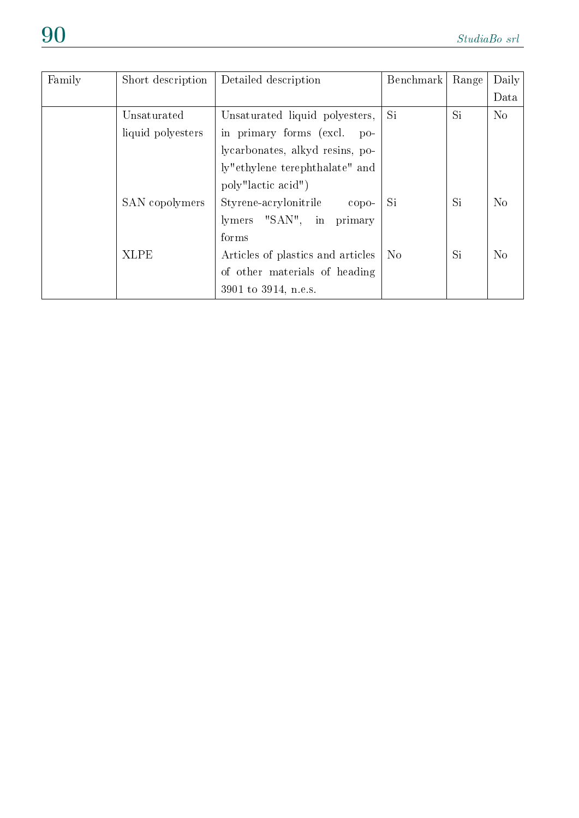| Family | Short description | Detailed description                 | Benchmark      | Range | Daily          |
|--------|-------------------|--------------------------------------|----------------|-------|----------------|
|        |                   |                                      |                |       | Data           |
|        | Unsaturated       | Unsaturated liquid polyesters,       | <b>Si</b>      | Si    | N <sub>o</sub> |
|        | liquid polyesters | in primary forms (excl.<br>$po-$     |                |       |                |
|        |                   | lycarbonates, alkyd resins, po-      |                |       |                |
|        |                   | ly"ethylene terephthalate" and       |                |       |                |
|        |                   | poly"lactic acid")                   |                |       |                |
|        | SAN copolymers    | Styrene-acrylonitrile<br>$\rm{copo}$ | Si.            | Si    | N <sub>o</sub> |
|        |                   | lymers "SAN", in primary             |                |       |                |
|        |                   | forms                                |                |       |                |
|        | <b>XLPE</b>       | Articles of plastics and articles    | N <sub>o</sub> | Si    | N <sub>o</sub> |
|        |                   | of other materials of heading        |                |       |                |
|        |                   | 3901 to 3914, n.e.s.                 |                |       |                |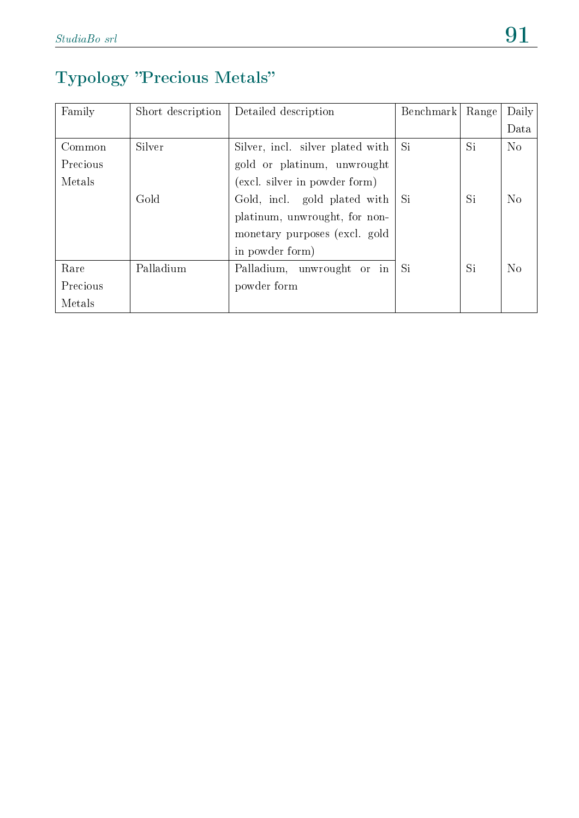# Typology "Precious Metals"

| Family   | Short description | Detailed description             | Benchmark | Range | Daily          |
|----------|-------------------|----------------------------------|-----------|-------|----------------|
|          |                   |                                  |           |       | Data           |
| Common   | Silver            | Silver, incl. silver plated with | Si        | Si    | $\rm No$       |
| Precious |                   | gold or platinum, unwrought      |           |       |                |
| Metals   |                   | (excl. silver in powder form)    |           |       |                |
|          | Gold              | Gold, incl. gold plated with     | Si        | Si    | No             |
|          |                   | platinum, unwrought, for non-    |           |       |                |
|          |                   | monetary purposes (excl. gold    |           |       |                |
|          |                   | in powder form)                  |           |       |                |
| Rare     | Palladium         | Palladium, unwrought or in       | Si        | Si    | N <sub>o</sub> |
| Precious |                   | powder form                      |           |       |                |
| Metals   |                   |                                  |           |       |                |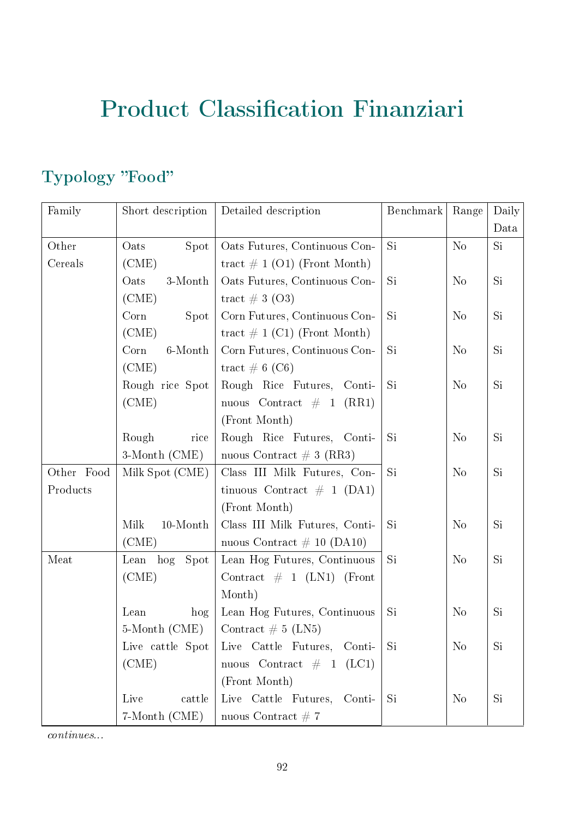# Product Classification Finanziari

#### Typology "Food"

| Family     | Short description | Detailed description                         | Benchmark | Range          | Daily |
|------------|-------------------|----------------------------------------------|-----------|----------------|-------|
|            |                   |                                              |           |                | Data  |
| Other      | Oats<br>Spot      | Oats Futures, Continuous Con-                | Si        | N <sub>o</sub> | Si.   |
| Cereals    | (CME)             | tract $\# 1$ (O1) (Front Month)              |           |                |       |
|            | Oats<br>3-Month   | Oats Futures, Continuous Con-                | Si        | N <sub>o</sub> | Si    |
|            | (CME)             | tract $\#3$ (O3)                             |           |                |       |
|            | Corn<br>Spot      | Corn Futures, Continuous Con-                | Si        | N <sub>o</sub> | Si    |
|            | (CME)             | tract $\# 1$ (C1) (Front Month)              |           |                |       |
|            | Corn<br>6-Month   | Corn Futures, Continuous Con-                | Si        | N <sub>o</sub> | Si    |
|            | (CME)             | tract $\# 6$ (C6)                            |           |                |       |
|            | Rough rice Spot   | Rough Rice Futures, Conti-                   | Si        | N <sub>o</sub> | Si    |
|            | (CME)             | nuous Contract $\#$ 1 (RR1)                  |           |                |       |
|            |                   | (Front Month)                                |           |                |       |
|            | Rough<br>rice     | Rough Rice Futures, Conti-                   | Si        | N <sub>o</sub> | Si    |
|            | 3-Month (CME)     | nuous Contract $\# 3$ (RR3)                  |           |                |       |
| Other Food | Milk Spot (CME)   | Class III Milk Futures, Con-                 | Si        | N <sub>o</sub> | Si    |
| Products   |                   | tinuous Contract $\#$ 1 (DA1)                |           |                |       |
|            |                   | (Front Month)                                |           |                |       |
|            | Milk<br>10-Month  | Class III Milk Futures, Conti-               | Si        | N <sub>o</sub> | Si    |
|            | (CME)             | nuous Contract $\#$ 10 (DA10)                |           |                |       |
| Meat       | Lean hog Spot     | Lean Hog Futures, Continuous                 | Si        | N <sub>o</sub> | Si    |
|            | (CME)             | Contract $\#$ 1 (LN1) (Front                 |           |                |       |
|            |                   | Month)                                       |           |                |       |
|            | Lean<br>hog       | Lean Hog Futures, Continuous                 | Si        | N <sub>o</sub> | Si    |
|            | 5-Month (CME)     | Contract $\# 5$ (LN5)                        |           |                |       |
|            |                   | Live cattle Spot Live Cattle Futures, Conti- | Si        | N <sub>o</sub> | Si    |
|            | (CME)             | nuous Contract $\#$ 1 (LC1)                  |           |                |       |
|            |                   | (Front Month)                                |           |                |       |
|            | Live<br>cattle    | Live Cattle Futures, Conti-                  | Si        | N <sub>0</sub> | Si.   |
|            | 7-Month (CME)     | nuous Contract $# 7$                         |           |                |       |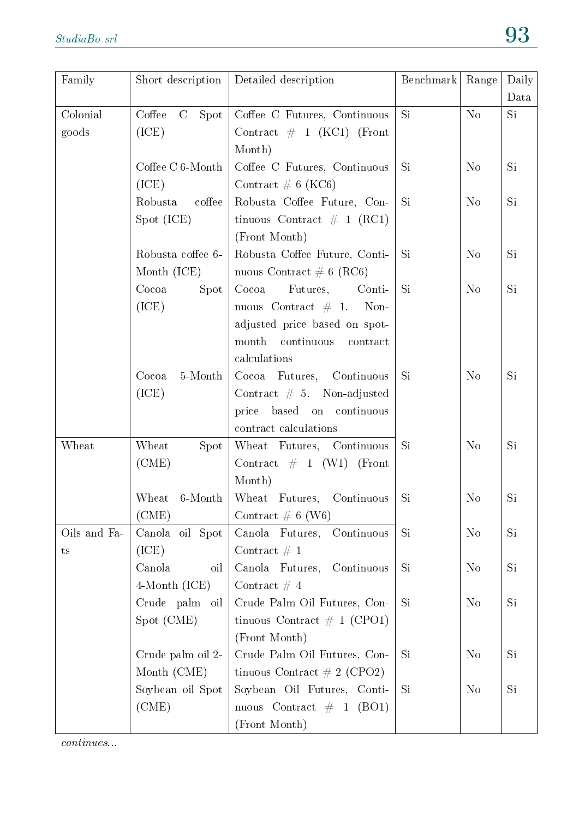| Family       | Short description                 | Detailed description           | Benchmark | Range          | Daily     |
|--------------|-----------------------------------|--------------------------------|-----------|----------------|-----------|
|              |                                   |                                |           |                | Data      |
| Colonial     | $\mathcal{C}^-$<br>Coffee<br>Spot | Coffee C Futures, Continuous   | <b>Si</b> | N <sub>o</sub> | Si        |
| goods        | (ICE)                             | Contract $\#$ 1 (KC1) (Front   |           |                |           |
|              |                                   | Month)                         |           |                |           |
|              | Coffee C 6-Month                  | Coffee C Futures, Continuous   | Si        | $\rm No$       | Si        |
|              | (ICE)                             | Contract $\# 6$ (KC6)          |           |                |           |
|              | Robusta<br>coffee                 | Robusta Coffee Future, Con-    | Si        | N <sub>o</sub> | Si        |
|              | Spot (ICE)                        | tinuous Contract $\#$ 1 (RC1)  |           |                |           |
|              |                                   | (Front Month)                  |           |                |           |
|              | Robusta coffee 6-                 | Robusta Coffee Future, Conti-  | Si        | N <sub>o</sub> | Si        |
|              | Month (ICE)                       | nuous Contract $\# 6$ (RC6)    |           |                |           |
|              | Cocoa<br><b>Spot</b>              | Cocoa<br>Futures,<br>Conti-    | <b>Si</b> | N <sub>o</sub> | Si        |
|              | (ICE)                             | nuous Contract $\#$ 1. Non-    |           |                |           |
|              |                                   | adjusted price based on spot-  |           |                |           |
|              |                                   | month continuous<br>contract   |           |                |           |
|              |                                   | calculations                   |           |                |           |
|              | $5$ -Month<br>Cocoa               | Cocoa Futures, Continuous      | Si        | N <sub>o</sub> | Si        |
|              | (ICE)                             | Contract $# 5$ . Non-adjusted  |           |                |           |
|              |                                   | based on continuous<br>price   |           |                |           |
|              |                                   | contract calculations          |           |                |           |
| Wheat        | Wheat<br>Spot                     | Wheat Futures, Continuous      | Si        | N <sub>o</sub> | <b>Si</b> |
|              | (CME)                             | Contract $\#$ 1 (W1) (Front    |           |                |           |
|              |                                   | Month)                         |           |                |           |
|              | Wheat<br>6-Month                  | Wheat Futures, Continuous      | Si        | N <sub>o</sub> | Si        |
|              | (CME)                             | Contract $\# 6$ (W6)           |           |                |           |
| Oils and Fa- | Canola oil Spot                   | Canola Futures,<br>Continuous  | Si        | N <sub>o</sub> | <b>Si</b> |
| ts           | (ICE)                             | Contract $\# 1$                |           |                |           |
|              | Canola<br>oil                     | Canola Futures,<br>Continuous  | Si        | N <sub>o</sub> | Si        |
|              | 4-Month (ICE)                     | Contract $#4$                  |           |                |           |
|              | Crude palm oil                    | Crude Palm Oil Futures, Con-   | Si        | N <sub>o</sub> | Si        |
|              | Spot (CME)                        | tinuous Contract $\#$ 1 (CPO1) |           |                |           |
|              |                                   | (Front Month)                  |           |                |           |
|              | Crude palm oil 2-                 | Crude Palm Oil Futures, Con-   | Si        | N <sub>o</sub> | Si        |
|              | Month (CME)                       | tinuous Contract $\#$ 2 (CPO2) |           |                |           |
|              | Soybean oil Spot                  | Soybean Oil Futures, Conti-    | Si        | N <sub>o</sub> | Si        |
|              | (CME)                             | nuous Contract $\#$ 1 (BO1)    |           |                |           |
|              |                                   | (Front Month)                  |           |                |           |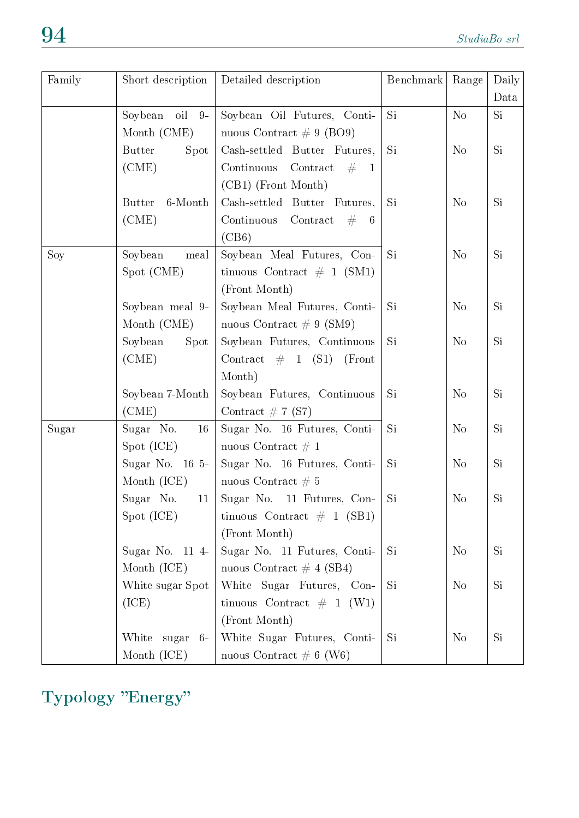| Family | Short description        | Detailed description                        | Benchmark | Range          | Daily         |
|--------|--------------------------|---------------------------------------------|-----------|----------------|---------------|
|        |                          |                                             |           |                | Data          |
|        | oil<br>Soybean<br>$9-$   | Soybean Oil Futures, Conti-                 | Si        | No             | Si            |
|        | Month (CME)              | nuous Contract $\# 9$ (BO9)                 |           |                |               |
|        | <b>Butter</b><br>Spot    | Cash-settled Butter Futures,                | Si        | N <sub>o</sub> | Si            |
|        | (CME)                    | Continuous<br>Contract<br>#<br>$\mathbf{1}$ |           |                |               |
|        |                          | (CB1) (Front Month)                         |           |                |               |
|        | 6-Month<br><b>Butter</b> | Cash-settled Butter Futures,                | Si        | N <sub>o</sub> | Si            |
|        | (CME)                    | Contract<br>Continuous<br>#<br>-6           |           |                |               |
|        |                          | (CB6)                                       |           |                |               |
| Soy    | Soybean<br>meal          | Soybean Meal Futures, Con-                  | Si        | N <sub>o</sub> | Si            |
|        | Spot (CME)               | tinuous Contract $\#$ 1 (SM1)               |           |                |               |
|        |                          | (Front Month)                               |           |                |               |
|        | Soybean meal 9-          | Soybean Meal Futures, Conti-                | Si        | N <sub>0</sub> | Si            |
|        | Month (CME)              | nuous Contract $\# 9$ (SM9)                 |           |                |               |
|        | Soybean<br>Spot          | Soybean Futures, Continuous                 | <b>Si</b> | N <sub>o</sub> | Si            |
|        | (CME)                    | Contract $\#$ 1 (S1)<br>(Front)             |           |                |               |
|        |                          | Month)                                      |           |                |               |
|        | Soybean 7-Month          | Soybean Futures, Continuous                 | Si        | $\rm No$       | Si            |
|        | (CME)                    | Contract $\# 7$ (S7)                        |           |                |               |
| Sugar  | Sugar No.<br>16          | Sugar No. 16 Futures, Conti-                | Si        | $\rm No$       | Si            |
|        | Spot (ICE)               | nuous Contract $\# 1$                       |           |                |               |
|        | Sugar No. 16 5-          | Sugar No. 16 Futures, Conti-                | Si        | No             | Si            |
|        | Month (ICE)              | nuous Contract $\# 5$                       |           |                |               |
|        | Sugar No.<br>11          | Sugar No. 11 Futures, Con-                  | Si        | N <sub>o</sub> | Si            |
|        | Spot (ICE)               | tinuous Contract $\#$ 1 (SB1)               |           |                |               |
|        |                          | (Front Month)                               |           |                |               |
|        | Sugar No. 11 4-          | Sugar No. 11 Futures, Conti-                | Si        | N <sub>o</sub> | Si            |
|        | Month (ICE)              | nuous Contract $\#$ 4 (SB4)                 |           |                |               |
|        | White sugar Spot         | White Sugar Futures, Con-                   | Si        | N <sub>0</sub> | Si            |
|        | (ICE)                    | tinuous Contract $\#$ 1 (W1)                |           |                |               |
|        |                          | (Front Month)                               |           |                |               |
|        | White<br>sugar<br>$6 -$  | White Sugar Futures, Conti-                 | Si        | N <sub>o</sub> | $\mathrm{Si}$ |
|        | Month (ICE)              | nuous Contract $\# 6$ (W6)                  |           |                |               |

Typology "Energy"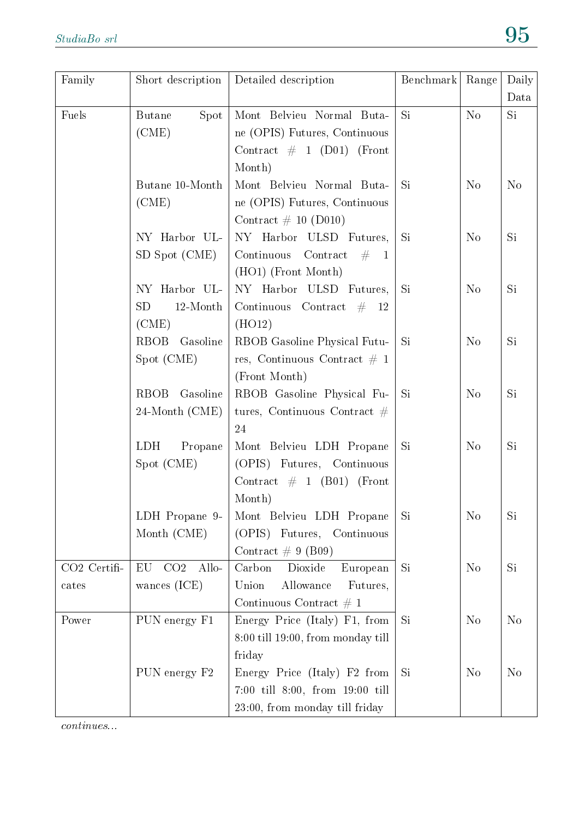| Family       | Short description              | Detailed description              | Benchmark | Range          | Daily          |
|--------------|--------------------------------|-----------------------------------|-----------|----------------|----------------|
|              |                                |                                   |           |                | Data           |
| Fuels        | <b>Butane</b><br>Spot          | Mont Belvieu Normal Buta-         | Si        | No             | Si             |
|              | (CME)                          | ne (OPIS) Futures, Continuous     |           |                |                |
|              |                                | Contract $\#$ 1 (D01) (Front      |           |                |                |
|              |                                | Month)                            |           |                |                |
|              | Butane 10-Month                | Mont Belvieu Normal Buta-         | <b>Si</b> | N <sub>o</sub> | N <sub>o</sub> |
|              | (CME)                          | ne (OPIS) Futures, Continuous     |           |                |                |
|              |                                | Contract $\#$ 10 (D010)           |           |                |                |
|              | NY Harbor UL-                  | NY Harbor ULSD Futures,           | Si        | N <sub>o</sub> | Si.            |
|              | SD Spot (CME)                  | Continuous Contract $\#$ 1        |           |                |                |
|              |                                | (HO1) (Front Month)               |           |                |                |
|              | NY Harbor UL-                  | NY Harbor ULSD Futures,           | <b>Si</b> | N <sub>o</sub> | Si.            |
|              | <b>SD</b><br>12-Month          | Continuous Contract $\#$ 12       |           |                |                |
|              | (CME)                          | (HO12)                            |           |                |                |
|              | RBOB<br>Gasoline               | RBOB Gasoline Physical Futu-      | Si        | N <sub>o</sub> | Si             |
|              | Spot (CME)                     | res, Continuous Contract $\#$ 1   |           |                |                |
|              |                                | (Front Month)                     |           |                |                |
|              | <b>RBOB</b><br>Gasoline        | RBOB Gasoline Physical Fu-        | <b>Si</b> | N <sub>o</sub> | Si             |
|              | 24-Month (CME)                 | tures, Continuous Contract $#$    |           |                |                |
|              |                                | 24                                |           |                |                |
|              | <b>LDH</b><br>Propane          | Mont Belvieu LDH Propane          | Si        | N <sub>o</sub> | Si             |
|              | Spot (CME)                     | (OPIS) Futures, Continuous        |           |                |                |
|              |                                | Contract $\#$ 1 (B01) (Front      |           |                |                |
|              |                                | Month)                            |           |                |                |
|              | LDH Propane 9-                 | Mont Belvieu LDH Propane          | Si        | N <sub>o</sub> | Si             |
|              | Month (CME)                    | (OPIS) Futures, Continuous        |           |                |                |
|              |                                | Contract $\# 9$ (B09)             |           |                |                |
| CO2 Certifi- | CO <sub>2</sub><br>EU<br>Allo- | Dioxide<br>Carbon<br>European     | Si        | N <sub>o</sub> | Si             |
| cates        | wances $(ICE)$                 | Union<br>Allowance<br>Futures,    |           |                |                |
|              |                                | Continuous Contract $\#$ 1        |           |                |                |
| Power        | PUN energy F1                  | Energy Price (Italy) F1, from     | Si        | $\rm No$       | N <sub>o</sub> |
|              |                                | 8:00 till 19:00, from monday till |           |                |                |
|              |                                | friday                            |           |                |                |
|              | PUN energy F2                  | Energy Price (Italy) F2 from      | <b>Si</b> | No             | N <sub>o</sub> |
|              |                                | 7:00 till 8:00, from 19:00 till   |           |                |                |
|              |                                | 23:00, from monday till friday    |           |                |                |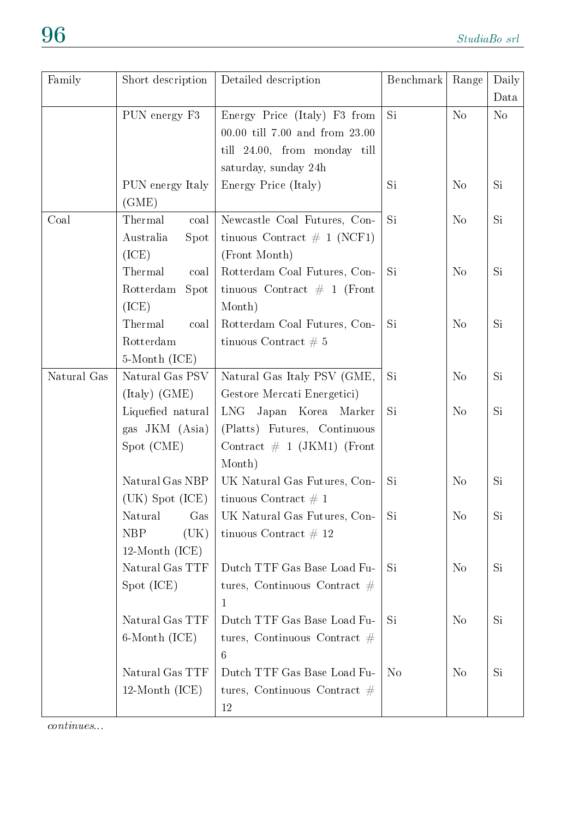| Family      | Short description   | Detailed description           | Benchmark      | Range          | Daily          |
|-------------|---------------------|--------------------------------|----------------|----------------|----------------|
|             |                     |                                |                |                | Data           |
|             | PUN energy F3       | Energy Price (Italy) F3 from   | Si.            | No             | N <sub>o</sub> |
|             |                     | 00.00 till 7.00 and from 23.00 |                |                |                |
|             |                     | till 24.00, from monday till   |                |                |                |
|             |                     | saturday, sunday 24h           |                |                |                |
|             | PUN energy Italy    | Energy Price (Italy)           | Si.            | N <sub>o</sub> | Si.            |
|             | (GME)               |                                |                |                |                |
| Coal        | Thermal<br>coal     | Newcastle Coal Futures, Con-   | Si.            | N <sub>o</sub> | Si             |
|             | Australia<br>Spot   | tinuous Contract $\#$ 1 (NCF1) |                |                |                |
|             | (ICE)               | (Front Month)                  |                |                |                |
|             | Thermal<br>coal     | Rotterdam Coal Futures, Con-   | Si.            | N <sub>o</sub> | Si.            |
|             | Rotterdam<br>Spot   | tinuous Contract $\#$ 1 (Front |                |                |                |
|             | (ICE)               | Month)                         |                |                |                |
|             | Thermal<br>coal     | Rotterdam Coal Futures, Con-   | Si.            | N <sub>o</sub> | Si.            |
|             | Rotterdam           | tinuous Contract $# 5$         |                |                |                |
|             | 5-Month (ICE)       |                                |                |                |                |
| Natural Gas | Natural Gas PSV     | Natural Gas Italy PSV (GME,    | Si             | N <sub>o</sub> | Si.            |
|             | (Italy) (GME)       | Gestore Mercati Energetici)    |                |                |                |
|             | Liquefied natural   | Japan Korea Marker<br>LNG      | Si             | N <sub>o</sub> | Si.            |
|             | gas JKM (Asia)      | (Platts) Futures, Continuous   |                |                |                |
|             | Spot (CME)          | Contract $\#$ 1 (JKM1) (Front  |                |                |                |
|             |                     | Month)                         |                |                |                |
|             | Natural Gas NBP     | UK Natural Gas Futures, Con-   | Si             | N <sub>o</sub> | Si             |
|             | $(UK)$ Spot $(ICE)$ | tinuous Contract $\# 1$        |                |                |                |
|             | Natural<br>Gas      | UK Natural Gas Futures, Con-   | Si             | N <sub>o</sub> | Si             |
|             | <b>NBP</b><br>(UK)  | tinuous Contract $\#$ 12       |                |                |                |
|             | $12$ -Month (ICE)   |                                |                |                |                |
|             | Natural Gas TTF     | Dutch TTF Gas Base Load Fu-    | Si             | N <sub>o</sub> | Si             |
|             | Spot (ICE)          | tures, Continuous Contract $#$ |                |                |                |
|             |                     | 1                              |                |                |                |
|             | Natural Gas TTF     | Dutch TTF Gas Base Load Fu-    | Si             | N <sub>o</sub> | Si             |
|             | 6-Month (ICE)       | tures, Continuous Contract $#$ |                |                |                |
|             |                     | 6                              |                |                |                |
|             | Natural Gas TTF     | Dutch TTF Gas Base Load Fu-    | N <sub>o</sub> | N <sub>o</sub> | Si             |
|             | $12$ -Month (ICE)   | tures, Continuous Contract $#$ |                |                |                |
|             |                     | 12                             |                |                |                |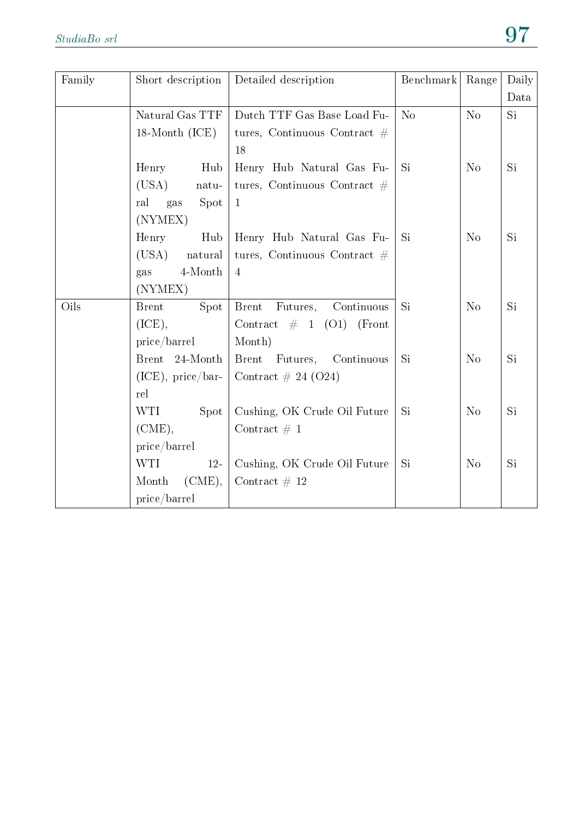| Family | Short description    | Detailed description                   | Benchmark      | Range          | Daily |
|--------|----------------------|----------------------------------------|----------------|----------------|-------|
|        |                      |                                        |                |                | Data  |
|        | Natural Gas TTF      | Dutch TTF Gas Base Load Fu-            | N <sub>o</sub> | N <sub>o</sub> | Si    |
|        | 18-Month (ICE)       | tures, Continuous Contract $#$         |                |                |       |
|        |                      | 18                                     |                |                |       |
|        | Henry<br>Hub         | Henry Hub Natural Gas Fu-              | <b>Si</b>      | N <sub>o</sub> | Si    |
|        | (USA)<br>natu-       | tures, Continuous Contract $#$         |                |                |       |
|        | ral<br>Spot<br>gas   | $\mathbf{1}$                           |                |                |       |
|        | (NYMEX)              |                                        |                |                |       |
|        | Henry<br>Hub         | Henry Hub Natural Gas Fu-              | <b>Si</b>      | N <sub>o</sub> | Si    |
|        | (USA)<br>natural     | tures, Continuous Contract $#$         |                |                |       |
|        | 4-Month<br>gas       | $\overline{4}$                         |                |                |       |
|        | (NYMEX)              |                                        |                |                |       |
| Oils   | <b>Brent</b><br>Spot | Continuous<br><b>Brent</b><br>Futures, | <b>Si</b>      | N <sub>o</sub> | Si    |
|        | (ICE),               | Contract $\#$ 1 (O1)<br>(Front         |                |                |       |
|        | price/barrel         | Month)                                 |                |                |       |
|        | Brent 24-Month       | <b>Brent</b><br>Futures,<br>Continuous | <b>Si</b>      | N <sub>o</sub> | Si    |
|        | $(ICE)$ , price/bar- | Contract $\# 24 (024)$                 |                |                |       |
|        | rel                  |                                        |                |                |       |
|        | <b>WTI</b><br>Spot   | Cushing, OK Crude Oil Future           | <b>Si</b>      | N <sub>o</sub> | Si    |
|        | $(CME)$ ,            | Contract $\# 1$                        |                |                |       |
|        | price/barrel         |                                        |                |                |       |
|        | <b>WTI</b><br>$12-$  | Cushing, OK Crude Oil Future           | <b>Si</b>      | N <sub>o</sub> | Si    |
|        | $(CME)$ ,<br>Month   | Contract $# 12$                        |                |                |       |
|        | price/barrel         |                                        |                |                |       |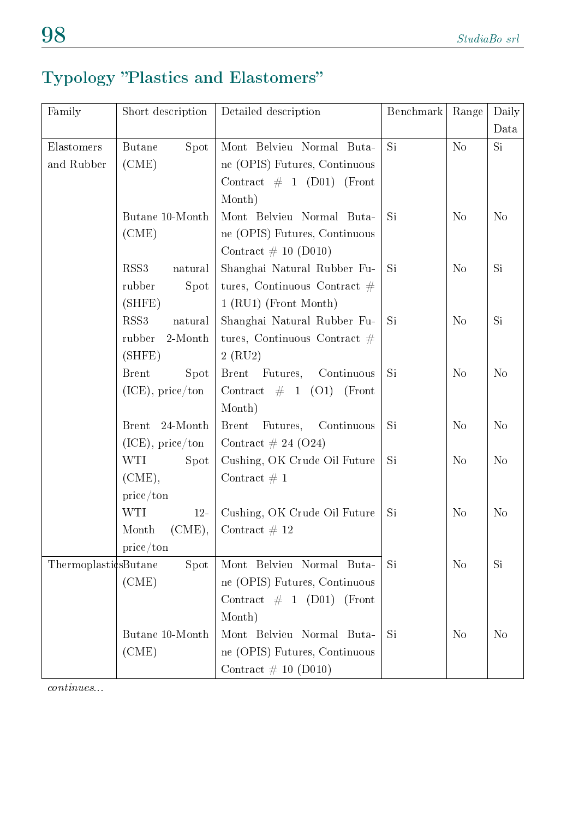### Typology "Plastics and Elastomers"

| Family               | Short description           | Detailed description           | Benchmark | Range          | Daily          |
|----------------------|-----------------------------|--------------------------------|-----------|----------------|----------------|
|                      |                             |                                |           |                | Data           |
| Elastomers           | Spot<br><b>Butane</b>       | Mont Belvieu Normal Buta-      | Si        | N <sub>o</sub> | Si             |
| and Rubber           | (CME)                       | ne (OPIS) Futures, Continuous  |           |                |                |
|                      |                             | Contract $\#$ 1 (D01) (Front   |           |                |                |
|                      |                             | Month)                         |           |                |                |
|                      | Butane 10-Month             | Mont Belvieu Normal Buta-      | Si        | N <sub>o</sub> | N <sub>o</sub> |
|                      | (CME)                       | ne (OPIS) Futures, Continuous  |           |                |                |
|                      |                             | Contract $\#$ 10 (D010)        |           |                |                |
|                      | RSS <sub>3</sub><br>natural | Shanghai Natural Rubber Fu-    | Si        | N <sub>o</sub> | Si             |
|                      | rubber<br>Spot              | tures, Continuous Contract $#$ |           |                |                |
|                      | (SHFE)                      | 1 (RU1) (Front Month)          |           |                |                |
|                      | RSS <sub>3</sub><br>natural | Shanghai Natural Rubber Fu-    | Si        | N <sub>o</sub> | Si             |
|                      | rubber<br>2-Month           | tures, Continuous Contract $#$ |           |                |                |
|                      | (SHFE)                      | $2$ (RU2)                      |           |                |                |
|                      | <b>Brent</b><br>Spot        | Brent Futures,<br>Continuous   | Si        | N <sub>o</sub> | N <sub>o</sub> |
|                      | $(ICE)$ , price/ton         | Contract $\#$ 1 (O1) (Front    |           |                |                |
|                      |                             | Month)                         |           |                |                |
|                      | 24-Month<br><b>Brent</b>    | Brent Futures, Continuous      | Si        | N <sub>o</sub> | No             |
|                      | $(ICE)$ , price/ton         | Contract $\# 24 (024)$         |           |                |                |
|                      | WTI<br>Spot                 | Cushing, OK Crude Oil Future   | Si        | N <sub>o</sub> | N <sub>o</sub> |
|                      | (CME),                      | Contract $\#$ 1                |           |                |                |
|                      | price/ton                   |                                |           |                |                |
|                      | <b>WTI</b><br>$12-$         | Cushing, OK Crude Oil Future   | Si        | N <sub>o</sub> | N <sub>o</sub> |
|                      | $(CME)$ ,<br>Month          | Contract $# 12$                |           |                |                |
|                      | price/ton                   |                                |           |                |                |
| ThermoplasticsButane | Spot                        | Mont Belvieu Normal Buta-      | Si        | N <sub>o</sub> | Si             |
|                      | (CME)                       | ne (OPIS) Futures, Continuous  |           |                |                |
|                      |                             | Contract $\#$ 1 (D01) (Front   |           |                |                |
|                      |                             | Month)                         |           |                |                |
|                      | Butane 10-Month             | Mont Belvieu Normal Buta-      | Si        | N <sub>o</sub> | N <sub>o</sub> |
|                      | (CME)                       | ne (OPIS) Futures, Continuous  |           |                |                |
|                      |                             | Contract $\# 10$ (D010)        |           |                |                |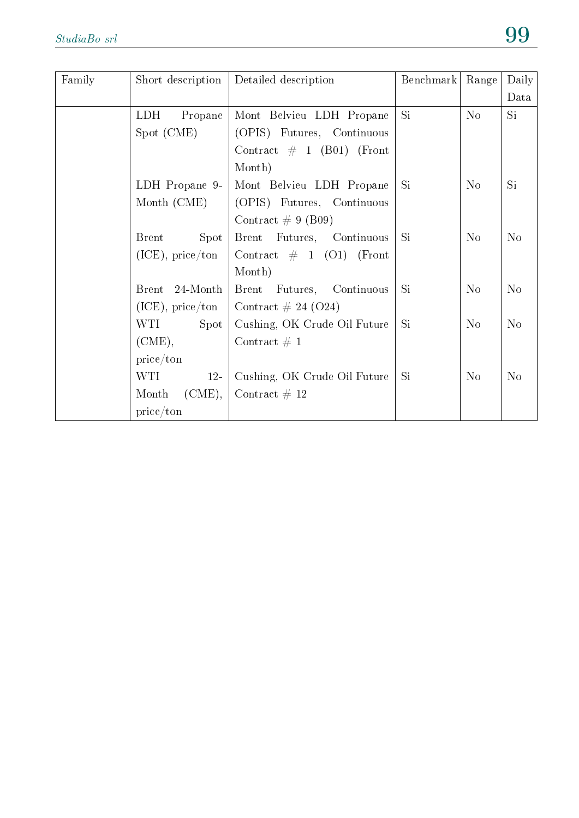| Family | Short description    | Detailed description                      | Benchmark | Range          | Daily          |
|--------|----------------------|-------------------------------------------|-----------|----------------|----------------|
|        |                      |                                           |           |                | Data           |
|        | LDH.<br>Propane      | Mont Belvieu LDH Propane                  | Si        | No             | Si             |
|        | Spot (CME)           | (OPIS) Futures, Continuous                |           |                |                |
|        |                      | Contract $\#$ 1 (B01) (Front              |           |                |                |
|        |                      | Month)                                    |           |                |                |
|        | LDH Propane 9-       | Mont Belvieu LDH Propane                  | <b>Si</b> | N <sub>o</sub> | Si.            |
|        | Month (CME)          | (OPIS) Futures, Continuous                |           |                |                |
|        |                      | Contract $\# 9$ (B09)                     |           |                |                |
|        | <b>Brent</b><br>Spot | Brent Futures, Continuous                 | <b>Si</b> | No             | N <sub>o</sub> |
|        | $(ICE)$ , price/ton  | Contract $\#$ 1 (O1) (Front               |           |                |                |
|        |                      | Month)                                    |           |                |                |
|        | Brent 24-Month       | Brent Futures, Continuous                 | <b>Si</b> | $\rm No$       | N <sub>o</sub> |
|        |                      | (ICE), price/ton   Contract $\#$ 24 (O24) |           |                |                |
|        | Spot<br>WTI          | Cushing, OK Crude Oil Future              | Si        | N <sub>o</sub> | N <sub>o</sub> |
|        | (CME),               | Contract $\# 1$                           |           |                |                |
|        | price/ton            |                                           |           |                |                |
|        | WTI<br>$12-$         | Cushing, OK Crude Oil Future              | Si        | $\rm No$       | N <sub>o</sub> |
|        | Month $(CME)$ ,      | Contract $# 12$                           |           |                |                |
|        | price/ton            |                                           |           |                |                |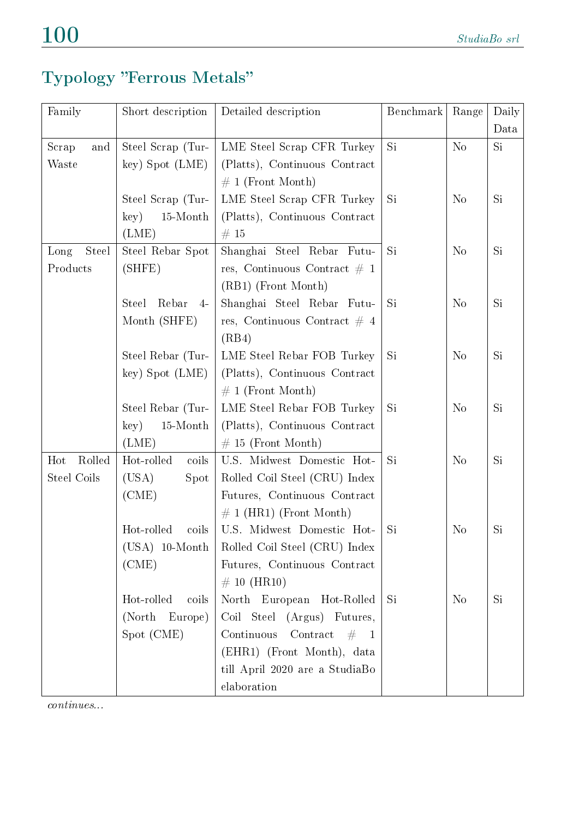### Typology "Ferrous Metals"

| Family        | Short description                      | Detailed description                            | Benchmark | Range          | Daily |
|---------------|----------------------------------------|-------------------------------------------------|-----------|----------------|-------|
|               |                                        |                                                 |           |                | Data  |
| Scrap<br>and  | Steel Scrap (Tur-                      | LME Steel Scrap CFR Turkey                      | Si        | No             | Si    |
| Waste         | key) Spot (LME)                        | (Platts), Continuous Contract                   |           |                |       |
|               |                                        | $\# 1$ (Front Month)                            |           |                |       |
|               | Steel Scrap (Tur-                      | LME Steel Scrap CFR Turkey                      | Si        | N <sub>o</sub> | Si    |
|               | key)<br>15-Month                       | (Platts), Continuous Contract                   |           |                |       |
|               | (LME)                                  | #15                                             |           |                |       |
| Steel<br>Long | Steel Rebar Spot                       | Shanghai Steel Rebar Futu-                      | Si        | N <sub>o</sub> | Si    |
| Products      | (SHFE)                                 | res, Continuous Contract $\#$ 1                 |           |                |       |
|               |                                        | (RB1) (Front Month)                             |           |                |       |
|               | Rebar<br><b>Steel</b><br>$\frac{4}{ }$ | Shanghai Steel Rebar Futu-                      | Si        | N <sub>o</sub> | Si    |
|               | Month (SHFE)                           | res, Continuous Contract $\#$ 4                 |           |                |       |
|               |                                        | (RB4)                                           |           |                |       |
|               | Steel Rebar (Tur-                      | LME Steel Rebar FOB Turkey                      | Si        | N <sub>o</sub> | Si    |
|               | key) Spot (LME)                        | (Platts), Continuous Contract                   |           |                |       |
|               |                                        | $\# 1$ (Front Month)                            |           |                |       |
|               | Steel Rebar (Tur-                      | LME Steel Rebar FOB Turkey                      | Si        | N <sub>o</sub> | Si    |
|               | $15\mbox{-} \mathrm{Month}$<br>key)    | (Platts), Continuous Contract                   |           |                |       |
|               | (LME)                                  | $\#$ 15 (Front Month)                           |           |                |       |
| Rolled<br>Hot | Hot-rolled<br>coils                    | U.S. Midwest Domestic Hot-                      | Si        | N <sub>o</sub> | Si    |
| Steel Coils   | (USA)<br>Spot                          | Rolled Coil Steel (CRU) Index                   |           |                |       |
|               | (CME)                                  | Futures, Continuous Contract                    |           |                |       |
|               |                                        | $\# 1$ (HR1) (Front Month)                      |           |                |       |
|               | Hot-rolled<br>coils                    | U.S. Midwest Domestic Hot-                      | Si        | N <sub>o</sub> | Si    |
|               | $(USA)$ 10-Month                       | Rolled Coil Steel (CRU) Index                   |           |                |       |
|               | (CME)                                  | Futures, Continuous Contract                    |           |                |       |
|               |                                        | $\# 10$ (HR10)                                  |           |                |       |
|               | Hot-rolled<br>coils                    | North European Hot-Rolled                       | Si        | N <sub>o</sub> | Si    |
|               | (North Europe)                         | Coil Steel (Argus) Futures,                     |           |                |       |
|               | Spot (CME)                             | Continuous<br>$\text{Contract} \quad # \quad 1$ |           |                |       |
|               |                                        | (EHR1) (Front Month), data                      |           |                |       |
|               |                                        | till April $2020\,$ are a $\mathrm{\,StudiaBo}$ |           |                |       |
|               |                                        | elaboration                                     |           |                |       |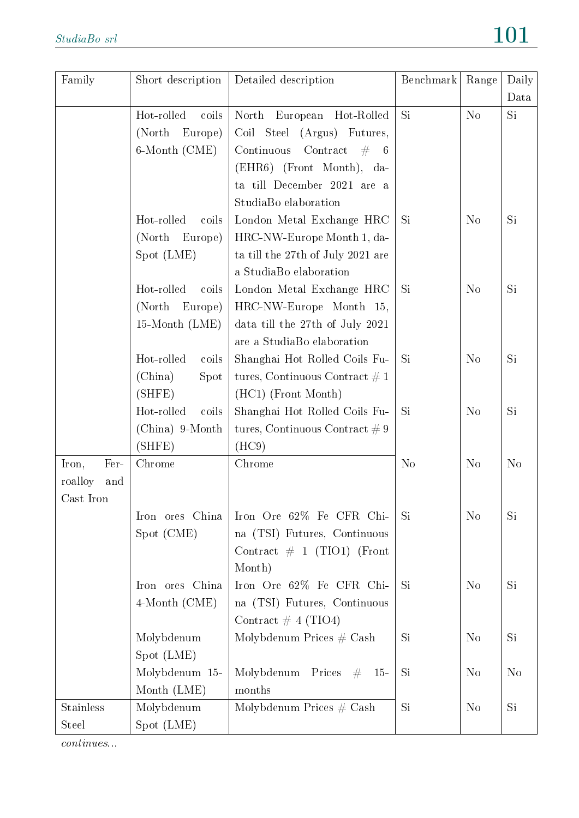| Family         | Short description   | Detailed description                       | Benchmark      | Range          | Daily          |
|----------------|---------------------|--------------------------------------------|----------------|----------------|----------------|
|                | Hot-rolled<br>coils | North European<br>Hot-Rolled               | Si             | No             | Data<br>Si     |
|                | (North)<br>Europe)  | Coil Steel (Argus) Futures,                |                |                |                |
|                | 6-Month (CME)       | Continuous<br>Contract<br># 6              |                |                |                |
|                |                     | (EHR6) (Front Month), da-                  |                |                |                |
|                |                     | ta till December 2021 are a                |                |                |                |
|                |                     | StudiaBo elaboration                       |                |                |                |
|                | Hot-rolled<br>coils | London Metal Exchange HRC                  | Si             | N <sub>o</sub> | <b>Si</b>      |
|                | (North)<br>Europe)  | HRC-NW-Europe Month 1, da-                 |                |                |                |
|                | Spot (LME)          | ta till the 27th of July 2021 are          |                |                |                |
|                |                     | a StudiaBo elaboration                     |                |                |                |
|                | Hot-rolled<br>coils | London Metal Exchange HRC                  | Si             | N <sub>o</sub> | <b>Si</b>      |
|                | (North)<br>Europe)  | HRC-NW-Europe Month 15,                    |                |                |                |
|                | $15$ -Month $(LME)$ | data till the 27th of July 2021            |                |                |                |
|                |                     | are a StudiaBo elaboration                 |                |                |                |
|                | Hot-rolled<br>coils | Shanghai Hot Rolled Coils Fu-              | Si             | N <sub>o</sub> | <b>Si</b>      |
|                | (China)<br>Spot     | tures, Continuous Contract $\# 1$          |                |                |                |
|                | (SHFE)              | (HC1) (Front Month)                        |                |                |                |
|                | Hot-rolled<br>coils | Shanghai Hot Rolled Coils Fu-              | Si             | $\rm No$       | <b>Si</b>      |
|                | (China) 9-Month     | tures, Continuous Contract $\# 9$          |                |                |                |
|                | (SHFE)              | (HC9)                                      |                |                |                |
| Fer-<br>Iron,  | Chrome              | Chrome                                     | N <sub>o</sub> | N <sub>o</sub> | N <sub>o</sub> |
| roalloy<br>and |                     |                                            |                |                |                |
| Cast Iron      |                     |                                            |                |                |                |
|                | Iron ores China     | Iron Ore 62% Fe CFR Chi-                   | Si             | No             | Si             |
|                | Spot (CME)          | na (TSI) Futures, Continuous               |                |                |                |
|                |                     | Contract $\#$ 1 (TIO1) (Front              |                |                |                |
|                |                     | Month)                                     |                |                |                |
|                | Iron ores China     | Iron Ore 62% Fe CFR Chi-                   | Si             | N <sub>o</sub> | Si             |
|                | $4$ -Month (CME)    | na (TSI) Futures, Continuous               |                |                |                |
|                |                     | Contract $\#$ 4 (TIO4)                     |                |                |                |
|                | Molybdenum          | Molybdenum Prices $#$ Cash                 | Si             | N <sub>o</sub> | Si             |
|                | Spot (LME)          |                                            |                |                |                |
|                | Molybdenum 15-      | Molybdenum<br>Prices<br>$#^-$<br><b>15</b> | Si             | N <sub>o</sub> | N <sub>o</sub> |
|                | Month (LME)         | months                                     |                |                |                |
| Stainless      | Molybdenum          | Molybdenum Prices $#$ Cash                 | Si             | N <sub>o</sub> | Si             |
| <b>Steel</b>   | Spot (LME)          |                                            |                |                |                |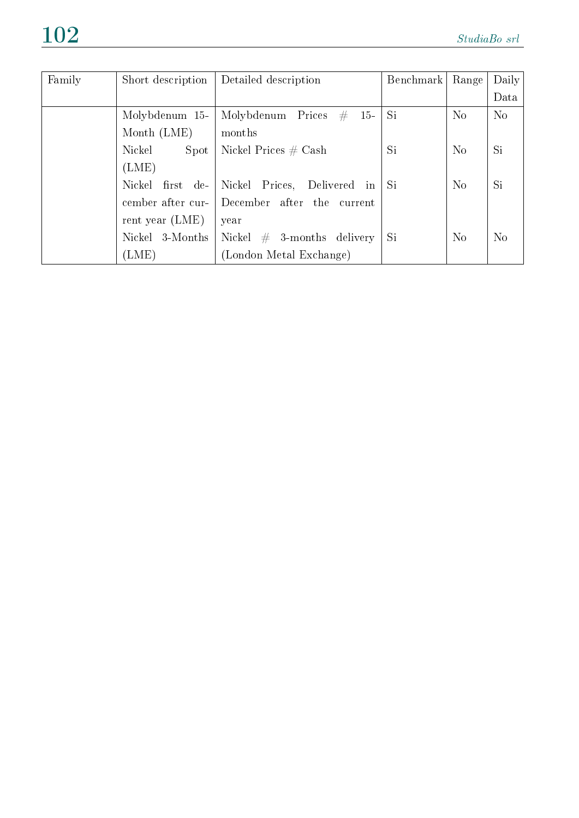| Family | Short description | Detailed description               | Benchmark | Range          | Daily          |
|--------|-------------------|------------------------------------|-----------|----------------|----------------|
|        |                   |                                    |           |                | Data           |
|        | Molybdenum 15-    | Molybdenum Prices<br>#<br>$15-$    | Si.       | N <sub>o</sub> | N <sub>o</sub> |
|        | Month $(LME)$     | months                             |           |                |                |
|        | Nickel<br>Spot    | Nickel Prices $#$ Cash             | <b>Si</b> | No             | Si             |
|        | (LME)             |                                    |           |                |                |
|        | Nickel first de-  | Nickel Prices,<br>Delivered in     | Si        | N <sub>o</sub> | Si             |
|        | cember after cur- | December after<br>the<br>– current |           |                |                |
|        | rent year $(LME)$ | year                               |           |                |                |
|        | Nickel 3-Months   | Nickel $#$ 3-months delivery       | Si        | No             | N <sub>o</sub> |
|        | (LME)             | (London Metal Exchange)            |           |                |                |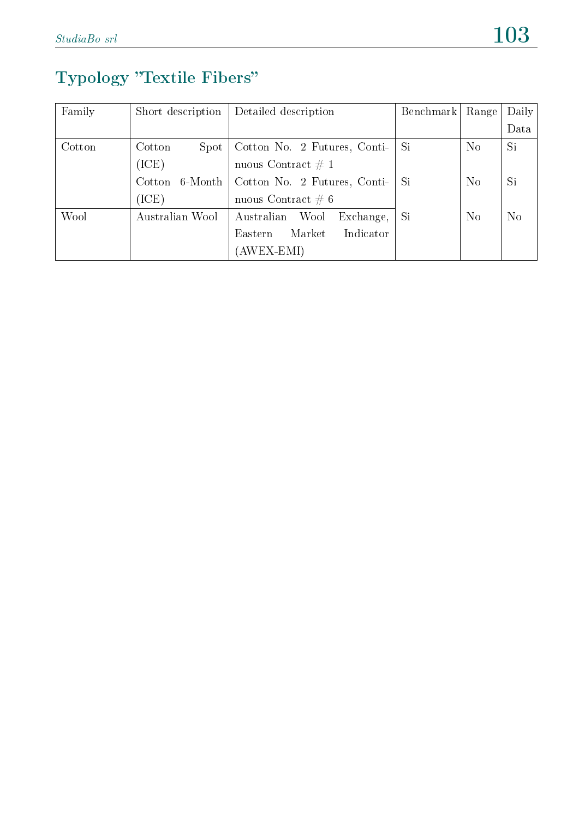### Typology "Textile Fibers"

| Family | Short description | Detailed description            | Benchmark | Range          | Daily    |
|--------|-------------------|---------------------------------|-----------|----------------|----------|
|        |                   |                                 |           |                | Data     |
| Cotton | Cotton<br>Spot    | Cotton No. 2 Futures, Conti-    | Si.       | N <sub>o</sub> | Si       |
|        | (ICE)             | nuous Contract $\# 1$           |           |                |          |
|        | Cotton<br>6-Month | Cotton No. 2 Futures, Conti-    | Si        | N <sub>o</sub> | Si       |
|        | (ICE)             | nuous Contract $\# 6$           |           |                |          |
| Wool   | Australian Wool   | Australian<br>Wool<br>Exchange, | Si        | N <sub>o</sub> | $\rm No$ |
|        |                   | Indicator<br>Market<br>Eastern  |           |                |          |
|        |                   | (AWEX-EMI)                      |           |                |          |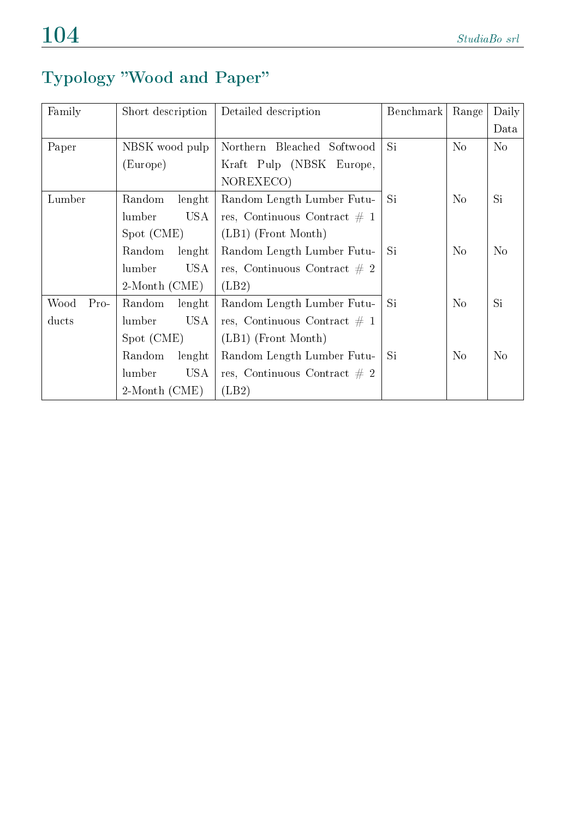### Typology Wood and Paper

| Family         | Short description    | Detailed description            | Benchmark | Range          | Daily          |
|----------------|----------------------|---------------------------------|-----------|----------------|----------------|
|                |                      |                                 |           |                | Data           |
| Paper          | NBSK wood pulp       | Northern Bleached Softwood      | Si        | No             | N <sub>o</sub> |
|                | (Europe)             | Kraft Pulp (NBSK Europe,        |           |                |                |
|                |                      | NOREXECO)                       |           |                |                |
| Lumber         | Random<br>lenght     | Random Length Lumber Futu-      | <b>Si</b> | N <sub>o</sub> | Si             |
|                | USA<br>lumber        | res, Continuous Contract $\#$ 1 |           |                |                |
|                | Spot (CME)           | $(LB1)$ (Front Month)           |           |                |                |
|                | Random<br>lenght     | Random Length Lumber Futu-      | Si        | $\rm No$       | N <sub>o</sub> |
|                | <b>USA</b><br>lumber | res, Continuous Contract $\#$ 2 |           |                |                |
|                | 2-Month (CME)        | (LB2)                           |           |                |                |
| Wood<br>$Pro-$ | Random<br>lenght     | Random Length Lumber Futu-      | Si        | N <sub>o</sub> | Si             |
| ducts          | USA<br>lumber        | res, Continuous Contract $\#$ 1 |           |                |                |
|                | Spot (CME)           | $(LB1)$ (Front Month)           |           |                |                |
|                | Random<br>lenght     | Random Length Lumber Futu-      | Si        | $\rm No$       | N <sub>o</sub> |
|                | lumber<br>USA        | res, Continuous Contract $\#$ 2 |           |                |                |
|                | $2$ -Month $(CME)$   | (LB2)                           |           |                |                |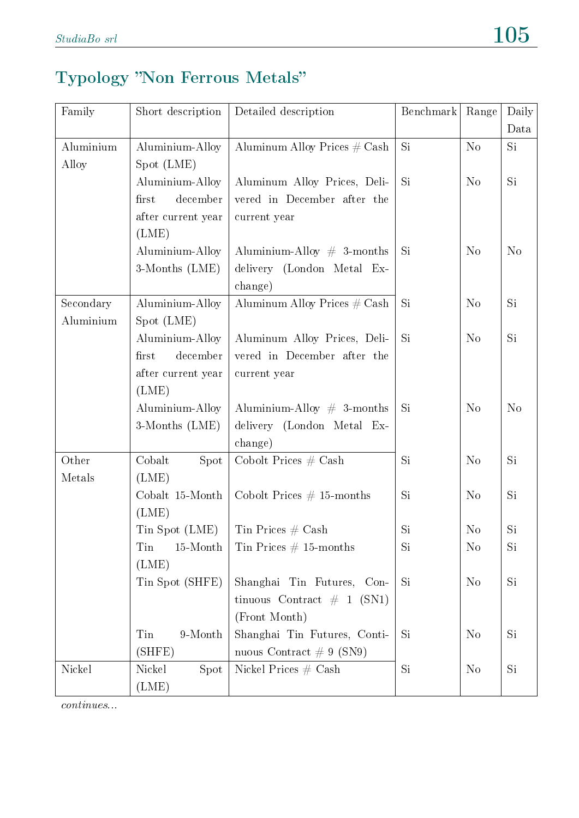# Typology "Non Ferrous Metals"

| Family    | Short description  | Detailed description            | Benchmark | Range          | Daily          |
|-----------|--------------------|---------------------------------|-----------|----------------|----------------|
|           |                    |                                 |           |                | Data           |
| Aluminium | Aluminium-Alloy    | Aluminum Alloy Prices $\#$ Cash | Si        | N <sub>o</sub> | Si             |
| Alloy     | Spot (LME)         |                                 |           |                |                |
|           | Aluminium-Alloy    | Aluminum Alloy Prices, Deli-    | Si        | N <sub>o</sub> | Si             |
|           | december<br>first  | vered in December after the     |           |                |                |
|           | after current year | current year                    |           |                |                |
|           | (LME)              |                                 |           |                |                |
|           | Aluminium-Alloy    | Aluminium-Alloy $\#$ 3-months   | Si        | N <sub>o</sub> | N <sub>o</sub> |
|           | 3-Months (LME)     | delivery (London Metal Ex-      |           |                |                |
|           |                    | change)                         |           |                |                |
| Secondary | Aluminium-Alloy    | Aluminum Alloy Prices $\#$ Cash | Si        | N <sub>o</sub> | Si             |
| Aluminium | Spot (LME)         |                                 |           |                |                |
|           | Aluminium-Alloy    | Aluminum Alloy Prices, Deli-    | Si        | N <sub>o</sub> | Si             |
|           | first<br>december  | vered in December after the     |           |                |                |
|           | after current year | current year                    |           |                |                |
|           | (LME)              |                                 |           |                |                |
|           | Aluminium-Alloy    | Aluminium-Alloy # 3-months      | Si        | N <sub>o</sub> | N <sub>o</sub> |
|           | 3-Months (LME)     | delivery (London Metal Ex-      |           |                |                |
|           |                    | change)                         |           |                |                |
| Other     | Cobalt<br>Spot     | Cobolt Prices $#$ Cash          | Si        | N <sub>o</sub> | Si             |
| Metals    | (LME)              |                                 |           |                |                |
|           | Cobalt 15-Month    | Cobolt Prices $# 15$ -months    | Si        | N <sub>o</sub> | Si             |
|           | (LME)              |                                 |           |                |                |
|           | Tin Spot (LME)     | Tin Prices $\#$ Cash            | Si        | N <sub>o</sub> | Si             |
|           | Tin<br>15-Month    | Tin Prices $# 15$ -months       | Si        | N <sub>o</sub> | Si             |
|           | (LME)              |                                 |           |                |                |
|           | Tin Spot (SHFE)    | Shanghai Tin Futures, Con-      | Si        | N <sub>o</sub> | Si             |
|           |                    | tinuous Contract $\#$ 1 (SN1)   |           |                |                |
|           |                    | (Front Month)                   |           |                |                |
|           | Tin<br>9-Month     | Shanghai Tin Futures, Conti-    | Si        | N <sub>o</sub> | Si             |
|           | (SHFE)             | nuous Contract $\# 9$ (SN9)     |           |                |                |
| Nickel    | Spot<br>Nickel     | Nickel Prices $#$ Cash          | Si        | N <sub>o</sub> | Si             |
|           | (LME)              |                                 |           |                |                |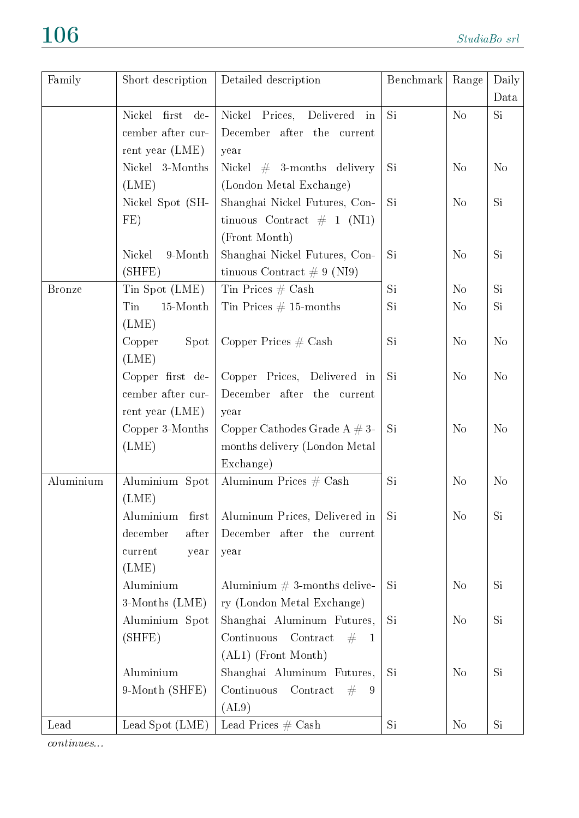| Family        | Short description        | Detailed description                       | Benchmark | Range          | Daily          |
|---------------|--------------------------|--------------------------------------------|-----------|----------------|----------------|
|               |                          |                                            |           |                | Data           |
|               | Nickel<br>first<br>$de-$ | Nickel Prices,<br>Delivered in             | Si.       | N <sub>o</sub> | Si             |
|               | cember after cur-        | December after the current                 |           |                |                |
|               | rent year $(LME)$        | year                                       |           |                |                |
|               | Nickel 3-Months          | Nickel $#$ 3-months delivery               | Si        | N <sub>o</sub> | N <sub>o</sub> |
|               | (LME)                    | (London Metal Exchange)                    |           |                |                |
|               | Nickel Spot (SH-         | Shanghai Nickel Futures, Con-              | Si        | N <sub>o</sub> | Si             |
|               | FE)                      | tinuous Contract $\#$ 1 (NI1)              |           |                |                |
|               |                          | (Front Month)                              |           |                |                |
|               | 9-Month<br>Nickel        | Shanghai Nickel Futures, Con-              | Si        | N <sub>o</sub> | Si             |
|               | (SHFE)                   | tinuous Contract $\# 9$ (NI9)              |           |                |                |
| <b>Bronze</b> | Tin Spot (LME)           | Tin Prices $\#$ Cash                       | Si.       | N <sub>o</sub> | Si.            |
|               | Tin<br>15-Month          | Tin Prices $\#$ 15-months                  | Si        | N <sub>o</sub> | Si             |
|               | (LME)                    |                                            |           |                |                |
|               | Spot<br>Copper           | Copper Prices $#$ Cash                     | Si        | N <sub>o</sub> | N <sub>o</sub> |
|               | (LME)                    |                                            |           |                |                |
|               | Copper first de-         | Copper Prices, Delivered in                | Si        | N <sub>o</sub> | N <sub>o</sub> |
|               | cember after cur-        | December after the<br>current              |           |                |                |
|               | rent year $(LME)$        | year                                       |           |                |                |
|               | Copper 3-Months          | Copper Cathodes Grade A $#3-$              | Si        | N <sub>o</sub> | N <sub>o</sub> |
|               | (LME)                    | months delivery (London Metal              |           |                |                |
|               |                          | Exchange)                                  |           |                |                |
| Aluminium     | Aluminium Spot           | Aluminum Prices $#$ Cash                   | Si        | N <sub>o</sub> | N <sub>o</sub> |
|               | (LME)                    |                                            |           |                |                |
|               | Aluminium<br>first       | Aluminum Prices, Delivered in              | Si        | N <sub>o</sub> | Si             |
|               | december<br>after        | December after the current                 |           |                |                |
|               | current<br>year          | year                                       |           |                |                |
|               | (LME)                    |                                            |           |                |                |
|               | Aluminium                | Aluminium $# 3$ -months delive-            | Si        | N <sub>o</sub> | Si             |
|               | 3-Months (LME)           | ry (London Metal Exchange)                 |           |                |                |
|               | Aluminium Spot           | Shanghai Aluminum Futures,                 | Si        | N <sub>o</sub> | Si             |
|               | (SHFE)                   | Contract<br>Continuous<br>#<br>$\mathbf 1$ |           |                |                |
|               |                          | (AL1) (Front Month)                        |           |                |                |
|               | Aluminium                | Shanghai Aluminum Futures,                 | Si        | N <sub>o</sub> | Si             |
|               | 9-Month (SHFE)           | ${\rm Contract}$<br>Continuous<br>#<br>9   |           |                |                |
|               |                          | (AL9)                                      |           |                |                |
| Lead          | Lead Spot (LME)          | Lead Prices $\#$ Cash                      | Si.       | N <sub>o</sub> | Si.            |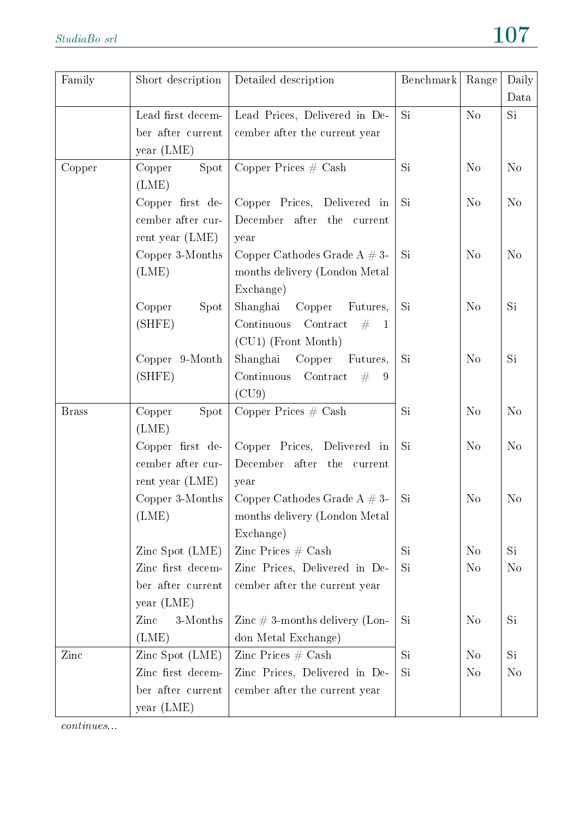| Family       | Short description | Detailed description                        | Benchmark | Range          | Daily          |
|--------------|-------------------|---------------------------------------------|-----------|----------------|----------------|
|              |                   |                                             |           |                | Data           |
|              | Lead first decem- | Lead Prices, Delivered in De-               | Si        | $\rm No$       | Si             |
|              | ber after current | cember after the current year               |           |                |                |
|              | year (LME)        |                                             |           |                |                |
| Copper       | Spot<br>Copper    | Copper Prices $#$ Cash                      | Si        | N <sub>o</sub> | N <sub>o</sub> |
|              | (LME)             |                                             |           |                |                |
|              | Copper first de-  | Copper Prices, Delivered in                 | Si        | N <sub>o</sub> | N <sub>o</sub> |
|              | cember after cur- | December after the<br>current               |           |                |                |
|              | rent year $(LME)$ | year                                        |           |                |                |
|              | Copper 3-Months   | Copper Cathodes Grade $A \# 3$ -            | Si.       | N <sub>o</sub> | N <sub>o</sub> |
|              | (LME)             | months delivery (London Metal               |           |                |                |
|              |                   | Exchange)                                   |           |                |                |
|              | Copper<br>Spot    | Shanghai<br>Copper<br>Futures,              | Si        | N <sub>o</sub> | Si             |
|              | (SHFE)            | Continuous<br>Contract<br>#<br>$\mathbf{1}$ |           |                |                |
|              |                   | (CU1) (Front Month)                         |           |                |                |
|              | Copper 9-Month    | Shanghai<br>Copper<br>Futures,              | <b>Si</b> | No             | <b>Si</b>      |
|              | (SHFE)            | Continuous<br>Contract<br>#<br>9            |           |                |                |
|              |                   | (CU9)                                       |           |                |                |
| <b>Brass</b> | Spot<br>Copper    | Copper Prices $#$ Cash                      | Si        | N <sub>o</sub> | N <sub>o</sub> |
|              | (LME)             |                                             |           |                |                |
|              | Copper first de-  | Copper Prices, Delivered in                 | Si        | N <sub>o</sub> | N <sub>o</sub> |
|              | cember after cur- | December after the current                  |           |                |                |
|              | rent year $(LME)$ | year                                        |           |                |                |
|              | Copper 3-Months   | Copper Cathodes Grade A $# 3$ -             | Si        | N <sub>o</sub> | N <sub>o</sub> |
|              | (LME)             | months delivery (London Metal)              |           |                |                |
|              |                   | Exchange)                                   |           |                |                |
|              | Zinc Spot $(LME)$ | Zinc Prices $\#$ Cash                       | Si        | N <sub>o</sub> | Si             |
|              | Zinc first decem- | Zinc Prices, Delivered in De-               | Si        | N <sub>o</sub> | N <sub>o</sub> |
|              | ber after current | cember after the current year               |           |                |                |
|              | year (LME)        |                                             |           |                |                |
|              | 3-Months<br>Zinc  | Zinc $\#$ 3-months delivery (Lon-           | Si        | No             | Si             |
|              | (LME)             | don Metal Exchange)                         |           |                |                |
| Zinc         | Zinc Spot $(LME)$ | Zinc Prices $#$ Cash                        | Si        | N <sub>o</sub> | Si             |
|              | Zinc first decem- | Zinc Prices, Delivered in De-               | Si        | N <sub>o</sub> | N <sub>o</sub> |
|              | ber after current | cember after the current year               |           |                |                |
|              | year (LME)        |                                             |           |                |                |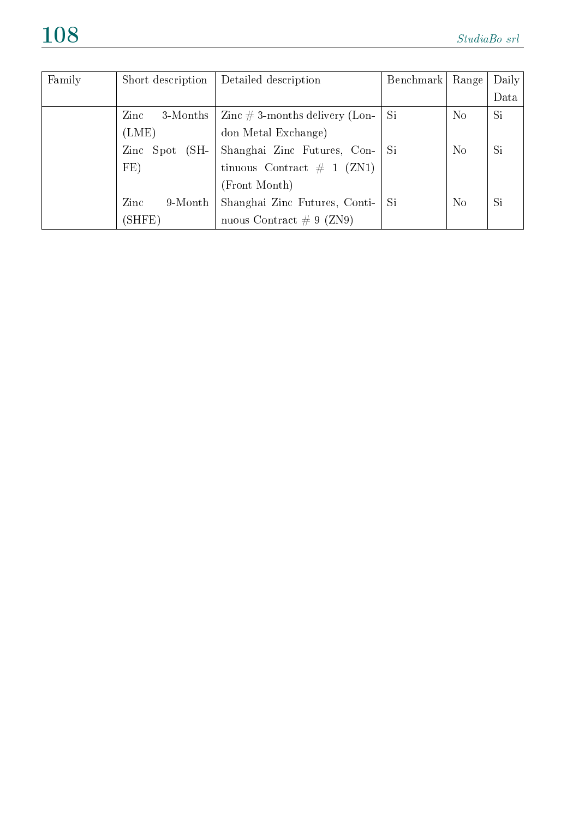| Family | Short description      | Detailed description                                           | Benchmark | Range          | Daily |
|--------|------------------------|----------------------------------------------------------------|-----------|----------------|-------|
|        |                        |                                                                |           |                | Data  |
|        | $\rm Zinc$<br>3-Months | $\mathop{\rm Zinc}\nolimits\#3\text{-months delivery (Lon-1)}$ | Si        | N <sub>o</sub> | Si    |
|        | (LME)                  | don Metal Exchange)                                            |           |                |       |
|        | Zinc Spot<br>$(SH-$    | Shanghai Zinc Futures, Con-                                    | - Si      | N <sub>o</sub> | Si    |
|        | FE)                    | tinuous Contract # 1 $(ZN1)$                                   |           |                |       |
|        |                        | (Front Month)                                                  |           |                |       |
|        | Zinc<br>$9$ -Month     | Shanghai Zinc Futures, Conti-                                  | Si        | N <sub>o</sub> | Si    |
|        | (SHFE)                 | nuous Contract $\# 9$ (ZN9)                                    |           |                |       |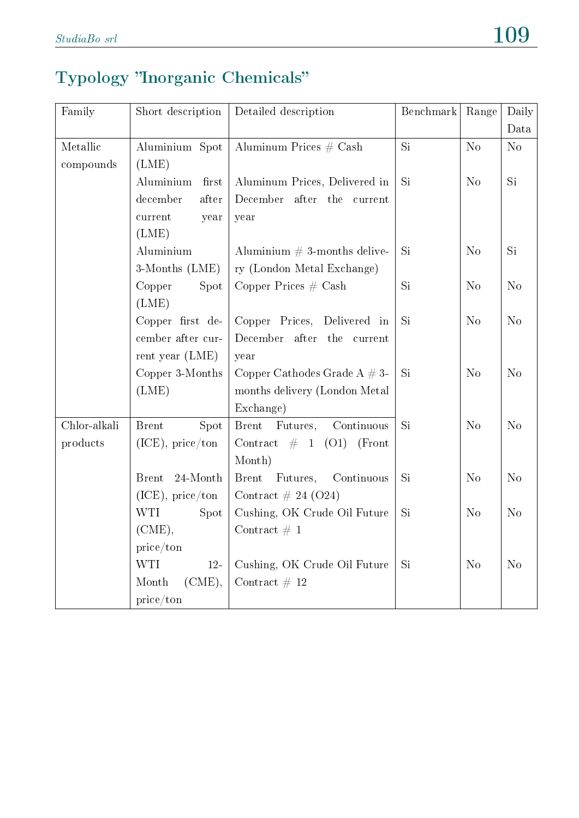## Typology "Inorganic Chemicals"

| Family       | Short description        | Detailed description                   | Benchmark | Range          | Daily          |
|--------------|--------------------------|----------------------------------------|-----------|----------------|----------------|
|              |                          |                                        |           |                | Data           |
| Metallic     | Aluminium Spot           | Aluminum Prices $#$ Cash               | Si        | N <sub>o</sub> | $\rm No$       |
| compounds    | (LME)                    |                                        |           |                |                |
|              | Aluminium<br>first       | Aluminum Prices, Delivered in          | Si        | N <sub>o</sub> | Si             |
|              | after<br>december        | December after<br>the current          |           |                |                |
|              | current<br>year          | year                                   |           |                |                |
|              | (LME)                    |                                        |           |                |                |
|              | Aluminium                | Aluminium $# 3$ -months delive-        | Si        | N <sub>o</sub> | Si             |
|              | 3-Months (LME)           | ry (London Metal Exchange)             |           |                |                |
|              | Copper<br>Spot           | Copper Prices $#$ Cash                 | <b>Si</b> | N <sub>o</sub> | N <sub>o</sub> |
|              | (LME)                    |                                        |           |                |                |
|              | Copper first de-         | Copper Prices, Delivered in            | Si        | N <sub>o</sub> | N <sub>o</sub> |
|              | cember after cur-        | December after the current             |           |                |                |
|              | rent year $(LME)$        | year                                   |           |                |                |
|              | Copper 3-Months          | Copper Cathodes Grade $A \# 3$ -       | <b>Si</b> | No             | No             |
|              | (LME)                    | months delivery (London Metal          |           |                |                |
|              |                          | Exchange)                              |           |                |                |
| Chlor-alkali | <b>Brent</b><br>Spot     | Futures,<br>Continuous<br><b>Brent</b> | Si        | N <sub>o</sub> | N <sub>o</sub> |
| products     | $(ICE)$ , price/ton      | Contract $\#$ 1 (O1)<br>(Front         |           |                |                |
|              |                          | Month)                                 |           |                |                |
|              | 24-Month<br><b>Brent</b> | <b>Brent</b><br>Futures,<br>Continuous | Si        | N <sub>o</sub> | N <sub>o</sub> |
|              | $(ICE)$ , price/ton      | Contract $\# 24 (024)$                 |           |                |                |
|              | <b>WTI</b><br>Spot       | Cushing, OK Crude Oil Future           | Si        | N <sub>o</sub> | N <sub>o</sub> |
|              | (CME),                   | Contract $\# 1$                        |           |                |                |
|              | price/ton                |                                        |           |                |                |
|              | <b>WTI</b><br>$12-$      | Cushing, OK Crude Oil Future           | Si        | N <sub>o</sub> | N <sub>o</sub> |
|              | Month<br>(CME),          | Contract $# 12$                        |           |                |                |
|              | price/ton                |                                        |           |                |                |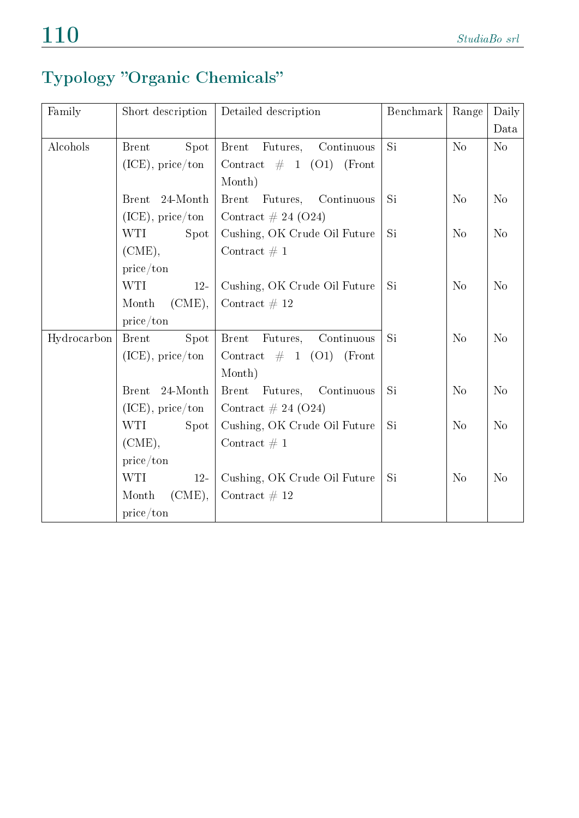## Typology "Organic Chemicals"

| Family      | Short description        | Detailed description                   | Benchmark | Range          | Daily          |
|-------------|--------------------------|----------------------------------------|-----------|----------------|----------------|
|             |                          |                                        |           |                | Data           |
| Alcohols    | Spot<br><b>B</b> rent    | <b>Brent</b><br>Futures,<br>Continuous | Si        | $\rm No$       | No             |
|             | $(ICE)$ , price/ton      | Contract $\#$ 1 (O1) (Front            |           |                |                |
|             |                          | Month)                                 |           |                |                |
|             | 24-Month<br><b>Brent</b> | Brent Futures, Continuous              | Si        | N <sub>o</sub> | N <sub>o</sub> |
|             | $(ICE)$ , price/ton      | Contract $\# 24 (O24)$                 |           |                |                |
|             | <b>WTI</b><br>Spot       | Cushing, OK Crude Oil Future           | Si        | No             | N <sub>o</sub> |
|             | (CME),                   | Contract $\# 1$                        |           |                |                |
|             | price/ton                |                                        |           |                |                |
|             | <b>WTI</b><br>$12-$      | Cushing, OK Crude Oil Future           | Si        | N <sub>o</sub> | N <sub>o</sub> |
|             | $(CME)$ ,<br>Month       | Contract $# 12$                        |           |                |                |
|             | price/ton                |                                        |           |                |                |
| Hydrocarbon | Spot<br><b>Brent</b>     | Continuous<br><b>Brent</b><br>Futures, | Si        | N <sub>o</sub> | N <sub>o</sub> |
|             | $(ICE)$ , price/ton      | Contract $\#$ 1 (O1)<br>(Front)        |           |                |                |
|             |                          | Month)                                 |           |                |                |
|             | 24-Month<br><b>Brent</b> | Brent Futures, Continuous              | Si        | N <sub>o</sub> | N <sub>o</sub> |
|             | $(ICE)$ , price/ton      | Contract $\# 24 (O24)$                 |           |                |                |
|             | WTI<br>Spot              | Cushing, OK Crude Oil Future           | Si        | No             | No             |
|             | (CME),                   | Contract $\# 1$                        |           |                |                |
|             | price/ton                |                                        |           |                |                |
|             | <b>WTI</b><br>$12-$      | Cushing, OK Crude Oil Future           | Si        | N <sub>o</sub> | N <sub>o</sub> |
|             | $(CME)$ ,<br>Month       | Contract $# 12$                        |           |                |                |
|             | price/ton                |                                        |           |                |                |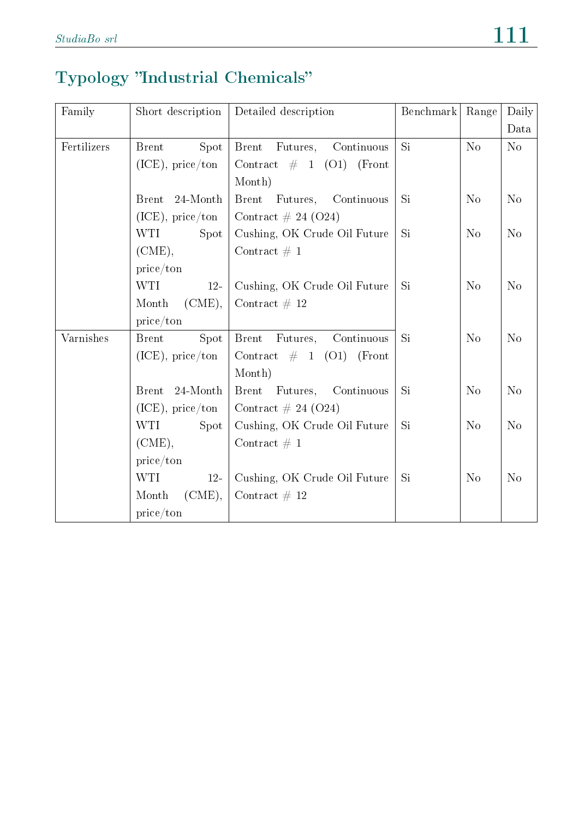## Typology "Industrial Chemicals"

| Family      | Short description        | Detailed description                   | Benchmark | Range          | Daily          |
|-------------|--------------------------|----------------------------------------|-----------|----------------|----------------|
|             |                          |                                        |           |                | Data           |
| Fertilizers | Spot<br><b>Brent</b>     | Futures,<br>Continuous<br><b>Brent</b> | <b>Si</b> | No             | No             |
|             | $(ICE)$ , price/ton      | Contract $\#$ 1 (O1)<br>(Front)        |           |                |                |
|             |                          | Month)                                 |           |                |                |
|             | 24-Month<br><b>Brent</b> | Brent Futures, Continuous              | Si        | N <sub>o</sub> | N <sub>o</sub> |
|             | $(ICE)$ , price/ton      | Contract $\# 24 (024)$                 |           |                |                |
|             | WTI<br>Spot              | Cushing, OK Crude Oil Future           | Si        | N <sub>o</sub> | N <sub>o</sub> |
|             | (CME),                   | Contract $\# 1$                        |           |                |                |
|             | price/ton                |                                        |           |                |                |
|             | <b>WTI</b><br>$12-$      | Cushing, OK Crude Oil Future           | Si        | N <sub>o</sub> | N <sub>o</sub> |
|             | Month<br>$(CME)$ ,       | Contract # 12                          |           |                |                |
|             | price/ton                |                                        |           |                |                |
| Varnishes   | Spot<br><b>Brent</b>     | Continuous<br><b>Brent</b><br>Futures, | Si        | N <sub>o</sub> | N <sub>o</sub> |
|             | $(ICE)$ , price/ton      | Contract $\#$ 1 (O1)<br>(Front)        |           |                |                |
|             |                          | Month)                                 |           |                |                |
|             | 24-Month<br><b>Brent</b> | Brent Futures, Continuous              | Si        | N <sub>o</sub> | N <sub>o</sub> |
|             | $(ICE)$ , price/ton      | Contract $\# 24 (024)$                 |           |                |                |
|             | <b>WTI</b><br>Spot       | Cushing, OK Crude Oil Future           | Si        | N <sub>o</sub> | N <sub>o</sub> |
|             | $(CME)$ ,                | Contract $\# 1$                        |           |                |                |
|             | price/ton                |                                        |           |                |                |
|             | <b>WTI</b><br>$12-$      | Cushing, OK Crude Oil Future           | Si        | N <sub>o</sub> | N <sub>o</sub> |
|             | $(CME)$ ,<br>Month       | Contract $\#$ 12                       |           |                |                |
|             | price/ton                |                                        |           |                |                |